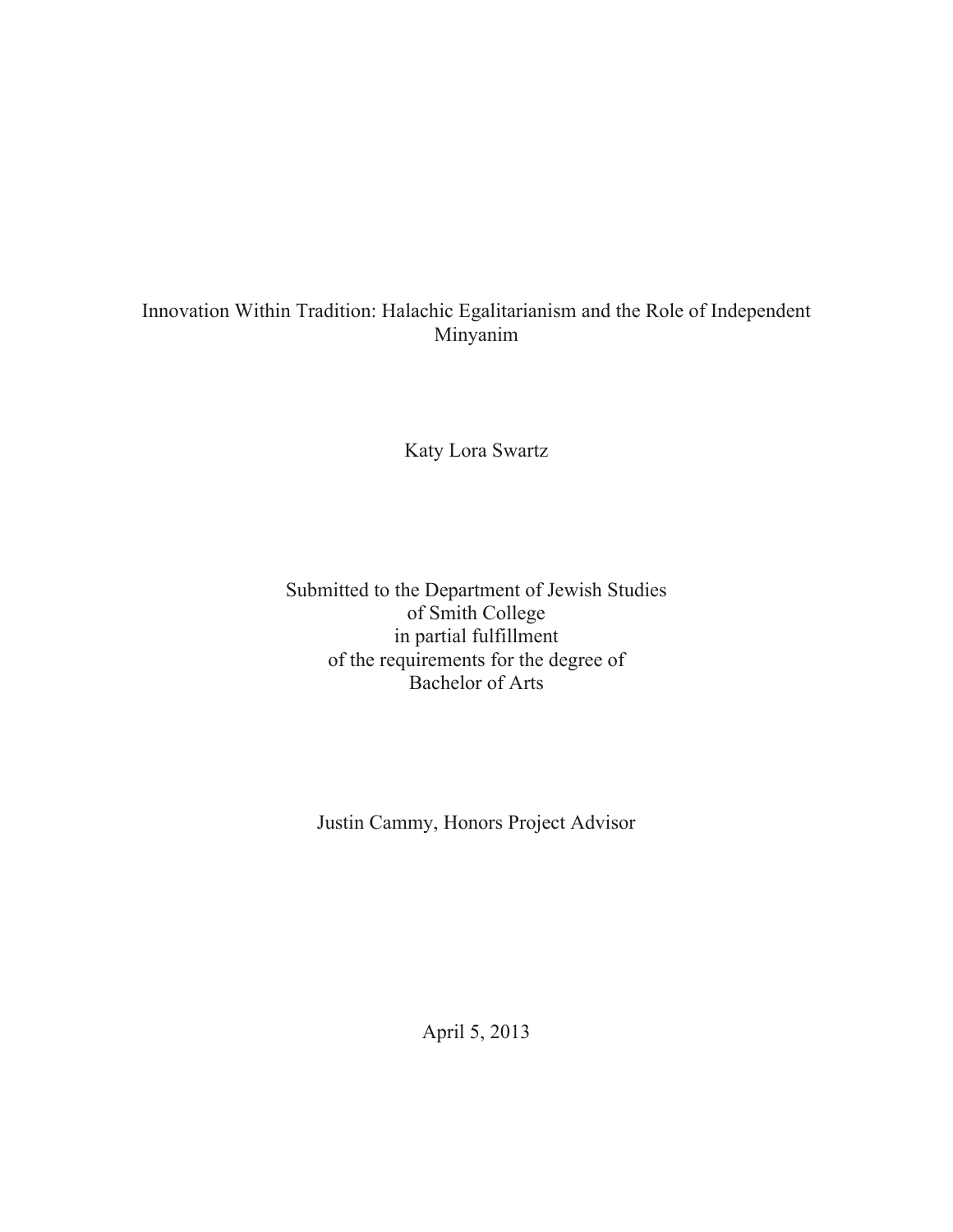# Innovation Within Tradition: Halachic Egalitarianism and the Role of Independent Minyanim

Katy Lora Swartz

Submitted to the Department of Jewish Studies of Smith College in partial fulfillment of the requirements for the degree of Bachelor of Arts

Justin Cammy, Honors Project Advisor

April 5, 2013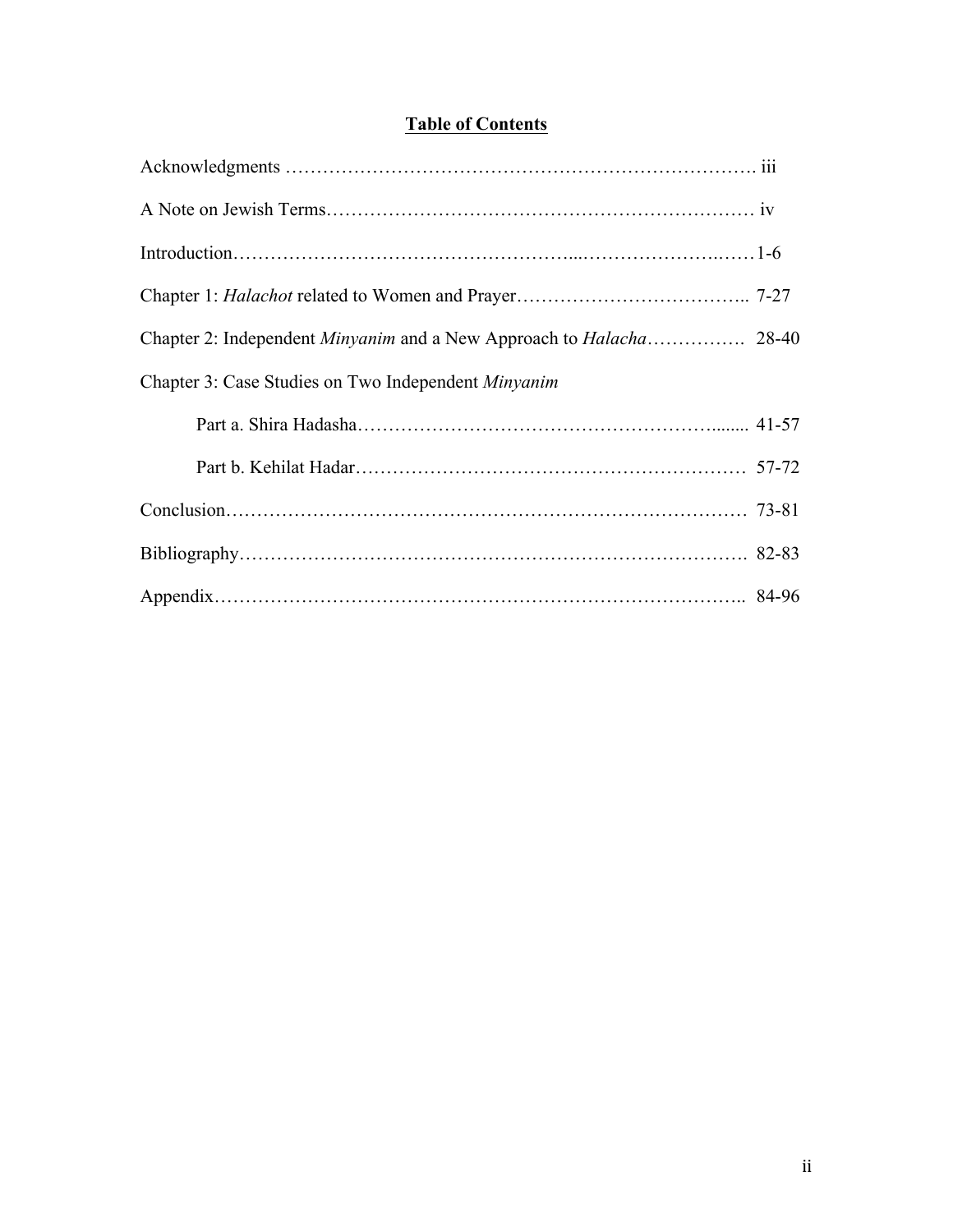# **Table of Contents**

| Chapter 3: Case Studies on Two Independent Minyanim |  |
|-----------------------------------------------------|--|
|                                                     |  |
|                                                     |  |
|                                                     |  |
|                                                     |  |
|                                                     |  |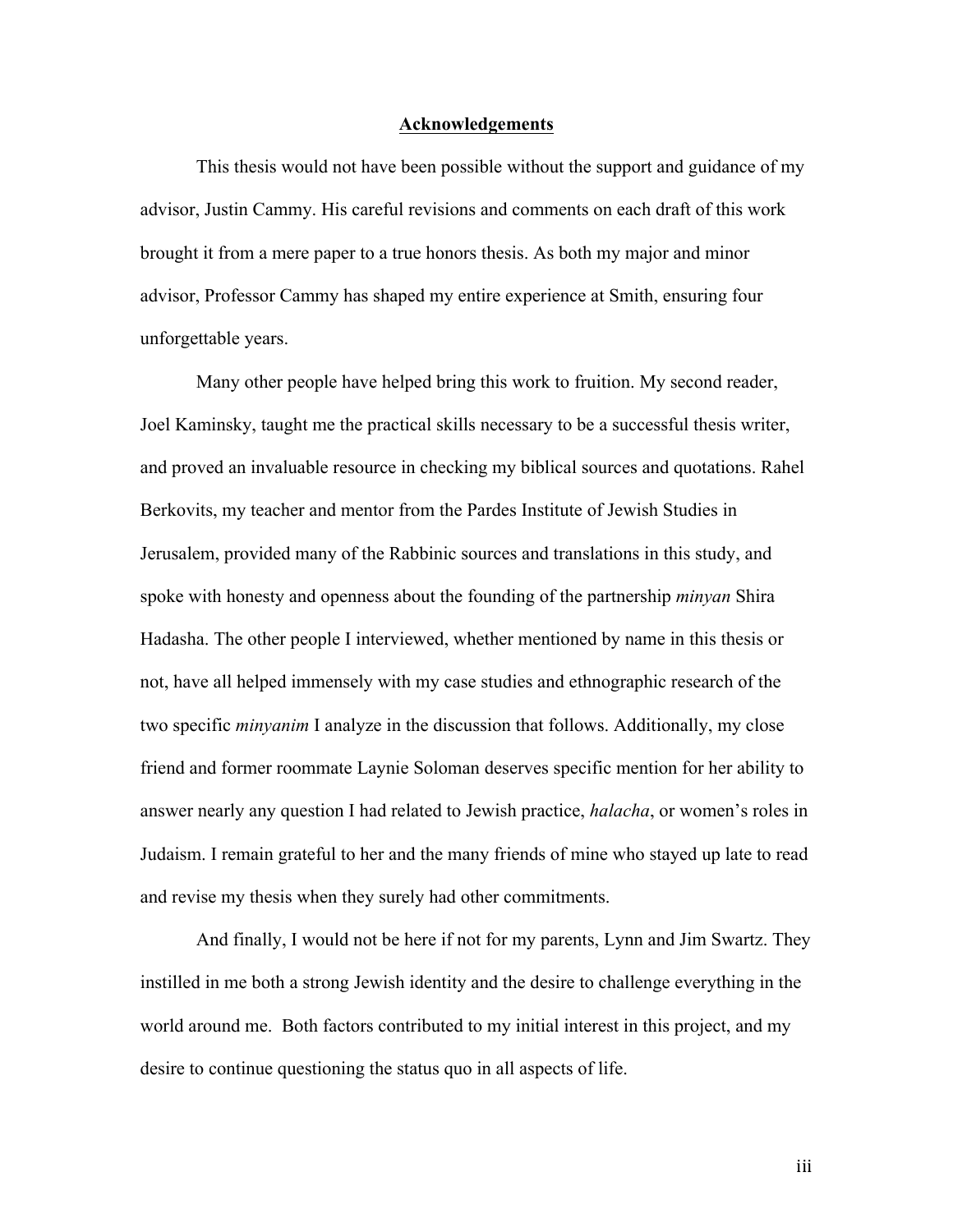#### **Acknowledgements**

This thesis would not have been possible without the support and guidance of my advisor, Justin Cammy. His careful revisions and comments on each draft of this work brought it from a mere paper to a true honors thesis. As both my major and minor advisor, Professor Cammy has shaped my entire experience at Smith, ensuring four unforgettable years.

Many other people have helped bring this work to fruition. My second reader, Joel Kaminsky, taught me the practical skills necessary to be a successful thesis writer, and proved an invaluable resource in checking my biblical sources and quotations. Rahel Berkovits, my teacher and mentor from the Pardes Institute of Jewish Studies in Jerusalem, provided many of the Rabbinic sources and translations in this study, and spoke with honesty and openness about the founding of the partnership *minyan* Shira Hadasha. The other people I interviewed, whether mentioned by name in this thesis or not, have all helped immensely with my case studies and ethnographic research of the two specific *minyanim* I analyze in the discussion that follows. Additionally, my close friend and former roommate Laynie Soloman deserves specific mention for her ability to answer nearly any question I had related to Jewish practice, *halacha*, or women's roles in Judaism. I remain grateful to her and the many friends of mine who stayed up late to read and revise my thesis when they surely had other commitments.

And finally, I would not be here if not for my parents, Lynn and Jim Swartz. They instilled in me both a strong Jewish identity and the desire to challenge everything in the world around me. Both factors contributed to my initial interest in this project, and my desire to continue questioning the status quo in all aspects of life.

iii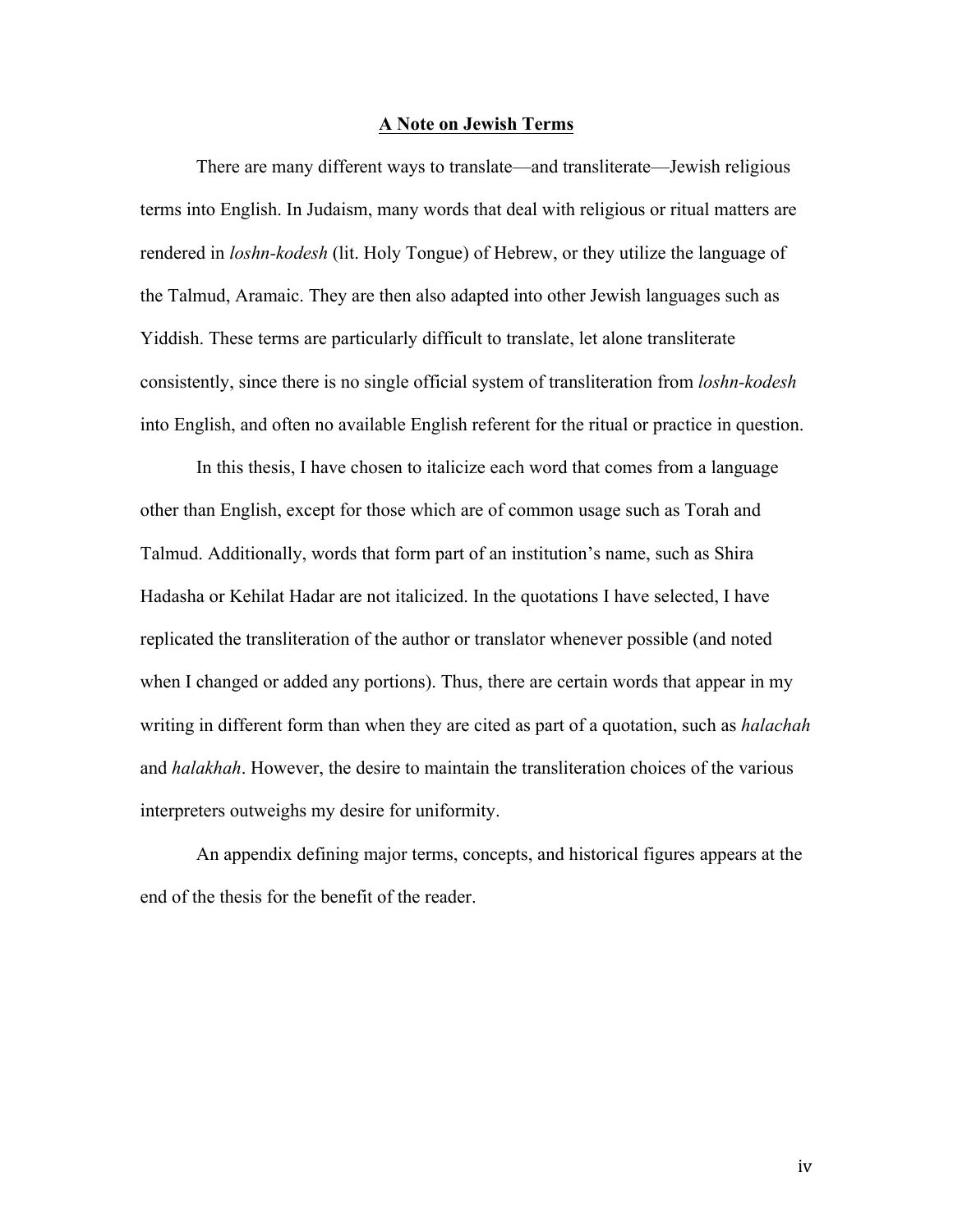#### **A Note on Jewish Terms**

There are many different ways to translate—and transliterate—Jewish religious terms into English. In Judaism, many words that deal with religious or ritual matters are rendered in *loshn-kodesh* (lit. Holy Tongue) of Hebrew, or they utilize the language of the Talmud, Aramaic. They are then also adapted into other Jewish languages such as Yiddish. These terms are particularly difficult to translate, let alone transliterate consistently, since there is no single official system of transliteration from *loshn-kodesh* into English, and often no available English referent for the ritual or practice in question.

In this thesis, I have chosen to italicize each word that comes from a language other than English, except for those which are of common usage such as Torah and Talmud. Additionally, words that form part of an institution's name, such as Shira Hadasha or Kehilat Hadar are not italicized. In the quotations I have selected, I have replicated the transliteration of the author or translator whenever possible (and noted when I changed or added any portions). Thus, there are certain words that appear in my writing in different form than when they are cited as part of a quotation, such as *halachah*  and *halakhah*. However, the desire to maintain the transliteration choices of the various interpreters outweighs my desire for uniformity.

An appendix defining major terms, concepts, and historical figures appears at the end of the thesis for the benefit of the reader.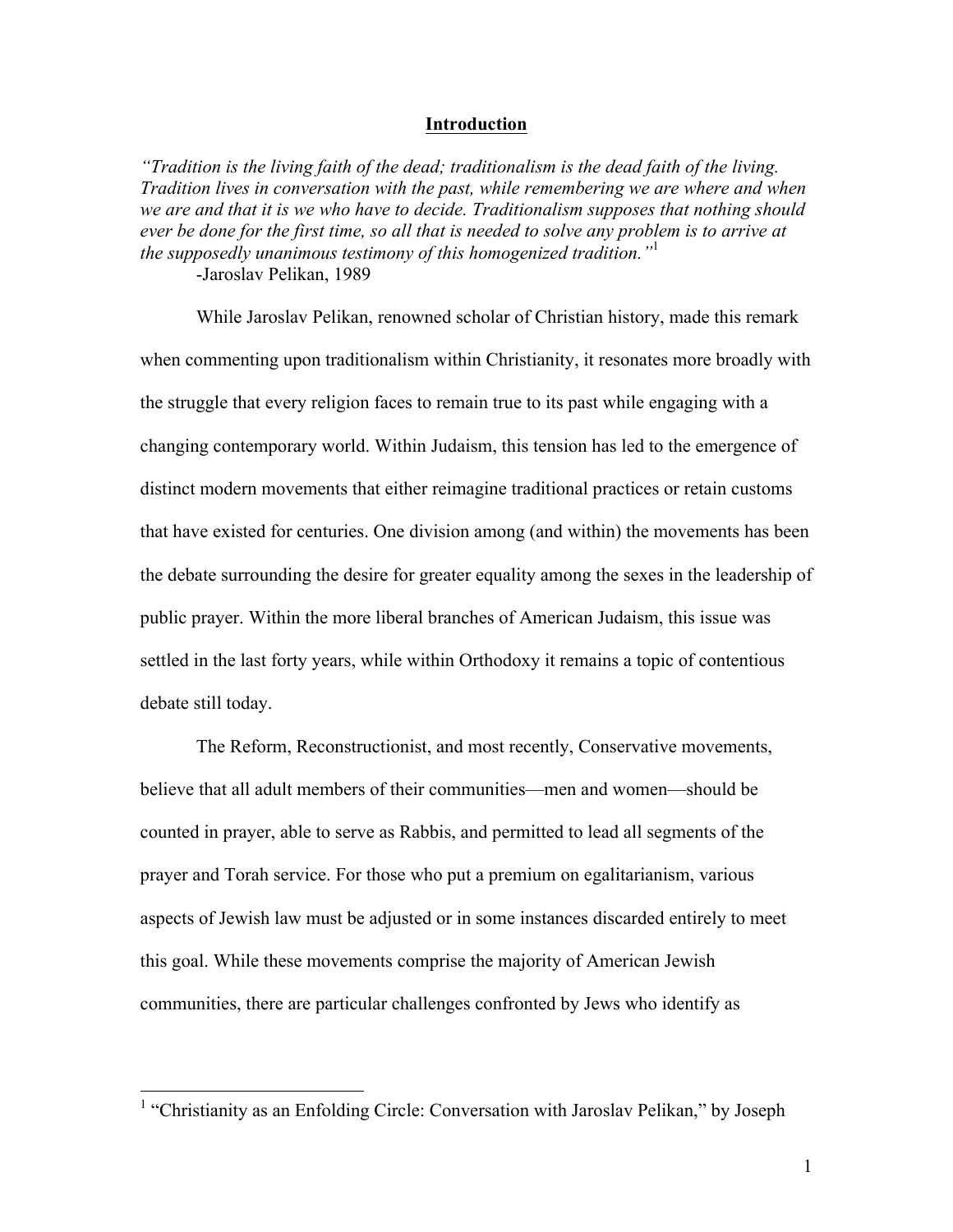### **Introduction**

*"Tradition is the living faith of the dead; traditionalism is the dead faith of the living. Tradition lives in conversation with the past, while remembering we are where and when we are and that it is we who have to decide. Traditionalism supposes that nothing should ever be done for the first time, so all that is needed to solve any problem is to arrive at the supposedly unanimous testimony of this homogenized tradition."*<sup>1</sup> -Jaroslav Pelikan, 1989

While Jaroslav Pelikan, renowned scholar of Christian history, made this remark when commenting upon traditionalism within Christianity, it resonates more broadly with the struggle that every religion faces to remain true to its past while engaging with a changing contemporary world. Within Judaism, this tension has led to the emergence of distinct modern movements that either reimagine traditional practices or retain customs that have existed for centuries. One division among (and within) the movements has been the debate surrounding the desire for greater equality among the sexes in the leadership of public prayer. Within the more liberal branches of American Judaism, this issue was settled in the last forty years, while within Orthodoxy it remains a topic of contentious debate still today.

The Reform, Reconstructionist, and most recently, Conservative movements, believe that all adult members of their communities—men and women—should be counted in prayer, able to serve as Rabbis, and permitted to lead all segments of the prayer and Torah service. For those who put a premium on egalitarianism, various aspects of Jewish law must be adjusted or in some instances discarded entirely to meet this goal. While these movements comprise the majority of American Jewish communities, there are particular challenges confronted by Jews who identify as

<sup>&</sup>lt;sup>1</sup> "Christianity as an Enfolding Circle: Conversation with Jaroslav Pelikan," by Joseph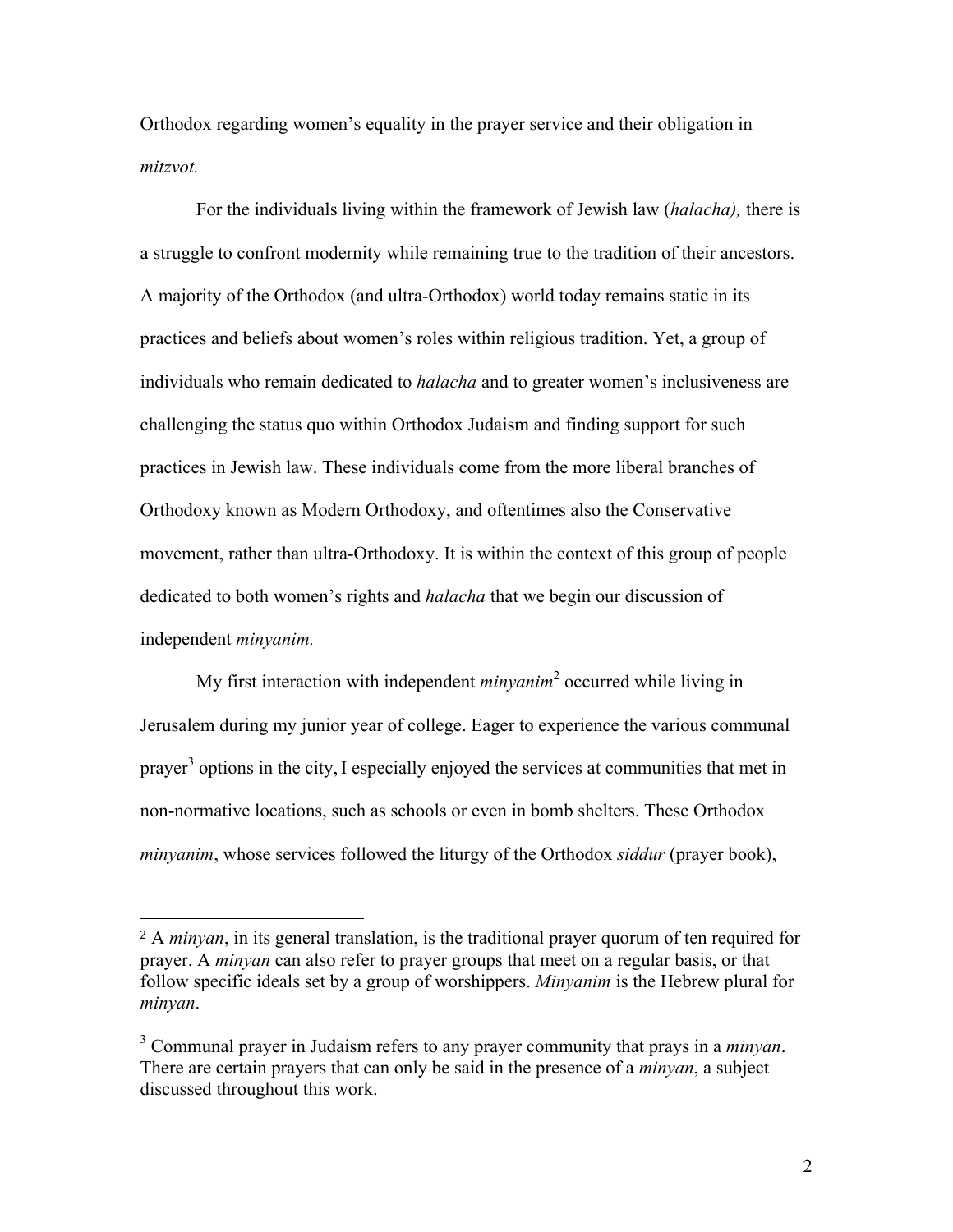Orthodox regarding women's equality in the prayer service and their obligation in *mitzvot.*

For the individuals living within the framework of Jewish law (*halacha),* there is a struggle to confront modernity while remaining true to the tradition of their ancestors. A majority of the Orthodox (and ultra-Orthodox) world today remains static in its practices and beliefs about women's roles within religious tradition. Yet, a group of individuals who remain dedicated to *halacha* and to greater women's inclusiveness are challenging the status quo within Orthodox Judaism and finding support for such practices in Jewish law. These individuals come from the more liberal branches of Orthodoxy known as Modern Orthodoxy, and oftentimes also the Conservative movement, rather than ultra-Orthodoxy. It is within the context of this group of people dedicated to both women's rights and *halacha* that we begin our discussion of independent *minyanim.*

My first interaction with independent *minyanim*<sup>2</sup> occurred while living in Jerusalem during my junior year of college. Eager to experience the various communal prayer<sup>3</sup> options in the city, I especially enjoyed the services at communities that met in non-normative locations, such as schools or even in bomb shelters. These Orthodox *minyanim*, whose services followed the liturgy of the Orthodox *siddur* (prayer book),

<sup>2</sup> A *minyan*, in its general translation, is the traditional prayer quorum of ten required for prayer. A *minyan* can also refer to prayer groups that meet on a regular basis, or that follow specific ideals set by a group of worshippers. *Minyanim* is the Hebrew plural for *minyan*.

<sup>3</sup> Communal prayer in Judaism refers to any prayer community that prays in a *minyan*. There are certain prayers that can only be said in the presence of a *minyan*, a subject discussed throughout this work.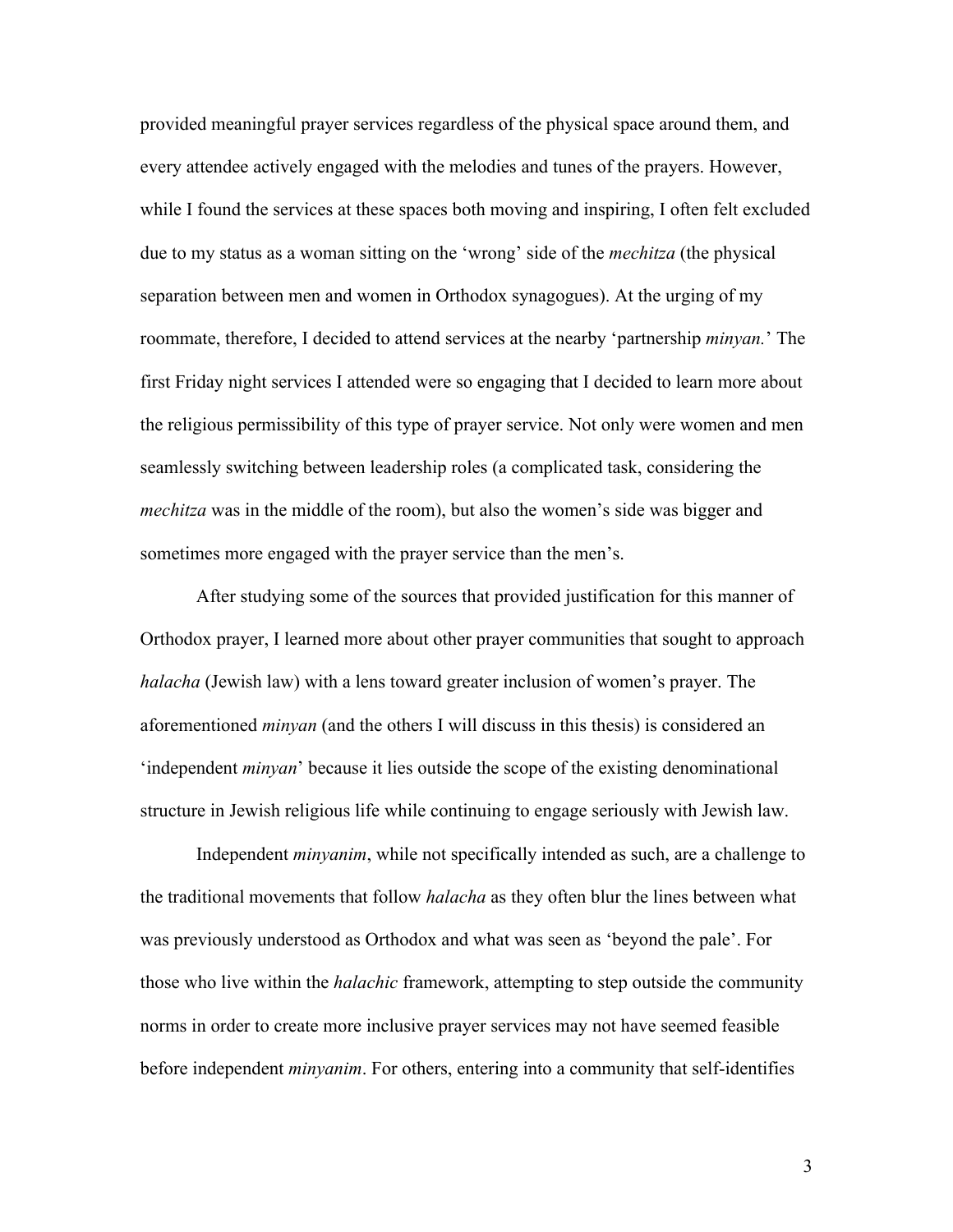provided meaningful prayer services regardless of the physical space around them, and every attendee actively engaged with the melodies and tunes of the prayers. However, while I found the services at these spaces both moving and inspiring, I often felt excluded due to my status as a woman sitting on the 'wrong' side of the *mechitza* (the physical separation between men and women in Orthodox synagogues). At the urging of my roommate, therefore, I decided to attend services at the nearby 'partnership *minyan.*' The first Friday night services I attended were so engaging that I decided to learn more about the religious permissibility of this type of prayer service. Not only were women and men seamlessly switching between leadership roles (a complicated task, considering the *mechitza* was in the middle of the room), but also the women's side was bigger and sometimes more engaged with the prayer service than the men's.

After studying some of the sources that provided justification for this manner of Orthodox prayer, I learned more about other prayer communities that sought to approach *halacha* (Jewish law) with a lens toward greater inclusion of women's prayer. The aforementioned *minyan* (and the others I will discuss in this thesis) is considered an 'independent *minyan*' because it lies outside the scope of the existing denominational structure in Jewish religious life while continuing to engage seriously with Jewish law.

Independent *minyanim*, while not specifically intended as such, are a challenge to the traditional movements that follow *halacha* as they often blur the lines between what was previously understood as Orthodox and what was seen as 'beyond the pale'. For those who live within the *halachic* framework, attempting to step outside the community norms in order to create more inclusive prayer services may not have seemed feasible before independent *minyanim*. For others, entering into a community that self-identifies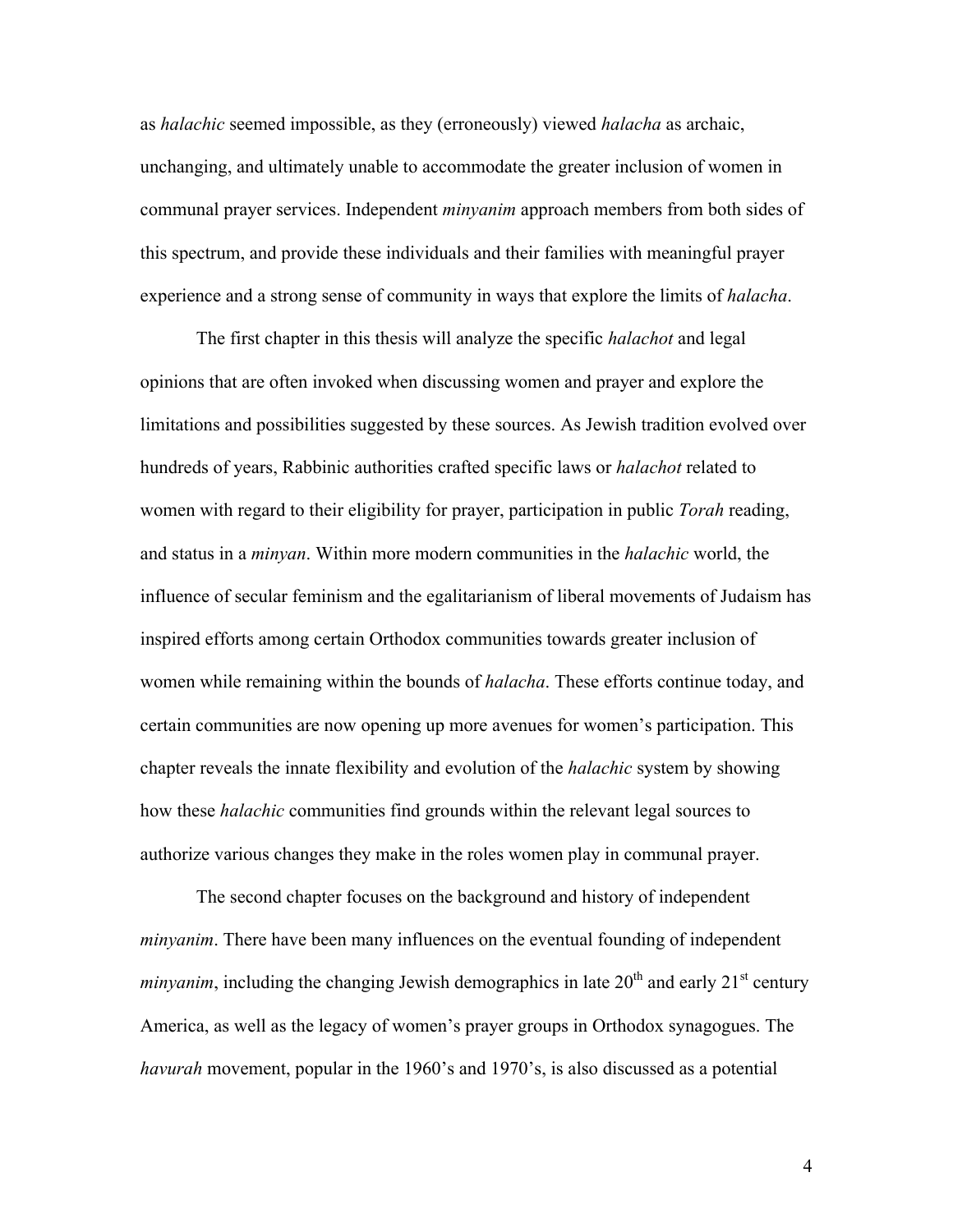as *halachic* seemed impossible, as they (erroneously) viewed *halacha* as archaic, unchanging, and ultimately unable to accommodate the greater inclusion of women in communal prayer services. Independent *minyanim* approach members from both sides of this spectrum, and provide these individuals and their families with meaningful prayer experience and a strong sense of community in ways that explore the limits of *halacha*.

The first chapter in this thesis will analyze the specific *halachot* and legal opinions that are often invoked when discussing women and prayer and explore the limitations and possibilities suggested by these sources. As Jewish tradition evolved over hundreds of years, Rabbinic authorities crafted specific laws or *halachot* related to women with regard to their eligibility for prayer, participation in public *Torah* reading, and status in a *minyan*. Within more modern communities in the *halachic* world, the influence of secular feminism and the egalitarianism of liberal movements of Judaism has inspired efforts among certain Orthodox communities towards greater inclusion of women while remaining within the bounds of *halacha*. These efforts continue today, and certain communities are now opening up more avenues for women's participation. This chapter reveals the innate flexibility and evolution of the *halachic* system by showing how these *halachic* communities find grounds within the relevant legal sources to authorize various changes they make in the roles women play in communal prayer.

The second chapter focuses on the background and history of independent *minyanim*. There have been many influences on the eventual founding of independent *minyanim*, including the changing Jewish demographics in late  $20<sup>th</sup>$  and early  $21<sup>st</sup>$  century America, as well as the legacy of women's prayer groups in Orthodox synagogues. The *havurah* movement, popular in the 1960's and 1970's, is also discussed as a potential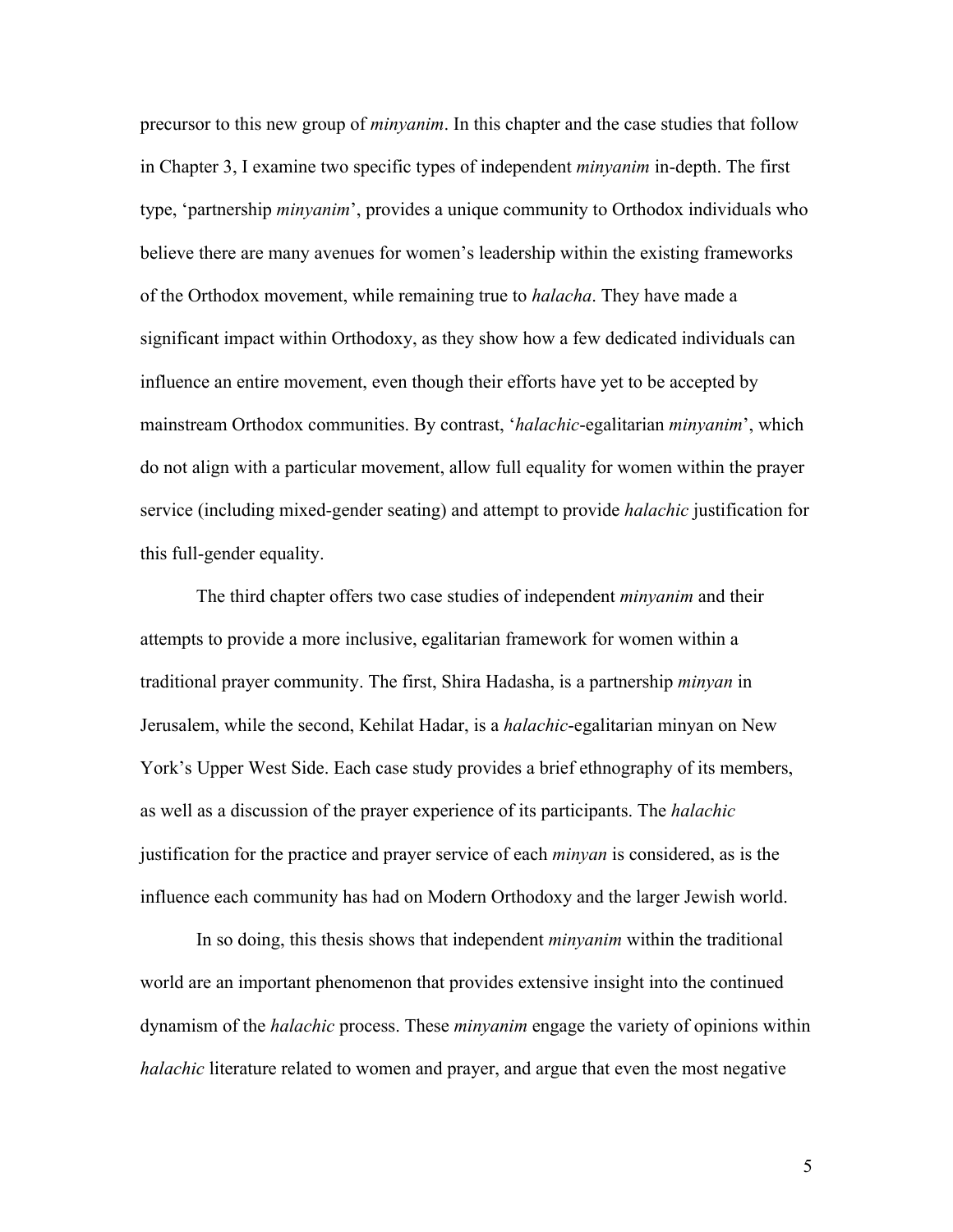precursor to this new group of *minyanim*. In this chapter and the case studies that follow in Chapter 3, I examine two specific types of independent *minyanim* in-depth. The first type, 'partnership *minyanim*', provides a unique community to Orthodox individuals who believe there are many avenues for women's leadership within the existing frameworks of the Orthodox movement, while remaining true to *halacha*. They have made a significant impact within Orthodoxy, as they show how a few dedicated individuals can influence an entire movement, even though their efforts have yet to be accepted by mainstream Orthodox communities. By contrast, '*halachic*-egalitarian *minyanim*', which do not align with a particular movement, allow full equality for women within the prayer service (including mixed-gender seating) and attempt to provide *halachic* justification for this full-gender equality.

The third chapter offers two case studies of independent *minyanim* and their attempts to provide a more inclusive, egalitarian framework for women within a traditional prayer community. The first, Shira Hadasha, is a partnership *minyan* in Jerusalem, while the second, Kehilat Hadar, is a *halachic*-egalitarian minyan on New York's Upper West Side. Each case study provides a brief ethnography of its members, as well as a discussion of the prayer experience of its participants. The *halachic*  justification for the practice and prayer service of each *minyan* is considered, as is the influence each community has had on Modern Orthodoxy and the larger Jewish world.

In so doing, this thesis shows that independent *minyanim* within the traditional world are an important phenomenon that provides extensive insight into the continued dynamism of the *halachic* process. These *minyanim* engage the variety of opinions within *halachic* literature related to women and prayer, and argue that even the most negative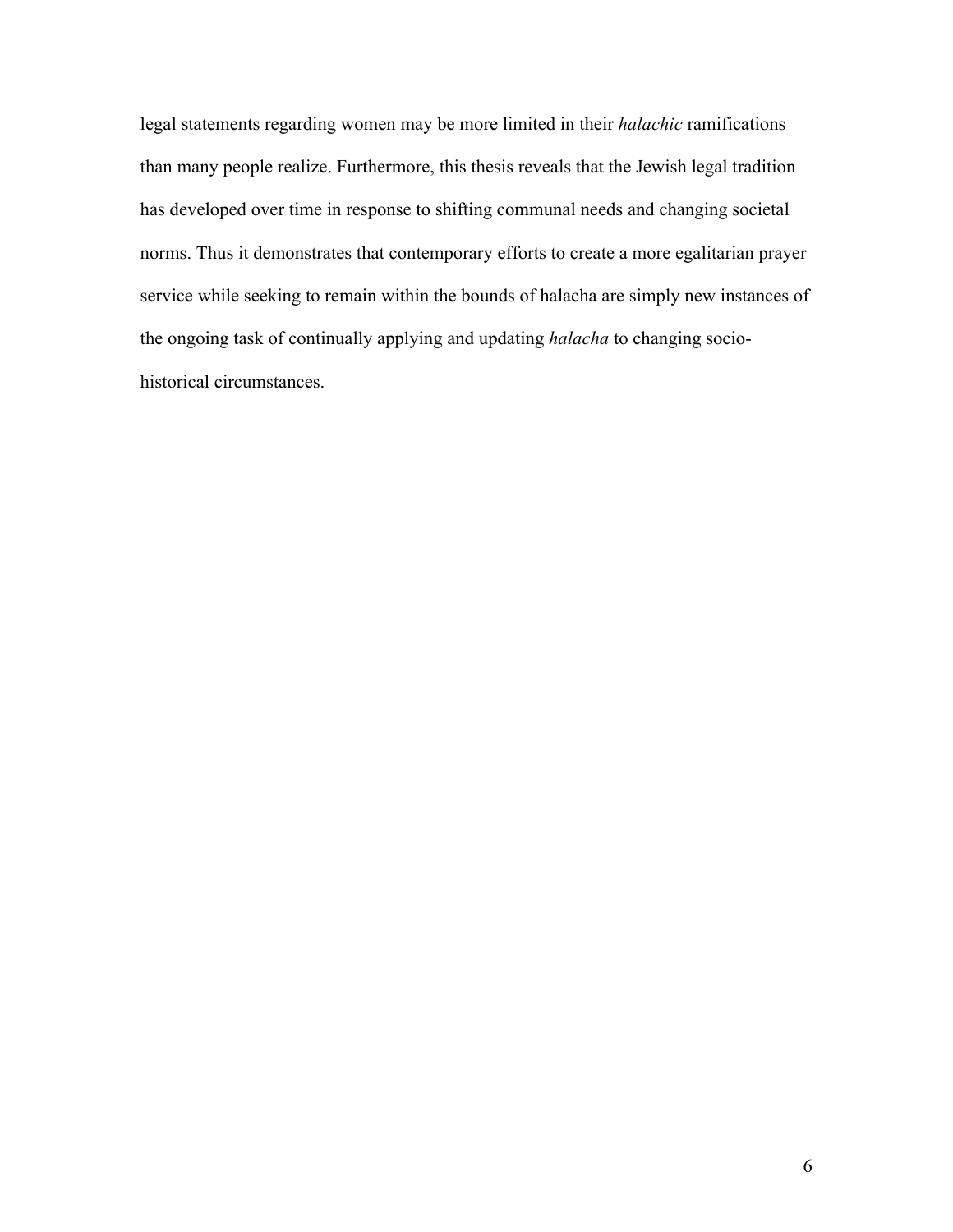legal statements regarding women may be more limited in their *halachic* ramifications than many people realize. Furthermore, this thesis reveals that the Jewish legal tradition has developed over time in response to shifting communal needs and changing societal norms. Thus it demonstrates that contemporary efforts to create a more egalitarian prayer service while seeking to remain within the bounds of halacha are simply new instances of the ongoing task of continually applying and updating *halacha* to changing sociohistorical circumstances.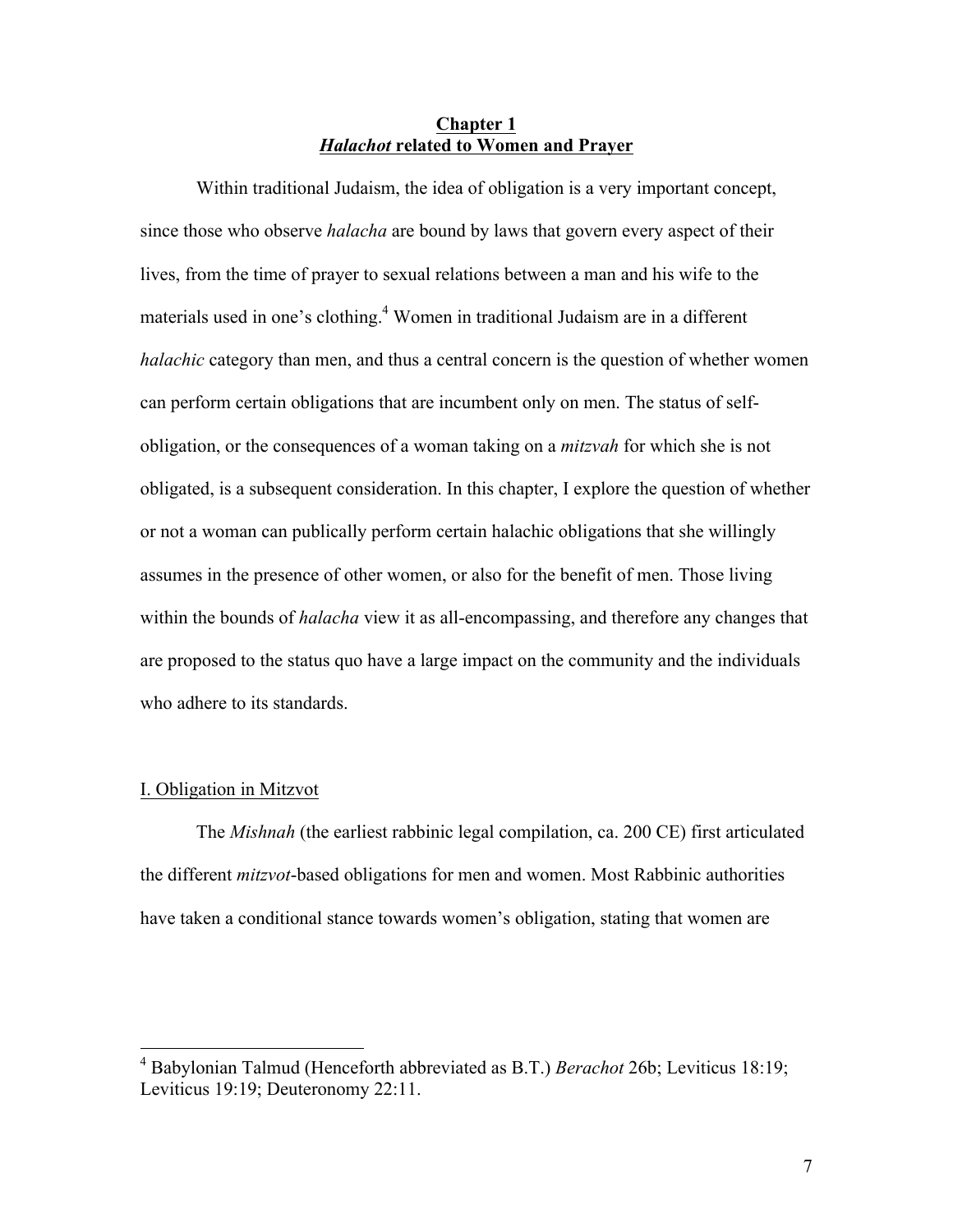# **Chapter 1** *Halachot* **related to Women and Prayer**

Within traditional Judaism, the idea of obligation is a very important concept, since those who observe *halacha* are bound by laws that govern every aspect of their lives, from the time of prayer to sexual relations between a man and his wife to the materials used in one's clothing. <sup>4</sup> Women in traditional Judaism are in a different *halachic* category than men, and thus a central concern is the question of whether women can perform certain obligations that are incumbent only on men. The status of selfobligation, or the consequences of a woman taking on a *mitzvah* for which she is not obligated, is a subsequent consideration. In this chapter, I explore the question of whether or not a woman can publically perform certain halachic obligations that she willingly assumes in the presence of other women, or also for the benefit of men. Those living within the bounds of *halacha* view it as all-encompassing, and therefore any changes that are proposed to the status quo have a large impact on the community and the individuals who adhere to its standards.

#### I. Obligation in Mitzvot

The *Mishnah* (the earliest rabbinic legal compilation, ca. 200 CE) first articulated the different *mitzvot*-based obligations for men and women. Most Rabbinic authorities have taken a conditional stance towards women's obligation, stating that women are

 <sup>4</sup> Babylonian Talmud (Henceforth abbreviated as B.T.) *Berachot* 26b; Leviticus 18:19; Leviticus 19:19; Deuteronomy 22:11.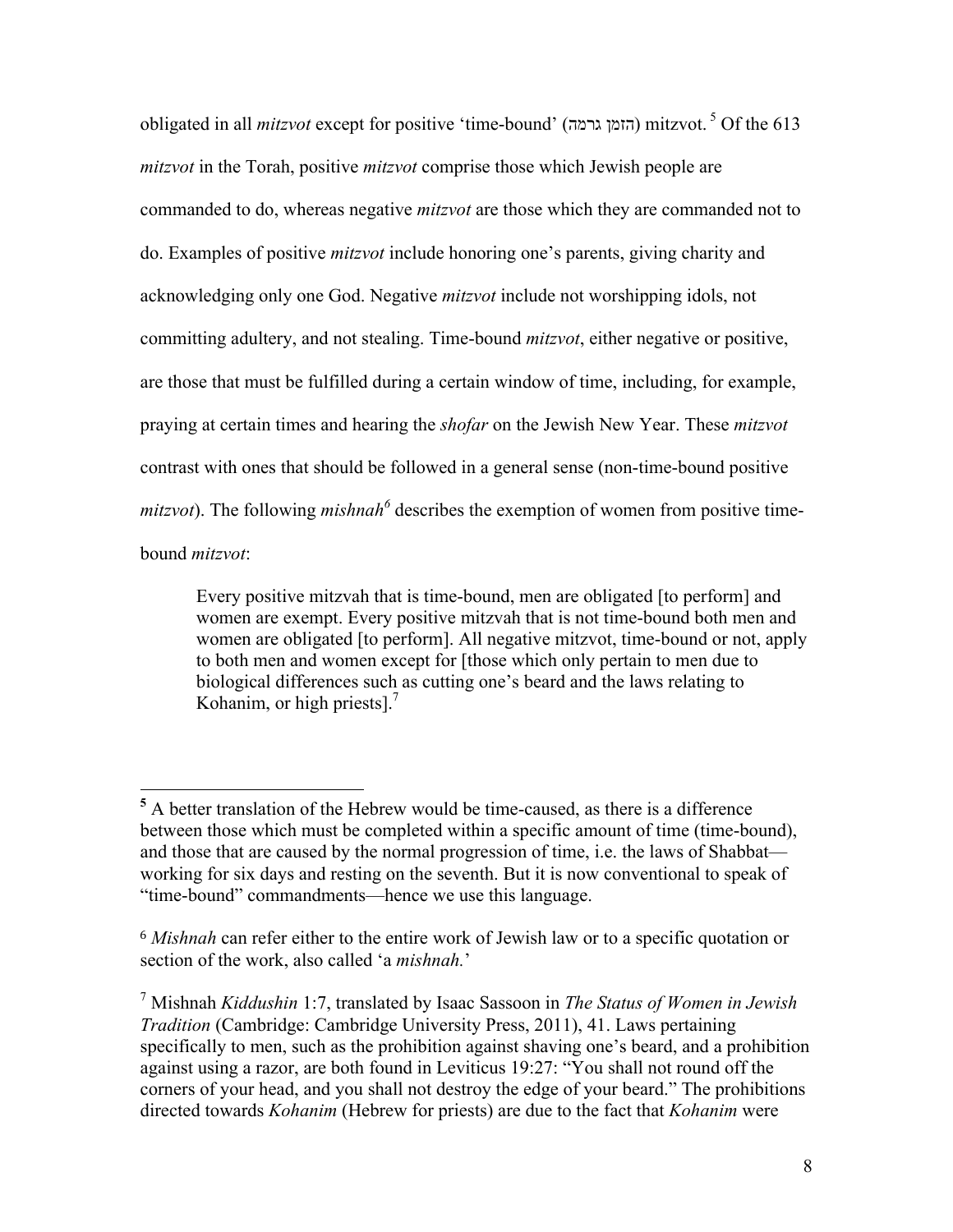obligated in all *mitzvot* except for positive 'time-bound' (גרמה הזמן (mitzvot. <sup>5</sup> Of the 613 *mitzvot* in the Torah, positive *mitzvot* comprise those which Jewish people are commanded to do, whereas negative *mitzvot* are those which they are commanded not to do. Examples of positive *mitzvot* include honoring one's parents, giving charity and acknowledging only one God. Negative *mitzvot* include not worshipping idols, not committing adultery, and not stealing. Time-bound *mitzvot*, either negative or positive, are those that must be fulfilled during a certain window of time, including, for example, praying at certain times and hearing the *shofar* on the Jewish New Year. These *mitzvot*  contrast with ones that should be followed in a general sense (non-time-bound positive *mitzvot*). The following *mishnah*<sup> $6$ </sup> describes the exemption of women from positive timebound *mitzvot*:

Every positive mitzvah that is time-bound, men are obligated [to perform] and women are exempt. Every positive mitzvah that is not time-bound both men and women are obligated [to perform]. All negative mitzvot, time-bound or not, apply to both men and women except for [those which only pertain to men due to biological differences such as cutting one's beard and the laws relating to Kohanim, or high priests $l^7$ 

 **<sup>5</sup>** A better translation of the Hebrew would be time-caused, as there is a difference between those which must be completed within a specific amount of time (time-bound), and those that are caused by the normal progression of time, i.e. the laws of Shabbat working for six days and resting on the seventh. But it is now conventional to speak of "time-bound" commandments—hence we use this language.

<sup>6</sup> *Mishnah* can refer either to the entire work of Jewish law or to a specific quotation or section of the work, also called 'a *mishnah.*'

<sup>7</sup> Mishnah *Kiddushin* 1:7, translated by Isaac Sassoon in *The Status of Women in Jewish Tradition* (Cambridge: Cambridge University Press, 2011), 41. Laws pertaining specifically to men, such as the prohibition against shaving one's beard, and a prohibition against using a razor, are both found in Leviticus 19:27: "You shall not round off the corners of your head, and you shall not destroy the edge of your beard." The prohibitions directed towards *Kohanim* (Hebrew for priests) are due to the fact that *Kohanim* were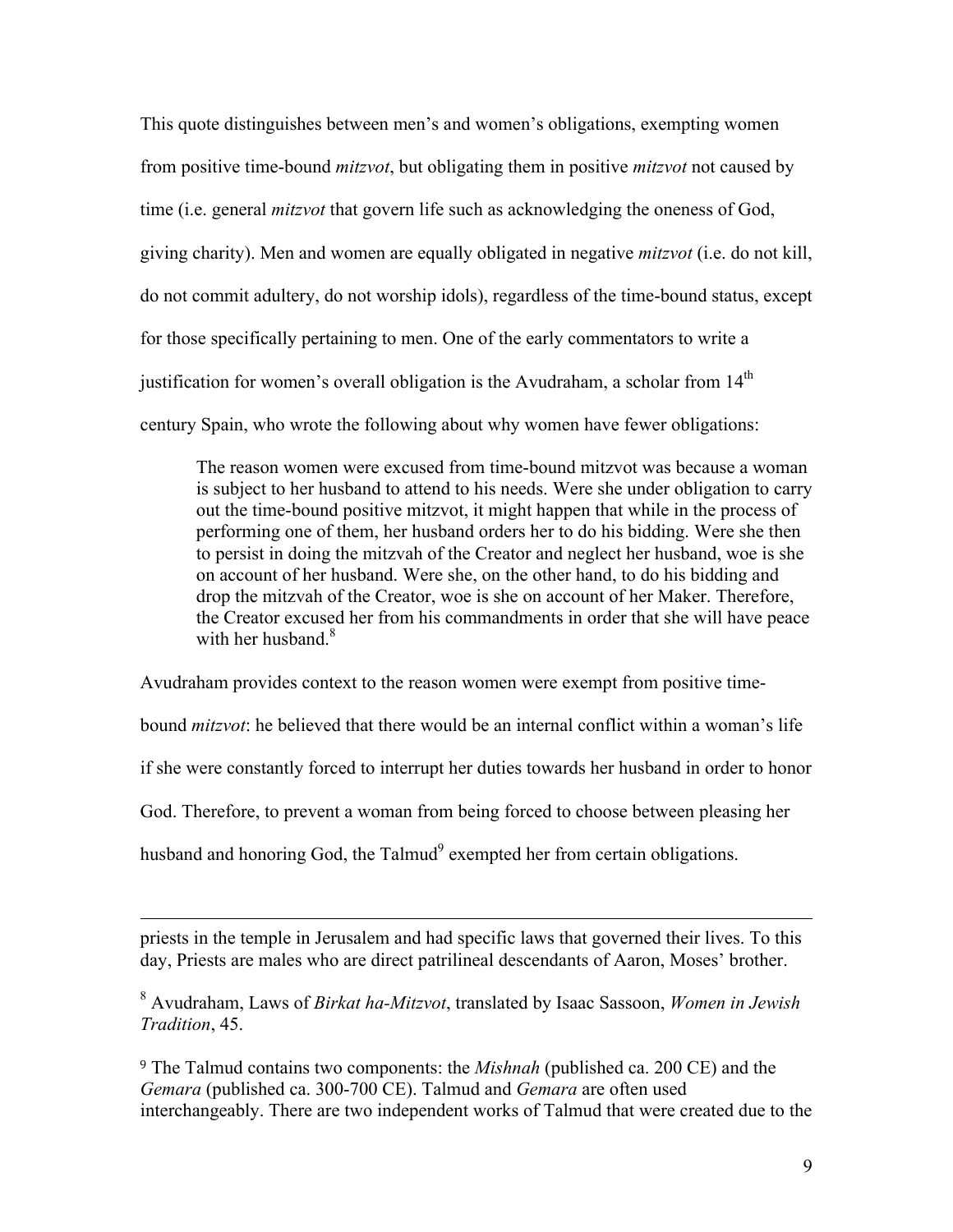This quote distinguishes between men's and women's obligations, exempting women from positive time-bound *mitzvot*, but obligating them in positive *mitzvot* not caused by time (i.e. general *mitzvot* that govern life such as acknowledging the oneness of God, giving charity). Men and women are equally obligated in negative *mitzvot* (i.e. do not kill, do not commit adultery, do not worship idols), regardless of the time-bound status, except for those specifically pertaining to men. One of the early commentators to write a justification for women's overall obligation is the Avudraham, a scholar from  $14<sup>th</sup>$ century Spain, who wrote the following about why women have fewer obligations:

The reason women were excused from time-bound mitzvot was because a woman is subject to her husband to attend to his needs. Were she under obligation to carry out the time-bound positive mitzvot, it might happen that while in the process of performing one of them, her husband orders her to do his bidding. Were she then to persist in doing the mitzvah of the Creator and neglect her husband, woe is she on account of her husband. Were she, on the other hand, to do his bidding and drop the mitzvah of the Creator, woe is she on account of her Maker. Therefore, the Creator excused her from his commandments in order that she will have peace with her husband  $8$ 

Avudraham provides context to the reason women were exempt from positive time-

bound *mitzvot*: he believed that there would be an internal conflict within a woman's life

if she were constantly forced to interrupt her duties towards her husband in order to honor

God. Therefore, to prevent a woman from being forced to choose between pleasing her

husband and honoring God, the Talmud<sup>9</sup> exempted her from certain obligations.

priests in the temple in Jerusalem and had specific laws that governed their lives. To this day, Priests are males who are direct patrilineal descendants of Aaron, Moses' brother.

<u> 1989 - Andrea San Andrea San Andrea San Andrea San Andrea San Andrea San Andrea San Andrea San Andrea San An</u>

<sup>8</sup> Avudraham, Laws of *Birkat ha-Mitzvot*, translated by Isaac Sassoon, *Women in Jewish Tradition*, 45.

<sup>9</sup> The Talmud contains two components: the *Mishnah* (published ca. 200 CE) and the *Gemara* (published ca. 300-700 CE). Talmud and *Gemara* are often used interchangeably. There are two independent works of Talmud that were created due to the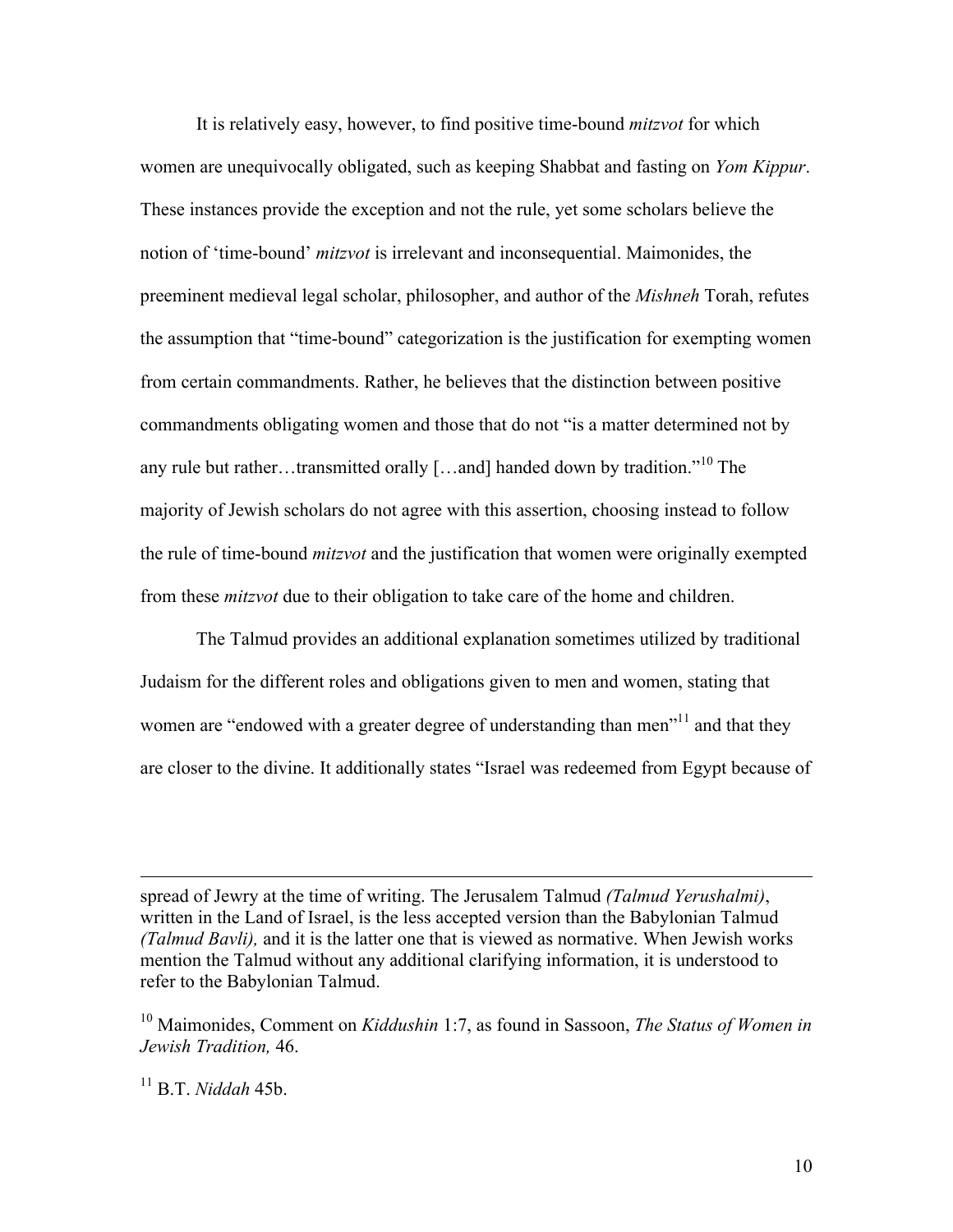It is relatively easy, however, to find positive time-bound *mitzvot* for which women are unequivocally obligated, such as keeping Shabbat and fasting on *Yom Kippur*. These instances provide the exception and not the rule, yet some scholars believe the notion of 'time-bound' *mitzvot* is irrelevant and inconsequential. Maimonides, the preeminent medieval legal scholar, philosopher, and author of the *Mishneh* Torah, refutes the assumption that "time-bound" categorization is the justification for exempting women from certain commandments. Rather, he believes that the distinction between positive commandments obligating women and those that do not "is a matter determined not by any rule but rather…transmitted orally […and] handed down by tradition.<sup> $10$ </sup> The majority of Jewish scholars do not agree with this assertion, choosing instead to follow the rule of time-bound *mitzvot* and the justification that women were originally exempted from these *mitzvot* due to their obligation to take care of the home and children.

The Talmud provides an additional explanation sometimes utilized by traditional Judaism for the different roles and obligations given to men and women, stating that women are "endowed with a greater degree of understanding than men"<sup>11</sup> and that they are closer to the divine. It additionally states "Israel was redeemed from Egypt because of

spread of Jewry at the time of writing. The Jerusalem Talmud *(Talmud Yerushalmi)*, written in the Land of Israel, is the less accepted version than the Babylonian Talmud *(Talmud Bavli),* and it is the latter one that is viewed as normative. When Jewish works mention the Talmud without any additional clarifying information, it is understood to refer to the Babylonian Talmud.

<u> 1989 - Andrea San Andrea San Andrea San Andrea San Andrea San Andrea San Andrea San Andrea San Andrea San An</u>

<sup>10</sup> Maimonides, Comment on *Kiddushin* 1:7, as found in Sassoon, *The Status of Women in Jewish Tradition,* 46.

<sup>11</sup> B.T. *Niddah* 45b.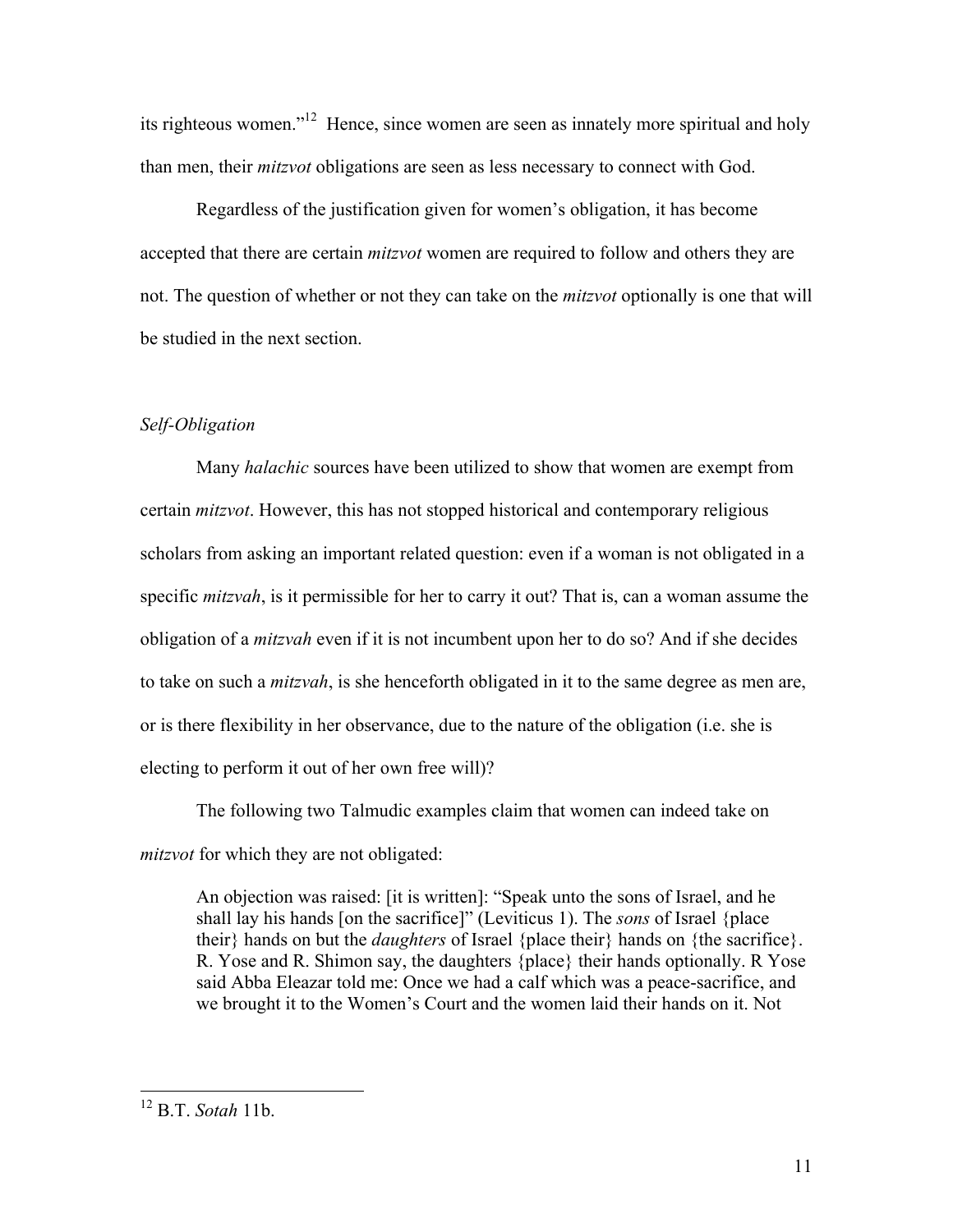its righteous women."12 Hence, since women are seen as innately more spiritual and holy than men, their *mitzvot* obligations are seen as less necessary to connect with God.

Regardless of the justification given for women's obligation, it has become accepted that there are certain *mitzvot* women are required to follow and others they are not. The question of whether or not they can take on the *mitzvot* optionally is one that will be studied in the next section.

## *Self-Obligation*

Many *halachic* sources have been utilized to show that women are exempt from certain *mitzvot*. However, this has not stopped historical and contemporary religious scholars from asking an important related question: even if a woman is not obligated in a specific *mitzvah*, is it permissible for her to carry it out? That is, can a woman assume the obligation of a *mitzvah* even if it is not incumbent upon her to do so? And if she decides to take on such a *mitzvah*, is she henceforth obligated in it to the same degree as men are, or is there flexibility in her observance, due to the nature of the obligation (i.e. she is electing to perform it out of her own free will)?

The following two Talmudic examples claim that women can indeed take on *mitzvot* for which they are not obligated:

An objection was raised: [it is written]: "Speak unto the sons of Israel, and he shall lay his hands [on the sacrifice]" (Leviticus 1). The *sons* of Israel {place their} hands on but the *daughters* of Israel {place their} hands on {the sacrifice}. R. Yose and R. Shimon say, the daughters {place} their hands optionally. R Yose said Abba Eleazar told me: Once we had a calf which was a peace-sacrifice, and we brought it to the Women's Court and the women laid their hands on it. Not

 <sup>12</sup> B.T. *Sotah* 11b.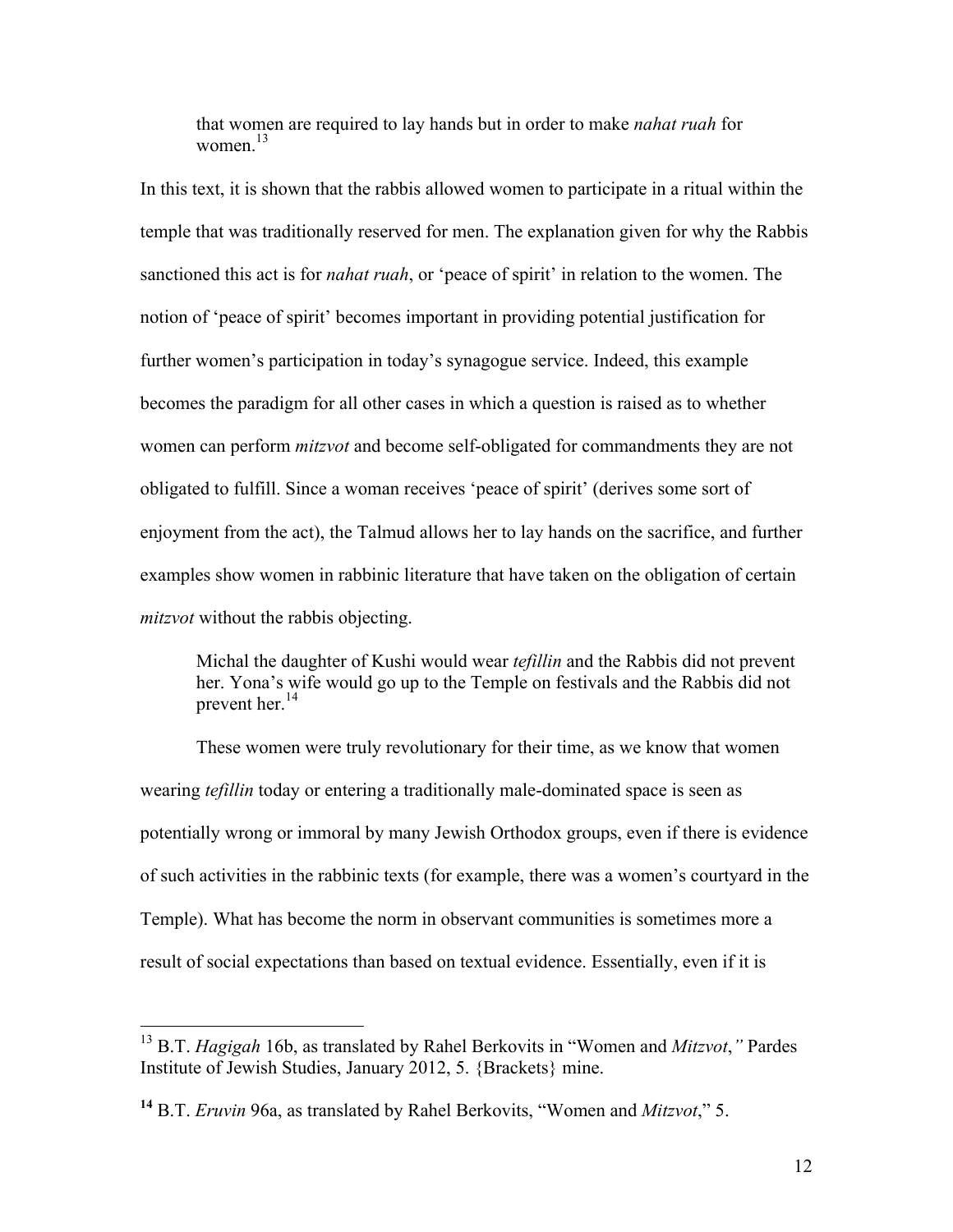that women are required to lay hands but in order to make *nahat ruah* for women $13$ 

In this text, it is shown that the rabbis allowed women to participate in a ritual within the temple that was traditionally reserved for men. The explanation given for why the Rabbis sanctioned this act is for *nahat ruah*, or 'peace of spirit' in relation to the women. The notion of 'peace of spirit' becomes important in providing potential justification for further women's participation in today's synagogue service. Indeed, this example becomes the paradigm for all other cases in which a question is raised as to whether women can perform *mitzvot* and become self-obligated for commandments they are not obligated to fulfill. Since a woman receives 'peace of spirit' (derives some sort of enjoyment from the act), the Talmud allows her to lay hands on the sacrifice, and further examples show women in rabbinic literature that have taken on the obligation of certain *mitzvot* without the rabbis objecting.

Michal the daughter of Kushi would wear *tefillin* and the Rabbis did not prevent her. Yona's wife would go up to the Temple on festivals and the Rabbis did not prevent her.<sup>14</sup>

These women were truly revolutionary for their time, as we know that women wearing *tefillin* today or entering a traditionally male-dominated space is seen as potentially wrong or immoral by many Jewish Orthodox groups, even if there is evidence of such activities in the rabbinic texts (for example, there was a women's courtyard in the Temple). What has become the norm in observant communities is sometimes more a result of social expectations than based on textual evidence. Essentially, even if it is

 <sup>13</sup> B.T. *Hagigah* 16b, as translated by Rahel Berkovits in "Women and *Mitzvot*,*"* Pardes Institute of Jewish Studies, January 2012, 5. {Brackets} mine.

**<sup>14</sup>** B.T. *Eruvin* 96a, as translated by Rahel Berkovits, "Women and *Mitzvot*," 5.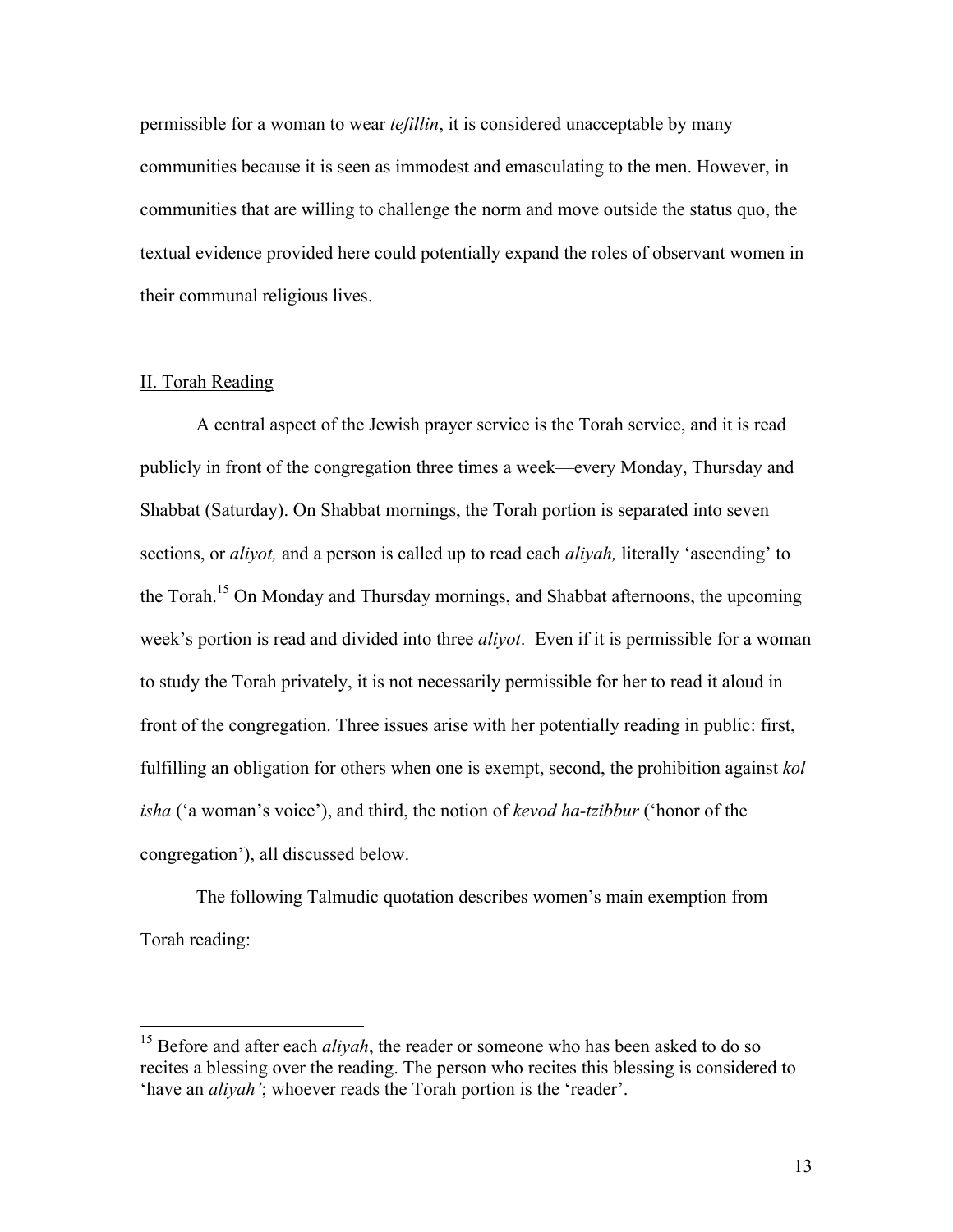permissible for a woman to wear *tefillin*, it is considered unacceptable by many communities because it is seen as immodest and emasculating to the men. However, in communities that are willing to challenge the norm and move outside the status quo, the textual evidence provided here could potentially expand the roles of observant women in their communal religious lives.

## II. Torah Reading

A central aspect of the Jewish prayer service is the Torah service, and it is read publicly in front of the congregation three times a week—every Monday, Thursday and Shabbat (Saturday). On Shabbat mornings, the Torah portion is separated into seven sections, or *aliyot,* and a person is called up to read each *aliyah,* literally 'ascending' to the Torah.<sup>15</sup> On Monday and Thursday mornings, and Shabbat afternoons, the upcoming week's portion is read and divided into three *aliyot*. Even if it is permissible for a woman to study the Torah privately, it is not necessarily permissible for her to read it aloud in front of the congregation. Three issues arise with her potentially reading in public: first, fulfilling an obligation for others when one is exempt, second, the prohibition against *kol isha* ('a woman's voice'), and third, the notion of *kevod ha-tzibbur* ('honor of the congregation'), all discussed below.

The following Talmudic quotation describes women's main exemption from Torah reading:

<sup>&</sup>lt;sup>15</sup> Before and after each *aliyah*, the reader or someone who has been asked to do so recites a blessing over the reading. The person who recites this blessing is considered to 'have an *aliyah'*; whoever reads the Torah portion is the 'reader'.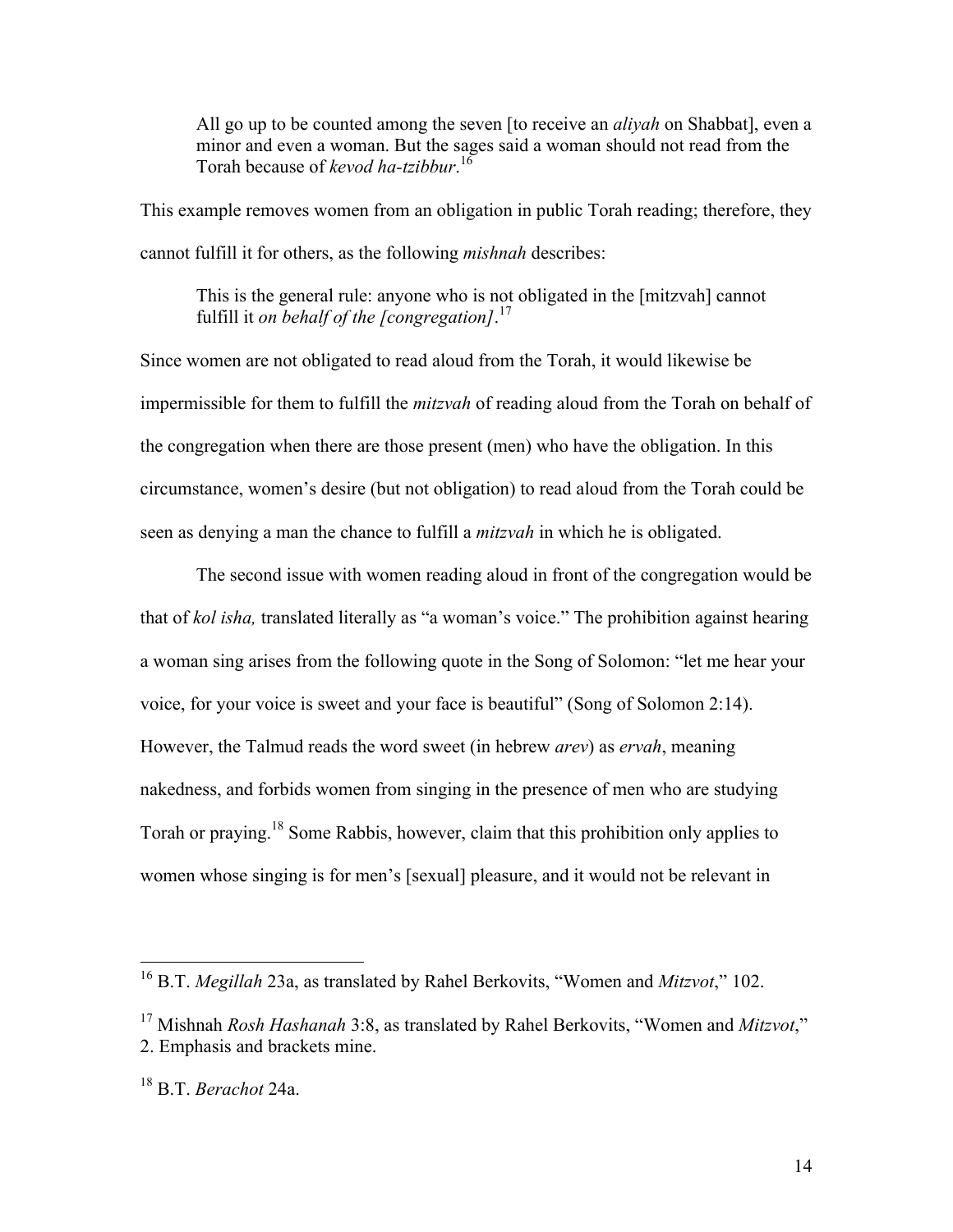All go up to be counted among the seven [to receive an *aliyah* on Shabbat], even a minor and even a woman. But the sages said a woman should not read from the Torah because of *kevod ha-tzibbur*. 16

This example removes women from an obligation in public Torah reading; therefore, they cannot fulfill it for others, as the following *mishnah* describes:

This is the general rule: anyone who is not obligated in the [mitzvah] cannot fulfill it *on behalf of the [congregation]*. 17

Since women are not obligated to read aloud from the Torah, it would likewise be impermissible for them to fulfill the *mitzvah* of reading aloud from the Torah on behalf of the congregation when there are those present (men) who have the obligation. In this circumstance, women's desire (but not obligation) to read aloud from the Torah could be seen as denying a man the chance to fulfill a *mitzvah* in which he is obligated.

The second issue with women reading aloud in front of the congregation would be that of *kol isha,* translated literally as "a woman's voice." The prohibition against hearing a woman sing arises from the following quote in the Song of Solomon: "let me hear your voice, for your voice is sweet and your face is beautiful" (Song of Solomon 2:14). However, the Talmud reads the word sweet (in hebrew *arev*) as *ervah*, meaning nakedness, and forbids women from singing in the presence of men who are studying Torah or praying.<sup>18</sup> Some Rabbis, however, claim that this prohibition only applies to women whose singing is for men's [sexual] pleasure, and it would not be relevant in

 <sup>16</sup> B.T. *Megillah* 23a, as translated by Rahel Berkovits, "Women and *Mitzvot*," 102.

<sup>17</sup> Mishnah *Rosh Hashanah* 3:8, as translated by Rahel Berkovits, "Women and *Mitzvot*," 2. Emphasis and brackets mine.

<sup>18</sup> B.T. *Berachot* 24a.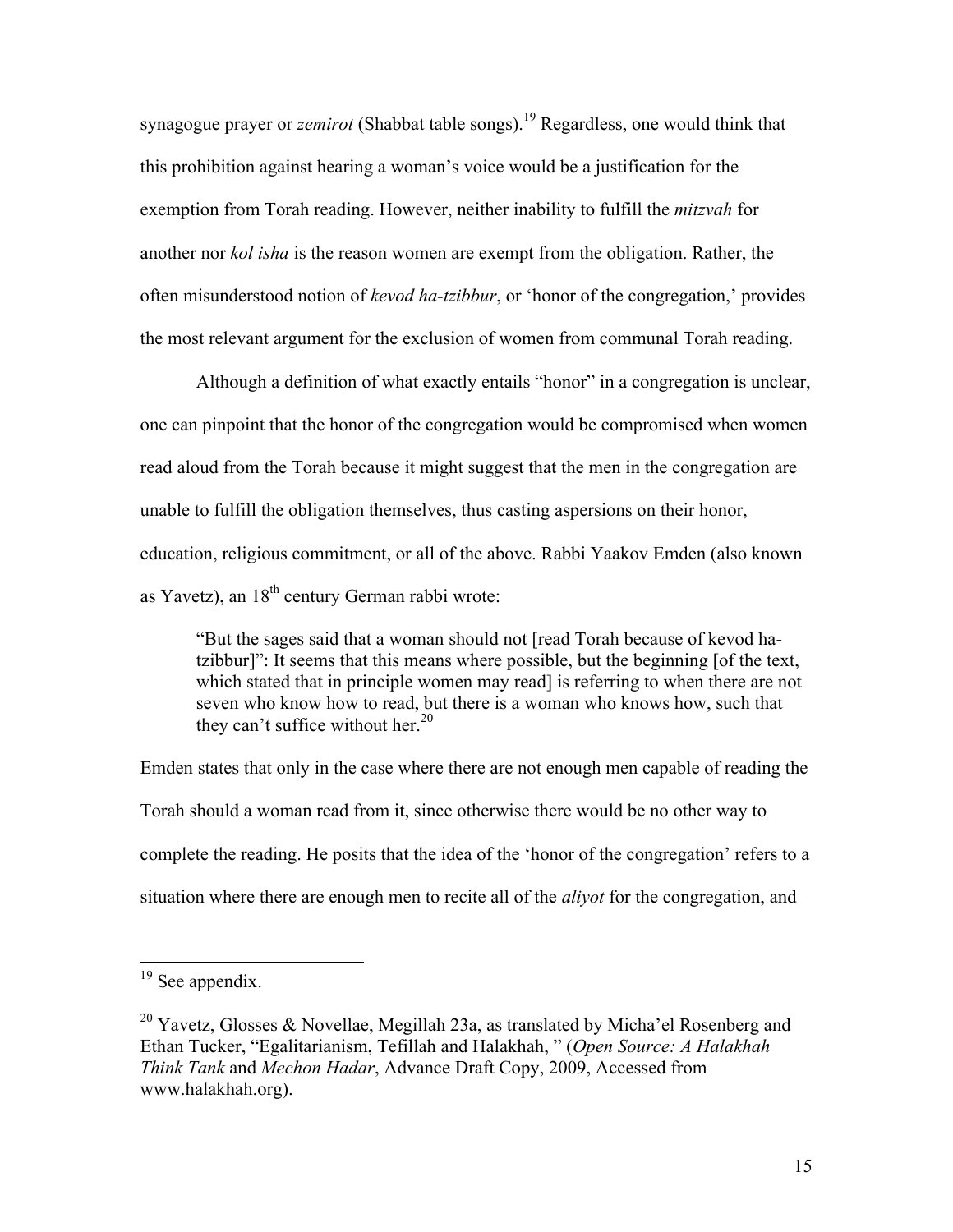synagogue prayer or *zemirot* (Shabbat table songs).<sup>19</sup> Regardless, one would think that this prohibition against hearing a woman's voice would be a justification for the exemption from Torah reading. However, neither inability to fulfill the *mitzvah* for another nor *kol isha* is the reason women are exempt from the obligation. Rather, the often misunderstood notion of *kevod ha-tzibbur*, or 'honor of the congregation,' provides the most relevant argument for the exclusion of women from communal Torah reading.

Although a definition of what exactly entails "honor" in a congregation is unclear, one can pinpoint that the honor of the congregation would be compromised when women read aloud from the Torah because it might suggest that the men in the congregation are unable to fulfill the obligation themselves, thus casting aspersions on their honor, education, religious commitment, or all of the above. Rabbi Yaakov Emden (also known as Yavetz), an  $18<sup>th</sup>$  century German rabbi wrote:

"But the sages said that a woman should not [read Torah because of kevod hatzibbur]": It seems that this means where possible, but the beginning [of the text, which stated that in principle women may read] is referring to when there are not seven who know how to read, but there is a woman who knows how, such that they can't suffice without her. $20$ 

Emden states that only in the case where there are not enough men capable of reading the Torah should a woman read from it, since otherwise there would be no other way to complete the reading. He posits that the idea of the 'honor of the congregation' refers to a situation where there are enough men to recite all of the *aliyot* for the congregation, and

 $\frac{1}{19}$  See appendix.

<sup>&</sup>lt;sup>20</sup> Yavetz, Glosses & Novellae, Megillah 23a, as translated by Micha'el Rosenberg and Ethan Tucker, "Egalitarianism, Tefillah and Halakhah, " (*Open Source: A Halakhah Think Tank* and *Mechon Hadar*, Advance Draft Copy, 2009, Accessed from www.halakhah.org).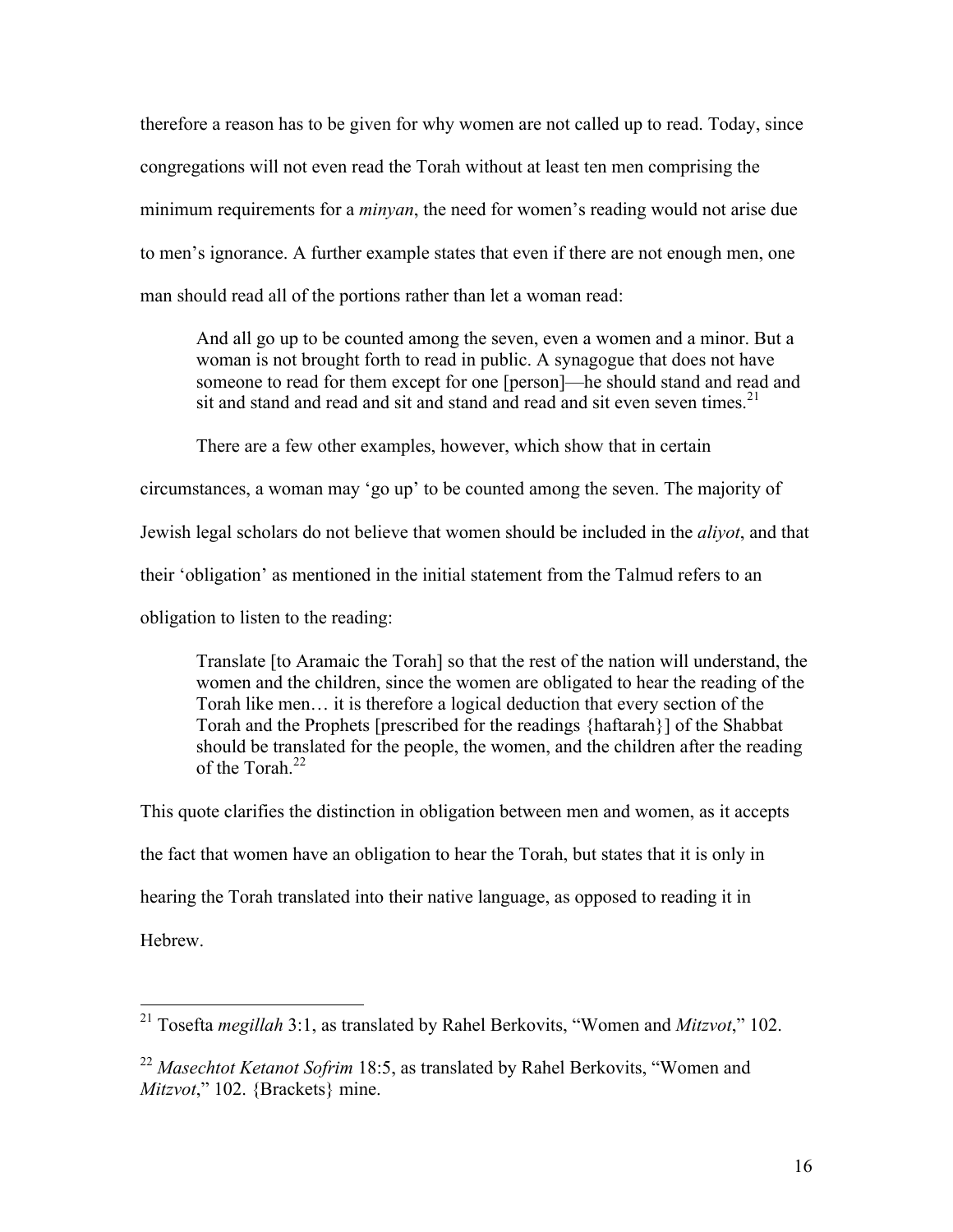therefore a reason has to be given for why women are not called up to read. Today, since congregations will not even read the Torah without at least ten men comprising the minimum requirements for a *minyan*, the need for women's reading would not arise due to men's ignorance. A further example states that even if there are not enough men, one man should read all of the portions rather than let a woman read:

And all go up to be counted among the seven, even a women and a minor. But a woman is not brought forth to read in public. A synagogue that does not have someone to read for them except for one [person]—he should stand and read and sit and stand and read and sit and stand and read and sit even seven times.<sup>21</sup>

There are a few other examples, however, which show that in certain

circumstances, a woman may 'go up' to be counted among the seven. The majority of

Jewish legal scholars do not believe that women should be included in the *aliyot*, and that

their 'obligation' as mentioned in the initial statement from the Talmud refers to an

obligation to listen to the reading:

Translate [to Aramaic the Torah] so that the rest of the nation will understand, the women and the children, since the women are obligated to hear the reading of the Torah like men… it is therefore a logical deduction that every section of the Torah and the Prophets [prescribed for the readings {haftarah}] of the Shabbat should be translated for the people, the women, and the children after the reading of the Torah.<sup>22</sup>

This quote clarifies the distinction in obligation between men and women, as it accepts the fact that women have an obligation to hear the Torah, but states that it is only in hearing the Torah translated into their native language, as opposed to reading it in Hebrew.

 <sup>21</sup> Tosefta *megillah* 3:1, as translated by Rahel Berkovits, "Women and *Mitzvot*," 102.

<sup>22</sup> *Masechtot Ketanot Sofrim* 18:5, as translated by Rahel Berkovits, "Women and *Mitzvot*," 102. {Brackets} mine.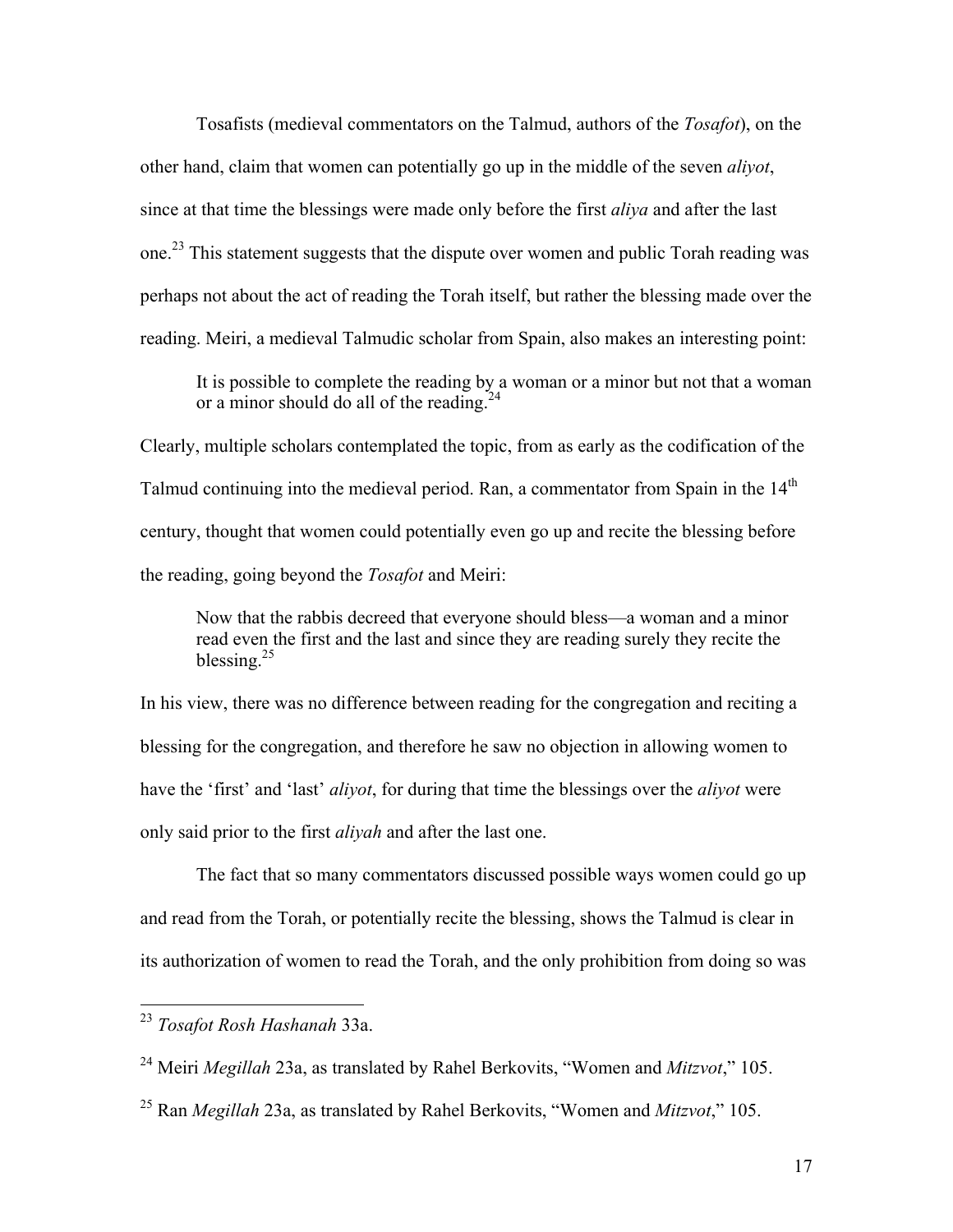Tosafists (medieval commentators on the Talmud, authors of the *Tosafot*), on the other hand, claim that women can potentially go up in the middle of the seven *aliyot*, since at that time the blessings were made only before the first *aliya* and after the last one.<sup>23</sup> This statement suggests that the dispute over women and public Torah reading was perhaps not about the act of reading the Torah itself, but rather the blessing made over the reading. Meiri, a medieval Talmudic scholar from Spain, also makes an interesting point:

It is possible to complete the reading by a woman or a minor but not that a woman or a minor should do all of the reading. $24$ 

Clearly, multiple scholars contemplated the topic, from as early as the codification of the Talmud continuing into the medieval period. Ran, a commentator from Spain in the 14<sup>th</sup> century, thought that women could potentially even go up and recite the blessing before the reading, going beyond the *Tosafot* and Meiri:

Now that the rabbis decreed that everyone should bless—a woman and a minor read even the first and the last and since they are reading surely they recite the blessing $^{25}$ 

In his view, there was no difference between reading for the congregation and reciting a blessing for the congregation, and therefore he saw no objection in allowing women to have the 'first' and 'last' *aliyot*, for during that time the blessings over the *aliyot* were only said prior to the first *aliyah* and after the last one.

The fact that so many commentators discussed possible ways women could go up and read from the Torah, or potentially recite the blessing, shows the Talmud is clear in its authorization of women to read the Torah, and the only prohibition from doing so was

 <sup>23</sup> *Tosafot Rosh Hashanah* 33a.

<sup>24</sup> Meiri *Megillah* 23a, as translated by Rahel Berkovits, "Women and *Mitzvot*," 105.

<sup>25</sup> Ran *Megillah* 23a, as translated by Rahel Berkovits, "Women and *Mitzvot*," 105.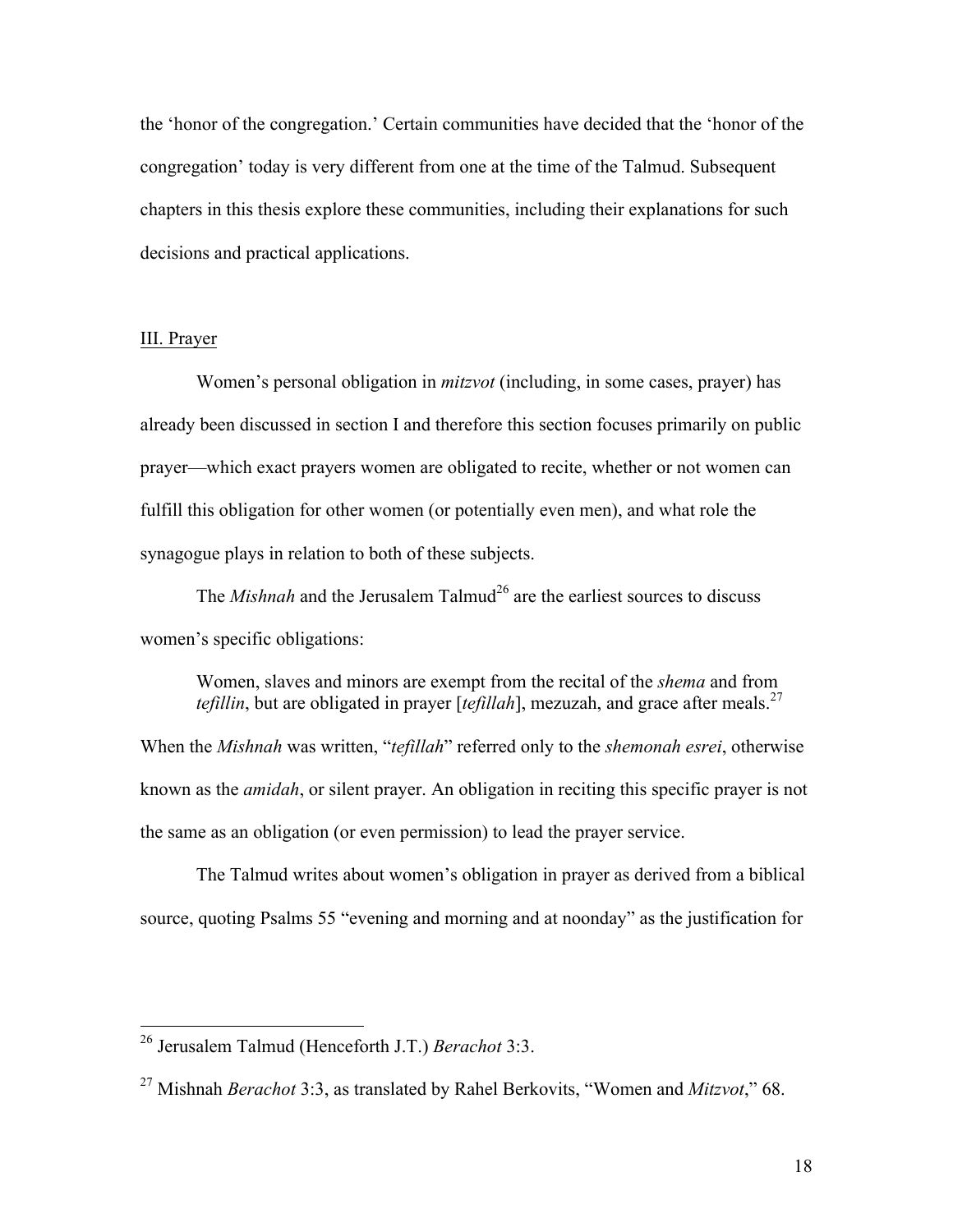the 'honor of the congregation.' Certain communities have decided that the 'honor of the congregation' today is very different from one at the time of the Talmud. Subsequent chapters in this thesis explore these communities, including their explanations for such decisions and practical applications.

## III. Prayer

Women's personal obligation in *mitzvot* (including, in some cases, prayer) has already been discussed in section I and therefore this section focuses primarily on public prayer—which exact prayers women are obligated to recite, whether or not women can fulfill this obligation for other women (or potentially even men), and what role the synagogue plays in relation to both of these subjects.

The *Mishnah* and the Jerusalem Talmud<sup>26</sup> are the earliest sources to discuss women's specific obligations:

Women, slaves and minors are exempt from the recital of the *shema* and from *tefillin*, but are obligated in prayer [ $t$ *efillah*], mezuzah, and grace after meals.<sup>27</sup> When the *Mishnah* was written, "*tefillah*" referred only to the *shemonah esrei*, otherwise known as the *amidah*, or silent prayer. An obligation in reciting this specific prayer is not

the same as an obligation (or even permission) to lead the prayer service.

The Talmud writes about women's obligation in prayer as derived from a biblical source, quoting Psalms 55 "evening and morning and at noonday" as the justification for

 <sup>26</sup> Jerusalem Talmud (Henceforth J.T.) *Berachot* 3:3.

<sup>27</sup> Mishnah *Berachot* 3:3, as translated by Rahel Berkovits, "Women and *Mitzvot*," 68.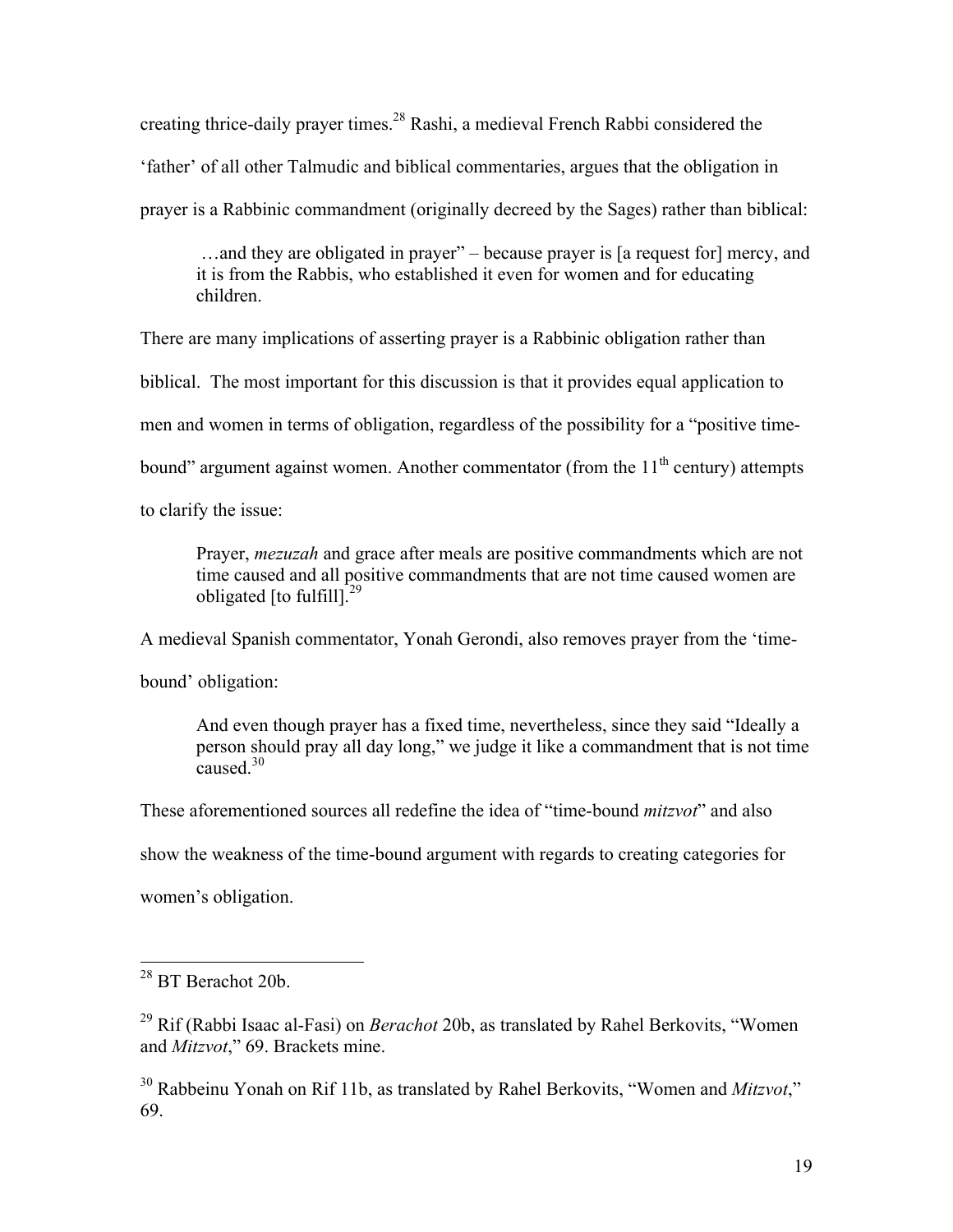creating thrice-daily prayer times.28 Rashi, a medieval French Rabbi considered the 'father' of all other Talmudic and biblical commentaries, argues that the obligation in prayer is a Rabbinic commandment (originally decreed by the Sages) rather than biblical:

…and they are obligated in prayer" – because prayer is [a request for] mercy, and it is from the Rabbis, who established it even for women and for educating children.

There are many implications of asserting prayer is a Rabbinic obligation rather than

biblical. The most important for this discussion is that it provides equal application to

men and women in terms of obligation, regardless of the possibility for a "positive time-

bound" argument against women. Another commentator (from the  $11<sup>th</sup>$  century) attempts

to clarify the issue:

Prayer, *mezuzah* and grace after meals are positive commandments which are not time caused and all positive commandments that are not time caused women are obligated  $[$ to fulfill $]^{29}$ 

A medieval Spanish commentator, Yonah Gerondi, also removes prayer from the 'time-

bound' obligation:

And even though prayer has a fixed time, nevertheless, since they said "Ideally a person should pray all day long," we judge it like a commandment that is not time caused  $30$ 

These aforementioned sources all redefine the idea of "time-bound *mitzvot*" and also

show the weakness of the time-bound argument with regards to creating categories for

women's obligation.

<sup>30</sup> Rabbeinu Yonah on Rif 11b, as translated by Rahel Berkovits, "Women and *Mitzvot*," 69.

 <sup>28</sup> BT Berachot 20b.

<sup>29</sup> Rif (Rabbi Isaac al-Fasi) on *Berachot* 20b, as translated by Rahel Berkovits, "Women and *Mitzvot*," 69. Brackets mine.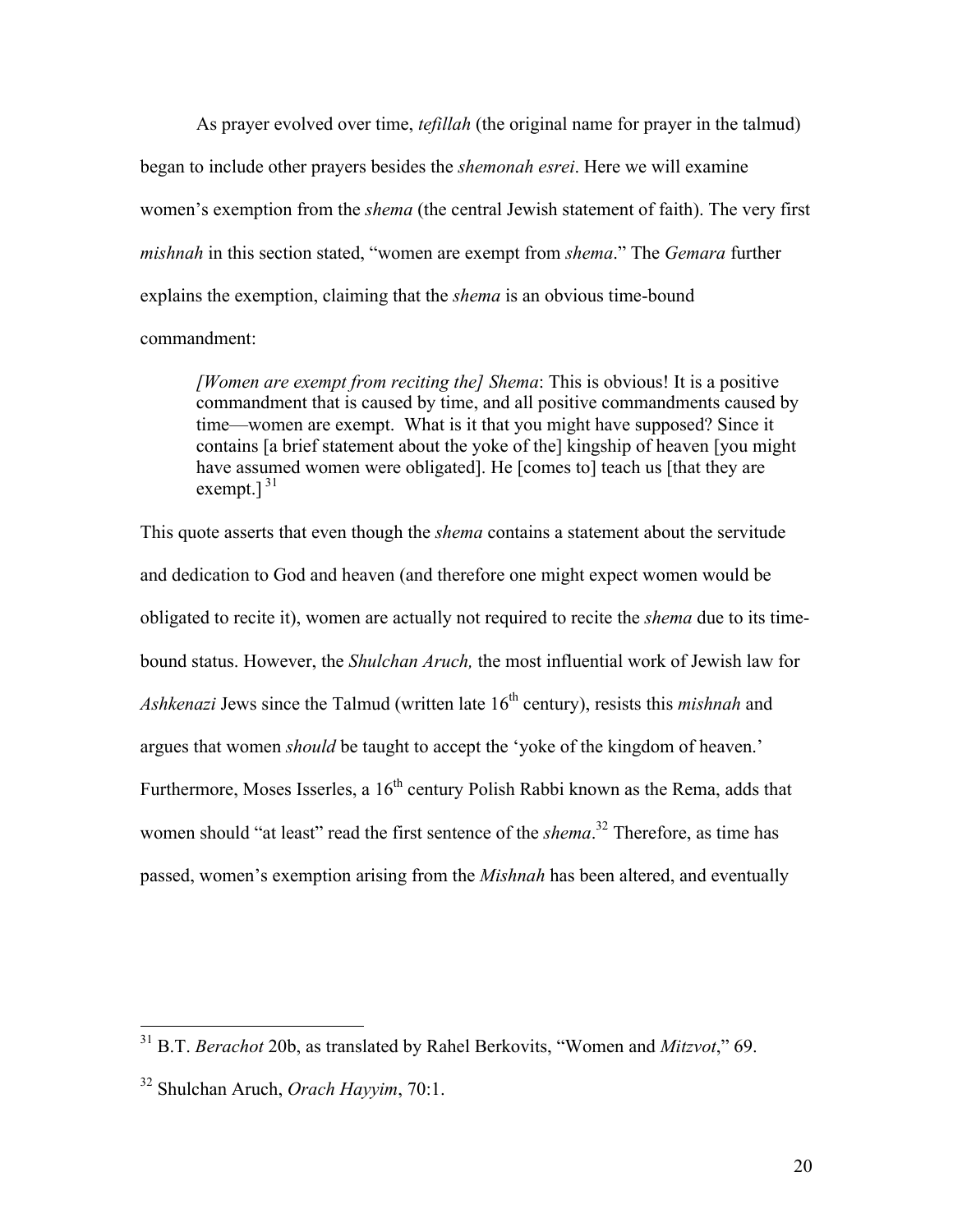As prayer evolved over time, *tefillah* (the original name for prayer in the talmud) began to include other prayers besides the *shemonah esrei*. Here we will examine women's exemption from the *shema* (the central Jewish statement of faith). The very first *mishnah* in this section stated, "women are exempt from *shema*." The *Gemara* further explains the exemption, claiming that the *shema* is an obvious time-bound commandment:

*[Women are exempt from reciting the] Shema*: This is obvious! It is a positive commandment that is caused by time, and all positive commandments caused by time—women are exempt. What is it that you might have supposed? Since it contains [a brief statement about the yoke of the] kingship of heaven [you might have assumed women were obligated]. He [comes to] teach us [that they are exempt.] $31$ 

This quote asserts that even though the *shema* contains a statement about the servitude and dedication to God and heaven (and therefore one might expect women would be obligated to recite it), women are actually not required to recite the *shema* due to its timebound status. However, the *Shulchan Aruch,* the most influential work of Jewish law for *Ashkenazi* Jews since the Talmud (written late 16<sup>th</sup> century), resists this *mishnah* and argues that women *should* be taught to accept the 'yoke of the kingdom of heaven.' Furthermore, Moses Isserles, a  $16<sup>th</sup>$  century Polish Rabbi known as the Rema, adds that women should "at least" read the first sentence of the *shema*. <sup>32</sup> Therefore, as time has passed, women's exemption arising from the *Mishnah* has been altered, and eventually

 <sup>31</sup> B.T. *Berachot* 20b, as translated by Rahel Berkovits, "Women and *Mitzvot*," 69.

<sup>32</sup> Shulchan Aruch, *Orach Hayyim*, 70:1.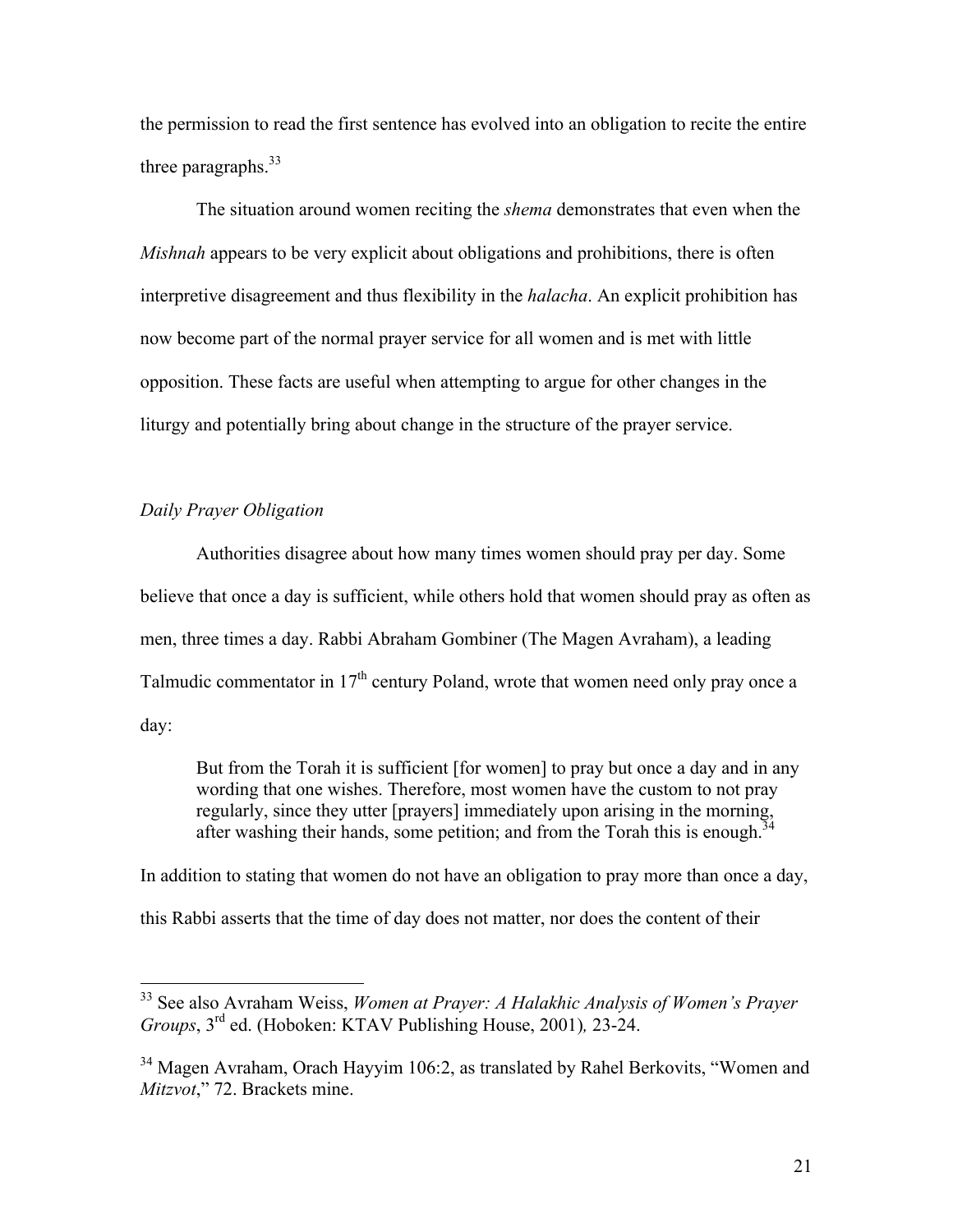the permission to read the first sentence has evolved into an obligation to recite the entire three paragraphs.  $33$ 

The situation around women reciting the *shema* demonstrates that even when the *Mishnah* appears to be very explicit about obligations and prohibitions, there is often interpretive disagreement and thus flexibility in the *halacha*. An explicit prohibition has now become part of the normal prayer service for all women and is met with little opposition. These facts are useful when attempting to argue for other changes in the liturgy and potentially bring about change in the structure of the prayer service.

## *Daily Prayer Obligation*

Authorities disagree about how many times women should pray per day. Some believe that once a day is sufficient, while others hold that women should pray as often as men, three times a day. Rabbi Abraham Gombiner (The Magen Avraham), a leading Talmudic commentator in  $17<sup>th</sup>$  century Poland, wrote that women need only pray once a day:

But from the Torah it is sufficient [for women] to pray but once a day and in any wording that one wishes. Therefore, most women have the custom to not pray regularly, since they utter [prayers] immediately upon arising in the morning, after washing their hands, some petition; and from the Torah this is enough.<sup>3</sup>

In addition to stating that women do not have an obligation to pray more than once a day, this Rabbi asserts that the time of day does not matter, nor does the content of their

 <sup>33</sup> See also Avraham Weiss, *Women at Prayer: A Halakhic Analysis of Women's Prayer Groups*, 3rd ed. (Hoboken: KTAV Publishing House, 2001)*,* 23-24.

<sup>&</sup>lt;sup>34</sup> Magen Avraham, Orach Hayyim 106:2, as translated by Rahel Berkovits, "Women and *Mitzvot*," 72. Brackets mine.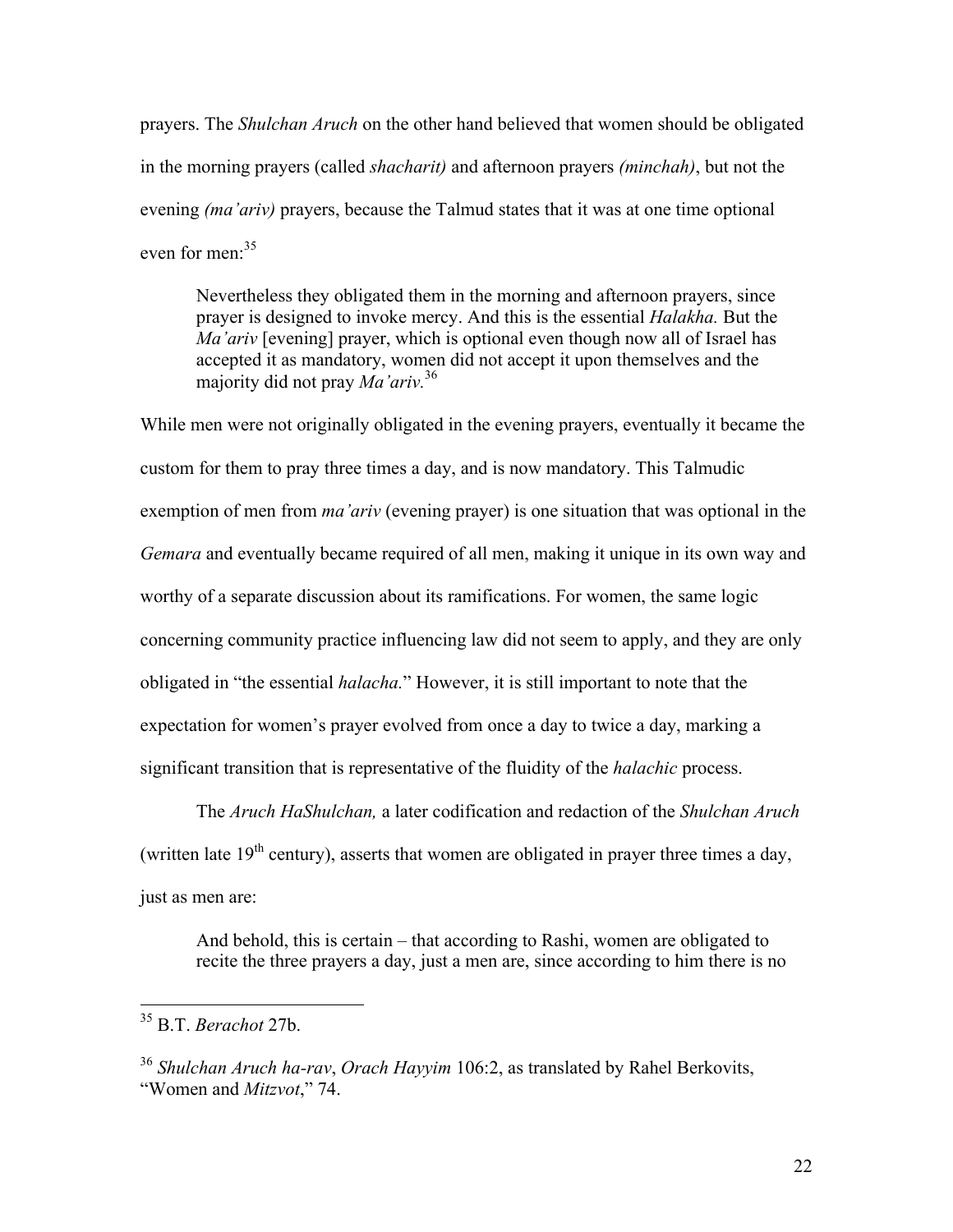prayers. The *Shulchan Aruch* on the other hand believed that women should be obligated in the morning prayers (called *shacharit)* and afternoon prayers *(minchah)*, but not the evening *(ma'ariv)* prayers, because the Talmud states that it was at one time optional even for men:<sup>35</sup>

Nevertheless they obligated them in the morning and afternoon prayers, since prayer is designed to invoke mercy. And this is the essential *Halakha.* But the *Ma'ariv* [evening] prayer, which is optional even though now all of Israel has accepted it as mandatory, women did not accept it upon themselves and the majority did not pray *Ma'ariv.*<sup>36</sup>

While men were not originally obligated in the evening prayers, eventually it became the custom for them to pray three times a day, and is now mandatory. This Talmudic exemption of men from *ma'ariv* (evening prayer) is one situation that was optional in the *Gemara* and eventually became required of all men, making it unique in its own way and worthy of a separate discussion about its ramifications. For women, the same logic concerning community practice influencing law did not seem to apply, and they are only obligated in "the essential *halacha.*" However, it is still important to note that the expectation for women's prayer evolved from once a day to twice a day, marking a significant transition that is representative of the fluidity of the *halachic* process.

The *Aruch HaShulchan,* a later codification and redaction of the *Shulchan Aruch* (written late  $19<sup>th</sup>$  century), asserts that women are obligated in prayer three times a day, just as men are:

And behold, this is certain – that according to Rashi, women are obligated to recite the three prayers a day, just a men are, since according to him there is no

 <sup>35</sup> B.T. *Berachot* 27b.

<sup>36</sup> *Shulchan Aruch ha-rav*, *Orach Hayyim* 106:2, as translated by Rahel Berkovits, "Women and *Mitzvot*," 74.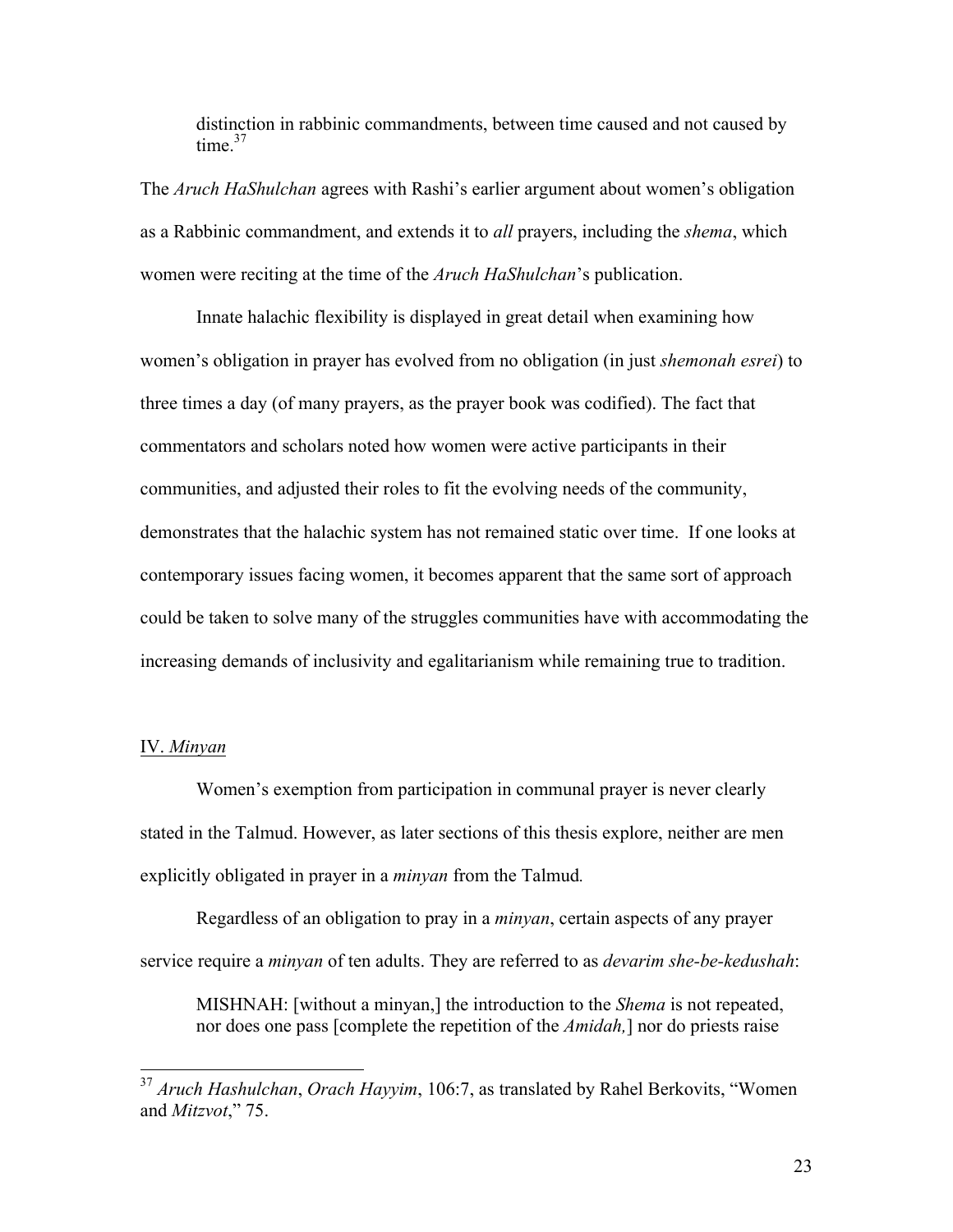distinction in rabbinic commandments, between time caused and not caused by time $^{37}$ 

The *Aruch HaShulchan* agrees with Rashi's earlier argument about women's obligation as a Rabbinic commandment, and extends it to *all* prayers, including the *shema*, which women were reciting at the time of the *Aruch HaShulchan*'s publication.

Innate halachic flexibility is displayed in great detail when examining how women's obligation in prayer has evolved from no obligation (in just *shemonah esrei*) to three times a day (of many prayers, as the prayer book was codified). The fact that commentators and scholars noted how women were active participants in their communities, and adjusted their roles to fit the evolving needs of the community, demonstrates that the halachic system has not remained static over time. If one looks at contemporary issues facing women, it becomes apparent that the same sort of approach could be taken to solve many of the struggles communities have with accommodating the increasing demands of inclusivity and egalitarianism while remaining true to tradition.

#### IV. *Minyan*

Women's exemption from participation in communal prayer is never clearly stated in the Talmud. However, as later sections of this thesis explore, neither are men explicitly obligated in prayer in a *minyan* from the Talmud*.* 

Regardless of an obligation to pray in a *minyan*, certain aspects of any prayer service require a *minyan* of ten adults. They are referred to as *devarim she-be-kedushah*:

MISHNAH: [without a minyan,] the introduction to the *Shema* is not repeated, nor does one pass [complete the repetition of the *Amidah,*] nor do priests raise

 <sup>37</sup> *Aruch Hashulchan*, *Orach Hayyim*, 106:7, as translated by Rahel Berkovits, "Women and *Mitzvot*," 75.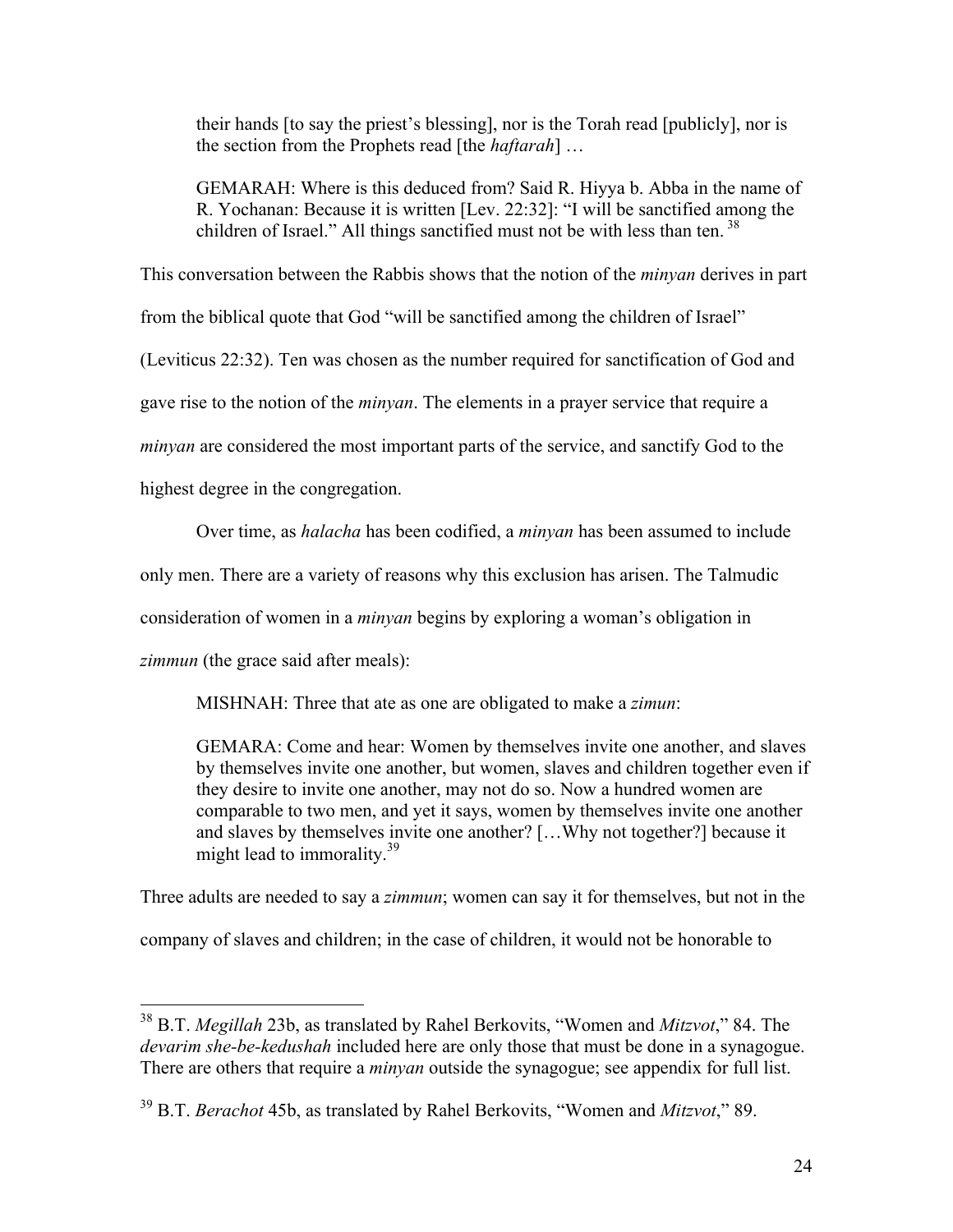their hands [to say the priest's blessing], nor is the Torah read [publicly], nor is the section from the Prophets read [the *haftarah*] …

GEMARAH: Where is this deduced from? Said R. Hiyya b. Abba in the name of R. Yochanan: Because it is written [Lev. 22:32]: "I will be sanctified among the children of Israel." All things sanctified must not be with less than ten.  $38$ 

This conversation between the Rabbis shows that the notion of the *minyan* derives in part from the biblical quote that God "will be sanctified among the children of Israel" (Leviticus 22:32). Ten was chosen as the number required for sanctification of God and gave rise to the notion of the *minyan*. The elements in a prayer service that require a *minyan* are considered the most important parts of the service, and sanctify God to the highest degree in the congregation.

Over time, as *halacha* has been codified, a *minyan* has been assumed to include

only men. There are a variety of reasons why this exclusion has arisen. The Talmudic

consideration of women in a *minyan* begins by exploring a woman's obligation in

*zimmun* (the grace said after meals):

MISHNAH: Three that ate as one are obligated to make a *zimun*:

GEMARA: Come and hear: Women by themselves invite one another, and slaves by themselves invite one another, but women, slaves and children together even if they desire to invite one another, may not do so. Now a hundred women are comparable to two men, and yet it says, women by themselves invite one another and slaves by themselves invite one another? […Why not together?] because it might lead to immorality.<sup>39</sup>

Three adults are needed to say a *zimmun*; women can say it for themselves, but not in the company of slaves and children; in the case of children, it would not be honorable to

 <sup>38</sup> B.T. *Megillah* 23b, as translated by Rahel Berkovits, "Women and *Mitzvot*," 84. The *devarim she-be-kedushah* included here are only those that must be done in a synagogue. There are others that require a *minyan* outside the synagogue; see appendix for full list.

<sup>39</sup> B.T. *Berachot* 45b, as translated by Rahel Berkovits, "Women and *Mitzvot*," 89.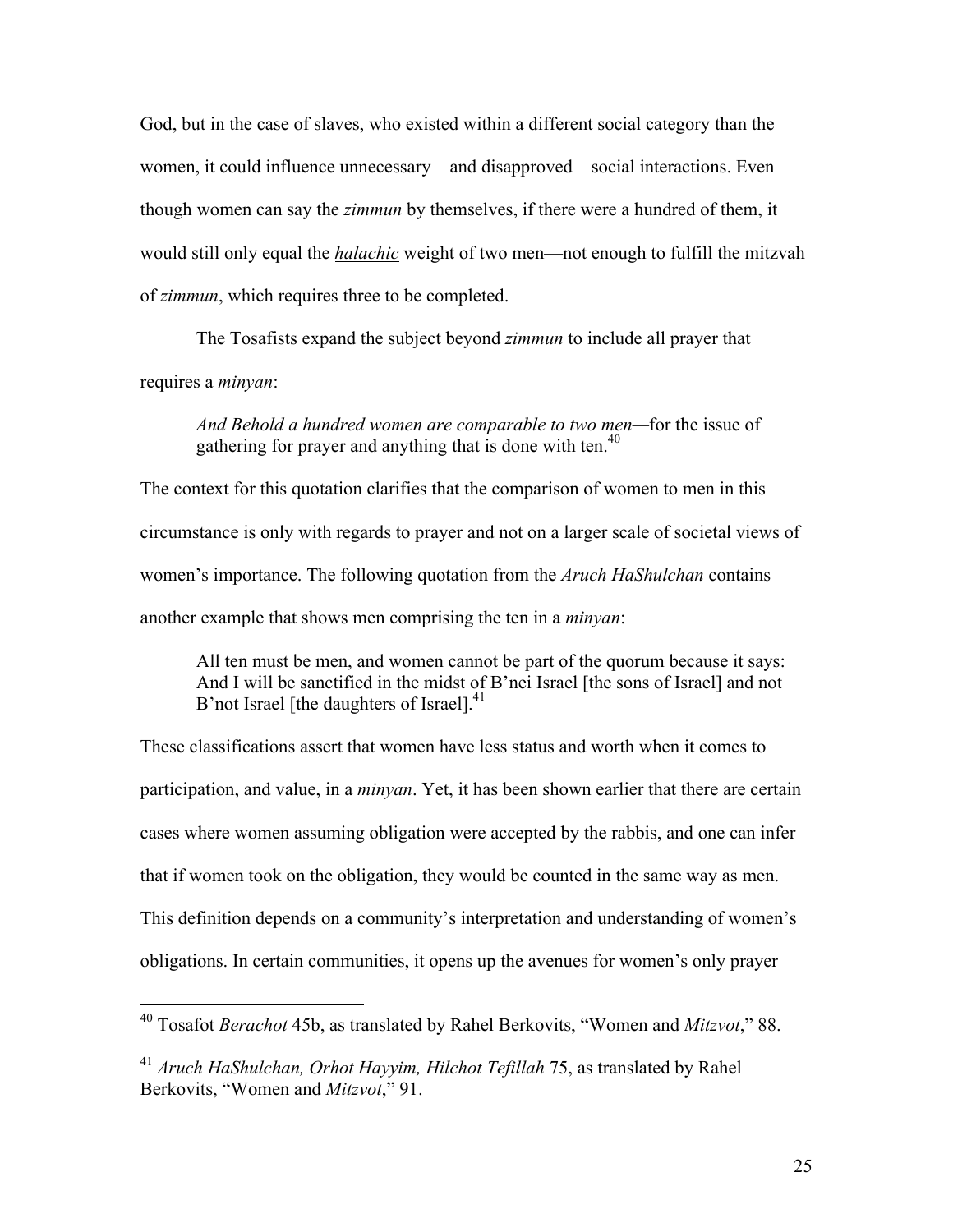God, but in the case of slaves, who existed within a different social category than the women, it could influence unnecessary—and disapproved—social interactions. Even though women can say the *zimmun* by themselves, if there were a hundred of them, it would still only equal the *halachic* weight of two men—not enough to fulfill the mitzvah of *zimmun*, which requires three to be completed.

The Tosafists expand the subject beyond *zimmun* to include all prayer that requires a *minyan*:

*And Behold a hundred women are comparable to two men—*for the issue of gathering for prayer and anything that is done with ten.<sup>40</sup>

The context for this quotation clarifies that the comparison of women to men in this circumstance is only with regards to prayer and not on a larger scale of societal views of women's importance. The following quotation from the *Aruch HaShulchan* contains another example that shows men comprising the ten in a *minyan*:

All ten must be men, and women cannot be part of the quorum because it says: And I will be sanctified in the midst of B'nei Israel [the sons of Israel] and not B'not Israel [the daughters of Israel].<sup>41</sup>

These classifications assert that women have less status and worth when it comes to participation, and value, in a *minyan*. Yet, it has been shown earlier that there are certain cases where women assuming obligation were accepted by the rabbis, and one can infer that if women took on the obligation, they would be counted in the same way as men. This definition depends on a community's interpretation and understanding of women's obligations. In certain communities, it opens up the avenues for women's only prayer

 <sup>40</sup> Tosafot *Berachot* 45b, as translated by Rahel Berkovits, "Women and *Mitzvot*," 88.

<sup>41</sup> *Aruch HaShulchan, Orhot Hayyim, Hilchot Tefillah* 75, as translated by Rahel Berkovits, "Women and *Mitzvot*," 91.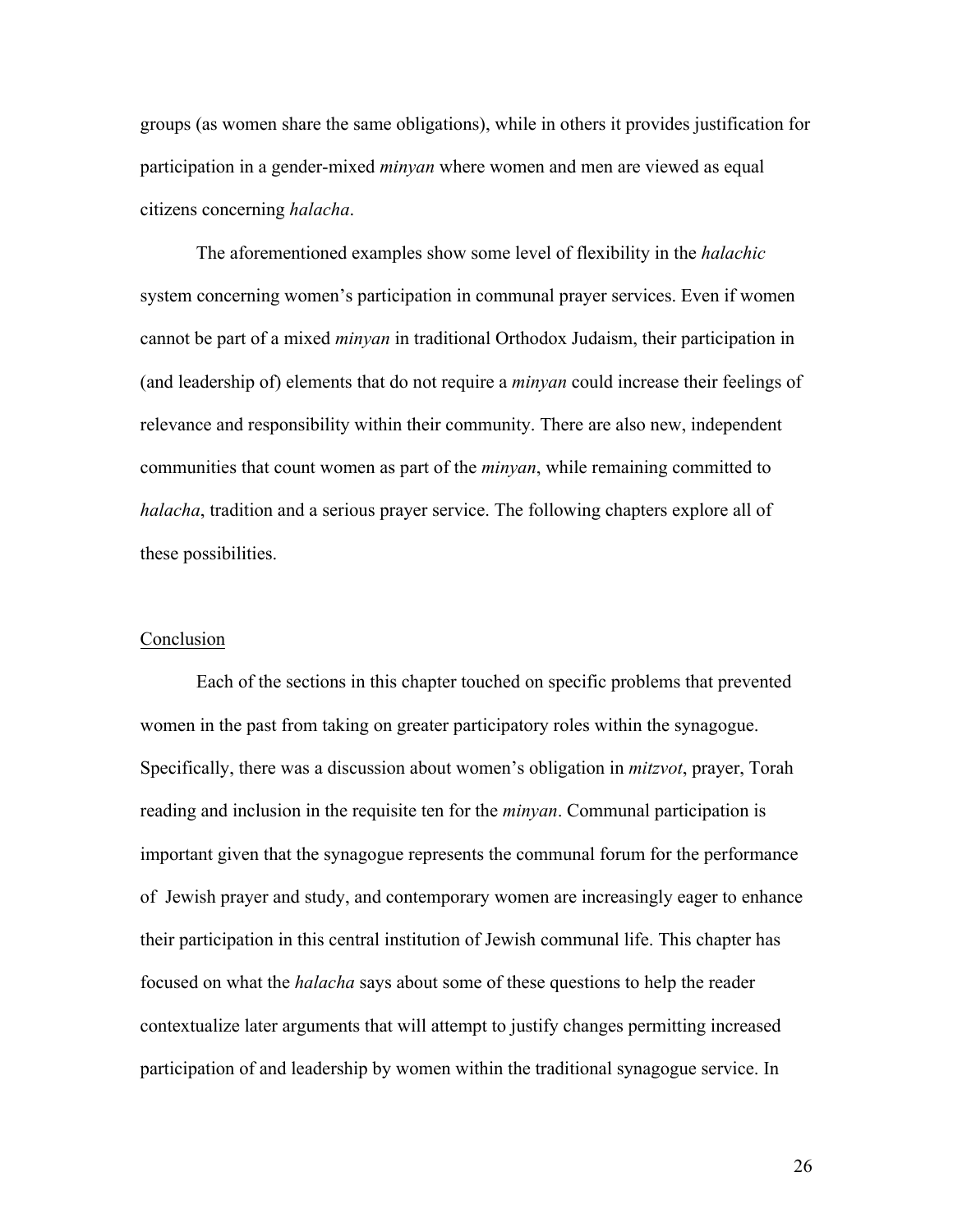groups (as women share the same obligations), while in others it provides justification for participation in a gender-mixed *minyan* where women and men are viewed as equal citizens concerning *halacha*.

The aforementioned examples show some level of flexibility in the *halachic* system concerning women's participation in communal prayer services. Even if women cannot be part of a mixed *minyan* in traditional Orthodox Judaism, their participation in (and leadership of) elements that do not require a *minyan* could increase their feelings of relevance and responsibility within their community. There are also new, independent communities that count women as part of the *minyan*, while remaining committed to *halacha*, tradition and a serious prayer service. The following chapters explore all of these possibilities.

#### Conclusion

Each of the sections in this chapter touched on specific problems that prevented women in the past from taking on greater participatory roles within the synagogue. Specifically, there was a discussion about women's obligation in *mitzvot*, prayer, Torah reading and inclusion in the requisite ten for the *minyan*. Communal participation is important given that the synagogue represents the communal forum for the performance of Jewish prayer and study, and contemporary women are increasingly eager to enhance their participation in this central institution of Jewish communal life. This chapter has focused on what the *halacha* says about some of these questions to help the reader contextualize later arguments that will attempt to justify changes permitting increased participation of and leadership by women within the traditional synagogue service. In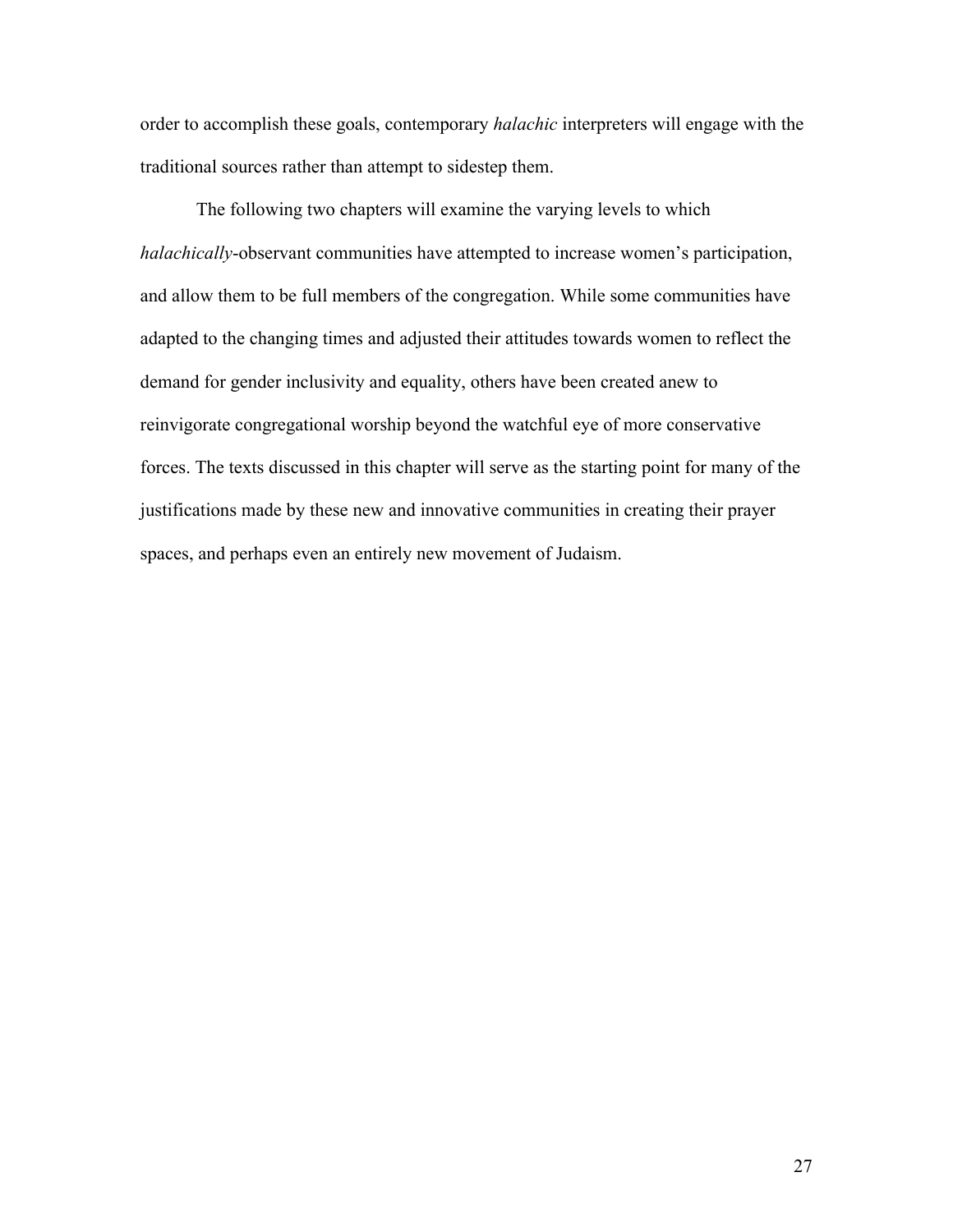order to accomplish these goals, contemporary *halachic* interpreters will engage with the traditional sources rather than attempt to sidestep them.

The following two chapters will examine the varying levels to which *halachically*-observant communities have attempted to increase women's participation, and allow them to be full members of the congregation. While some communities have adapted to the changing times and adjusted their attitudes towards women to reflect the demand for gender inclusivity and equality, others have been created anew to reinvigorate congregational worship beyond the watchful eye of more conservative forces. The texts discussed in this chapter will serve as the starting point for many of the justifications made by these new and innovative communities in creating their prayer spaces, and perhaps even an entirely new movement of Judaism.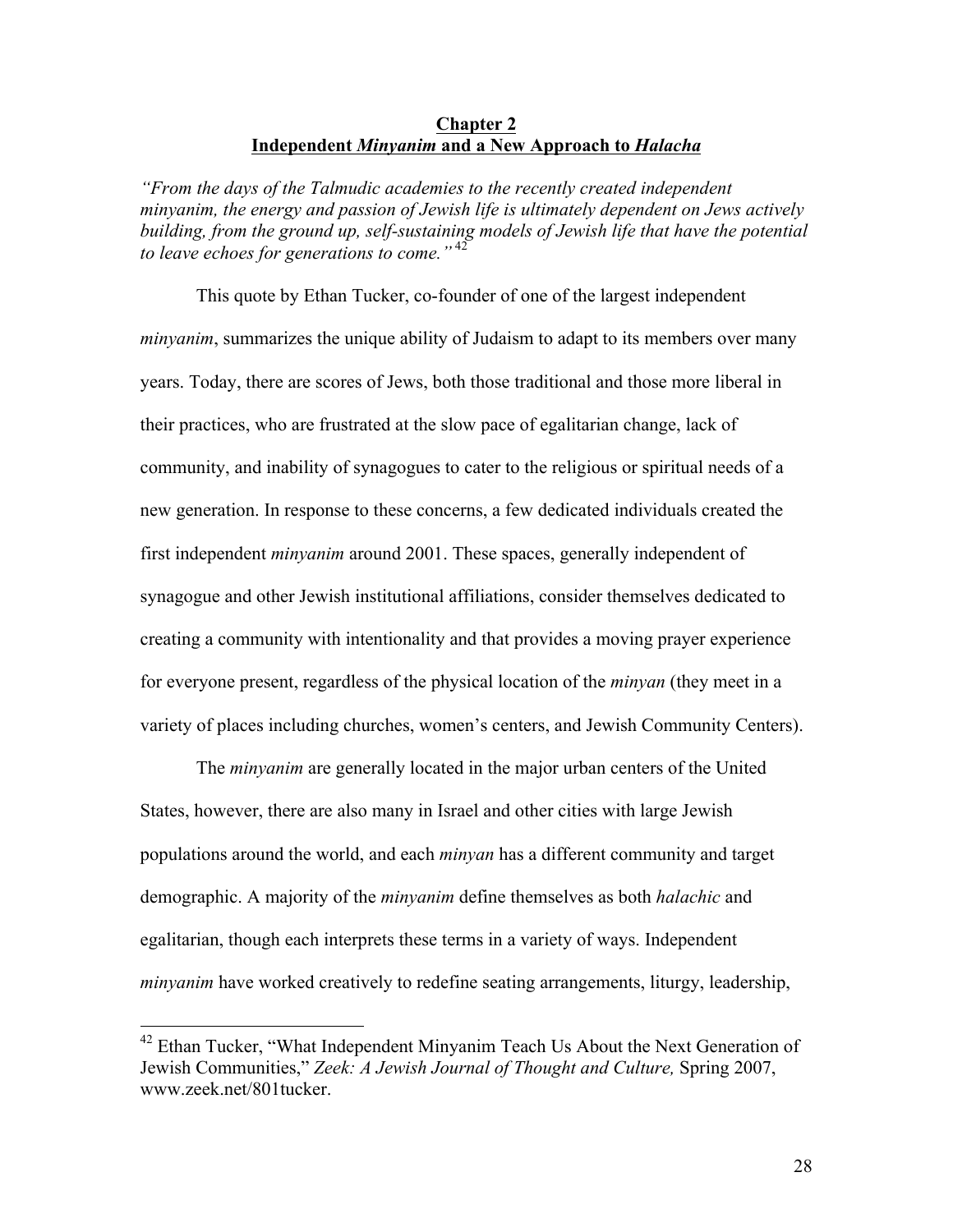## **Chapter 2 Independent** *Minyanim* **and a New Approach to** *Halacha*

*"From the days of the Talmudic academies to the recently created independent minyanim, the energy and passion of Jewish life is ultimately dependent on Jews actively building, from the ground up, self-sustaining models of Jewish life that have the potential to leave echoes for generations to come."* <sup>42</sup>

This quote by Ethan Tucker, co-founder of one of the largest independent *minyanim*, summarizes the unique ability of Judaism to adapt to its members over many years. Today, there are scores of Jews, both those traditional and those more liberal in their practices, who are frustrated at the slow pace of egalitarian change, lack of community, and inability of synagogues to cater to the religious or spiritual needs of a new generation. In response to these concerns, a few dedicated individuals created the first independent *minyanim* around 2001. These spaces, generally independent of synagogue and other Jewish institutional affiliations, consider themselves dedicated to creating a community with intentionality and that provides a moving prayer experience for everyone present, regardless of the physical location of the *minyan* (they meet in a variety of places including churches, women's centers, and Jewish Community Centers).

The *minyanim* are generally located in the major urban centers of the United States, however, there are also many in Israel and other cities with large Jewish populations around the world, and each *minyan* has a different community and target demographic. A majority of the *minyanim* define themselves as both *halachic* and egalitarian, though each interprets these terms in a variety of ways. Independent *minyanim* have worked creatively to redefine seating arrangements, liturgy, leadership,

<sup>&</sup>lt;sup>42</sup> Ethan Tucker, "What Independent Minyanim Teach Us About the Next Generation of Jewish Communities," *Zeek: A Jewish Journal of Thought and Culture,* Spring 2007, www.zeek.net/801tucker.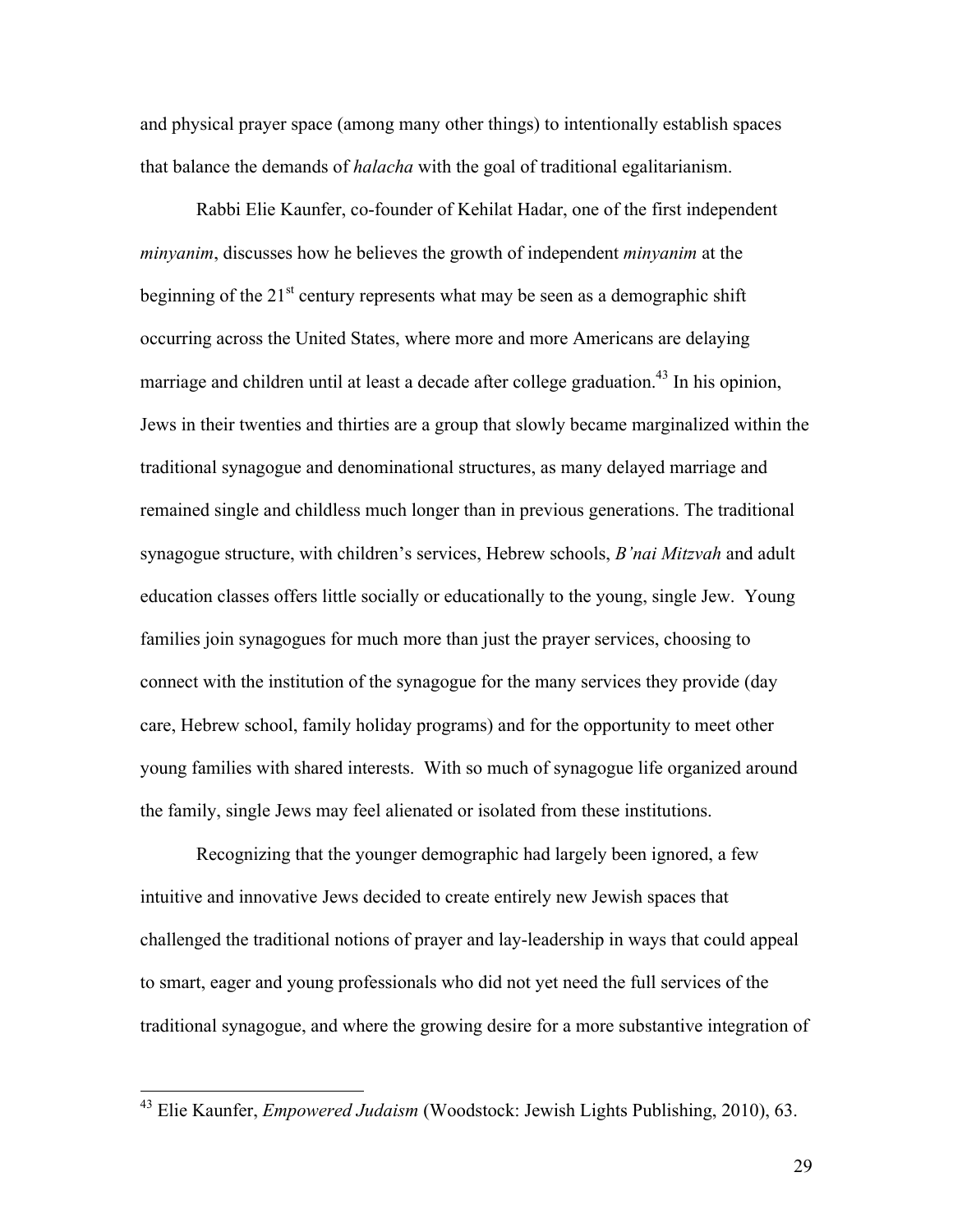and physical prayer space (among many other things) to intentionally establish spaces that balance the demands of *halacha* with the goal of traditional egalitarianism.

Rabbi Elie Kaunfer, co-founder of Kehilat Hadar, one of the first independent *minyanim*, discusses how he believes the growth of independent *minyanim* at the beginning of the  $21<sup>st</sup>$  century represents what may be seen as a demographic shift occurring across the United States, where more and more Americans are delaying marriage and children until at least a decade after college graduation.<sup>43</sup> In his opinion, Jews in their twenties and thirties are a group that slowly became marginalized within the traditional synagogue and denominational structures, as many delayed marriage and remained single and childless much longer than in previous generations. The traditional synagogue structure, with children's services, Hebrew schools, *B'nai Mitzvah* and adult education classes offers little socially or educationally to the young, single Jew. Young families join synagogues for much more than just the prayer services, choosing to connect with the institution of the synagogue for the many services they provide (day care, Hebrew school, family holiday programs) and for the opportunity to meet other young families with shared interests. With so much of synagogue life organized around the family, single Jews may feel alienated or isolated from these institutions.

Recognizing that the younger demographic had largely been ignored, a few intuitive and innovative Jews decided to create entirely new Jewish spaces that challenged the traditional notions of prayer and lay-leadership in ways that could appeal to smart, eager and young professionals who did not yet need the full services of the traditional synagogue, and where the growing desire for a more substantive integration of

 <sup>43</sup> Elie Kaunfer, *Empowered Judaism* (Woodstock: Jewish Lights Publishing, 2010), 63.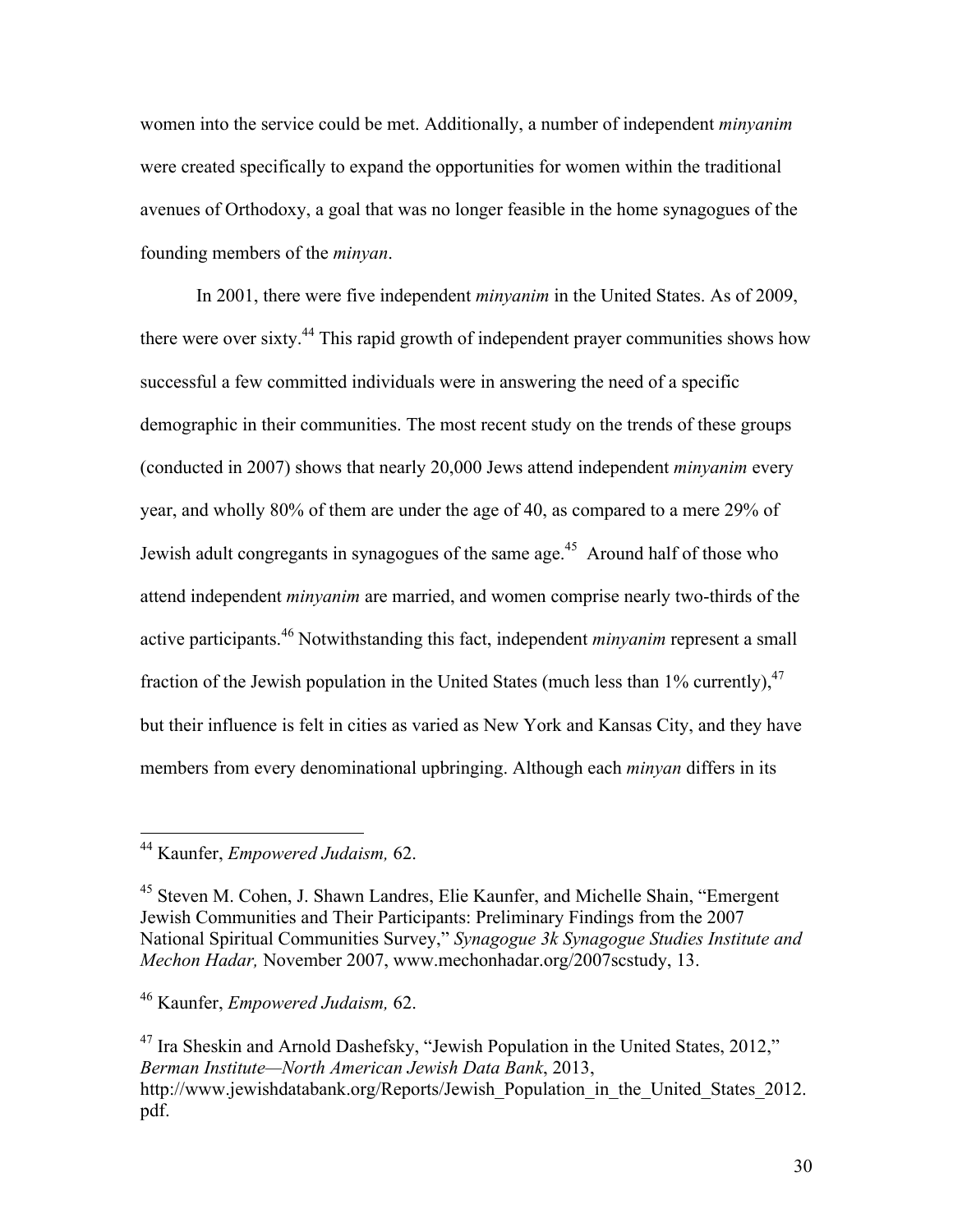women into the service could be met. Additionally, a number of independent *minyanim* were created specifically to expand the opportunities for women within the traditional avenues of Orthodoxy, a goal that was no longer feasible in the home synagogues of the founding members of the *minyan*.

In 2001, there were five independent *minyanim* in the United States. As of 2009, there were over sixty.<sup>44</sup> This rapid growth of independent prayer communities shows how successful a few committed individuals were in answering the need of a specific demographic in their communities. The most recent study on the trends of these groups (conducted in 2007) shows that nearly 20,000 Jews attend independent *minyanim* every year, and wholly 80% of them are under the age of 40, as compared to a mere 29% of Jewish adult congregants in synagogues of the same age.<sup>45</sup> Around half of those who attend independent *minyanim* are married, and women comprise nearly two-thirds of the active participants.<sup>46</sup> Notwithstanding this fact, independent *minyanim* represent a small fraction of the Jewish population in the United States (much less than  $1\%$  currently),  $47$ but their influence is felt in cities as varied as New York and Kansas City, and they have members from every denominational upbringing. Although each *minyan* differs in its

 <sup>44</sup> Kaunfer, *Empowered Judaism,* 62.

<sup>45</sup> Steven M. Cohen, J. Shawn Landres, Elie Kaunfer, and Michelle Shain, "Emergent Jewish Communities and Their Participants: Preliminary Findings from the 2007 National Spiritual Communities Survey," *Synagogue 3k Synagogue Studies Institute and Mechon Hadar,* November 2007, www.mechonhadar.org/2007scstudy, 13.

<sup>46</sup> Kaunfer, *Empowered Judaism,* 62.

 $47$  Ira Sheskin and Arnold Dashefsky, "Jewish Population in the United States, 2012," *Berman Institute—North American Jewish Data Bank*, 2013, http://www.jewishdatabank.org/Reports/Jewish\_Population\_in\_the\_United\_States\_2012. pdf.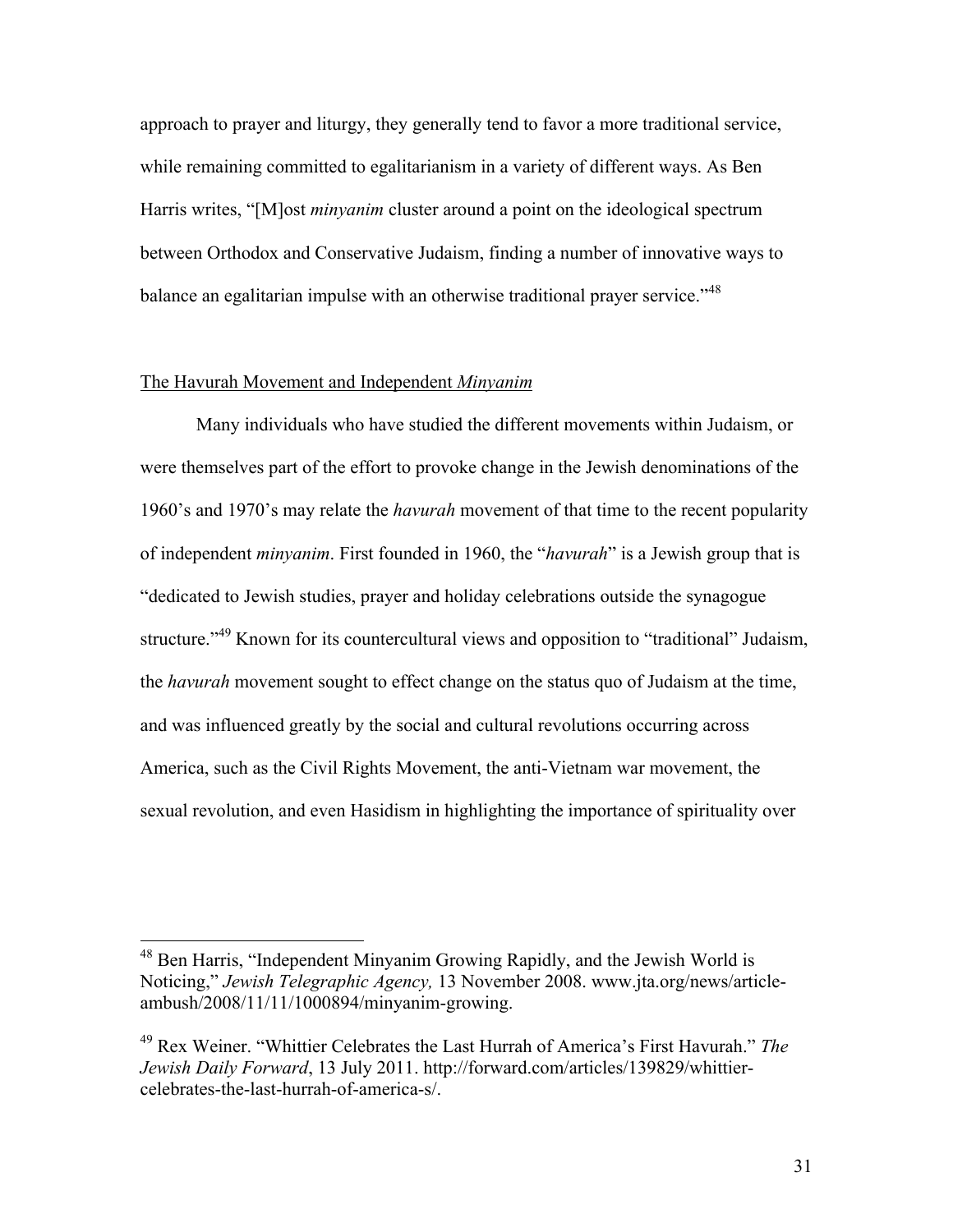approach to prayer and liturgy, they generally tend to favor a more traditional service, while remaining committed to egalitarianism in a variety of different ways. As Ben Harris writes, "[M]ost *minyanim* cluster around a point on the ideological spectrum between Orthodox and Conservative Judaism, finding a number of innovative ways to balance an egalitarian impulse with an otherwise traditional prayer service.<sup>148</sup>

#### The Havurah Movement and Independent *Minyanim*

Many individuals who have studied the different movements within Judaism, or were themselves part of the effort to provoke change in the Jewish denominations of the 1960's and 1970's may relate the *havurah* movement of that time to the recent popularity of independent *minyanim*. First founded in 1960, the "*havurah*" is a Jewish group that is "dedicated to Jewish studies, prayer and holiday celebrations outside the synagogue structure."<sup>49</sup> Known for its countercultural views and opposition to "traditional" Judaism, the *havurah* movement sought to effect change on the status quo of Judaism at the time, and was influenced greatly by the social and cultural revolutions occurring across America, such as the Civil Rights Movement, the anti-Vietnam war movement, the sexual revolution, and even Hasidism in highlighting the importance of spirituality over

 <sup>48</sup> Ben Harris, "Independent Minyanim Growing Rapidly, and the Jewish World is Noticing," *Jewish Telegraphic Agency,* 13 November 2008. www.jta.org/news/articleambush/2008/11/11/1000894/minyanim-growing.

<sup>49</sup> Rex Weiner. "Whittier Celebrates the Last Hurrah of America's First Havurah." *The Jewish Daily Forward*, 13 July 2011. http://forward.com/articles/139829/whittiercelebrates-the-last-hurrah-of-america-s/.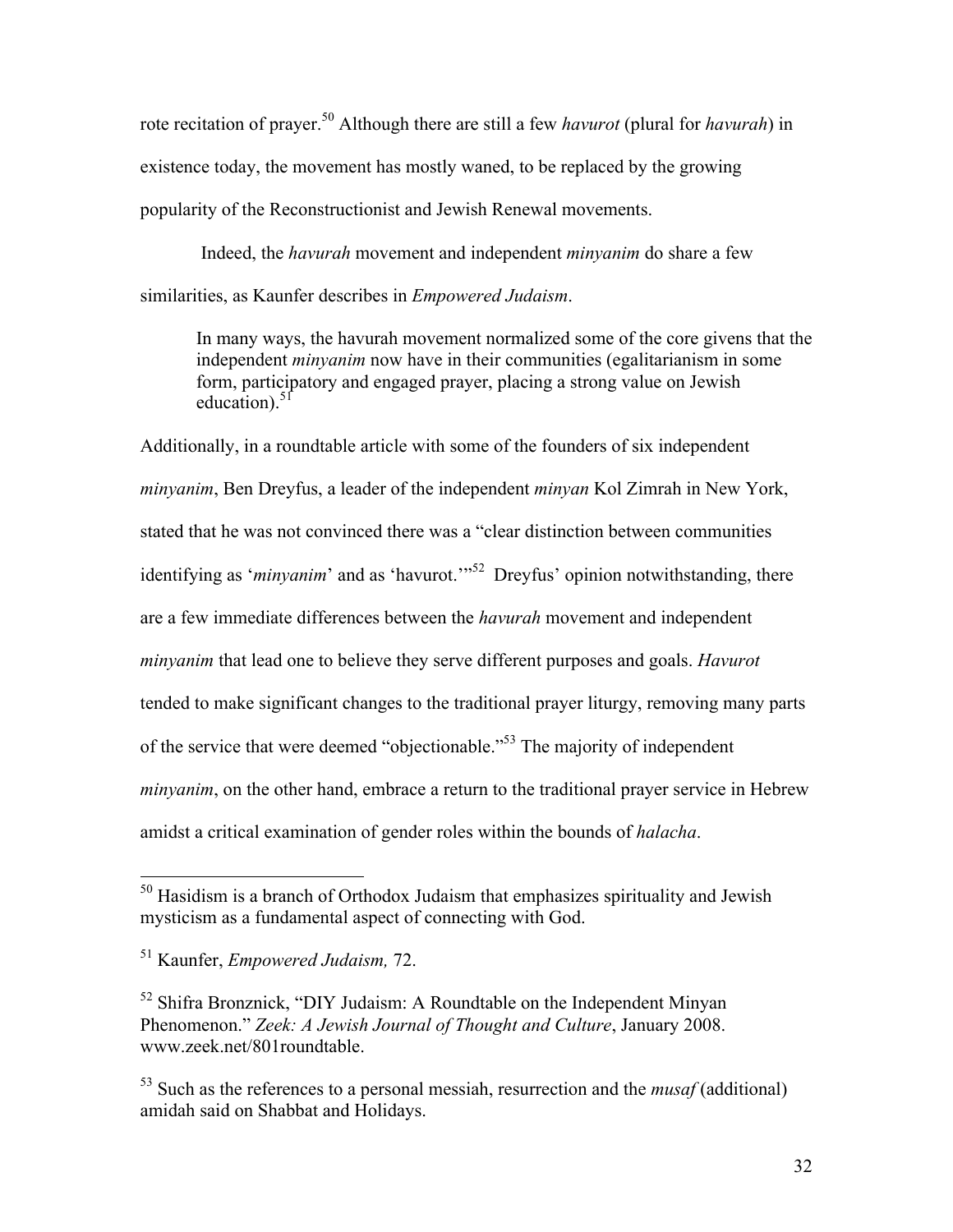rote recitation of prayer. <sup>50</sup> Although there are still a few *havurot* (plural for *havurah*) in existence today, the movement has mostly waned, to be replaced by the growing popularity of the Reconstructionist and Jewish Renewal movements.

Indeed, the *havurah* movement and independent *minyanim* do share a few similarities, as Kaunfer describes in *Empowered Judaism*.

In many ways, the havurah movement normalized some of the core givens that the independent *minyanim* now have in their communities (egalitarianism in some form, participatory and engaged prayer, placing a strong value on Jewish education). $5f$ 

Additionally, in a roundtable article with some of the founders of six independent *minyanim*, Ben Dreyfus, a leader of the independent *minyan* Kol Zimrah in New York, stated that he was not convinced there was a "clear distinction between communities identifying as '*minyanim*' and as 'havurot.'"<sup>52</sup> Dreyfus' opinion notwithstanding, there are a few immediate differences between the *havurah* movement and independent *minyanim* that lead one to believe they serve different purposes and goals. *Havurot* tended to make significant changes to the traditional prayer liturgy, removing many parts of the service that were deemed "objectionable."53 The majority of independent *minyanim*, on the other hand, embrace a return to the traditional prayer service in Hebrew amidst a critical examination of gender roles within the bounds of *halacha*.

 $50$  Hasidism is a branch of Orthodox Judaism that emphasizes spirituality and Jewish mysticism as a fundamental aspect of connecting with God.

<sup>51</sup> Kaunfer, *Empowered Judaism,* 72.

 $52$  Shifra Bronznick, "DIY Judaism: A Roundtable on the Independent Minyan Phenomenon." *Zeek: A Jewish Journal of Thought and Culture*, January 2008. www.zeek.net/801roundtable.

<sup>53</sup> Such as the references to a personal messiah, resurrection and the *musaf* (additional) amidah said on Shabbat and Holidays.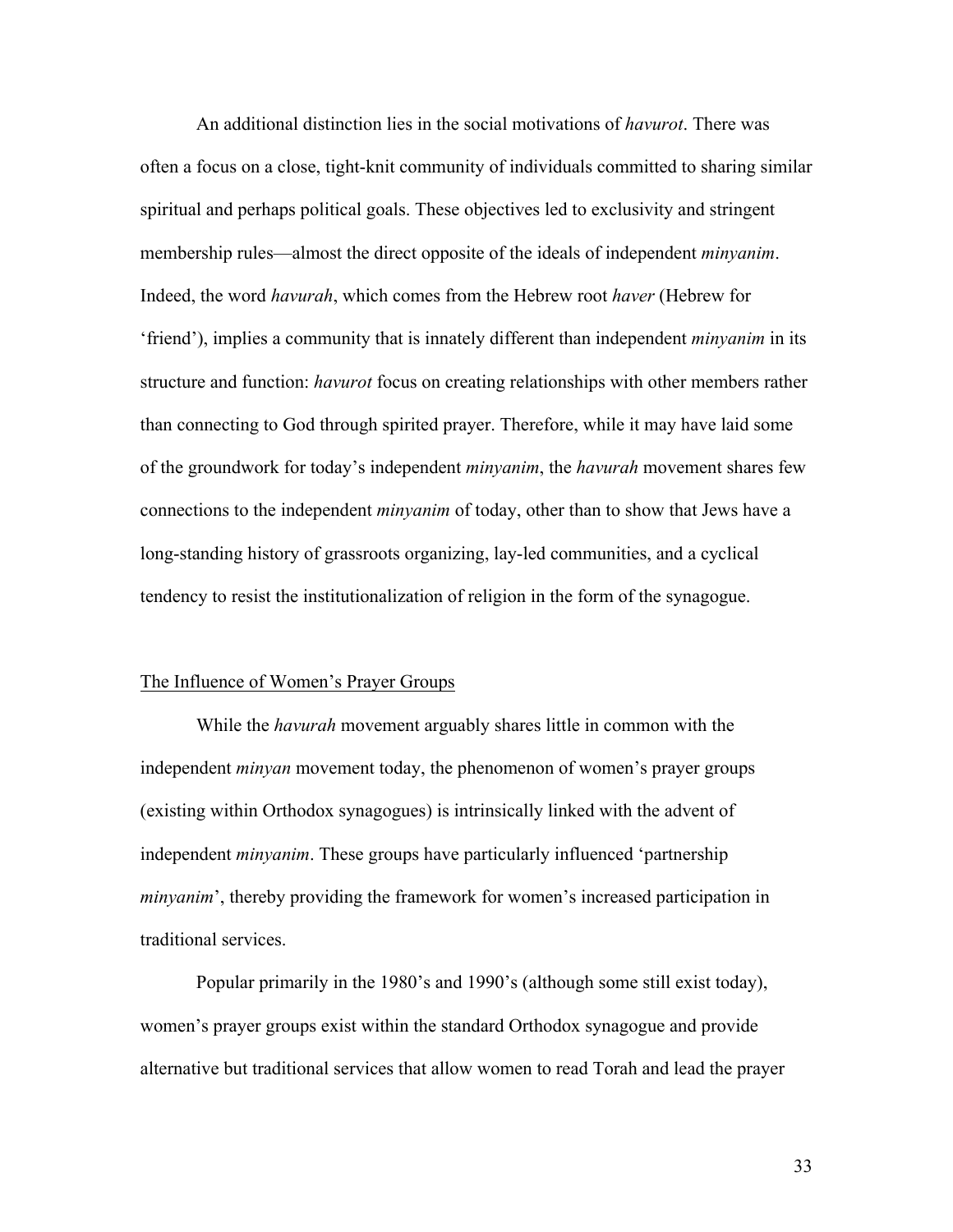An additional distinction lies in the social motivations of *havurot*. There was often a focus on a close, tight-knit community of individuals committed to sharing similar spiritual and perhaps political goals. These objectives led to exclusivity and stringent membership rules—almost the direct opposite of the ideals of independent *minyanim*. Indeed, the word *havurah*, which comes from the Hebrew root *haver* (Hebrew for 'friend'), implies a community that is innately different than independent *minyanim* in its structure and function: *havurot* focus on creating relationships with other members rather than connecting to God through spirited prayer. Therefore, while it may have laid some of the groundwork for today's independent *minyanim*, the *havurah* movement shares few connections to the independent *minyanim* of today, other than to show that Jews have a long-standing history of grassroots organizing, lay-led communities, and a cyclical tendency to resist the institutionalization of religion in the form of the synagogue.

#### The Influence of Women's Prayer Groups

While the *havurah* movement arguably shares little in common with the independent *minyan* movement today, the phenomenon of women's prayer groups (existing within Orthodox synagogues) is intrinsically linked with the advent of independent *minyanim*. These groups have particularly influenced 'partnership *minyanim*', thereby providing the framework for women's increased participation in traditional services.

Popular primarily in the 1980's and 1990's (although some still exist today), women's prayer groups exist within the standard Orthodox synagogue and provide alternative but traditional services that allow women to read Torah and lead the prayer

33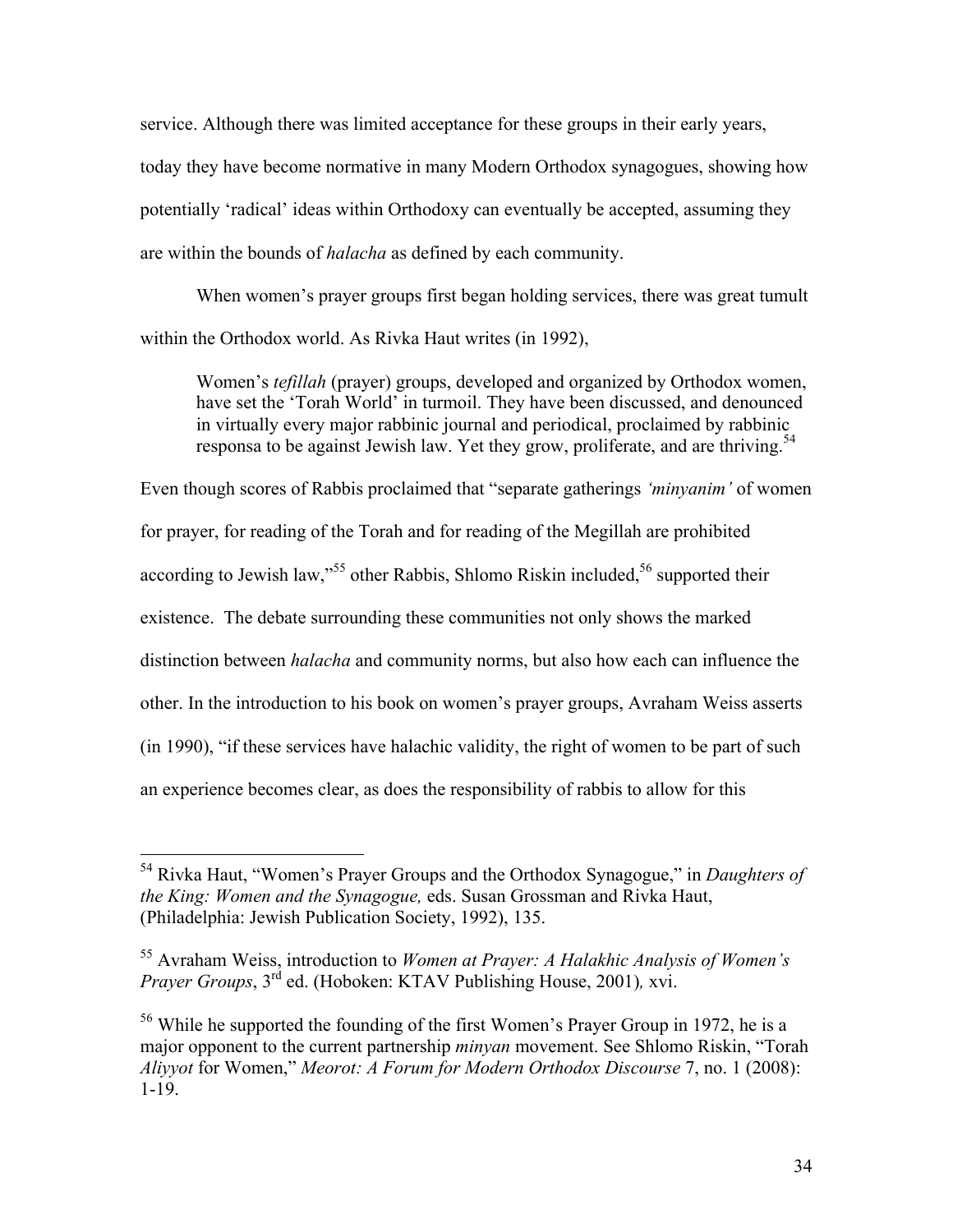service. Although there was limited acceptance for these groups in their early years, today they have become normative in many Modern Orthodox synagogues, showing how potentially 'radical' ideas within Orthodoxy can eventually be accepted, assuming they are within the bounds of *halacha* as defined by each community.

When women's prayer groups first began holding services, there was great tumult within the Orthodox world. As Rivka Haut writes (in 1992),

Women's *tefillah* (prayer) groups, developed and organized by Orthodox women, have set the 'Torah World' in turmoil. They have been discussed, and denounced in virtually every major rabbinic journal and periodical, proclaimed by rabbinic responsa to be against Jewish law. Yet they grow, proliferate, and are thriving.<sup>54</sup>

Even though scores of Rabbis proclaimed that "separate gatherings *'minyanim'* of women for prayer, for reading of the Torah and for reading of the Megillah are prohibited according to Jewish law,"<sup>55</sup> other Rabbis, Shlomo Riskin included,<sup>56</sup> supported their existence. The debate surrounding these communities not only shows the marked distinction between *halacha* and community norms, but also how each can influence the other. In the introduction to his book on women's prayer groups, Avraham Weiss asserts (in 1990), "if these services have halachic validity, the right of women to be part of such an experience becomes clear, as does the responsibility of rabbis to allow for this

 <sup>54</sup> Rivka Haut, "Women's Prayer Groups and the Orthodox Synagogue," in *Daughters of the King: Women and the Synagogue,* eds. Susan Grossman and Rivka Haut, (Philadelphia: Jewish Publication Society, 1992), 135.

<sup>55</sup> Avraham Weiss, introduction to *Women at Prayer: A Halakhic Analysis of Women's Prayer Groups*,  $3^{rd}$  ed. (Hoboken: KTAV Publishing House, 2001), xvi.

<sup>56</sup> While he supported the founding of the first Women's Prayer Group in 1972, he is a major opponent to the current partnership *minyan* movement. See Shlomo Riskin, "Torah *Aliyyot* for Women," *Meorot: A Forum for Modern Orthodox Discourse* 7, no. 1 (2008): 1-19.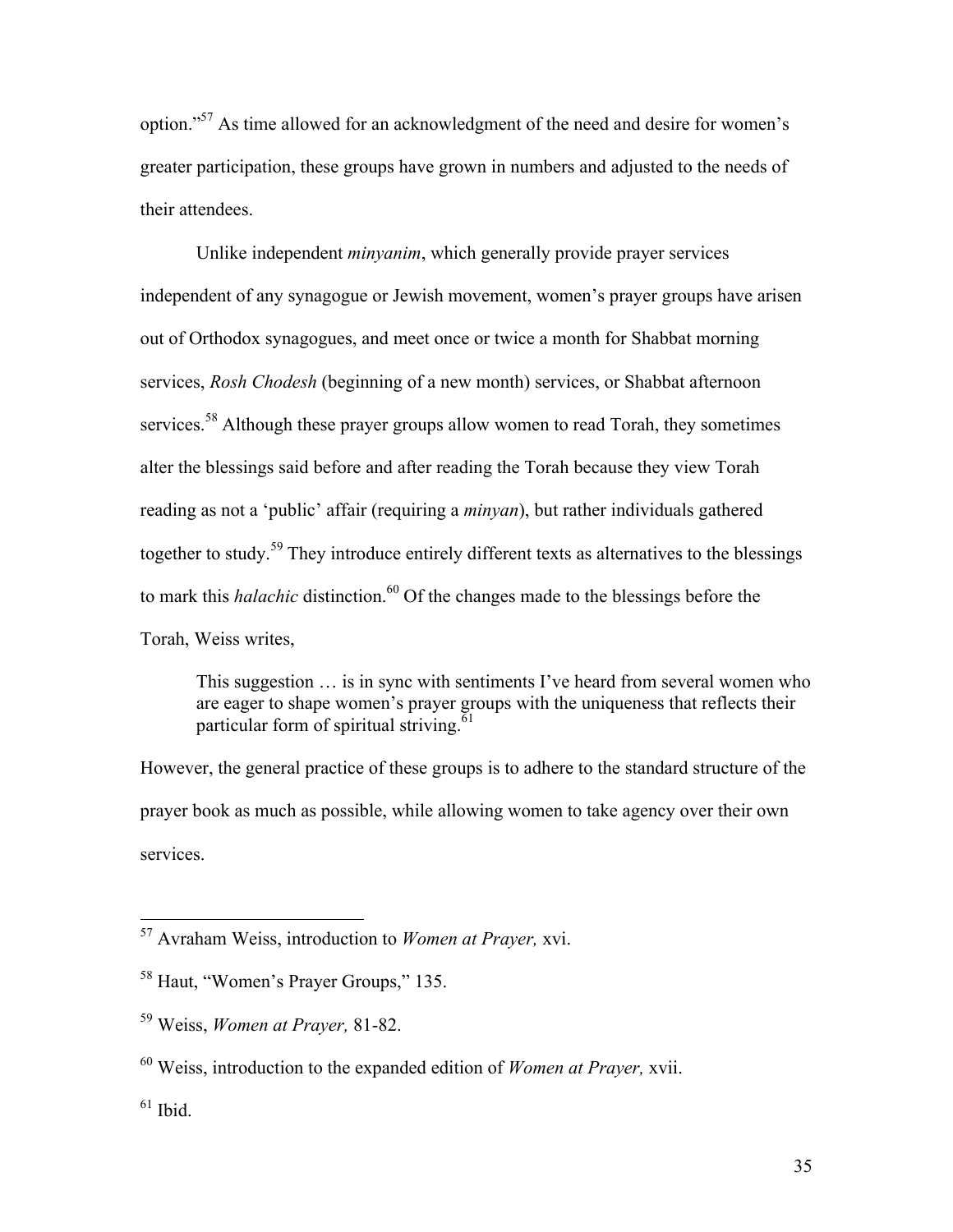option."57 As time allowed for an acknowledgment of the need and desire for women's greater participation, these groups have grown in numbers and adjusted to the needs of their attendees.

Unlike independent *minyanim*, which generally provide prayer services independent of any synagogue or Jewish movement, women's prayer groups have arisen out of Orthodox synagogues, and meet once or twice a month for Shabbat morning services, *Rosh Chodesh* (beginning of a new month) services, or Shabbat afternoon services.<sup>58</sup> Although these prayer groups allow women to read Torah, they sometimes alter the blessings said before and after reading the Torah because they view Torah reading as not a 'public' affair (requiring a *minyan*), but rather individuals gathered together to study.<sup>59</sup> They introduce entirely different texts as alternatives to the blessings to mark this *halachic* distinction. <sup>60</sup> Of the changes made to the blessings before the Torah, Weiss writes,

This suggestion … is in sync with sentiments I've heard from several women who are eager to shape women's prayer groups with the uniqueness that reflects their particular form of spiritual striving. $61$ 

However, the general practice of these groups is to adhere to the standard structure of the prayer book as much as possible, while allowing women to take agency over their own services.

 <sup>57</sup> Avraham Weiss, introduction to *Women at Prayer,* xvi.

<sup>58</sup> Haut, "Women's Prayer Groups," 135.

<sup>59</sup> Weiss, *Women at Prayer,* 81-82.

<sup>60</sup> Weiss, introduction to the expanded edition of *Women at Prayer,* xvii.

 $61$  Ibid.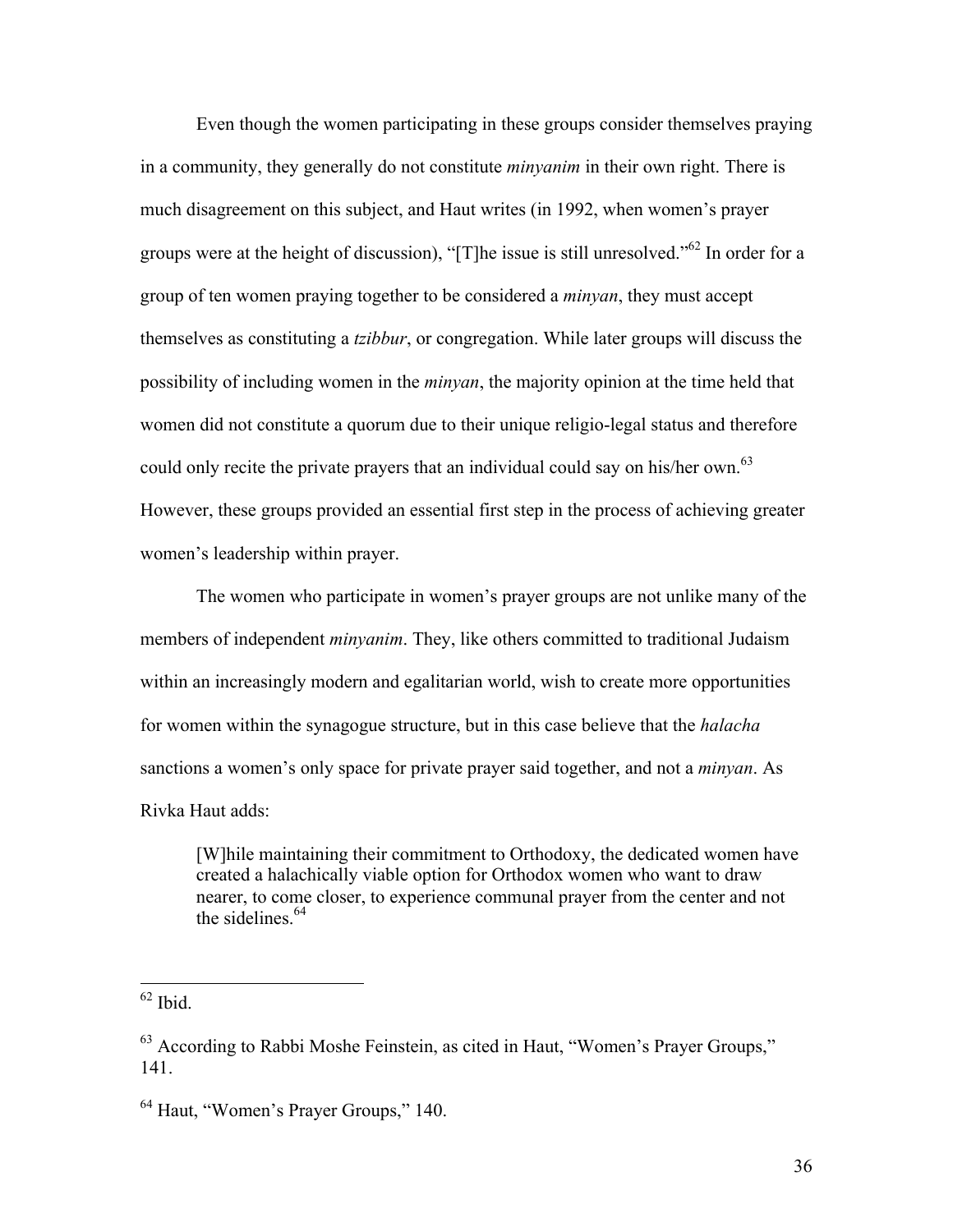Even though the women participating in these groups consider themselves praying in a community, they generally do not constitute *minyanim* in their own right. There is much disagreement on this subject, and Haut writes (in 1992, when women's prayer groups were at the height of discussion), "[T]he issue is still unresolved."<sup>62</sup> In order for a group of ten women praying together to be considered a *minyan*, they must accept themselves as constituting a *tzibbur*, or congregation. While later groups will discuss the possibility of including women in the *minyan*, the majority opinion at the time held that women did not constitute a quorum due to their unique religio-legal status and therefore could only recite the private prayers that an individual could say on his/her own.<sup>63</sup> However, these groups provided an essential first step in the process of achieving greater women's leadership within prayer.

The women who participate in women's prayer groups are not unlike many of the members of independent *minyanim*. They, like others committed to traditional Judaism within an increasingly modern and egalitarian world, wish to create more opportunities for women within the synagogue structure, but in this case believe that the *halacha* sanctions a women's only space for private prayer said together, and not a *minyan*. As Rivka Haut adds:

[W]hile maintaining their commitment to Orthodoxy, the dedicated women have created a halachically viable option for Orthodox women who want to draw nearer, to come closer, to experience communal prayer from the center and not the sidelines  $64$ 

 $62$  Ibid.

<sup>63</sup> According to Rabbi Moshe Feinstein, as cited in Haut, "Women's Prayer Groups," 141.

<sup>64</sup> Haut, "Women's Prayer Groups," 140.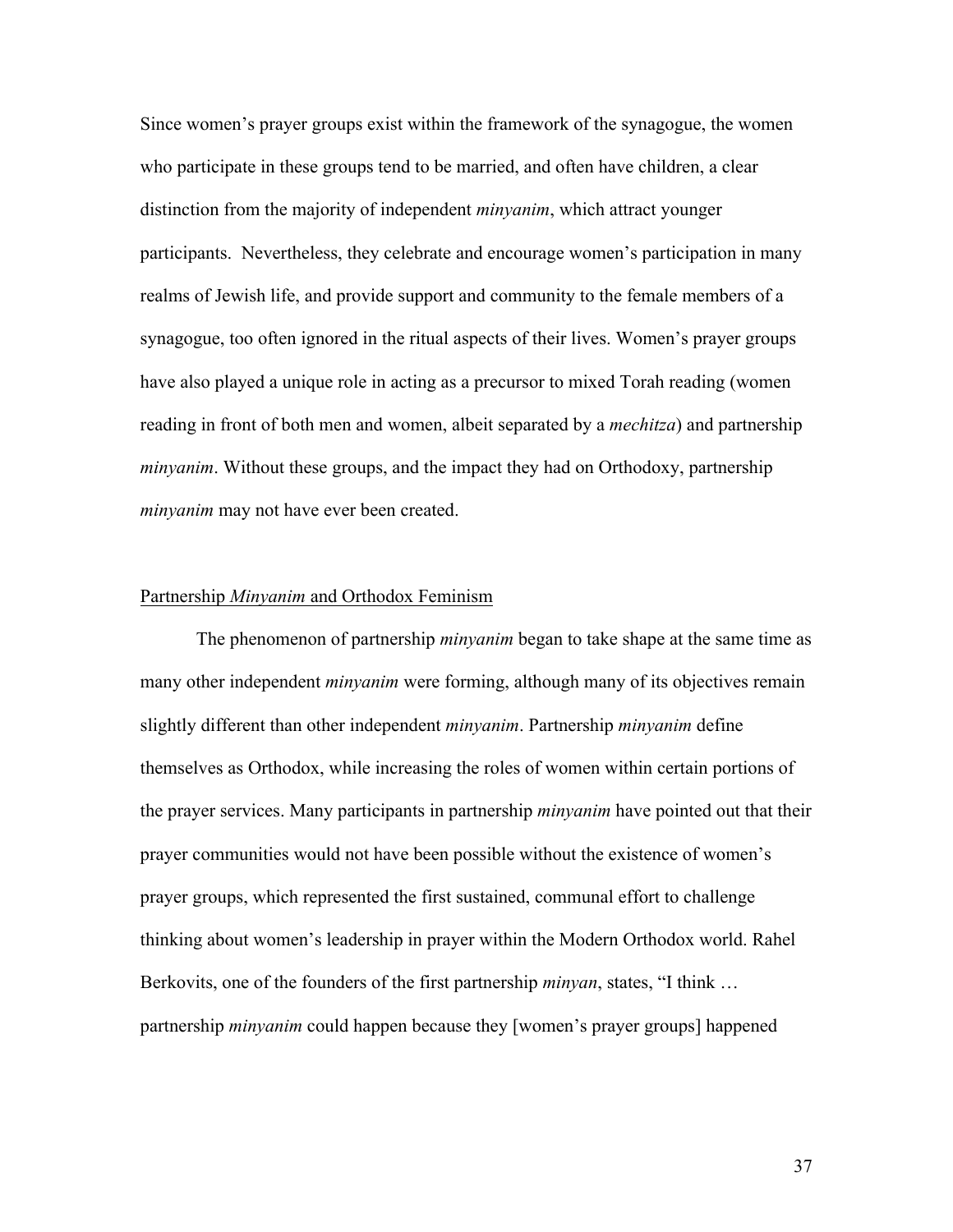Since women's prayer groups exist within the framework of the synagogue, the women who participate in these groups tend to be married, and often have children, a clear distinction from the majority of independent *minyanim*, which attract younger participants. Nevertheless, they celebrate and encourage women's participation in many realms of Jewish life, and provide support and community to the female members of a synagogue, too often ignored in the ritual aspects of their lives. Women's prayer groups have also played a unique role in acting as a precursor to mixed Torah reading (women reading in front of both men and women, albeit separated by a *mechitza*) and partnership *minyanim*. Without these groups, and the impact they had on Orthodoxy, partnership *minyanim* may not have ever been created.

#### Partnership *Minyanim* and Orthodox Feminism

The phenomenon of partnership *minyanim* began to take shape at the same time as many other independent *minyanim* were forming, although many of its objectives remain slightly different than other independent *minyanim*. Partnership *minyanim* define themselves as Orthodox, while increasing the roles of women within certain portions of the prayer services. Many participants in partnership *minyanim* have pointed out that their prayer communities would not have been possible without the existence of women's prayer groups, which represented the first sustained, communal effort to challenge thinking about women's leadership in prayer within the Modern Orthodox world. Rahel Berkovits, one of the founders of the first partnership *minyan*, states, "I think … partnership *minyanim* could happen because they [women's prayer groups] happened

37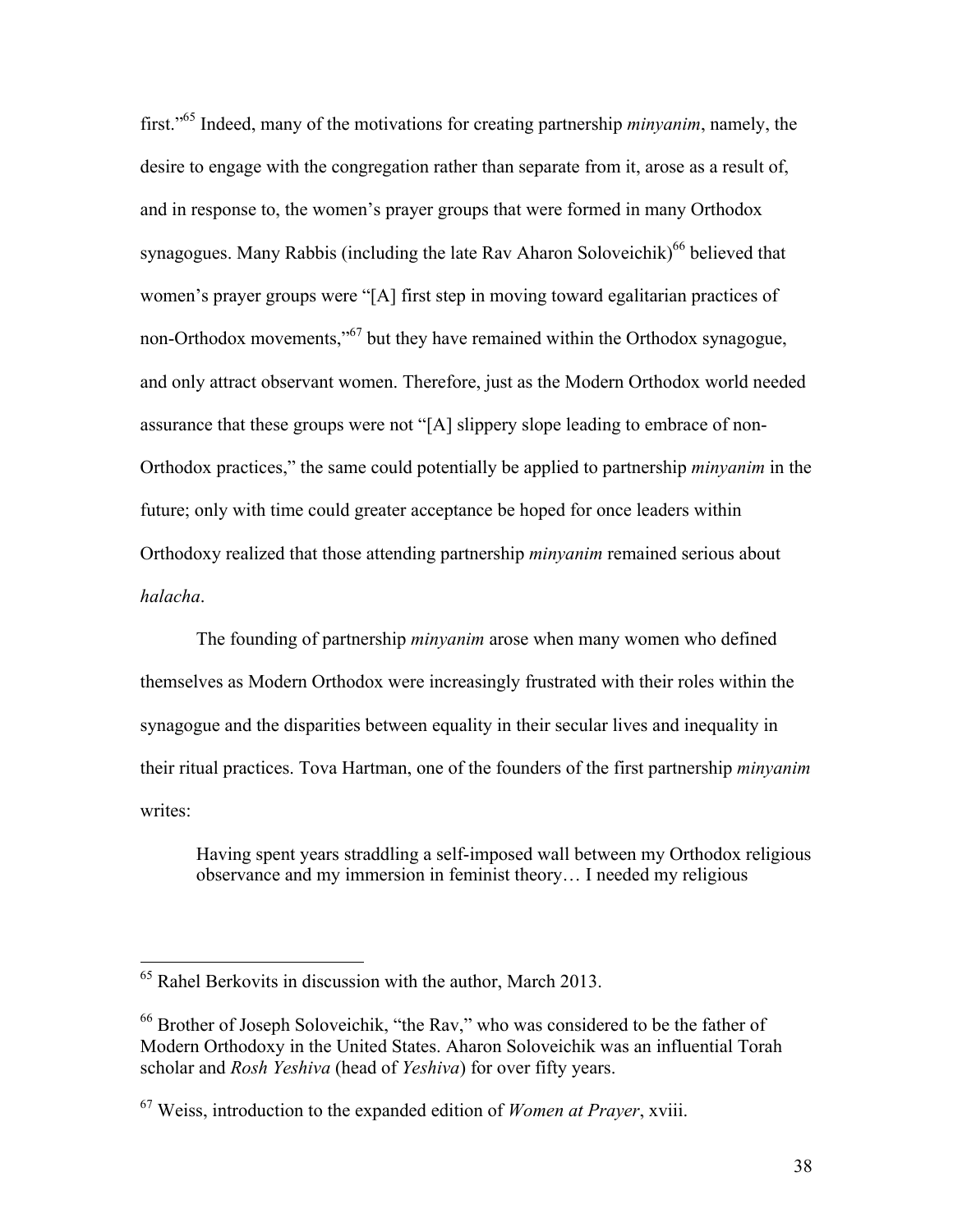first."65 Indeed, many of the motivations for creating partnership *minyanim*, namely, the desire to engage with the congregation rather than separate from it, arose as a result of, and in response to, the women's prayer groups that were formed in many Orthodox synagogues. Many Rabbis (including the late Rav Aharon Soloveichik)<sup>66</sup> believed that women's prayer groups were "[A] first step in moving toward egalitarian practices of non-Orthodox movements,"67 but they have remained within the Orthodox synagogue, and only attract observant women. Therefore, just as the Modern Orthodox world needed assurance that these groups were not "[A] slippery slope leading to embrace of non-Orthodox practices," the same could potentially be applied to partnership *minyanim* in the future; only with time could greater acceptance be hoped for once leaders within Orthodoxy realized that those attending partnership *minyanim* remained serious about *halacha*.

The founding of partnership *minyanim* arose when many women who defined themselves as Modern Orthodox were increasingly frustrated with their roles within the synagogue and the disparities between equality in their secular lives and inequality in their ritual practices. Tova Hartman, one of the founders of the first partnership *minyanim* writes:

Having spent years straddling a self-imposed wall between my Orthodox religious observance and my immersion in feminist theory… I needed my religious

 <sup>65</sup> Rahel Berkovits in discussion with the author, March 2013.

<sup>66</sup> Brother of Joseph Soloveichik, "the Rav," who was considered to be the father of Modern Orthodoxy in the United States. Aharon Soloveichik was an influential Torah scholar and *Rosh Yeshiva* (head of *Yeshiva*) for over fifty years.

<sup>67</sup> Weiss, introduction to the expanded edition of *Women at Prayer*, xviii.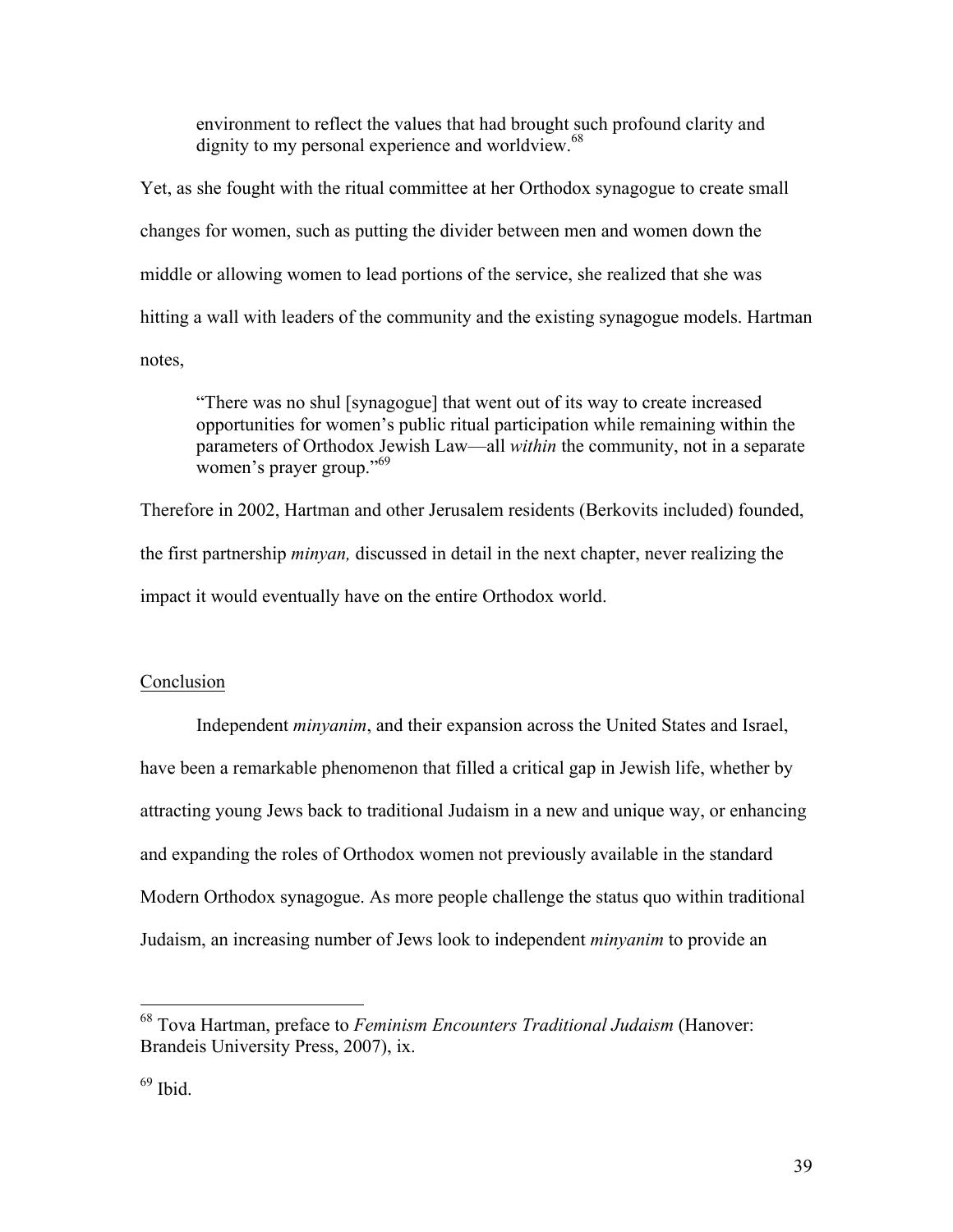environment to reflect the values that had brought such profound clarity and dignity to my personal experience and worldview.<sup>68</sup>

Yet, as she fought with the ritual committee at her Orthodox synagogue to create small changes for women, such as putting the divider between men and women down the middle or allowing women to lead portions of the service, she realized that she was hitting a wall with leaders of the community and the existing synagogue models. Hartman notes,

"There was no shul [synagogue] that went out of its way to create increased opportunities for women's public ritual participation while remaining within the parameters of Orthodox Jewish Law—all *within* the community, not in a separate women's prayer group."<sup>69</sup>

Therefore in 2002, Hartman and other Jerusalem residents (Berkovits included) founded, the first partnership *minyan,* discussed in detail in the next chapter, never realizing the impact it would eventually have on the entire Orthodox world.

## **Conclusion**

Independent *minyanim*, and their expansion across the United States and Israel, have been a remarkable phenomenon that filled a critical gap in Jewish life, whether by attracting young Jews back to traditional Judaism in a new and unique way, or enhancing and expanding the roles of Orthodox women not previously available in the standard Modern Orthodox synagogue. As more people challenge the status quo within traditional Judaism, an increasing number of Jews look to independent *minyanim* to provide an

 <sup>68</sup> Tova Hartman, preface to *Feminism Encounters Traditional Judaism* (Hanover: Brandeis University Press, 2007), ix.

 $69$  Ibid.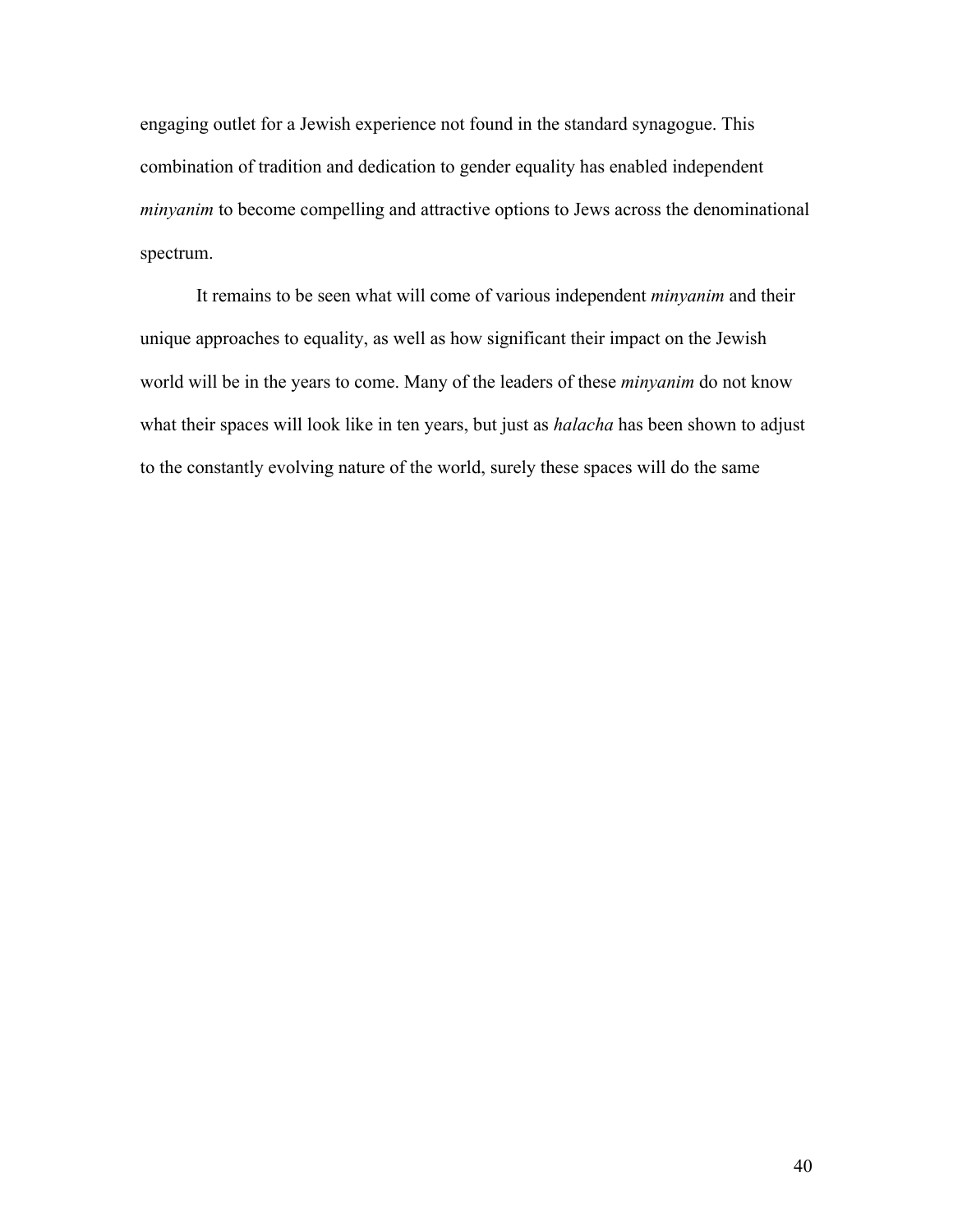engaging outlet for a Jewish experience not found in the standard synagogue. This combination of tradition and dedication to gender equality has enabled independent *minyanim* to become compelling and attractive options to Jews across the denominational spectrum.

It remains to be seen what will come of various independent *minyanim* and their unique approaches to equality, as well as how significant their impact on the Jewish world will be in the years to come. Many of the leaders of these *minyanim* do not know what their spaces will look like in ten years, but just as *halacha* has been shown to adjust to the constantly evolving nature of the world, surely these spaces will do the same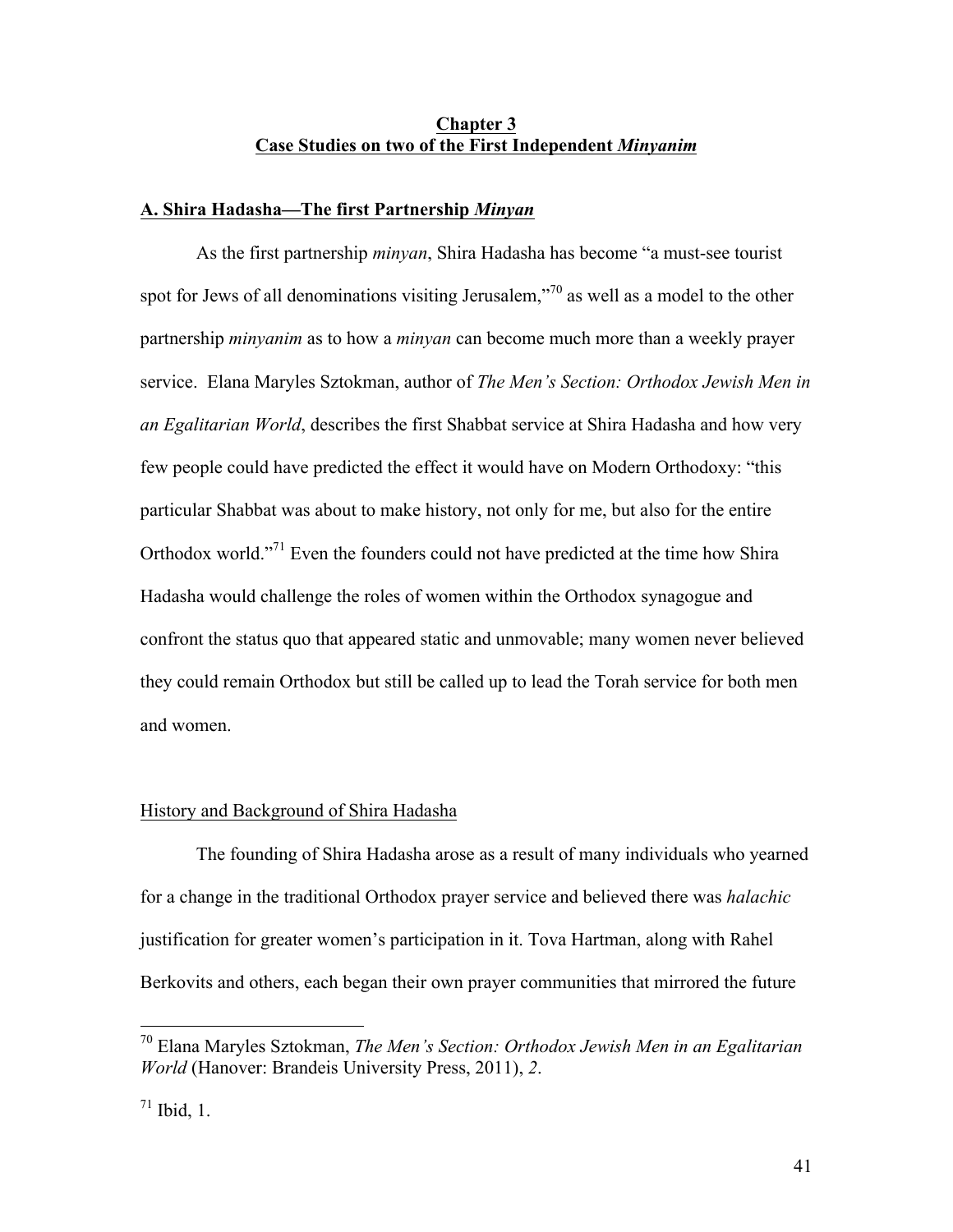# **Chapter 3 Case Studies on two of the First Independent** *Minyanim*

#### **A. Shira Hadasha—The first Partnership** *Minyan*

As the first partnership *minyan*, Shira Hadasha has become "a must-see tourist spot for Jews of all denominations visiting Jerusalem,"<sup>70</sup> as well as a model to the other partnership *minyanim* as to how a *minyan* can become much more than a weekly prayer service. Elana Maryles Sztokman, author of *The Men's Section: Orthodox Jewish Men in an Egalitarian World*, describes the first Shabbat service at Shira Hadasha and how very few people could have predicted the effect it would have on Modern Orthodoxy: "this particular Shabbat was about to make history, not only for me, but also for the entire Orthodox world."71 Even the founders could not have predicted at the time how Shira Hadasha would challenge the roles of women within the Orthodox synagogue and confront the status quo that appeared static and unmovable; many women never believed they could remain Orthodox but still be called up to lead the Torah service for both men and women.

#### History and Background of Shira Hadasha

The founding of Shira Hadasha arose as a result of many individuals who yearned for a change in the traditional Orthodox prayer service and believed there was *halachic* justification for greater women's participation in it. Tova Hartman, along with Rahel Berkovits and others, each began their own prayer communities that mirrored the future

 <sup>70</sup> Elana Maryles Sztokman, *The Men's Section: Orthodox Jewish Men in an Egalitarian World* (Hanover: Brandeis University Press, 2011), *2*.

 $71$  Ibid, 1.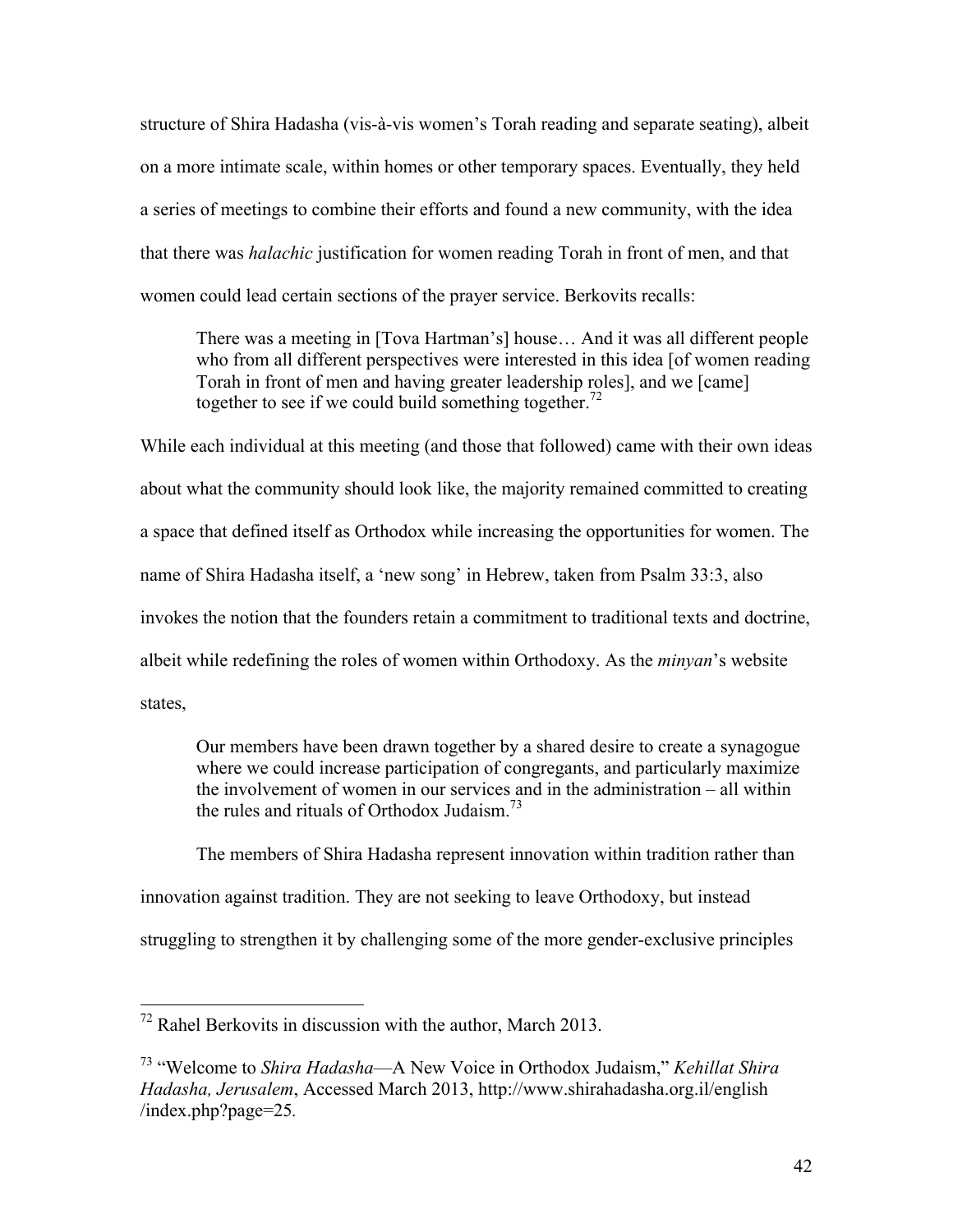structure of Shira Hadasha (vis-à-vis women's Torah reading and separate seating), albeit on a more intimate scale, within homes or other temporary spaces. Eventually, they held a series of meetings to combine their efforts and found a new community, with the idea that there was *halachic* justification for women reading Torah in front of men, and that women could lead certain sections of the prayer service. Berkovits recalls:

There was a meeting in [Tova Hartman's] house… And it was all different people who from all different perspectives were interested in this idea [of women reading Torah in front of men and having greater leadership roles], and we [came] together to see if we could build something together.<sup>72</sup>

While each individual at this meeting (and those that followed) came with their own ideas about what the community should look like, the majority remained committed to creating a space that defined itself as Orthodox while increasing the opportunities for women. The name of Shira Hadasha itself, a 'new song' in Hebrew, taken from Psalm 33:3, also invokes the notion that the founders retain a commitment to traditional texts and doctrine, albeit while redefining the roles of women within Orthodoxy. As the *minyan*'s website states,

Our members have been drawn together by a shared desire to create a synagogue where we could increase participation of congregants, and particularly maximize the involvement of women in our services and in the administration – all within the rules and rituals of Orthodox Judaism<sup> $73$ </sup>

The members of Shira Hadasha represent innovation within tradition rather than innovation against tradition. They are not seeking to leave Orthodoxy, but instead struggling to strengthen it by challenging some of the more gender-exclusive principles

 <sup>72</sup> Rahel Berkovits in discussion with the author, March 2013.

<sup>73</sup> "Welcome to *Shira Hadasha*—A New Voice in Orthodox Judaism," *Kehillat Shira Hadasha, Jerusalem*, Accessed March 2013, http://www.shirahadasha.org.il/english /index.php?page=25*.*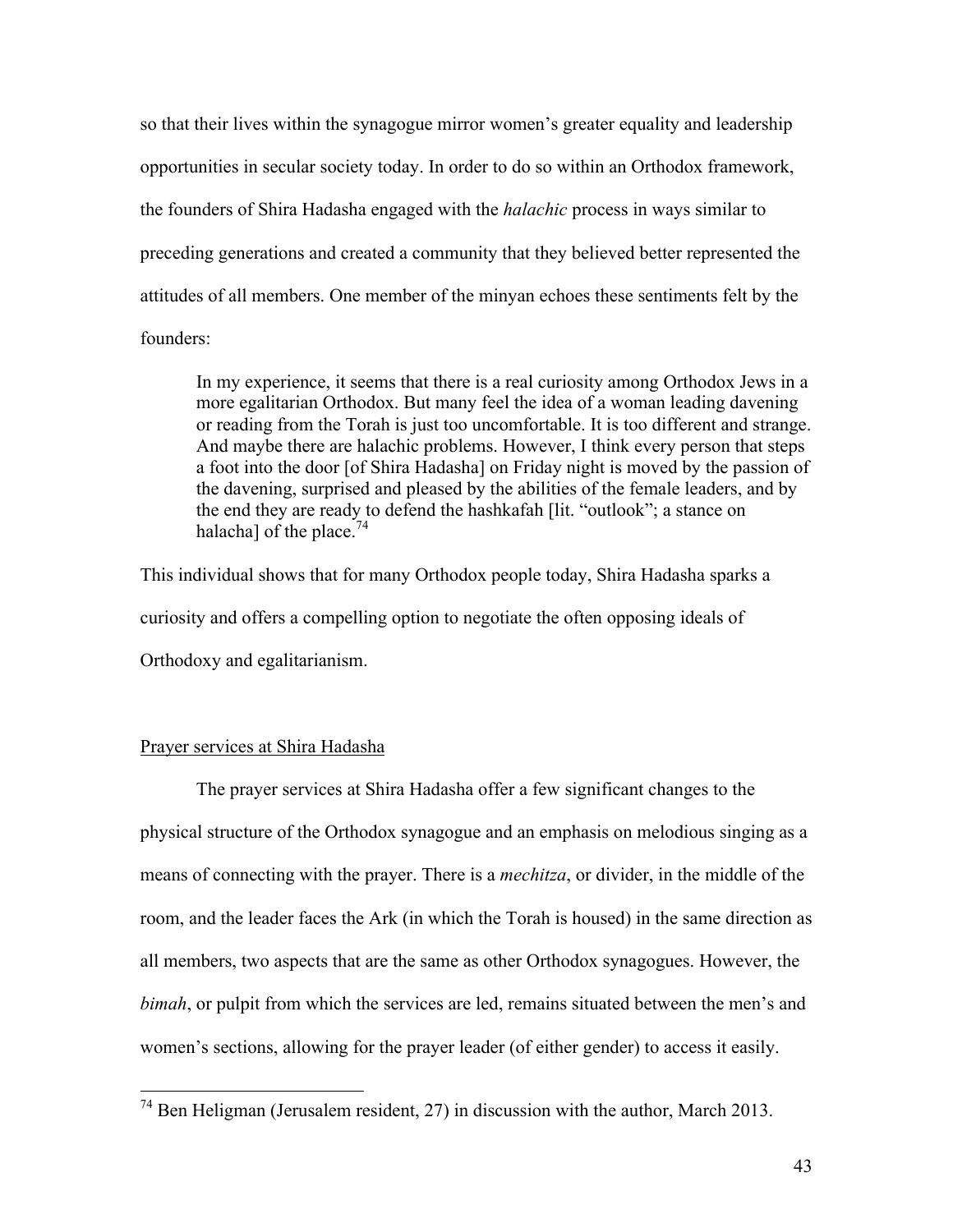so that their lives within the synagogue mirror women's greater equality and leadership opportunities in secular society today. In order to do so within an Orthodox framework, the founders of Shira Hadasha engaged with the *halachic* process in ways similar to preceding generations and created a community that they believed better represented the attitudes of all members. One member of the minyan echoes these sentiments felt by the founders:

In my experience, it seems that there is a real curiosity among Orthodox Jews in a more egalitarian Orthodox. But many feel the idea of a woman leading davening or reading from the Torah is just too uncomfortable. It is too different and strange. And maybe there are halachic problems. However, I think every person that steps a foot into the door [of Shira Hadasha] on Friday night is moved by the passion of the davening, surprised and pleased by the abilities of the female leaders, and by the end they are ready to defend the hashkafah [lit. "outlook"; a stance on halacha] of the place.<sup>74</sup>

This individual shows that for many Orthodox people today, Shira Hadasha sparks a curiosity and offers a compelling option to negotiate the often opposing ideals of Orthodoxy and egalitarianism.

# Prayer services at Shira Hadasha

The prayer services at Shira Hadasha offer a few significant changes to the physical structure of the Orthodox synagogue and an emphasis on melodious singing as a means of connecting with the prayer. There is a *mechitza*, or divider, in the middle of the room, and the leader faces the Ark (in which the Torah is housed) in the same direction as all members, two aspects that are the same as other Orthodox synagogues. However, the *bimah*, or pulpit from which the services are led, remains situated between the men's and women's sections, allowing for the prayer leader (of either gender) to access it easily.

 <sup>74</sup> Ben Heligman (Jerusalem resident, 27) in discussion with the author, March 2013.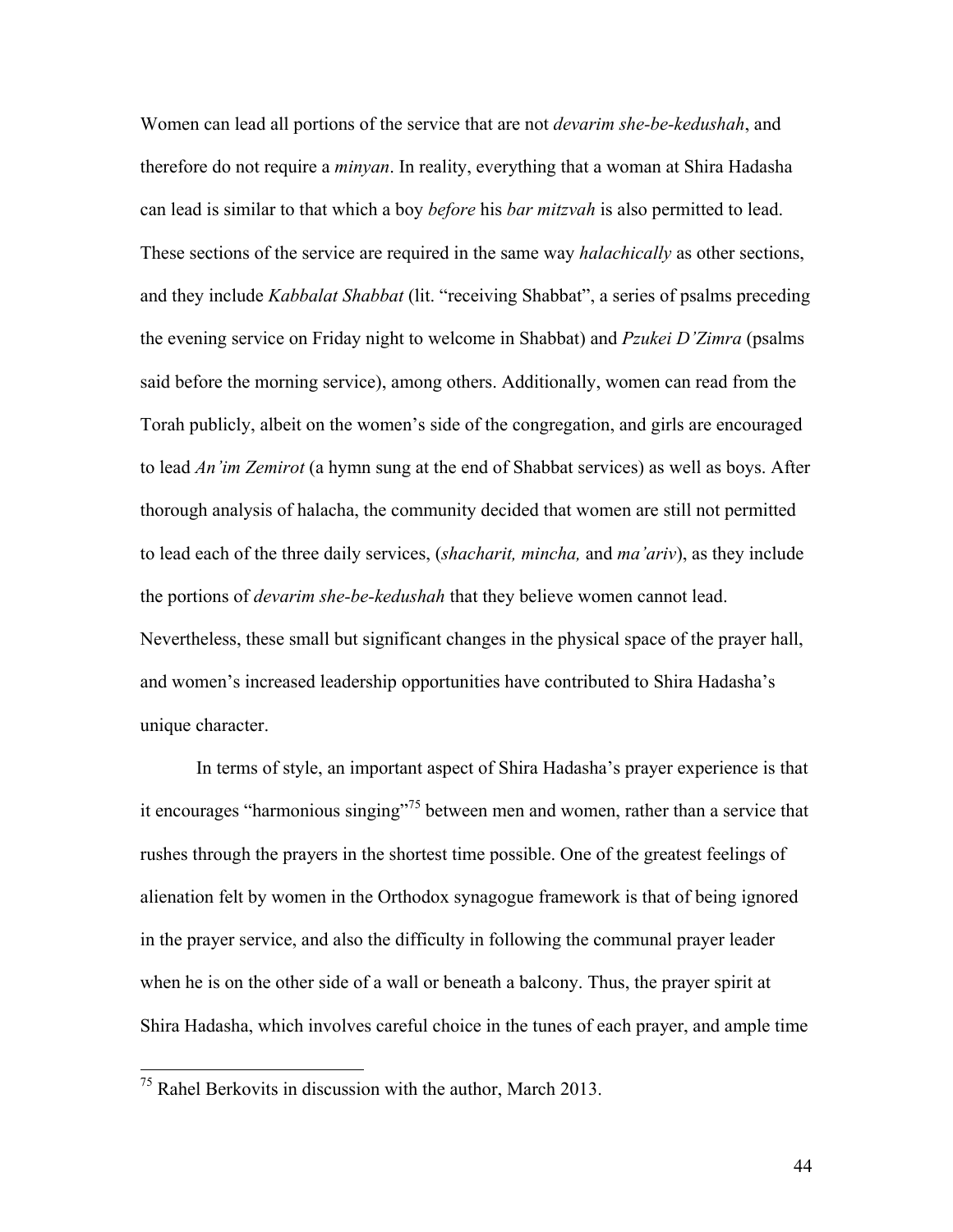Women can lead all portions of the service that are not *devarim she-be-kedushah*, and therefore do not require a *minyan*. In reality, everything that a woman at Shira Hadasha can lead is similar to that which a boy *before* his *bar mitzvah* is also permitted to lead. These sections of the service are required in the same way *halachically* as other sections, and they include *Kabbalat Shabbat* (lit. "receiving Shabbat", a series of psalms preceding the evening service on Friday night to welcome in Shabbat) and *Pzukei D'Zimra* (psalms said before the morning service), among others. Additionally, women can read from the Torah publicly, albeit on the women's side of the congregation, and girls are encouraged to lead *An'im Zemirot* (a hymn sung at the end of Shabbat services) as well as boys. After thorough analysis of halacha, the community decided that women are still not permitted to lead each of the three daily services, (*shacharit, mincha,* and *ma'ariv*), as they include the portions of *devarim she-be-kedushah* that they believe women cannot lead. Nevertheless, these small but significant changes in the physical space of the prayer hall, and women's increased leadership opportunities have contributed to Shira Hadasha's unique character.

In terms of style, an important aspect of Shira Hadasha's prayer experience is that it encourages "harmonious singing"<sup>75</sup> between men and women, rather than a service that rushes through the prayers in the shortest time possible. One of the greatest feelings of alienation felt by women in the Orthodox synagogue framework is that of being ignored in the prayer service, and also the difficulty in following the communal prayer leader when he is on the other side of a wall or beneath a balcony. Thus, the prayer spirit at Shira Hadasha, which involves careful choice in the tunes of each prayer, and ample time

 <sup>75</sup> Rahel Berkovits in discussion with the author, March 2013.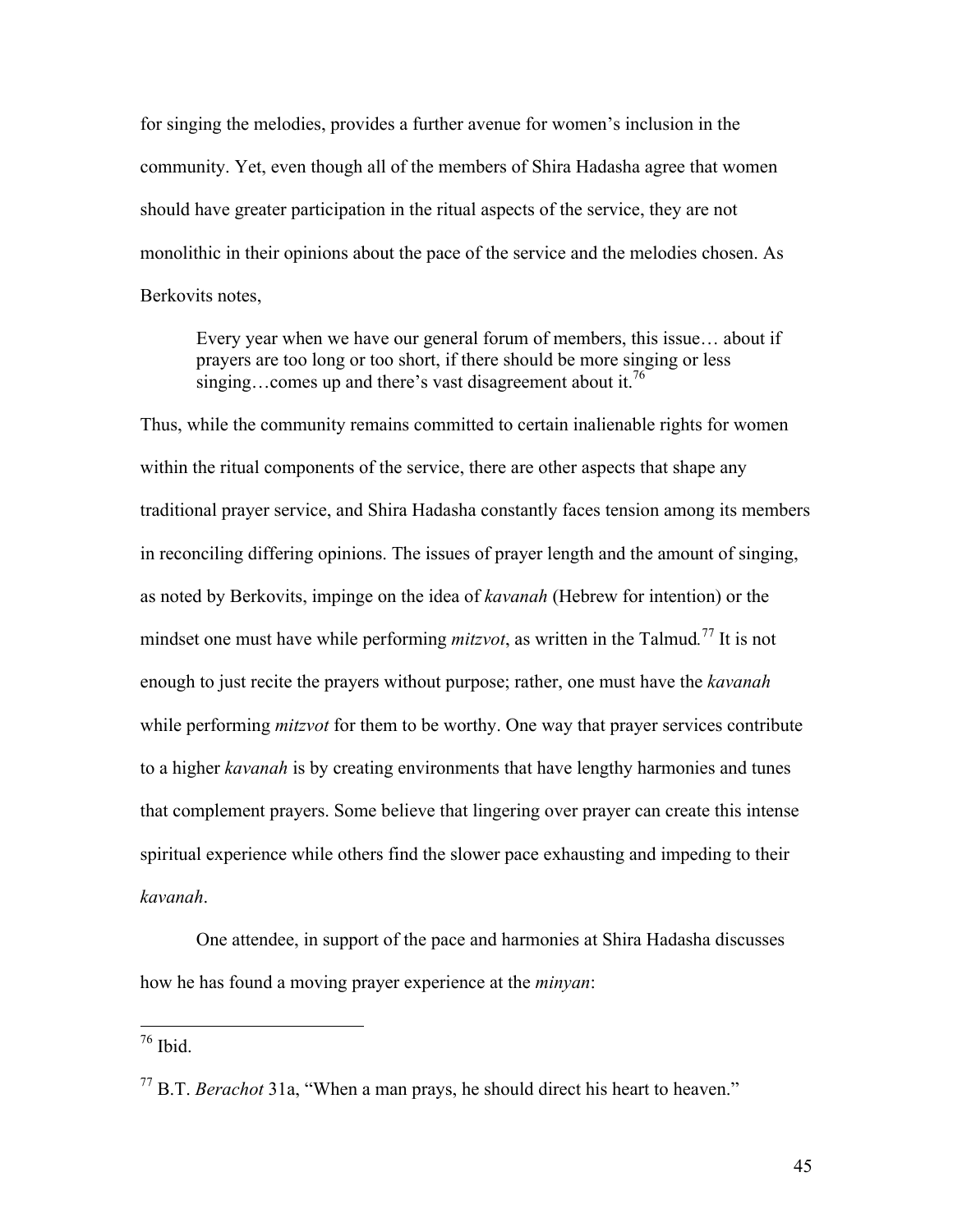for singing the melodies, provides a further avenue for women's inclusion in the community. Yet, even though all of the members of Shira Hadasha agree that women should have greater participation in the ritual aspects of the service, they are not monolithic in their opinions about the pace of the service and the melodies chosen. As Berkovits notes,

Every year when we have our general forum of members, this issue… about if prayers are too long or too short, if there should be more singing or less singing...comes up and there's vast disagreement about it.<sup>76</sup>

Thus, while the community remains committed to certain inalienable rights for women within the ritual components of the service, there are other aspects that shape any traditional prayer service, and Shira Hadasha constantly faces tension among its members in reconciling differing opinions. The issues of prayer length and the amount of singing, as noted by Berkovits, impinge on the idea of *kavanah* (Hebrew for intention) or the mindset one must have while performing *mitzvot*, as written in the Talmud*.* <sup>77</sup> It is not enough to just recite the prayers without purpose; rather, one must have the *kavanah* while performing *mitzvot* for them to be worthy. One way that prayer services contribute to a higher *kavanah* is by creating environments that have lengthy harmonies and tunes that complement prayers. Some believe that lingering over prayer can create this intense spiritual experience while others find the slower pace exhausting and impeding to their *kavanah*.

One attendee, in support of the pace and harmonies at Shira Hadasha discusses how he has found a moving prayer experience at the *minyan*:

 <sup>76</sup> Ibid.

45

<sup>77</sup> B.T. *Berachot* 31a, "When a man prays, he should direct his heart to heaven."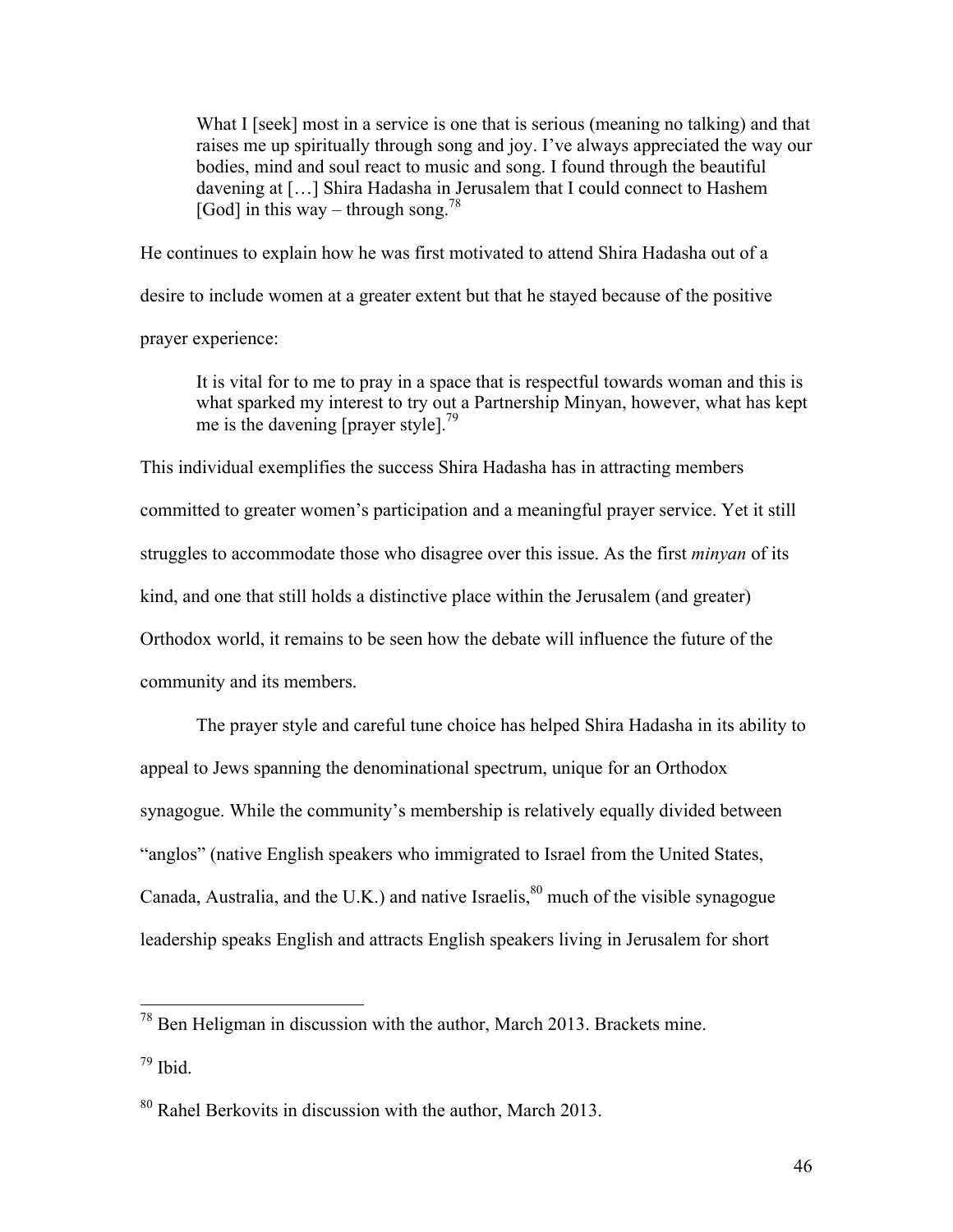What I [seek] most in a service is one that is serious (meaning no talking) and that raises me up spiritually through song and joy. I've always appreciated the way our bodies, mind and soul react to music and song. I found through the beautiful davening at […] Shira Hadasha in Jerusalem that I could connect to Hashem [God] in this way – through song.<sup>78</sup>

He continues to explain how he was first motivated to attend Shira Hadasha out of a desire to include women at a greater extent but that he stayed because of the positive prayer experience:

It is vital for to me to pray in a space that is respectful towards woman and this is what sparked my interest to try out a Partnership Minyan, however, what has kept me is the davening [prayer style].<sup>79</sup>

This individual exemplifies the success Shira Hadasha has in attracting members committed to greater women's participation and a meaningful prayer service. Yet it still struggles to accommodate those who disagree over this issue. As the first *minyan* of its kind, and one that still holds a distinctive place within the Jerusalem (and greater) Orthodox world, it remains to be seen how the debate will influence the future of the community and its members.

The prayer style and careful tune choice has helped Shira Hadasha in its ability to appeal to Jews spanning the denominational spectrum, unique for an Orthodox synagogue. While the community's membership is relatively equally divided between "anglos" (native English speakers who immigrated to Israel from the United States, Canada, Australia, and the U.K.) and native Israelis, $80$  much of the visible synagogue leadership speaks English and attracts English speakers living in Jerusalem for short

 <sup>78</sup> Ben Heligman in discussion with the author, March 2013. Brackets mine.  $79$  Ibid.

 $80$  Rahel Berkovits in discussion with the author, March 2013.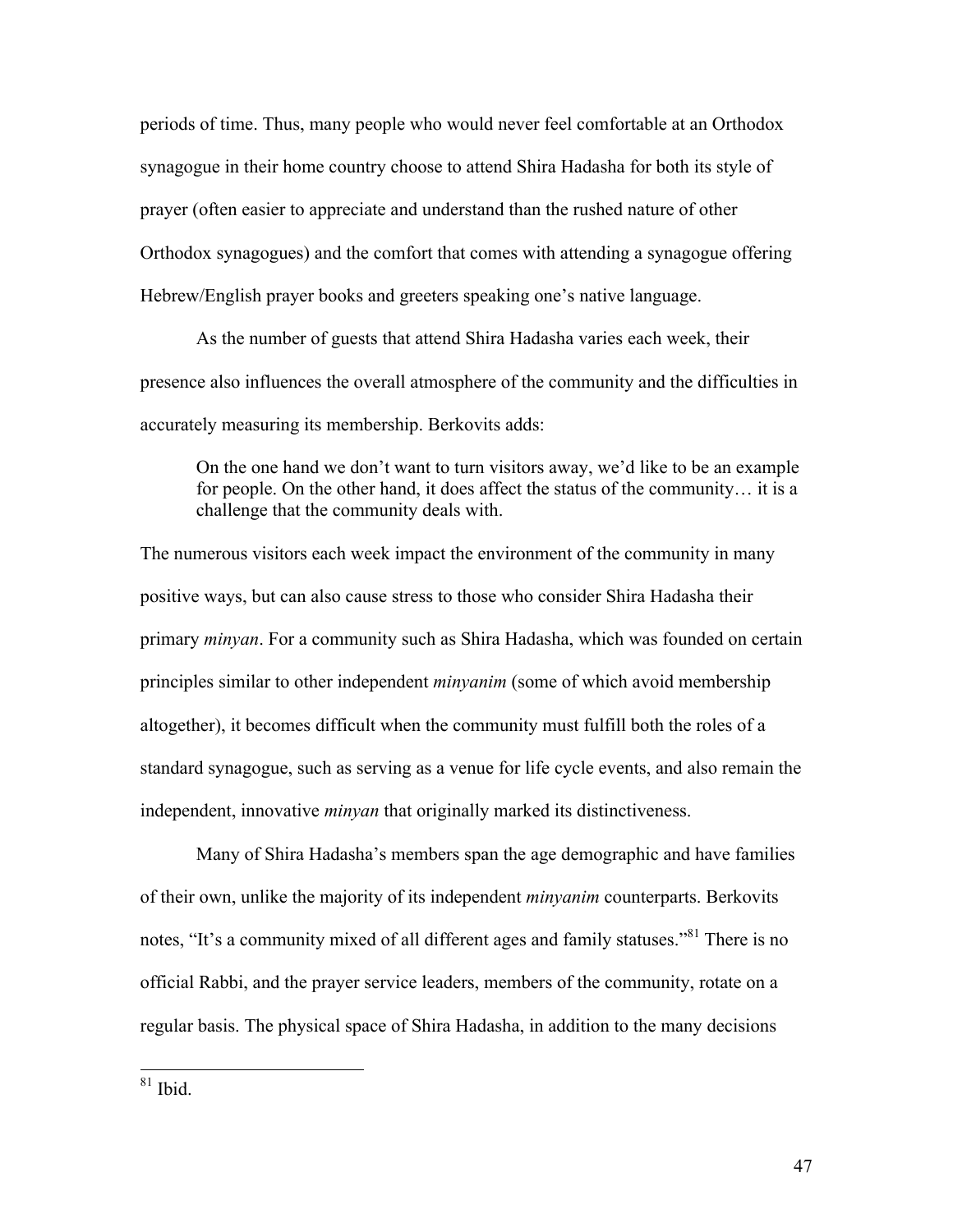periods of time. Thus, many people who would never feel comfortable at an Orthodox synagogue in their home country choose to attend Shira Hadasha for both its style of prayer (often easier to appreciate and understand than the rushed nature of other Orthodox synagogues) and the comfort that comes with attending a synagogue offering Hebrew/English prayer books and greeters speaking one's native language.

As the number of guests that attend Shira Hadasha varies each week, their presence also influences the overall atmosphere of the community and the difficulties in accurately measuring its membership. Berkovits adds:

On the one hand we don't want to turn visitors away, we'd like to be an example for people. On the other hand, it does affect the status of the community… it is a challenge that the community deals with.

The numerous visitors each week impact the environment of the community in many positive ways, but can also cause stress to those who consider Shira Hadasha their primary *minyan*. For a community such as Shira Hadasha, which was founded on certain principles similar to other independent *minyanim* (some of which avoid membership altogether), it becomes difficult when the community must fulfill both the roles of a standard synagogue, such as serving as a venue for life cycle events, and also remain the independent, innovative *minyan* that originally marked its distinctiveness.

Many of Shira Hadasha's members span the age demographic and have families of their own, unlike the majority of its independent *minyanim* counterparts. Berkovits notes, "It's a community mixed of all different ages and family statuses."<sup>81</sup> There is no official Rabbi, and the prayer service leaders, members of the community, rotate on a regular basis. The physical space of Shira Hadasha, in addition to the many decisions

 $81$  Ibid.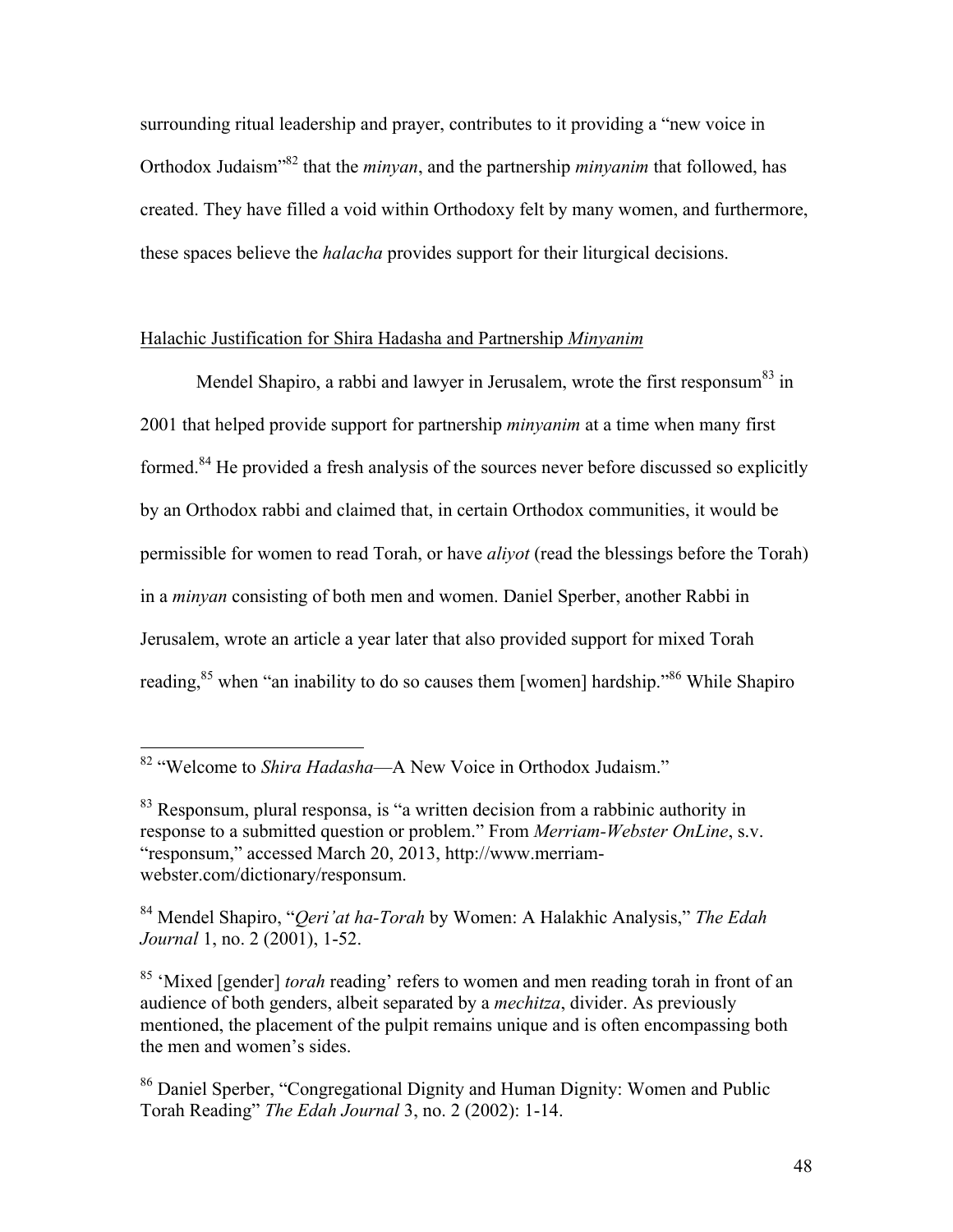surrounding ritual leadership and prayer, contributes to it providing a "new voice in Orthodox Judaism"82 that the *minyan*, and the partnership *minyanim* that followed, has created. They have filled a void within Orthodoxy felt by many women, and furthermore, these spaces believe the *halacha* provides support for their liturgical decisions.

# Halachic Justification for Shira Hadasha and Partnership *Minyanim*

Mendel Shapiro, a rabbi and lawyer in Jerusalem, wrote the first responsum<sup>83</sup> in 2001 that helped provide support for partnership *minyanim* at a time when many first formed.<sup>84</sup> He provided a fresh analysis of the sources never before discussed so explicitly by an Orthodox rabbi and claimed that, in certain Orthodox communities, it would be permissible for women to read Torah, or have *aliyot* (read the blessings before the Torah) in a *minyan* consisting of both men and women. Daniel Sperber, another Rabbi in Jerusalem, wrote an article a year later that also provided support for mixed Torah reading,<sup>85</sup> when "an inability to do so causes them [women] hardship."<sup>86</sup> While Shapiro

 <sup>82</sup> "Welcome to *Shira Hadasha*—A New Voice in Orthodox Judaism."

<sup>&</sup>lt;sup>83</sup> Responsum, plural responsa, is "a written decision from a rabbinic authority in response to a submitted question or problem." From *Merriam-Webster OnLine*, s.v. "responsum," accessed March 20, 2013, http://www.merriamwebster.com/dictionary/responsum.

<sup>84</sup> Mendel Shapiro, "*Qeri'at ha-Torah* by Women: A Halakhic Analysis," *The Edah Journal* 1, no. 2 (2001), 1-52.

<sup>85</sup> 'Mixed [gender] *torah* reading' refers to women and men reading torah in front of an audience of both genders, albeit separated by a *mechitza*, divider. As previously mentioned, the placement of the pulpit remains unique and is often encompassing both the men and women's sides.

<sup>86</sup> Daniel Sperber, "Congregational Dignity and Human Dignity: Women and Public Torah Reading" *The Edah Journal* 3, no. 2 (2002): 1-14.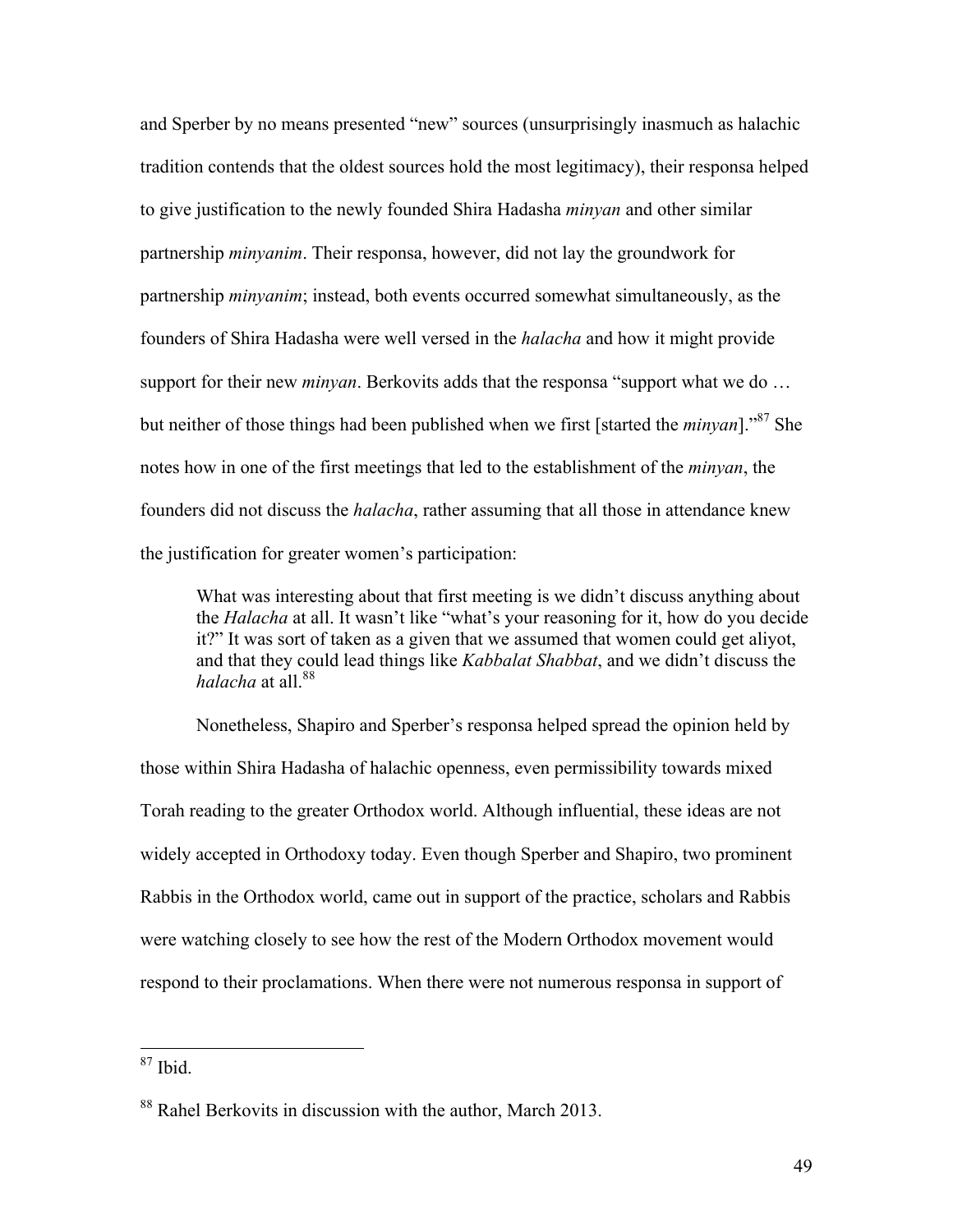and Sperber by no means presented "new" sources (unsurprisingly inasmuch as halachic tradition contends that the oldest sources hold the most legitimacy), their responsa helped to give justification to the newly founded Shira Hadasha *minyan* and other similar partnership *minyanim*. Their responsa, however, did not lay the groundwork for partnership *minyanim*; instead, both events occurred somewhat simultaneously, as the founders of Shira Hadasha were well versed in the *halacha* and how it might provide support for their new *minyan*. Berkovits adds that the responsa "support what we do … but neither of those things had been published when we first [started the *minyan*]."87 She notes how in one of the first meetings that led to the establishment of the *minyan*, the founders did not discuss the *halacha*, rather assuming that all those in attendance knew the justification for greater women's participation:

What was interesting about that first meeting is we didn't discuss anything about the *Halacha* at all. It wasn't like "what's your reasoning for it, how do you decide it?" It was sort of taken as a given that we assumed that women could get aliyot, and that they could lead things like *Kabbalat Shabbat*, and we didn't discuss the *halacha* at all <sup>88</sup>

Nonetheless, Shapiro and Sperber's responsa helped spread the opinion held by those within Shira Hadasha of halachic openness, even permissibility towards mixed Torah reading to the greater Orthodox world. Although influential, these ideas are not widely accepted in Orthodoxy today. Even though Sperber and Shapiro, two prominent Rabbis in the Orthodox world, came out in support of the practice, scholars and Rabbis were watching closely to see how the rest of the Modern Orthodox movement would respond to their proclamations. When there were not numerous responsa in support of

 $87$  Ibid.

<sup>88</sup> Rahel Berkovits in discussion with the author, March 2013.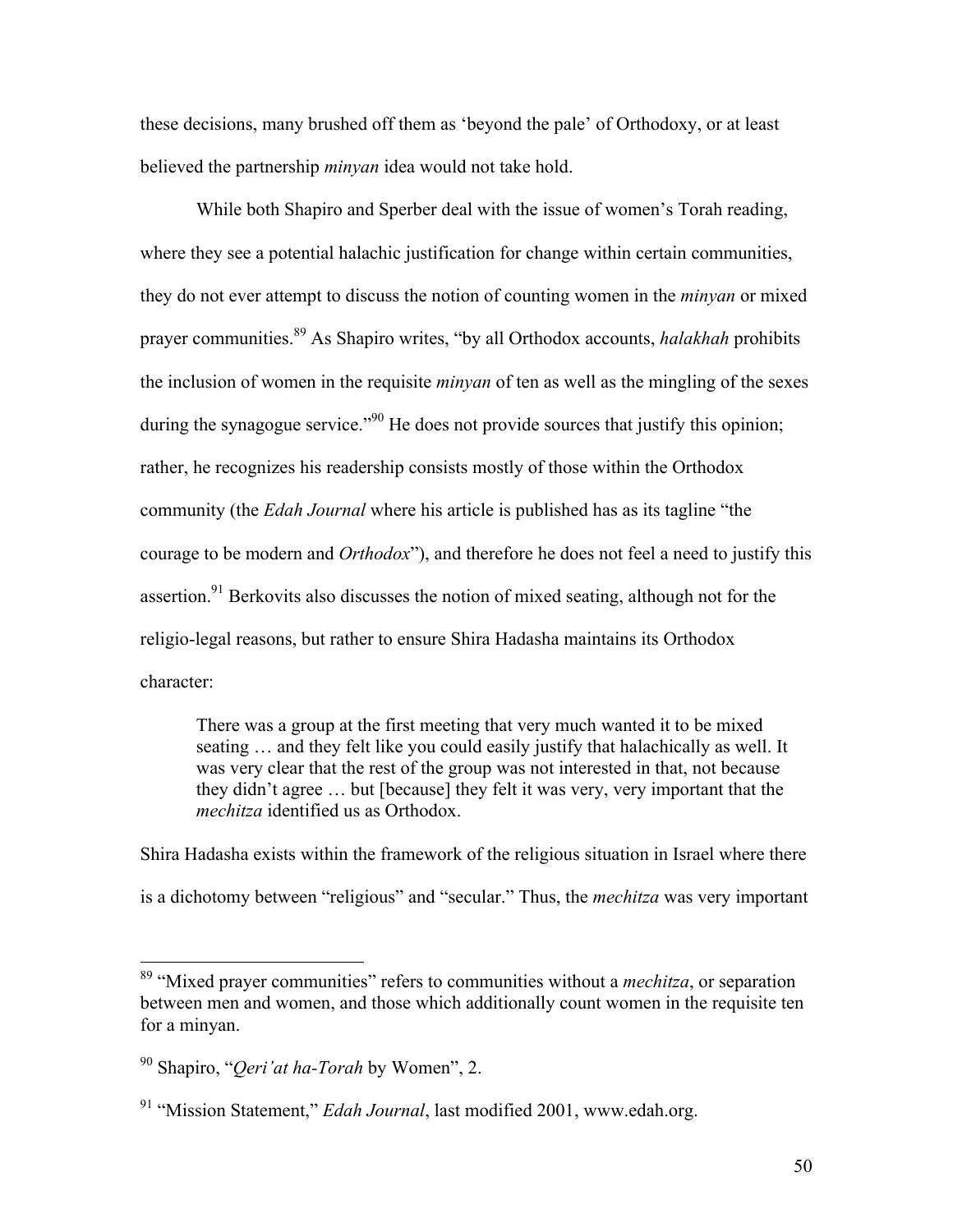these decisions, many brushed off them as 'beyond the pale' of Orthodoxy, or at least believed the partnership *minyan* idea would not take hold.

While both Shapiro and Sperber deal with the issue of women's Torah reading, where they see a potential halachic justification for change within certain communities, they do not ever attempt to discuss the notion of counting women in the *minyan* or mixed prayer communities. <sup>89</sup> As Shapiro writes, "by all Orthodox accounts, *halakhah* prohibits the inclusion of women in the requisite *minyan* of ten as well as the mingling of the sexes during the synagogue service."<sup>90</sup> He does not provide sources that justify this opinion; rather, he recognizes his readership consists mostly of those within the Orthodox community (the *Edah Journal* where his article is published has as its tagline "the courage to be modern and *Orthodox*"), and therefore he does not feel a need to justify this assertion.<sup>91</sup> Berkovits also discusses the notion of mixed seating, although not for the religio-legal reasons, but rather to ensure Shira Hadasha maintains its Orthodox character:

There was a group at the first meeting that very much wanted it to be mixed seating … and they felt like you could easily justify that halachically as well. It was very clear that the rest of the group was not interested in that, not because they didn't agree … but [because] they felt it was very, very important that the *mechitza* identified us as Orthodox.

Shira Hadasha exists within the framework of the religious situation in Israel where there is a dichotomy between "religious" and "secular." Thus, the *mechitza* was very important

 <sup>89</sup> "Mixed prayer communities" refers to communities without a *mechitza*, or separation between men and women, and those which additionally count women in the requisite ten for a minyan.

<sup>90</sup> Shapiro, "*Qeri'at ha-Torah* by Women", 2.

<sup>91</sup> "Mission Statement," *Edah Journal*, last modified 2001, www.edah.org.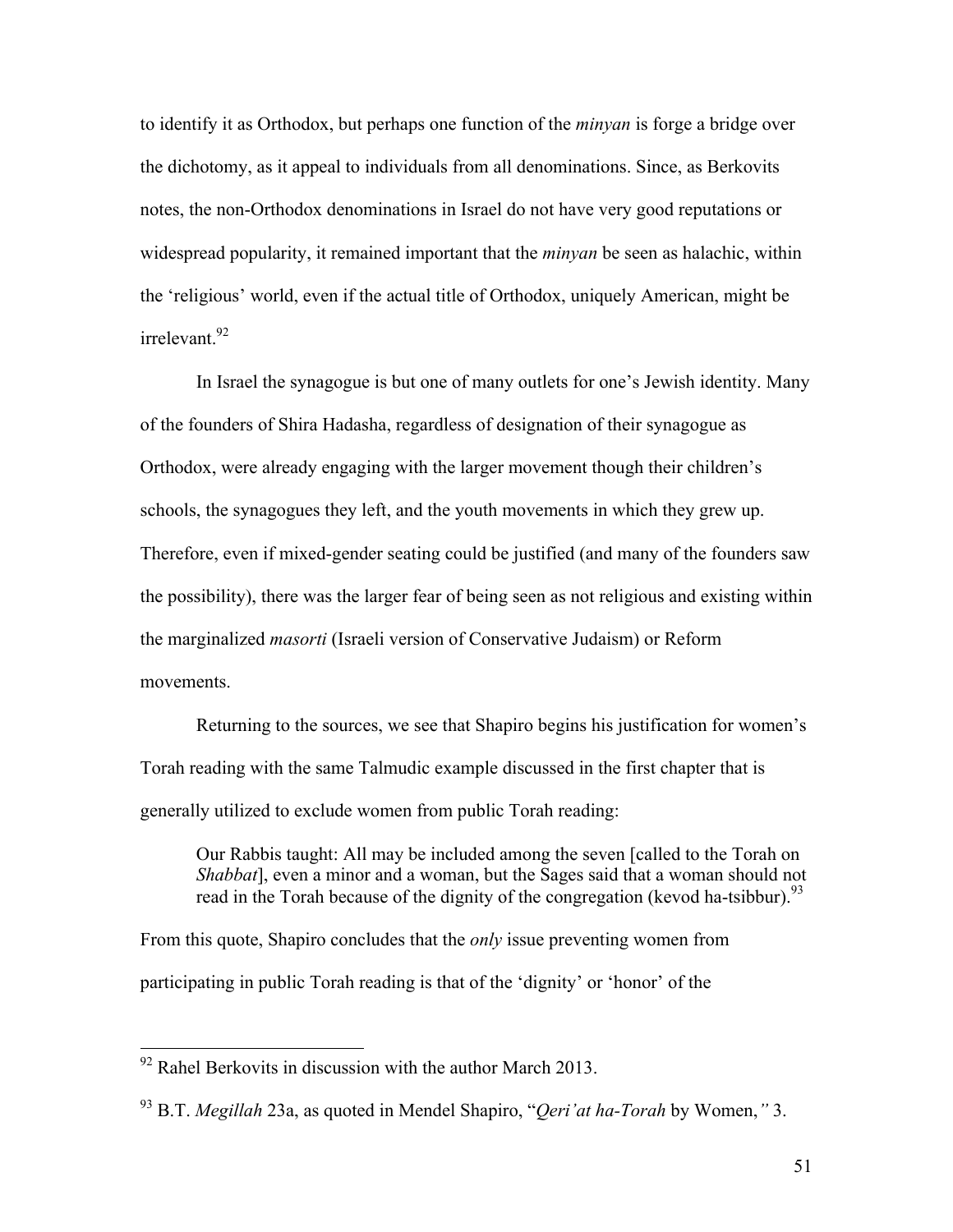to identify it as Orthodox, but perhaps one function of the *minyan* is forge a bridge over the dichotomy, as it appeal to individuals from all denominations. Since, as Berkovits notes, the non-Orthodox denominations in Israel do not have very good reputations or widespread popularity, it remained important that the *minyan* be seen as halachic, within the 'religious' world, even if the actual title of Orthodox, uniquely American, might be  $irrel$ <sub>evant</sub> $92$ 

In Israel the synagogue is but one of many outlets for one's Jewish identity. Many of the founders of Shira Hadasha, regardless of designation of their synagogue as Orthodox, were already engaging with the larger movement though their children's schools, the synagogues they left, and the youth movements in which they grew up. Therefore, even if mixed-gender seating could be justified (and many of the founders saw the possibility), there was the larger fear of being seen as not religious and existing within the marginalized *masorti* (Israeli version of Conservative Judaism) or Reform movements.

Returning to the sources, we see that Shapiro begins his justification for women's Torah reading with the same Talmudic example discussed in the first chapter that is generally utilized to exclude women from public Torah reading:

Our Rabbis taught: All may be included among the seven [called to the Torah on *Shabbat*], even a minor and a woman, but the Sages said that a woman should not read in the Torah because of the dignity of the congregation (kevod ha-tsibbur).<sup>93</sup>

From this quote, Shapiro concludes that the *only* issue preventing women from participating in public Torah reading is that of the 'dignity' or 'honor' of the

 $92$  Rahel Berkovits in discussion with the author March 2013.

<sup>93</sup> B.T. *Megillah* 23a, as quoted in Mendel Shapiro, "*Qeri'at ha-Torah* by Women,*"* 3.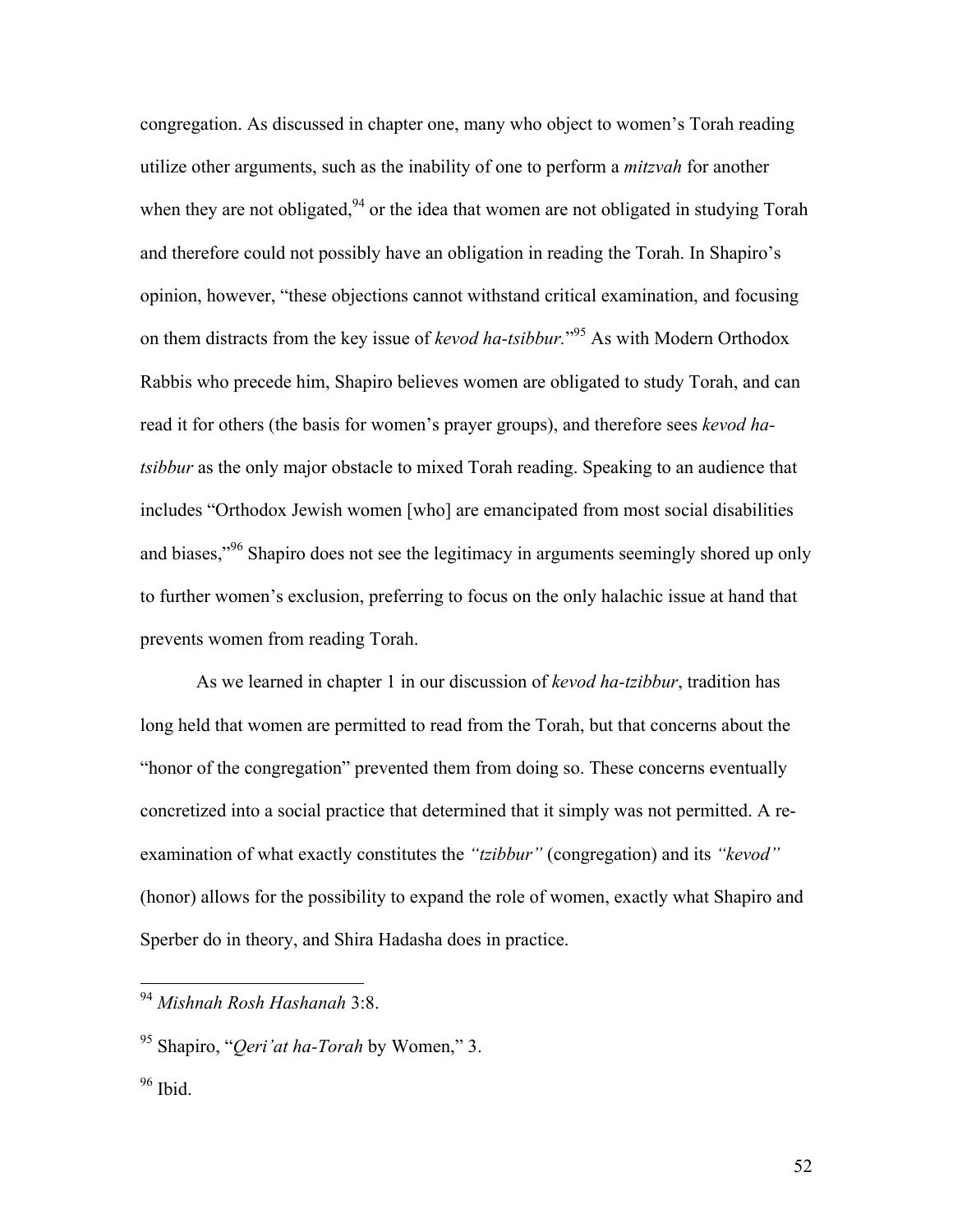congregation. As discussed in chapter one, many who object to women's Torah reading utilize other arguments, such as the inability of one to perform a *mitzvah* for another when they are not obligated, $94$  or the idea that women are not obligated in studying Torah and therefore could not possibly have an obligation in reading the Torah. In Shapiro's opinion, however, "these objections cannot withstand critical examination, and focusing on them distracts from the key issue of *kevod ha-tsibbur.*" <sup>95</sup> As with Modern Orthodox Rabbis who precede him, Shapiro believes women are obligated to study Torah, and can read it for others (the basis for women's prayer groups), and therefore sees *kevod hatsibbur* as the only major obstacle to mixed Torah reading. Speaking to an audience that includes "Orthodox Jewish women [who] are emancipated from most social disabilities and biases,"<sup>96</sup> Shapiro does not see the legitimacy in arguments seemingly shored up only to further women's exclusion, preferring to focus on the only halachic issue at hand that prevents women from reading Torah.

As we learned in chapter 1 in our discussion of *kevod ha-tzibbur*, tradition has long held that women are permitted to read from the Torah, but that concerns about the "honor of the congregation" prevented them from doing so. These concerns eventually concretized into a social practice that determined that it simply was not permitted. A reexamination of what exactly constitutes the *"tzibbur"* (congregation) and its *"kevod"*  (honor) allows for the possibility to expand the role of women, exactly what Shapiro and Sperber do in theory, and Shira Hadasha does in practice.

 <sup>94</sup> *Mishnah Rosh Hashanah* 3:8.

<sup>95</sup> Shapiro, "*Qeri'at ha-Torah* by Women," 3.

<sup>96</sup> Ibid.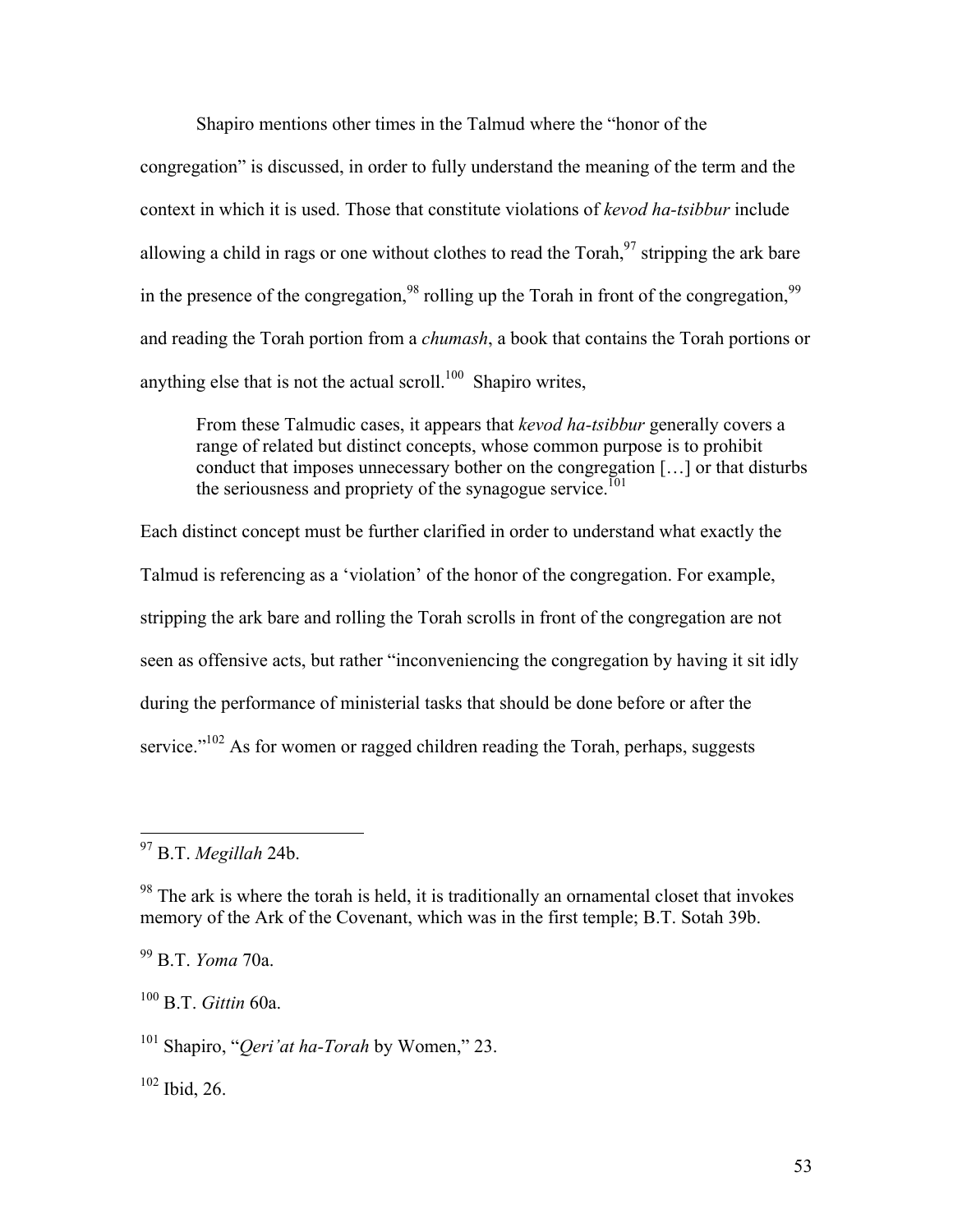Shapiro mentions other times in the Talmud where the "honor of the congregation" is discussed, in order to fully understand the meaning of the term and the context in which it is used. Those that constitute violations of *kevod ha-tsibbur* include allowing a child in rags or one without clothes to read the  $Torah, <sup>97</sup>$  stripping the ark bare in the presence of the congregation,<sup>98</sup> rolling up the Torah in front of the congregation,  $99$ and reading the Torah portion from a *chumash*, a book that contains the Torah portions or anything else that is not the actual scroll.<sup>100</sup> Shapiro writes,

From these Talmudic cases, it appears that *kevod ha-tsibbur* generally covers a range of related but distinct concepts, whose common purpose is to prohibit conduct that imposes unnecessary bother on the congregation […] or that disturbs the seriousness and propriety of the synagogue service.<sup>[01]</sup>

Each distinct concept must be further clarified in order to understand what exactly the Talmud is referencing as a 'violation' of the honor of the congregation. For example, stripping the ark bare and rolling the Torah scrolls in front of the congregation are not seen as offensive acts, but rather "inconveniencing the congregation by having it sit idly during the performance of ministerial tasks that should be done before or after the service."<sup>102</sup> As for women or ragged children reading the Torah, perhaps, suggests

<sup>100</sup> B.T. *Gittin* 60a.

<sup>101</sup> Shapiro, "*Qeri'at ha-Torah* by Women," 23.

 $102$  Ibid, 26.

 <sup>97</sup> B.T. *Megillah* 24b.

 $98$  The ark is where the torah is held, it is traditionally an ornamental closet that invokes memory of the Ark of the Covenant, which was in the first temple; B.T. Sotah 39b.

<sup>99</sup> B.T. *Yoma* 70a.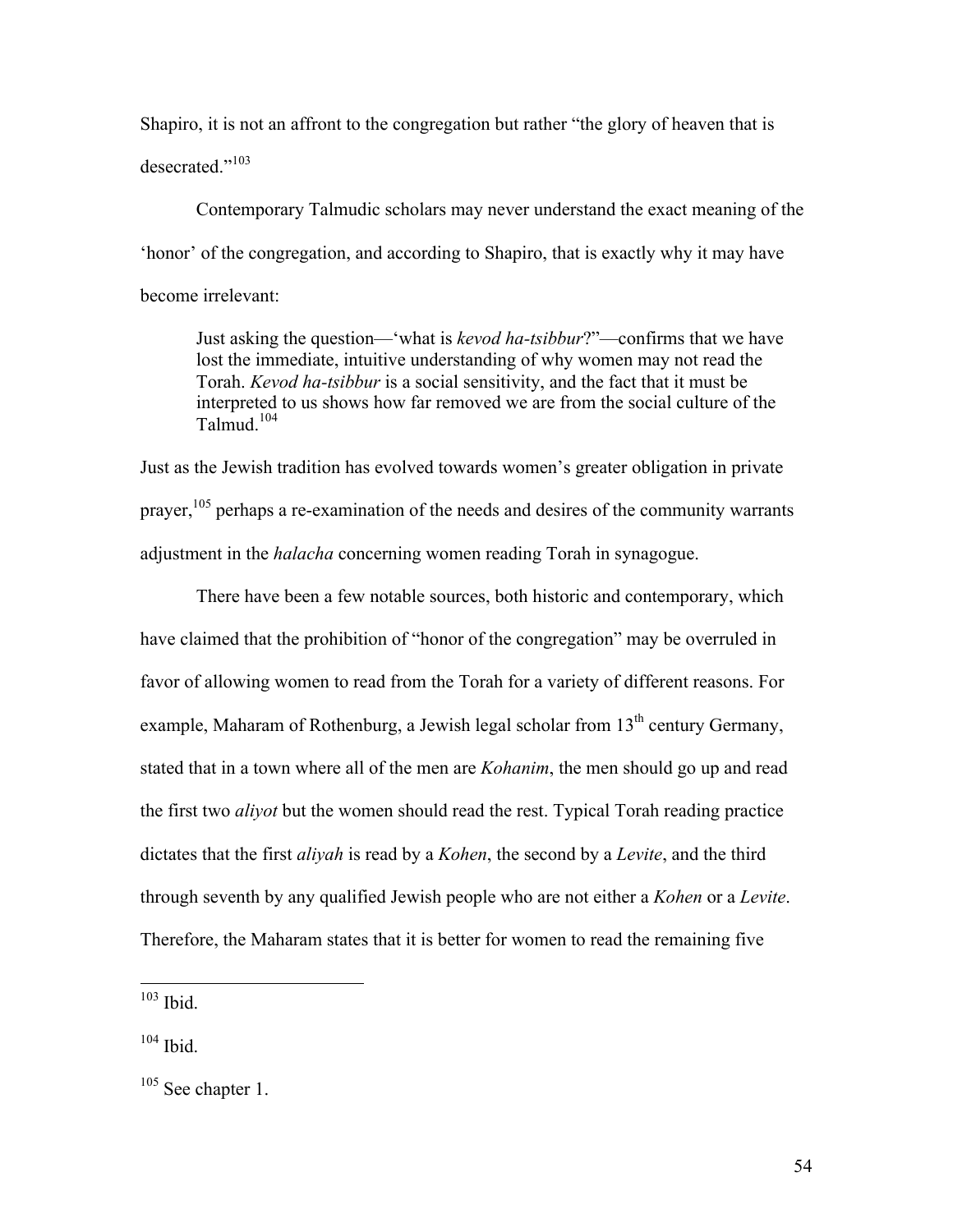Shapiro, it is not an affront to the congregation but rather "the glory of heaven that is desecrated."<sup>103</sup>

Contemporary Talmudic scholars may never understand the exact meaning of the 'honor' of the congregation, and according to Shapiro, that is exactly why it may have become irrelevant:

Just asking the question—'what is *kevod ha-tsibbur*?"—confirms that we have lost the immediate, intuitive understanding of why women may not read the Torah. *Kevod ha-tsibbur* is a social sensitivity, and the fact that it must be interpreted to us shows how far removed we are from the social culture of the Talmud. 104

Just as the Jewish tradition has evolved towards women's greater obligation in private prayer,<sup>105</sup> perhaps a re-examination of the needs and desires of the community warrants adjustment in the *halacha* concerning women reading Torah in synagogue.

There have been a few notable sources, both historic and contemporary, which have claimed that the prohibition of "honor of the congregation" may be overruled in favor of allowing women to read from the Torah for a variety of different reasons. For example, Maharam of Rothenburg, a Jewish legal scholar from 13<sup>th</sup> century Germany, stated that in a town where all of the men are *Kohanim*, the men should go up and read the first two *aliyot* but the women should read the rest. Typical Torah reading practice dictates that the first *aliyah* is read by a *Kohen*, the second by a *Levite*, and the third through seventh by any qualified Jewish people who are not either a *Kohen* or a *Levite*. Therefore, the Maharam states that it is better for women to read the remaining five

 $103$  Ibid.

 $104$  Ibid.

<sup>&</sup>lt;sup>105</sup> See chapter 1.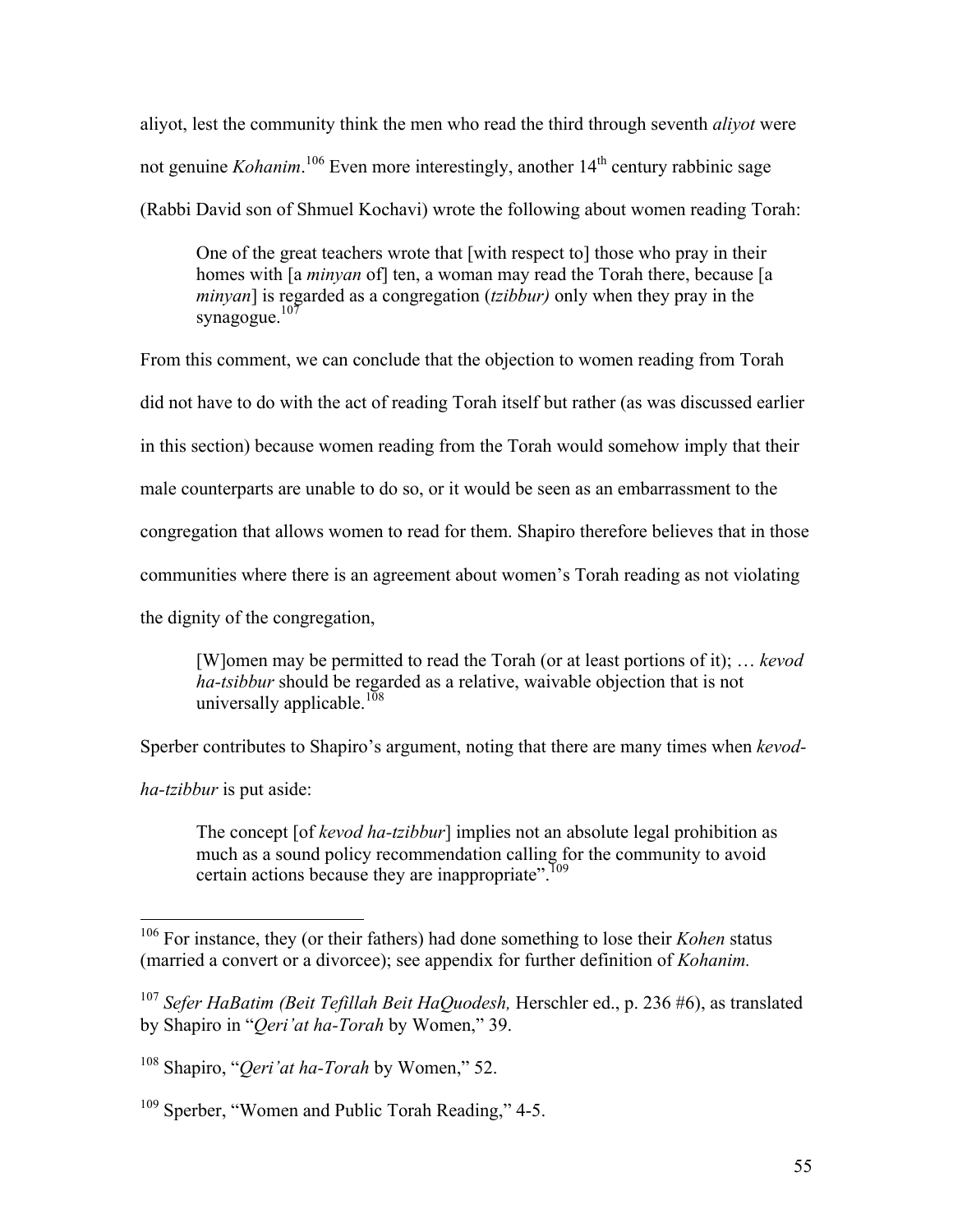aliyot, lest the community think the men who read the third through seventh *aliyot* were not genuine *Kohanim*.<sup>106</sup> Even more interestingly, another 14<sup>th</sup> century rabbinic sage (Rabbi David son of Shmuel Kochavi) wrote the following about women reading Torah:

One of the great teachers wrote that [with respect to] those who pray in their homes with [a *minyan* of] ten, a woman may read the Torah there, because [a *minyan*] is regarded as a congregation (*tzibbur)* only when they pray in the synagogue. $107$ 

From this comment, we can conclude that the objection to women reading from Torah

did not have to do with the act of reading Torah itself but rather (as was discussed earlier

in this section) because women reading from the Torah would somehow imply that their

male counterparts are unable to do so, or it would be seen as an embarrassment to the

congregation that allows women to read for them. Shapiro therefore believes that in those

communities where there is an agreement about women's Torah reading as not violating

the dignity of the congregation,

[W]omen may be permitted to read the Torah (or at least portions of it); … *kevod ha-tsibbur* should be regarded as a relative, waivable objection that is not universally applicable.<sup>108</sup>

Sperber contributes to Shapiro's argument, noting that there are many times when *kevod-*

*ha-tzibbur* is put aside:

The concept [of *kevod ha-tzibbur*] implies not an absolute legal prohibition as much as a sound policy recommendation calling for the community to avoid certain actions because they are inappropriate".<sup>109</sup>

 <sup>106</sup> For instance, they (or their fathers) had done something to lose their *Kohen* status (married a convert or a divorcee); see appendix for further definition of *Kohanim.*

<sup>107</sup> *Sefer HaBatim (Beit Tefillah Beit HaQuodesh,* Herschler ed., p. 236 #6), as translated by Shapiro in "*Qeri'at ha-Torah* by Women," 39.

<sup>108</sup> Shapiro, "*Qeri'at ha-Torah* by Women," 52.

<sup>&</sup>lt;sup>109</sup> Sperber, "Women and Public Torah Reading," 4-5.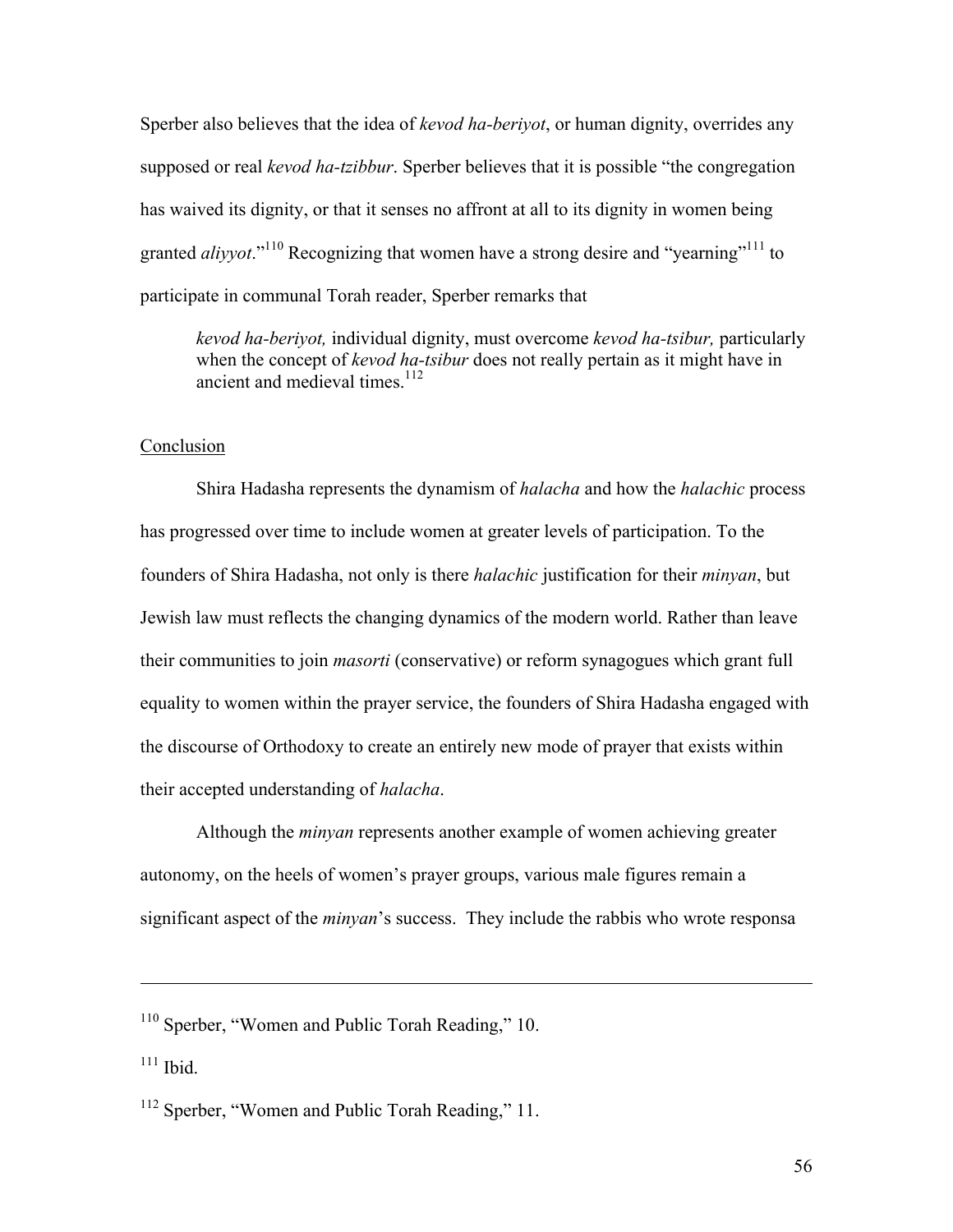Sperber also believes that the idea of *kevod ha-beriyot*, or human dignity, overrides any supposed or real *kevod ha-tzibbur*. Sperber believes that it is possible "the congregation has waived its dignity, or that it senses no affront at all to its dignity in women being granted *aliyyot*."<sup>110</sup> Recognizing that women have a strong desire and "yearning"<sup>111</sup> to participate in communal Torah reader, Sperber remarks that

*kevod ha-beriyot,* individual dignity, must overcome *kevod ha-tsibur,* particularly when the concept of *kevod ha-tsibur* does not really pertain as it might have in ancient and medieval times.<sup>112</sup>

# Conclusion

Shira Hadasha represents the dynamism of *halacha* and how the *halachic* process has progressed over time to include women at greater levels of participation. To the founders of Shira Hadasha, not only is there *halachic* justification for their *minyan*, but Jewish law must reflects the changing dynamics of the modern world. Rather than leave their communities to join *masorti* (conservative) or reform synagogues which grant full equality to women within the prayer service, the founders of Shira Hadasha engaged with the discourse of Orthodoxy to create an entirely new mode of prayer that exists within their accepted understanding of *halacha*.

Although the *minyan* represents another example of women achieving greater autonomy, on the heels of women's prayer groups, various male figures remain a significant aspect of the *minyan*'s success. They include the rabbis who wrote responsa

<u> 1989 - Andrea San Andrea San Andrea San Andrea San Andrea San Andrea San Andrea San Andrea San Andrea San An</u>

<sup>110</sup> Sperber, "Women and Public Torah Reading," 10.

 $111$  Ibid.

<sup>&</sup>lt;sup>112</sup> Sperber, "Women and Public Torah Reading," 11.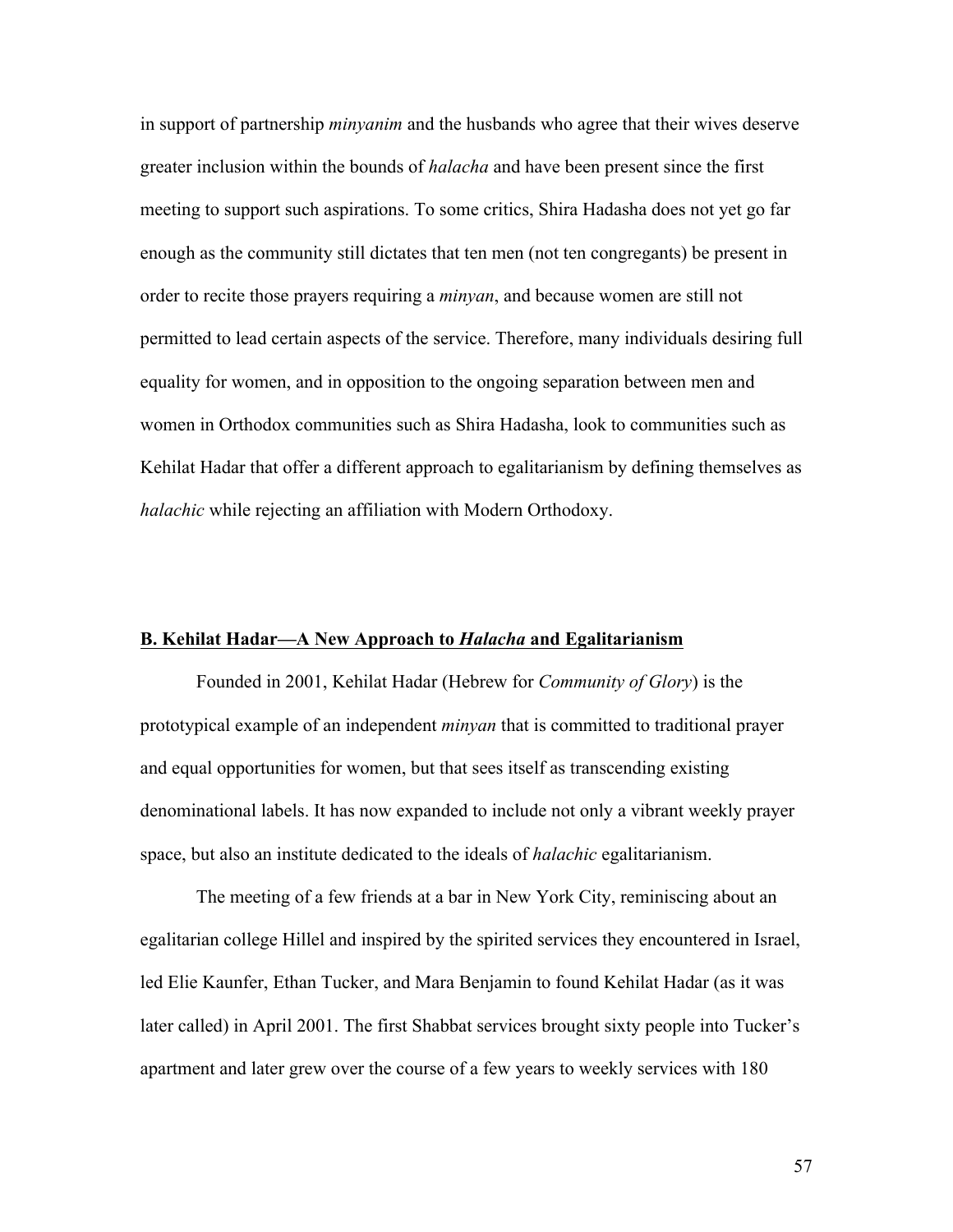in support of partnership *minyanim* and the husbands who agree that their wives deserve greater inclusion within the bounds of *halacha* and have been present since the first meeting to support such aspirations. To some critics, Shira Hadasha does not yet go far enough as the community still dictates that ten men (not ten congregants) be present in order to recite those prayers requiring a *minyan*, and because women are still not permitted to lead certain aspects of the service. Therefore, many individuals desiring full equality for women, and in opposition to the ongoing separation between men and women in Orthodox communities such as Shira Hadasha, look to communities such as Kehilat Hadar that offer a different approach to egalitarianism by defining themselves as *halachic* while rejecting an affiliation with Modern Orthodoxy.

#### **B. Kehilat Hadar—A New Approach to** *Halacha* **and Egalitarianism**

Founded in 2001, Kehilat Hadar (Hebrew for *Community of Glory*) is the prototypical example of an independent *minyan* that is committed to traditional prayer and equal opportunities for women, but that sees itself as transcending existing denominational labels. It has now expanded to include not only a vibrant weekly prayer space, but also an institute dedicated to the ideals of *halachic* egalitarianism.

The meeting of a few friends at a bar in New York City, reminiscing about an egalitarian college Hillel and inspired by the spirited services they encountered in Israel, led Elie Kaunfer, Ethan Tucker, and Mara Benjamin to found Kehilat Hadar (as it was later called) in April 2001. The first Shabbat services brought sixty people into Tucker's apartment and later grew over the course of a few years to weekly services with 180

57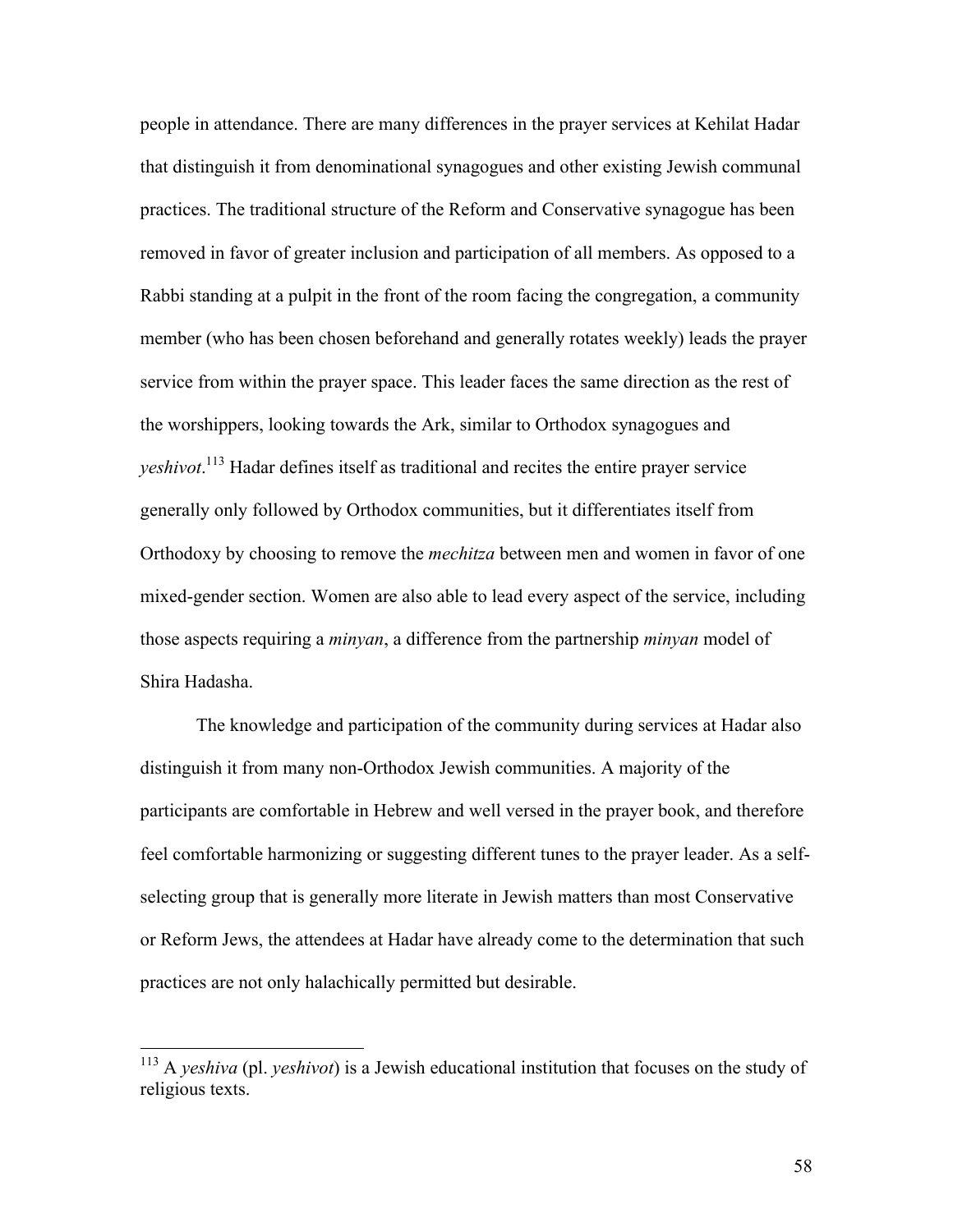people in attendance. There are many differences in the prayer services at Kehilat Hadar that distinguish it from denominational synagogues and other existing Jewish communal practices. The traditional structure of the Reform and Conservative synagogue has been removed in favor of greater inclusion and participation of all members. As opposed to a Rabbi standing at a pulpit in the front of the room facing the congregation, a community member (who has been chosen beforehand and generally rotates weekly) leads the prayer service from within the prayer space. This leader faces the same direction as the rest of the worshippers, looking towards the Ark, similar to Orthodox synagogues and *yeshivot*. <sup>113</sup> Hadar defines itself as traditional and recites the entire prayer service generally only followed by Orthodox communities, but it differentiates itself from Orthodoxy by choosing to remove the *mechitza* between men and women in favor of one mixed-gender section. Women are also able to lead every aspect of the service, including those aspects requiring a *minyan*, a difference from the partnership *minyan* model of Shira Hadasha.

The knowledge and participation of the community during services at Hadar also distinguish it from many non-Orthodox Jewish communities. A majority of the participants are comfortable in Hebrew and well versed in the prayer book, and therefore feel comfortable harmonizing or suggesting different tunes to the prayer leader. As a selfselecting group that is generally more literate in Jewish matters than most Conservative or Reform Jews, the attendees at Hadar have already come to the determination that such practices are not only halachically permitted but desirable.

 <sup>113</sup> <sup>A</sup>*yeshiva* (pl. *yeshivot*) is a Jewish educational institution that focuses on the study of religious texts.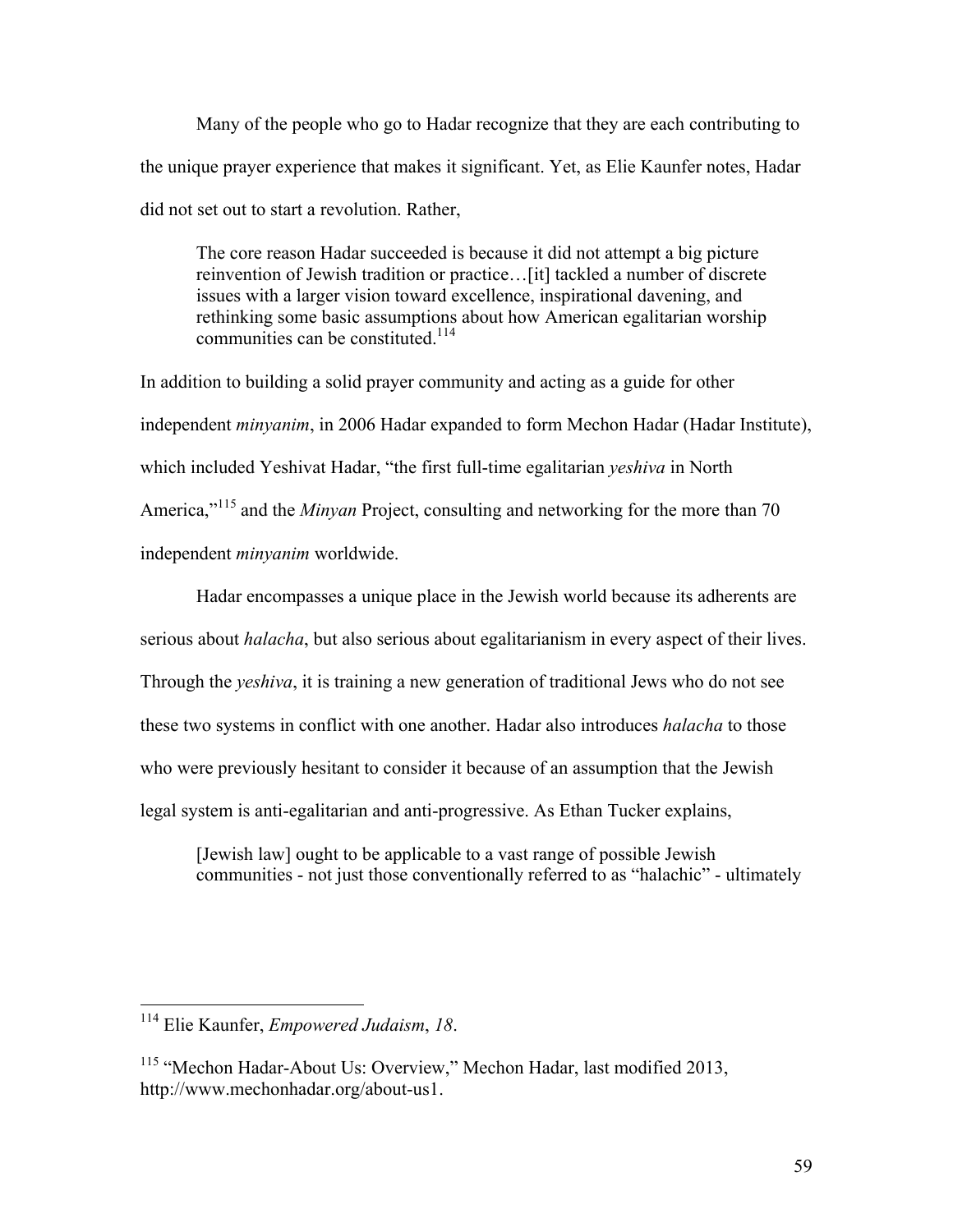Many of the people who go to Hadar recognize that they are each contributing to the unique prayer experience that makes it significant. Yet, as Elie Kaunfer notes, Hadar did not set out to start a revolution. Rather,

The core reason Hadar succeeded is because it did not attempt a big picture reinvention of Jewish tradition or practice…[it] tackled a number of discrete issues with a larger vision toward excellence, inspirational davening, and rethinking some basic assumptions about how American egalitarian worship communities can be constituted<sup>114</sup>

In addition to building a solid prayer community and acting as a guide for other independent *minyanim*, in 2006 Hadar expanded to form Mechon Hadar (Hadar Institute), which included Yeshivat Hadar, "the first full-time egalitarian *yeshiva* in North America,"<sup>115</sup> and the *Minyan* Project, consulting and networking for the more than 70 independent *minyanim* worldwide.

Hadar encompasses a unique place in the Jewish world because its adherents are serious about *halacha*, but also serious about egalitarianism in every aspect of their lives. Through the *yeshiva*, it is training a new generation of traditional Jews who do not see these two systems in conflict with one another. Hadar also introduces *halacha* to those who were previously hesitant to consider it because of an assumption that the Jewish legal system is anti-egalitarian and anti-progressive. As Ethan Tucker explains,

[Jewish law] ought to be applicable to a vast range of possible Jewish communities - not just those conventionally referred to as "halachic" - ultimately

 <sup>114</sup> Elie Kaunfer, *Empowered Judaism*, *18*.

<sup>&</sup>lt;sup>115</sup> "Mechon Hadar-About Us: Overview," Mechon Hadar, last modified 2013, http://www.mechonhadar.org/about-us1.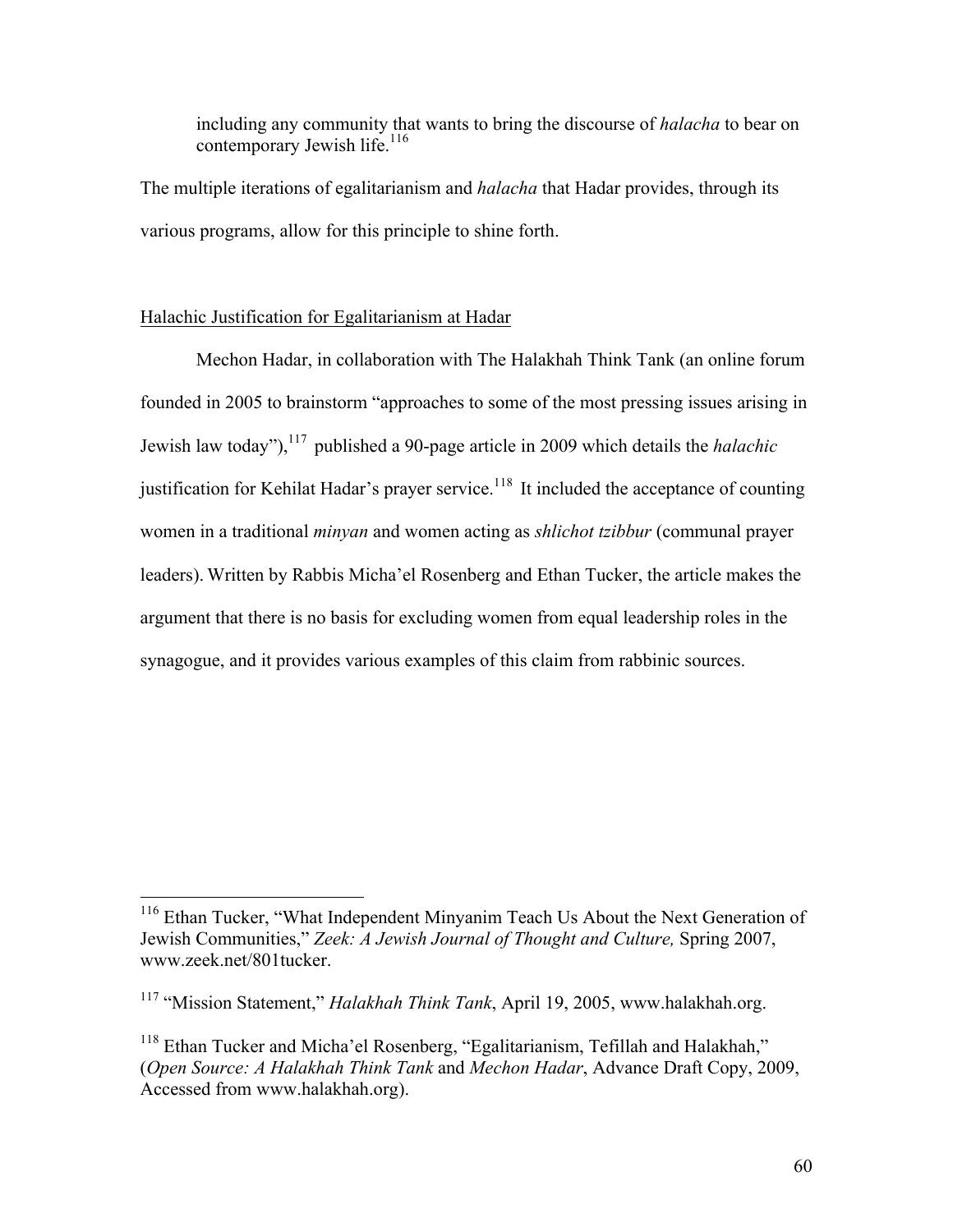including any community that wants to bring the discourse of *halacha* to bear on contemporary Jewish life.<sup>116</sup>

The multiple iterations of egalitarianism and *halacha* that Hadar provides, through its various programs, allow for this principle to shine forth.

### Halachic Justification for Egalitarianism at Hadar

Mechon Hadar, in collaboration with The Halakhah Think Tank (an online forum founded in 2005 to brainstorm "approaches to some of the most pressing issues arising in Jewish law today"), <sup>117</sup> published a 90-page article in 2009 which details the *halachic* justification for Kehilat Hadar's prayer service.<sup>118</sup> It included the acceptance of counting women in a traditional *minyan* and women acting as *shlichot tzibbur* (communal prayer leaders). Written by Rabbis Micha'el Rosenberg and Ethan Tucker, the article makes the argument that there is no basis for excluding women from equal leadership roles in the synagogue, and it provides various examples of this claim from rabbinic sources.

<sup>&</sup>lt;sup>116</sup> Ethan Tucker, "What Independent Minyanim Teach Us About the Next Generation of Jewish Communities," *Zeek: A Jewish Journal of Thought and Culture,* Spring 2007, www.zeek.net/801tucker.

<sup>&</sup>lt;sup>117</sup> "Mission Statement," *Halakhah Think Tank*, April 19, 2005, www.halakhah.org.

 $118$  Ethan Tucker and Micha'el Rosenberg, "Egalitarianism, Tefillah and Halakhah," (*Open Source: A Halakhah Think Tank* and *Mechon Hadar*, Advance Draft Copy, 2009, Accessed from www.halakhah.org).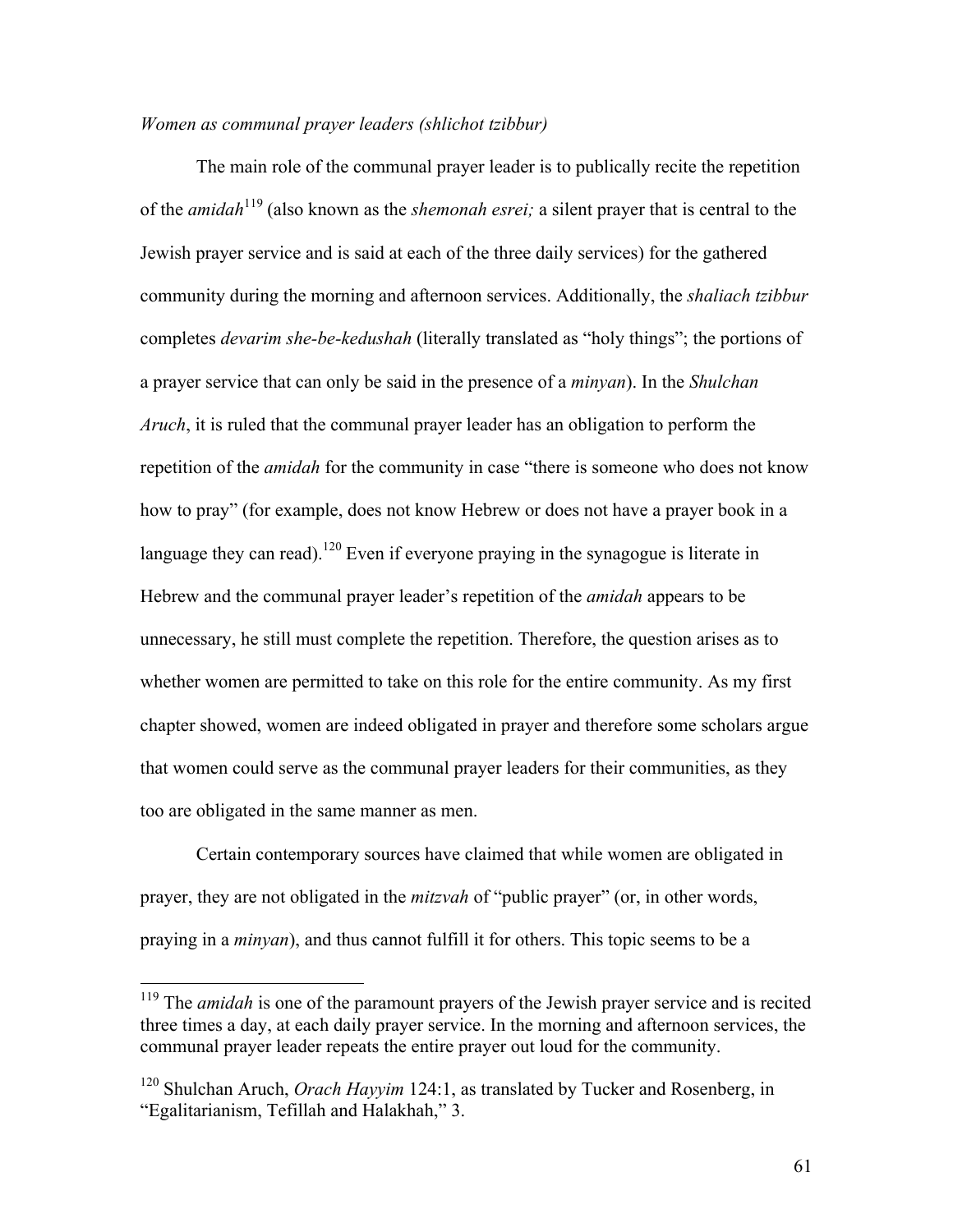### *Women as communal prayer leaders (shlichot tzibbur)*

The main role of the communal prayer leader is to publically recite the repetition of the *amidah*<sup>119</sup> (also known as the *shemonah esrei;* a silent prayer that is central to the Jewish prayer service and is said at each of the three daily services) for the gathered community during the morning and afternoon services. Additionally, the *shaliach tzibbur* completes *devarim she-be-kedushah* (literally translated as "holy things"; the portions of a prayer service that can only be said in the presence of a *minyan*). In the *Shulchan Aruch*, it is ruled that the communal prayer leader has an obligation to perform the repetition of the *amidah* for the community in case "there is someone who does not know how to pray" (for example, does not know Hebrew or does not have a prayer book in a language they can read).<sup>120</sup> Even if everyone praying in the synagogue is literate in Hebrew and the communal prayer leader's repetition of the *amidah* appears to be unnecessary, he still must complete the repetition. Therefore, the question arises as to whether women are permitted to take on this role for the entire community. As my first chapter showed, women are indeed obligated in prayer and therefore some scholars argue that women could serve as the communal prayer leaders for their communities, as they too are obligated in the same manner as men.

Certain contemporary sources have claimed that while women are obligated in prayer, they are not obligated in the *mitzvah* of "public prayer" (or, in other words, praying in a *minyan*), and thus cannot fulfill it for others. This topic seems to be a

<sup>&</sup>lt;sup>119</sup> The *amidah* is one of the paramount prayers of the Jewish prayer service and is recited three times a day, at each daily prayer service. In the morning and afternoon services, the communal prayer leader repeats the entire prayer out loud for the community.

<sup>&</sup>lt;sup>120</sup> Shulchan Aruch, *Orach Hayyim* 124:1, as translated by Tucker and Rosenberg, in "Egalitarianism, Tefillah and Halakhah," 3.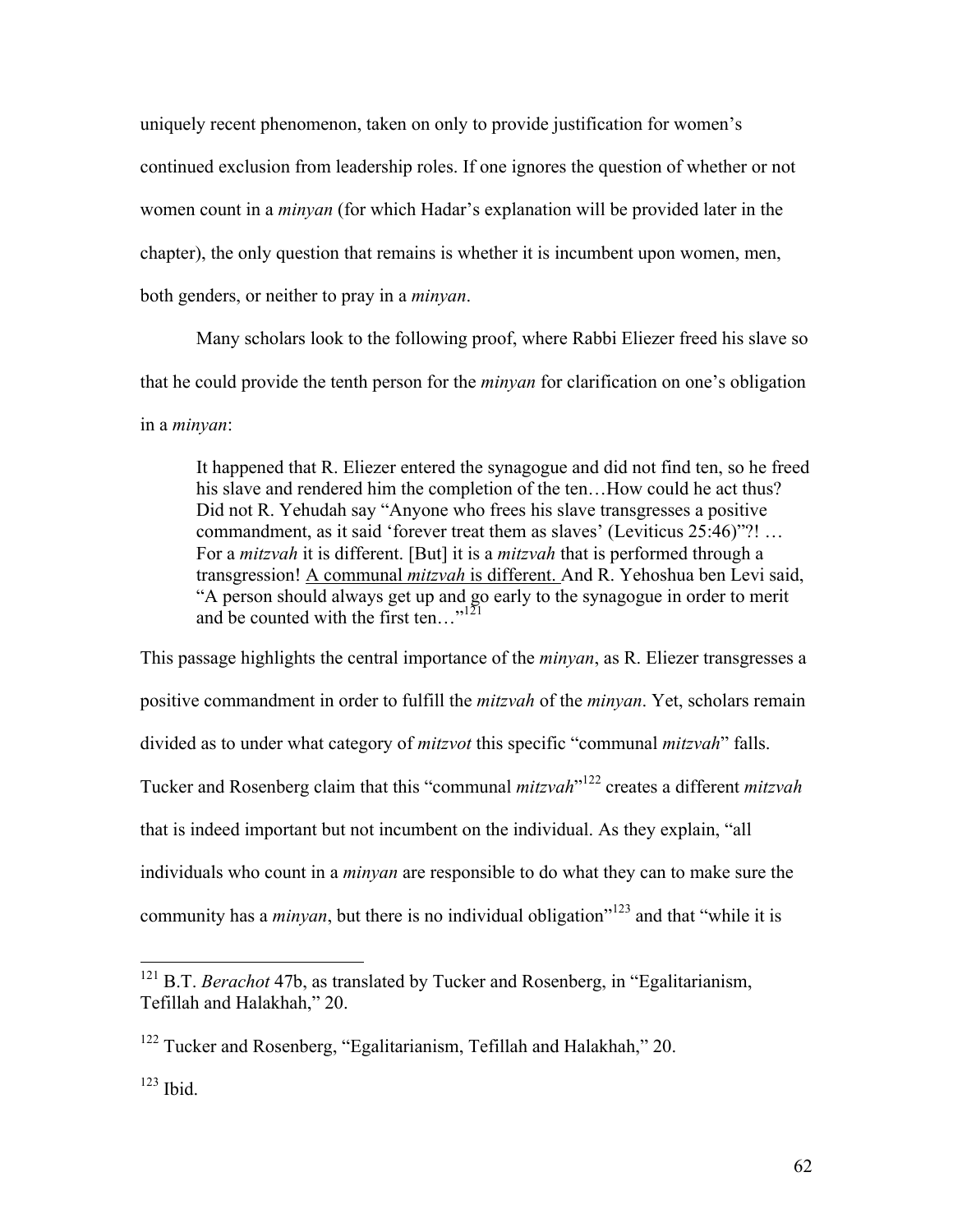uniquely recent phenomenon, taken on only to provide justification for women's continued exclusion from leadership roles. If one ignores the question of whether or not women count in a *minyan* (for which Hadar's explanation will be provided later in the chapter), the only question that remains is whether it is incumbent upon women, men, both genders, or neither to pray in a *minyan*.

Many scholars look to the following proof, where Rabbi Eliezer freed his slave so that he could provide the tenth person for the *minyan* for clarification on one's obligation in a *minyan*:

It happened that R. Eliezer entered the synagogue and did not find ten, so he freed his slave and rendered him the completion of the ten...How could he act thus? Did not R. Yehudah say "Anyone who frees his slave transgresses a positive commandment, as it said 'forever treat them as slaves' (Leviticus 25:46)"?! … For a *mitzvah* it is different. [But] it is a *mitzvah* that is performed through a transgression! A communal *mitzvah* is different. And R. Yehoshua ben Levi said, "A person should always get up and go early to the synagogue in order to merit and be counted with the first ten..." $\frac{1}{21}$ 

This passage highlights the central importance of the *minyan*, as R. Eliezer transgresses a positive commandment in order to fulfill the *mitzvah* of the *minyan*. Yet, scholars remain divided as to under what category of *mitzvot* this specific "communal *mitzvah*" falls. Tucker and Rosenberg claim that this "communal *mitzvah*" <sup>122</sup> creates a different *mitzvah* that is indeed important but not incumbent on the individual. As they explain, "all individuals who count in a *minyan* are responsible to do what they can to make sure the community has a *minyan*, but there is no individual obligation<sup>"123</sup> and that "while it is

<sup>&</sup>lt;sup>121</sup> B.T. *Berachot* 47b, as translated by Tucker and Rosenberg, in "Egalitarianism, Tefillah and Halakhah," 20.

<sup>&</sup>lt;sup>122</sup> Tucker and Rosenberg, "Egalitarianism, Tefillah and Halakhah," 20.

<sup>123</sup> Ibid.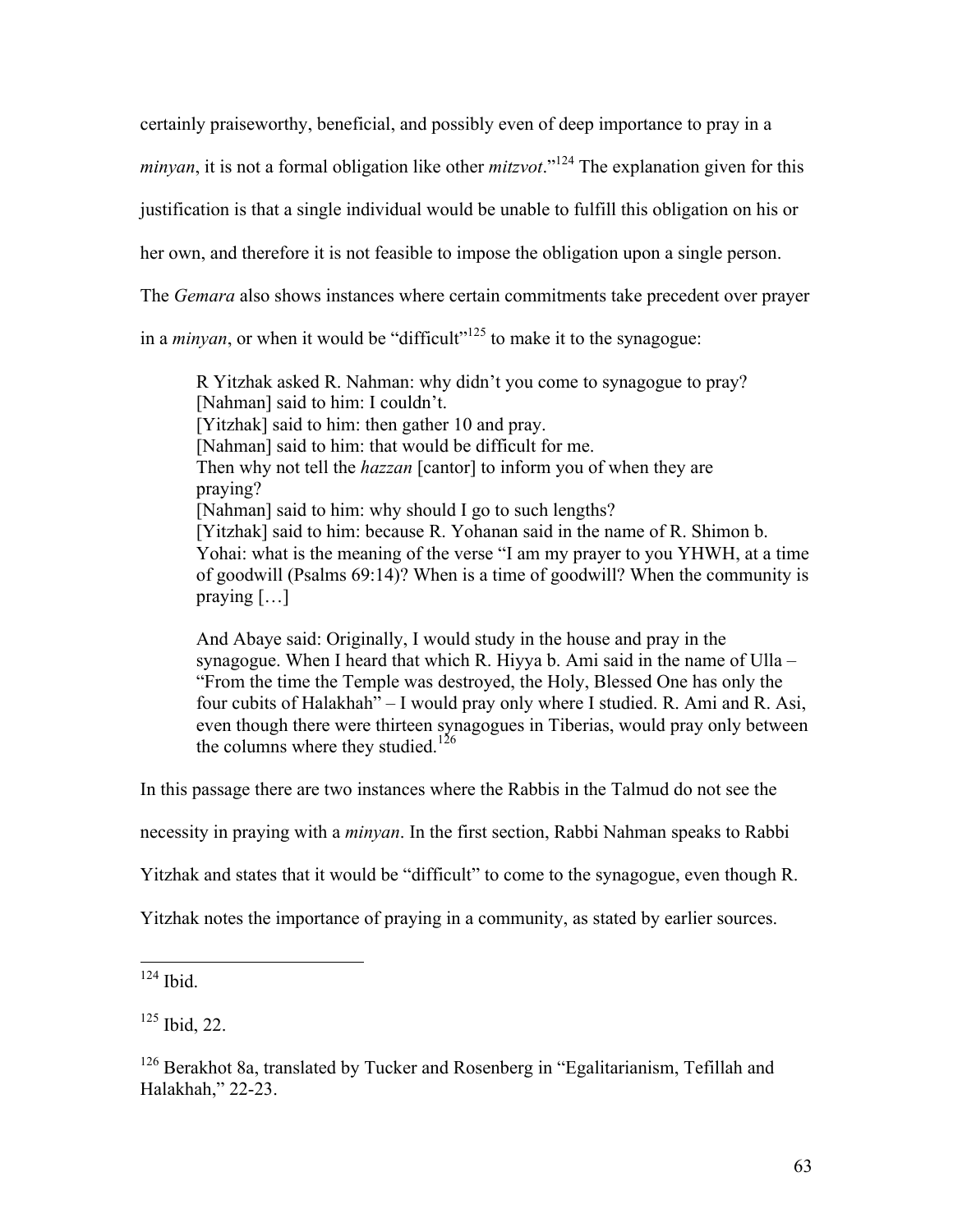certainly praiseworthy, beneficial, and possibly even of deep importance to pray in a

*minyan*, it is not a formal obligation like other *mitzvot*."<sup>124</sup> The explanation given for this

justification is that a single individual would be unable to fulfill this obligation on his or

her own, and therefore it is not feasible to impose the obligation upon a single person.

The *Gemara* also shows instances where certain commitments take precedent over prayer

in a *minyan*, or when it would be "difficult"<sup> $125$ </sup> to make it to the synagogue:

R Yitzhak asked R. Nahman: why didn't you come to synagogue to pray? [Nahman] said to him: I couldn't. [Yitzhak] said to him: then gather 10 and pray. [Nahman] said to him: that would be difficult for me. Then why not tell the *hazzan* [cantor] to inform you of when they are praying? [Nahman] said to him: why should I go to such lengths? [Yitzhak] said to him: because R. Yohanan said in the name of R. Shimon b. Yohai: what is the meaning of the verse "I am my prayer to you YHWH, at a time of goodwill (Psalms 69:14)? When is a time of goodwill? When the community is praying  $[\dots]$ 

And Abaye said: Originally, I would study in the house and pray in the synagogue. When I heard that which R. Hiyya b. Ami said in the name of Ulla – "From the time the Temple was destroyed, the Holy, Blessed One has only the four cubits of Halakhah" – I would pray only where I studied. R. Ami and R. Asi, even though there were thirteen synagogues in Tiberias, would pray only between the columns where they studied.<sup>126</sup>

In this passage there are two instances where the Rabbis in the Talmud do not see the

necessity in praying with a *minyan*. In the first section, Rabbi Nahman speaks to Rabbi

Yitzhak and states that it would be "difficult" to come to the synagogue, even though R.

Yitzhak notes the importance of praying in a community, as stated by earlier sources.

 $124$  Ibid.

<sup>125</sup> Ibid, 22.

 $126$  Berakhot 8a, translated by Tucker and Rosenberg in "Egalitarianism, Tefillah and Halakhah," 22-23.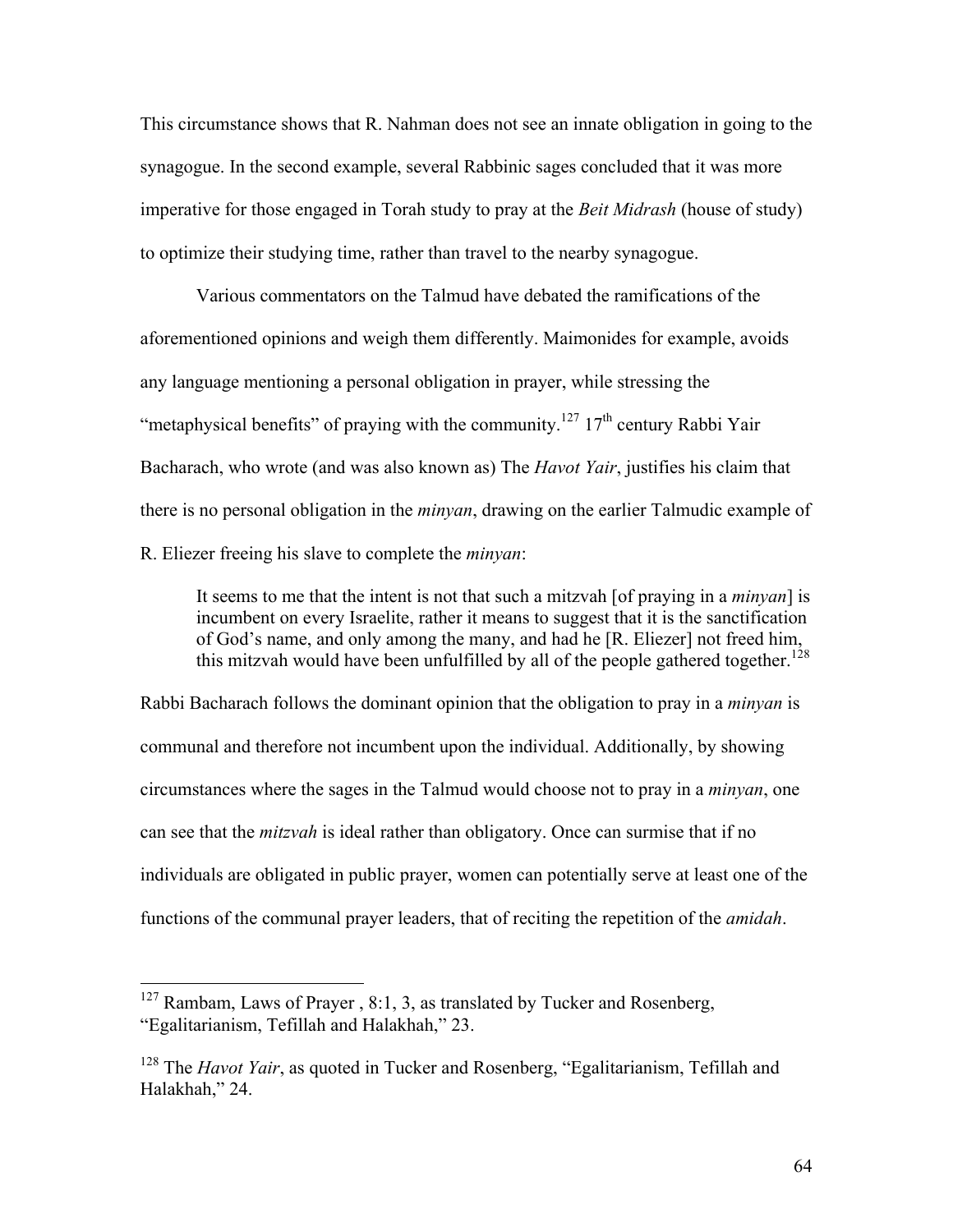This circumstance shows that R. Nahman does not see an innate obligation in going to the synagogue. In the second example, several Rabbinic sages concluded that it was more imperative for those engaged in Torah study to pray at the *Beit Midrash* (house of study) to optimize their studying time, rather than travel to the nearby synagogue.

Various commentators on the Talmud have debated the ramifications of the aforementioned opinions and weigh them differently. Maimonides for example, avoids any language mentioning a personal obligation in prayer, while stressing the "metaphysical benefits" of praying with the community.<sup>127</sup> 17<sup>th</sup> century Rabbi Yair Bacharach, who wrote (and was also known as) The *Havot Yair*, justifies his claim that there is no personal obligation in the *minyan*, drawing on the earlier Talmudic example of R. Eliezer freeing his slave to complete the *minyan*:

It seems to me that the intent is not that such a mitzvah [of praying in a *minyan*] is incumbent on every Israelite, rather it means to suggest that it is the sanctification of God's name, and only among the many, and had he [R. Eliezer] not freed him, this mitzvah would have been unfulfilled by all of the people gathered together.<sup>128</sup>

Rabbi Bacharach follows the dominant opinion that the obligation to pray in a *minyan* is communal and therefore not incumbent upon the individual. Additionally, by showing circumstances where the sages in the Talmud would choose not to pray in a *minyan*, one can see that the *mitzvah* is ideal rather than obligatory. Once can surmise that if no individuals are obligated in public prayer, women can potentially serve at least one of the functions of the communal prayer leaders, that of reciting the repetition of the *amidah*.

 $127$  Rambam, Laws of Prayer, 8:1, 3, as translated by Tucker and Rosenberg, "Egalitarianism, Tefillah and Halakhah," 23.

<sup>&</sup>lt;sup>128</sup> The *Havot Yair*, as quoted in Tucker and Rosenberg, "Egalitarianism, Tefillah and Halakhah," 24.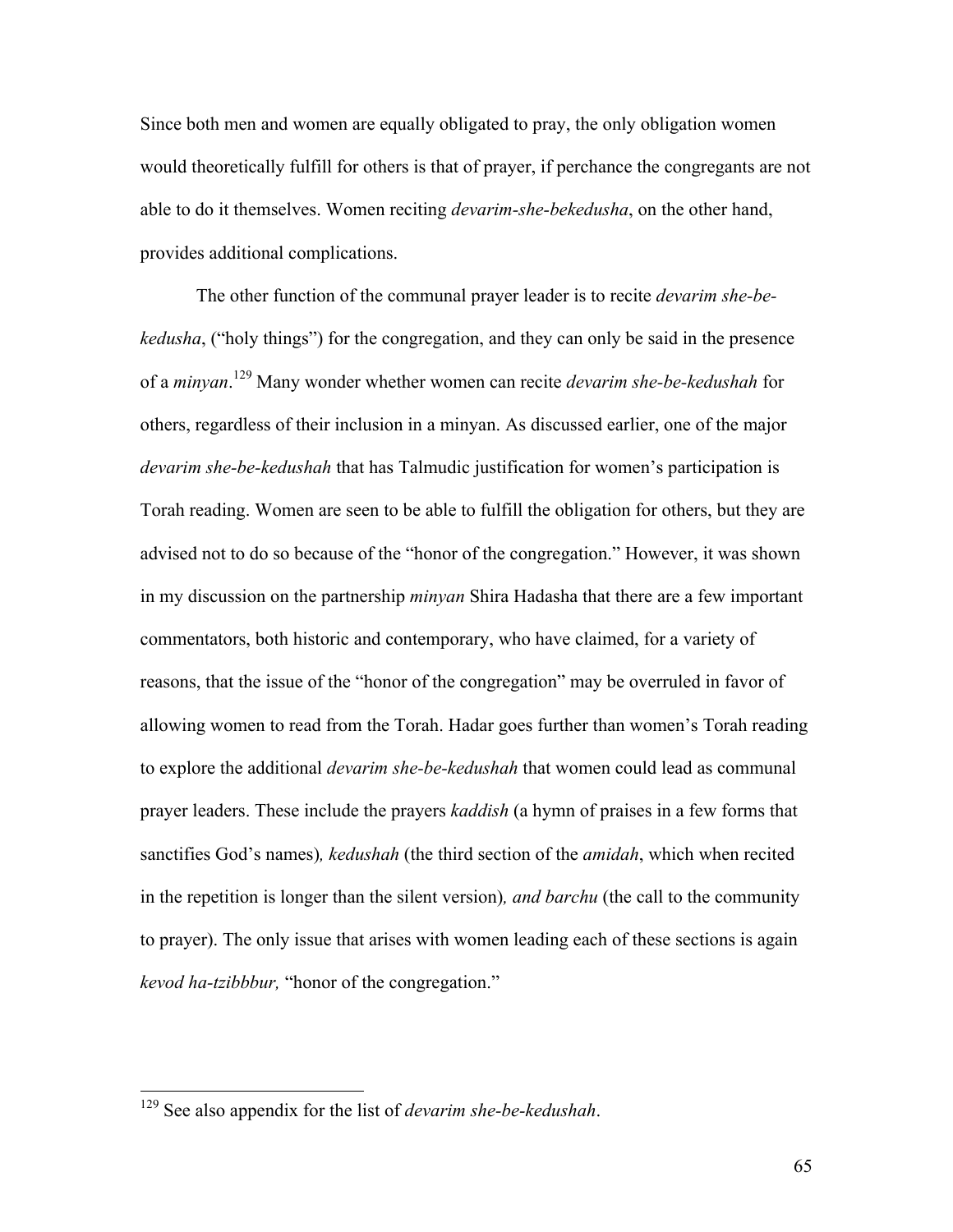Since both men and women are equally obligated to pray, the only obligation women would theoretically fulfill for others is that of prayer, if perchance the congregants are not able to do it themselves. Women reciting *devarim-she-bekedusha*, on the other hand, provides additional complications.

The other function of the communal prayer leader is to recite *devarim she-bekedusha*, ("holy things") for the congregation, and they can only be said in the presence of a *minyan*. <sup>129</sup> Many wonder whether women can recite *devarim she-be-kedushah* for others, regardless of their inclusion in a minyan. As discussed earlier, one of the major *devarim she-be-kedushah* that has Talmudic justification for women's participation is Torah reading. Women are seen to be able to fulfill the obligation for others, but they are advised not to do so because of the "honor of the congregation." However, it was shown in my discussion on the partnership *minyan* Shira Hadasha that there are a few important commentators, both historic and contemporary, who have claimed, for a variety of reasons, that the issue of the "honor of the congregation" may be overruled in favor of allowing women to read from the Torah. Hadar goes further than women's Torah reading to explore the additional *devarim she-be-kedushah* that women could lead as communal prayer leaders. These include the prayers *kaddish* (a hymn of praises in a few forms that sanctifies God's names)*, kedushah* (the third section of the *amidah*, which when recited in the repetition is longer than the silent version)*, and barchu* (the call to the community to prayer). The only issue that arises with women leading each of these sections is again *kevod ha-tzibbbur,* "honor of the congregation."

 <sup>129</sup> See also appendix for the list of *devarim she-be-kedushah*.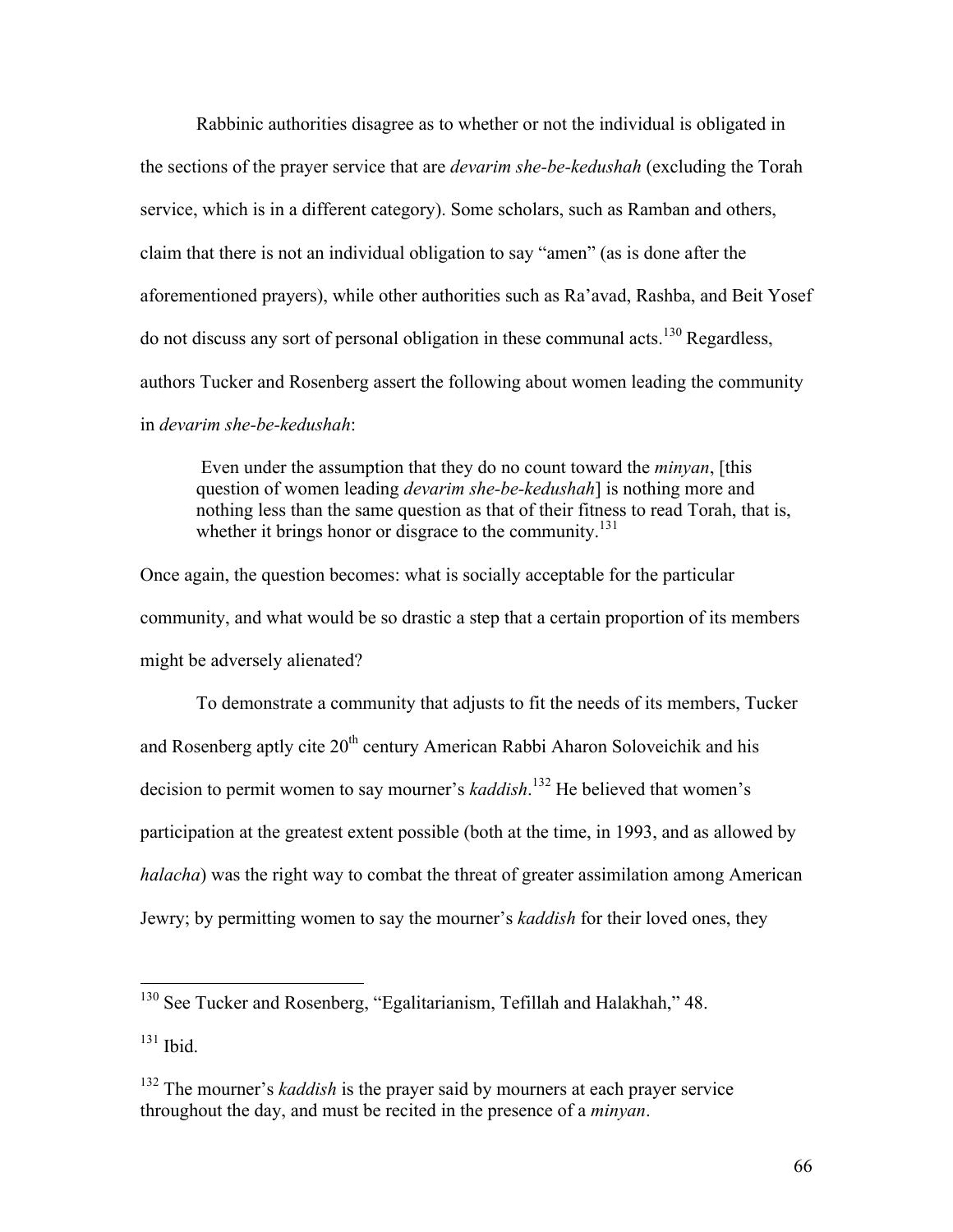Rabbinic authorities disagree as to whether or not the individual is obligated in the sections of the prayer service that are *devarim she-be-kedushah* (excluding the Torah service, which is in a different category). Some scholars, such as Ramban and others, claim that there is not an individual obligation to say "amen" (as is done after the aforementioned prayers), while other authorities such as Ra'avad, Rashba, and Beit Yosef do not discuss any sort of personal obligation in these communal acts.<sup>130</sup> Regardless, authors Tucker and Rosenberg assert the following about women leading the community in *devarim she-be-kedushah*:

Even under the assumption that they do no count toward the *minyan*, [this question of women leading *devarim she-be-kedushah*] is nothing more and nothing less than the same question as that of their fitness to read Torah, that is, whether it brings honor or disgrace to the community.<sup>131</sup>

Once again, the question becomes: what is socially acceptable for the particular community, and what would be so drastic a step that a certain proportion of its members might be adversely alienated?

To demonstrate a community that adjusts to fit the needs of its members, Tucker and Rosenberg aptly cite  $20<sup>th</sup>$  century American Rabbi Aharon Soloveichik and his decision to permit women to say mourner's *kaddish*. <sup>132</sup> He believed that women's participation at the greatest extent possible (both at the time, in 1993, and as allowed by *halacha*) was the right way to combat the threat of greater assimilation among American Jewry; by permitting women to say the mourner's *kaddish* for their loved ones, they

 $131$  Ibid.

<sup>&</sup>lt;sup>130</sup> See Tucker and Rosenberg, "Egalitarianism, Tefillah and Halakhah," 48.

<sup>132</sup> The mourner's *kaddish* is the prayer said by mourners at each prayer service throughout the day, and must be recited in the presence of a *minyan*.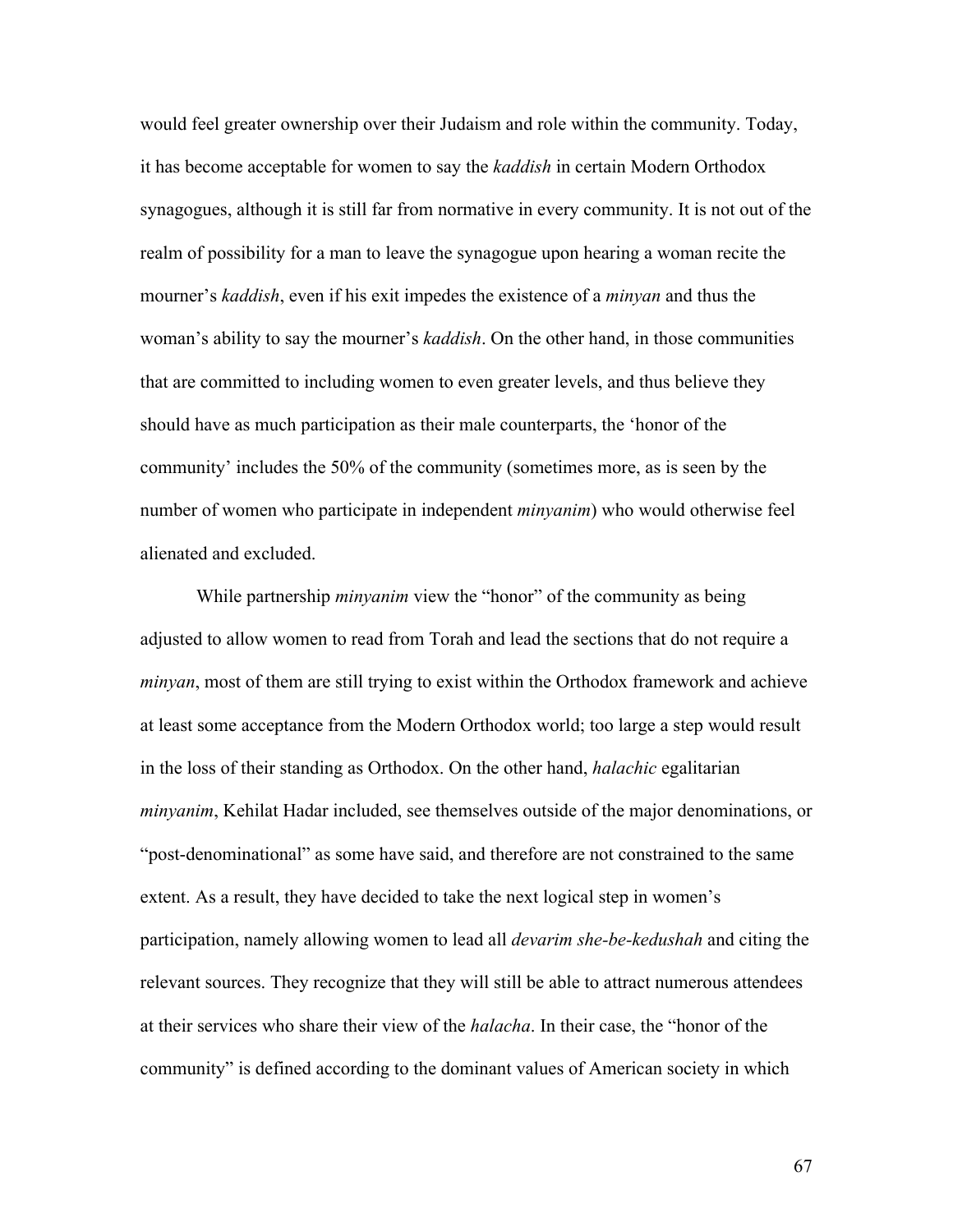would feel greater ownership over their Judaism and role within the community. Today, it has become acceptable for women to say the *kaddish* in certain Modern Orthodox synagogues, although it is still far from normative in every community. It is not out of the realm of possibility for a man to leave the synagogue upon hearing a woman recite the mourner's *kaddish*, even if his exit impedes the existence of a *minyan* and thus the woman's ability to say the mourner's *kaddish*. On the other hand, in those communities that are committed to including women to even greater levels, and thus believe they should have as much participation as their male counterparts, the 'honor of the community' includes the 50% of the community (sometimes more, as is seen by the number of women who participate in independent *minyanim*) who would otherwise feel alienated and excluded.

While partnership *minyanim* view the "honor" of the community as being adjusted to allow women to read from Torah and lead the sections that do not require a *minyan*, most of them are still trying to exist within the Orthodox framework and achieve at least some acceptance from the Modern Orthodox world; too large a step would result in the loss of their standing as Orthodox. On the other hand, *halachic* egalitarian *minyanim*, Kehilat Hadar included, see themselves outside of the major denominations, or "post-denominational" as some have said, and therefore are not constrained to the same extent. As a result, they have decided to take the next logical step in women's participation, namely allowing women to lead all *devarim she-be-kedushah* and citing the relevant sources. They recognize that they will still be able to attract numerous attendees at their services who share their view of the *halacha*. In their case, the "honor of the community" is defined according to the dominant values of American society in which

67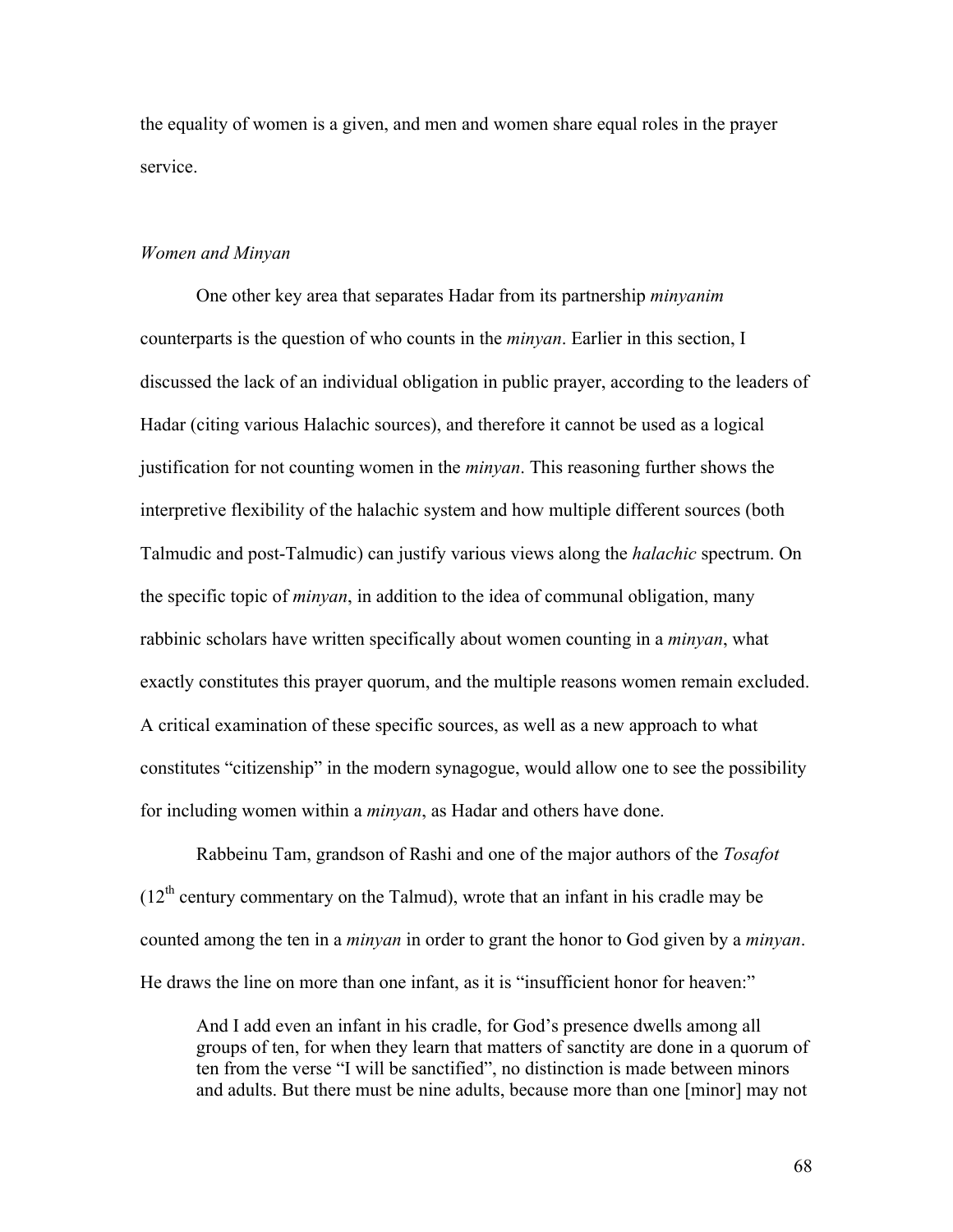the equality of women is a given, and men and women share equal roles in the prayer service.

#### *Women and Minyan*

One other key area that separates Hadar from its partnership *minyanim* counterparts is the question of who counts in the *minyan*. Earlier in this section, I discussed the lack of an individual obligation in public prayer, according to the leaders of Hadar (citing various Halachic sources), and therefore it cannot be used as a logical justification for not counting women in the *minyan*. This reasoning further shows the interpretive flexibility of the halachic system and how multiple different sources (both Talmudic and post-Talmudic) can justify various views along the *halachic* spectrum. On the specific topic of *minyan*, in addition to the idea of communal obligation, many rabbinic scholars have written specifically about women counting in a *minyan*, what exactly constitutes this prayer quorum, and the multiple reasons women remain excluded. A critical examination of these specific sources, as well as a new approach to what constitutes "citizenship" in the modern synagogue, would allow one to see the possibility for including women within a *minyan*, as Hadar and others have done.

Rabbeinu Tam, grandson of Rashi and one of the major authors of the *Tosafot*  $(12<sup>th</sup>$  century commentary on the Talmud), wrote that an infant in his cradle may be counted among the ten in a *minyan* in order to grant the honor to God given by a *minyan*. He draws the line on more than one infant, as it is "insufficient honor for heaven:"

And I add even an infant in his cradle, for God's presence dwells among all groups of ten, for when they learn that matters of sanctity are done in a quorum of ten from the verse "I will be sanctified", no distinction is made between minors and adults. But there must be nine adults, because more than one [minor] may not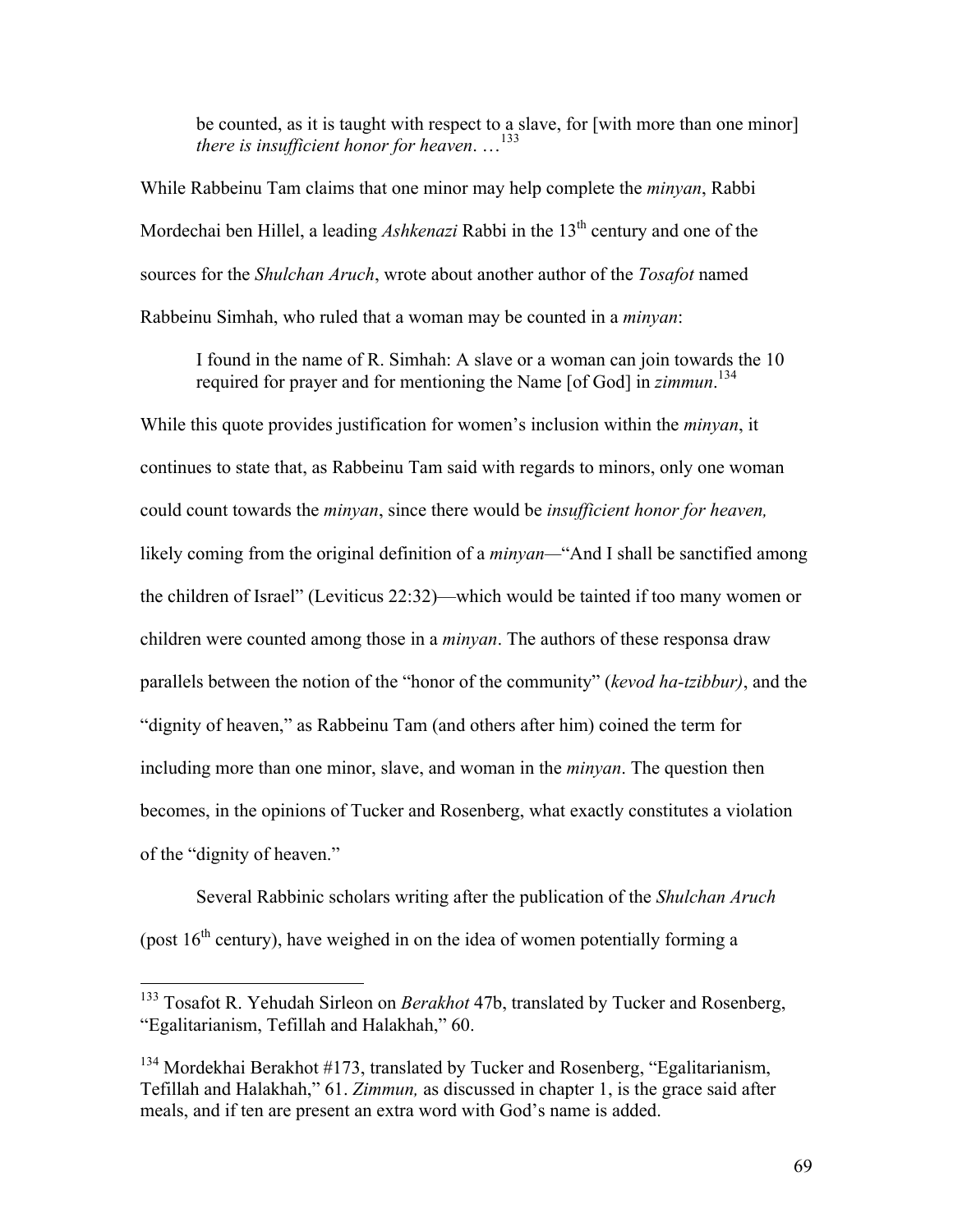be counted, as it is taught with respect to a slave, for [with more than one minor] *there is insufficient honor for heaven*. …133

While Rabbeinu Tam claims that one minor may help complete the *minyan*, Rabbi Mordechai ben Hillel, a leading *Ashkenazi* Rabbi in the 13<sup>th</sup> century and one of the sources for the *Shulchan Aruch*, wrote about another author of the *Tosafot* named Rabbeinu Simhah, who ruled that a woman may be counted in a *minyan*:

I found in the name of R. Simhah: A slave or a woman can join towards the 10 required for prayer and for mentioning the Name [of God] in *zimmun*. 134

While this quote provides justification for women's inclusion within the *minyan*, it continues to state that, as Rabbeinu Tam said with regards to minors, only one woman could count towards the *minyan*, since there would be *insufficient honor for heaven,*  likely coming from the original definition of a *minyan—*"And I shall be sanctified among the children of Israel" (Leviticus 22:32)—which would be tainted if too many women or children were counted among those in a *minyan*. The authors of these responsa draw parallels between the notion of the "honor of the community" (*kevod ha-tzibbur)*, and the "dignity of heaven," as Rabbeinu Tam (and others after him) coined the term for including more than one minor, slave, and woman in the *minyan*. The question then becomes, in the opinions of Tucker and Rosenberg, what exactly constitutes a violation of the "dignity of heaven."

Several Rabbinic scholars writing after the publication of the *Shulchan Aruch* (post  $16<sup>th</sup>$  century), have weighed in on the idea of women potentially forming a

 <sup>133</sup> Tosafot R. Yehudah Sirleon on *Berakhot* 47b, translated by Tucker and Rosenberg, "Egalitarianism, Tefillah and Halakhah," 60.

 $134$  Mordekhai Berakhot #173, translated by Tucker and Rosenberg, "Egalitarianism, Tefillah and Halakhah," 61. *Zimmun,* as discussed in chapter 1, is the grace said after meals, and if ten are present an extra word with God's name is added.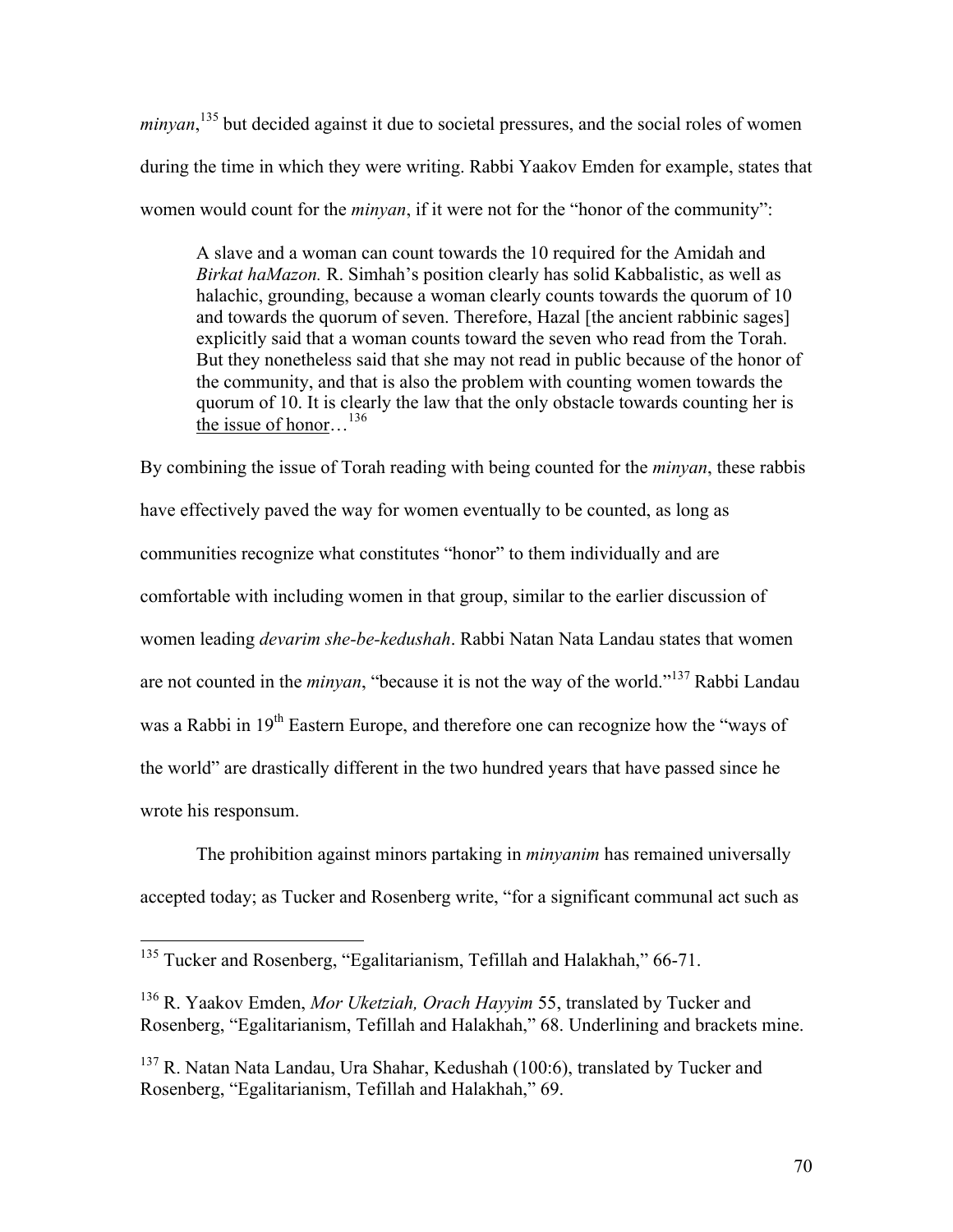minyan,<sup>135</sup> but decided against it due to societal pressures, and the social roles of women during the time in which they were writing. Rabbi Yaakov Emden for example, states that women would count for the *minyan*, if it were not for the "honor of the community":

A slave and a woman can count towards the 10 required for the Amidah and *Birkat haMazon.* R. Simhah's position clearly has solid Kabbalistic, as well as halachic, grounding, because a woman clearly counts towards the quorum of 10 and towards the quorum of seven. Therefore, Hazal [the ancient rabbinic sages] explicitly said that a woman counts toward the seven who read from the Torah. But they nonetheless said that she may not read in public because of the honor of the community, and that is also the problem with counting women towards the quorum of 10. It is clearly the law that the only obstacle towards counting her is the issue of honor…<sup>136</sup>

By combining the issue of Torah reading with being counted for the *minyan*, these rabbis have effectively paved the way for women eventually to be counted, as long as communities recognize what constitutes "honor" to them individually and are comfortable with including women in that group, similar to the earlier discussion of women leading *devarim she-be-kedushah*. Rabbi Natan Nata Landau states that women are not counted in the *minyan*, "because it is not the way of the world." <sup>137</sup> Rabbi Landau was a Rabbi in 19<sup>th</sup> Eastern Europe, and therefore one can recognize how the "ways of the world" are drastically different in the two hundred years that have passed since he wrote his responsum.

The prohibition against minors partaking in *minyanim* has remained universally accepted today; as Tucker and Rosenberg write, "for a significant communal act such as

<sup>&</sup>lt;sup>135</sup> Tucker and Rosenberg, "Egalitarianism, Tefillah and Halakhah," 66-71.

<sup>136</sup> R. Yaakov Emden, *Mor Uketziah, Orach Hayyim* 55, translated by Tucker and Rosenberg, "Egalitarianism, Tefillah and Halakhah," 68. Underlining and brackets mine.

 $137$  R. Natan Nata Landau, Ura Shahar, Kedushah (100:6), translated by Tucker and Rosenberg, "Egalitarianism, Tefillah and Halakhah," 69.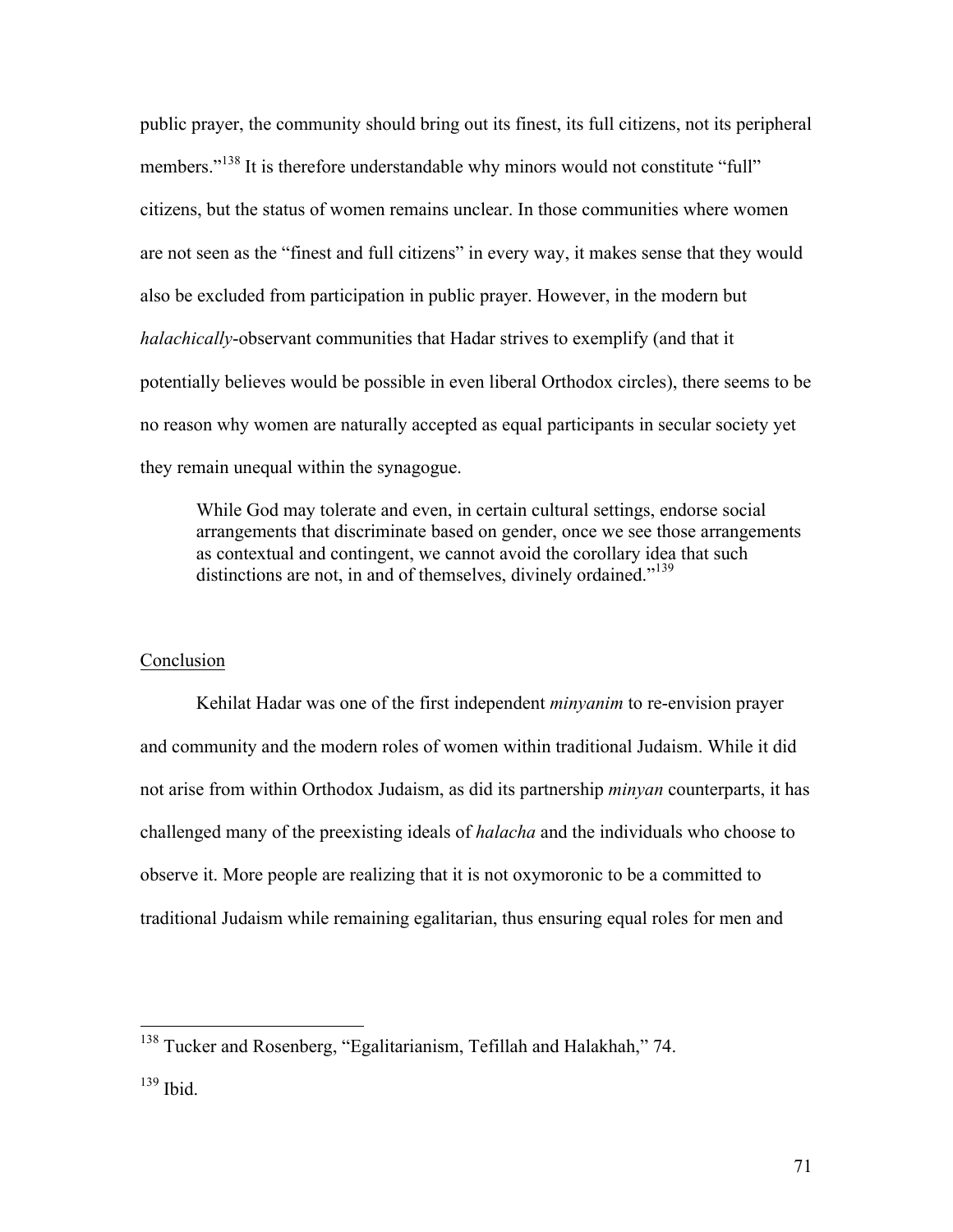public prayer, the community should bring out its finest, its full citizens, not its peripheral members."<sup>138</sup> It is therefore understandable why minors would not constitute "full" citizens, but the status of women remains unclear. In those communities where women are not seen as the "finest and full citizens" in every way, it makes sense that they would also be excluded from participation in public prayer. However, in the modern but *halachically*-observant communities that Hadar strives to exemplify (and that it potentially believes would be possible in even liberal Orthodox circles), there seems to be no reason why women are naturally accepted as equal participants in secular society yet they remain unequal within the synagogue.

While God may tolerate and even, in certain cultural settings, endorse social arrangements that discriminate based on gender, once we see those arrangements as contextual and contingent, we cannot avoid the corollary idea that such distinctions are not, in and of themselves, divinely ordained."<sup>139</sup>

# Conclusion

Kehilat Hadar was one of the first independent *minyanim* to re-envision prayer and community and the modern roles of women within traditional Judaism. While it did not arise from within Orthodox Judaism, as did its partnership *minyan* counterparts, it has challenged many of the preexisting ideals of *halacha* and the individuals who choose to observe it. More people are realizing that it is not oxymoronic to be a committed to traditional Judaism while remaining egalitarian, thus ensuring equal roles for men and

<sup>&</sup>lt;sup>138</sup> Tucker and Rosenberg, "Egalitarianism, Tefillah and Halakhah," 74.

<sup>139</sup> Ibid.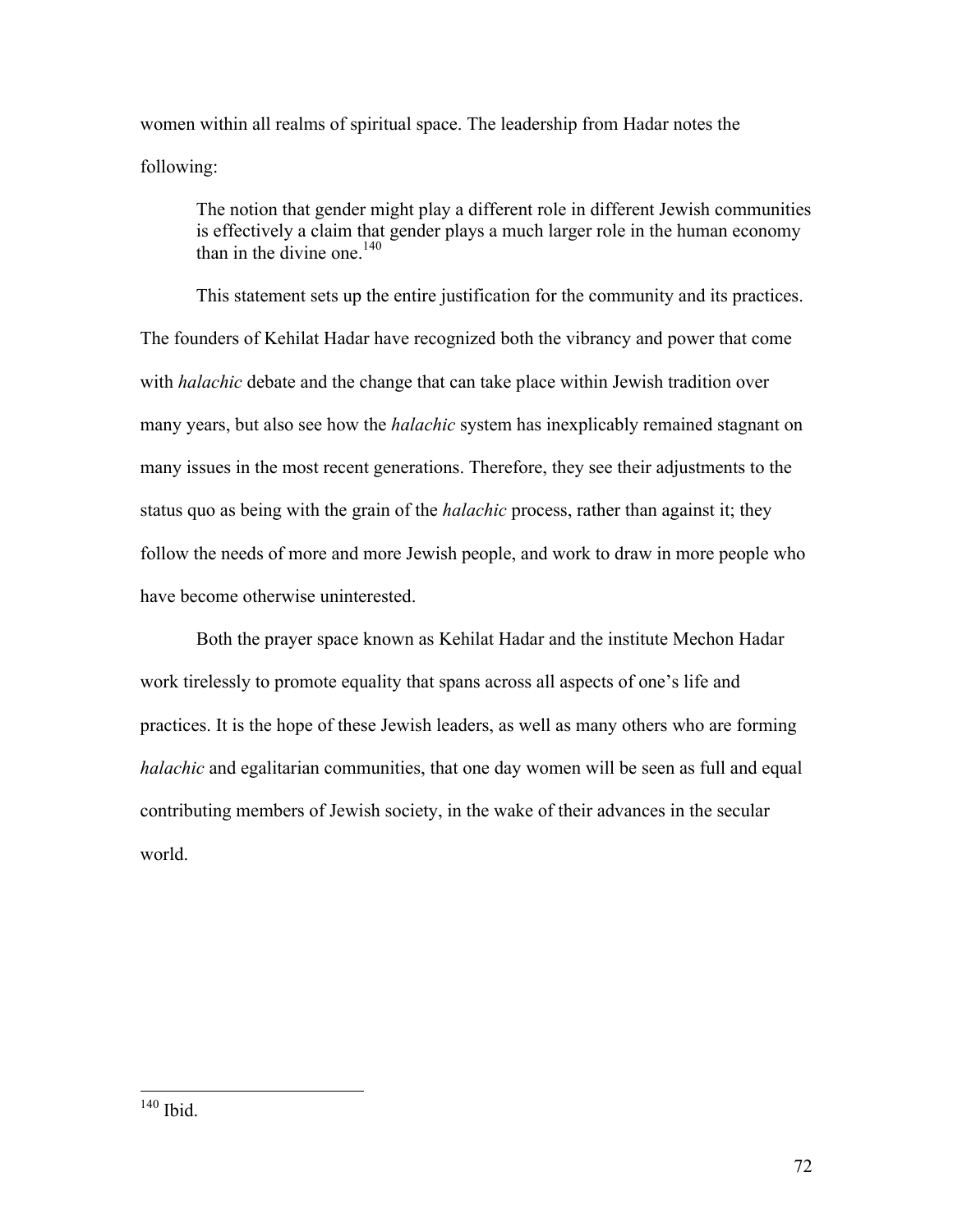women within all realms of spiritual space. The leadership from Hadar notes the following:

The notion that gender might play a different role in different Jewish communities is effectively a claim that gender plays a much larger role in the human economy than in the divine one  $140$ 

This statement sets up the entire justification for the community and its practices. The founders of Kehilat Hadar have recognized both the vibrancy and power that come with *halachic* debate and the change that can take place within Jewish tradition over many years, but also see how the *halachic* system has inexplicably remained stagnant on many issues in the most recent generations. Therefore, they see their adjustments to the status quo as being with the grain of the *halachic* process, rather than against it; they follow the needs of more and more Jewish people, and work to draw in more people who have become otherwise uninterested.

Both the prayer space known as Kehilat Hadar and the institute Mechon Hadar work tirelessly to promote equality that spans across all aspects of one's life and practices. It is the hope of these Jewish leaders, as well as many others who are forming *halachic* and egalitarian communities, that one day women will be seen as full and equal contributing members of Jewish society, in the wake of their advances in the secular world.

 <sup>140</sup> Ibid.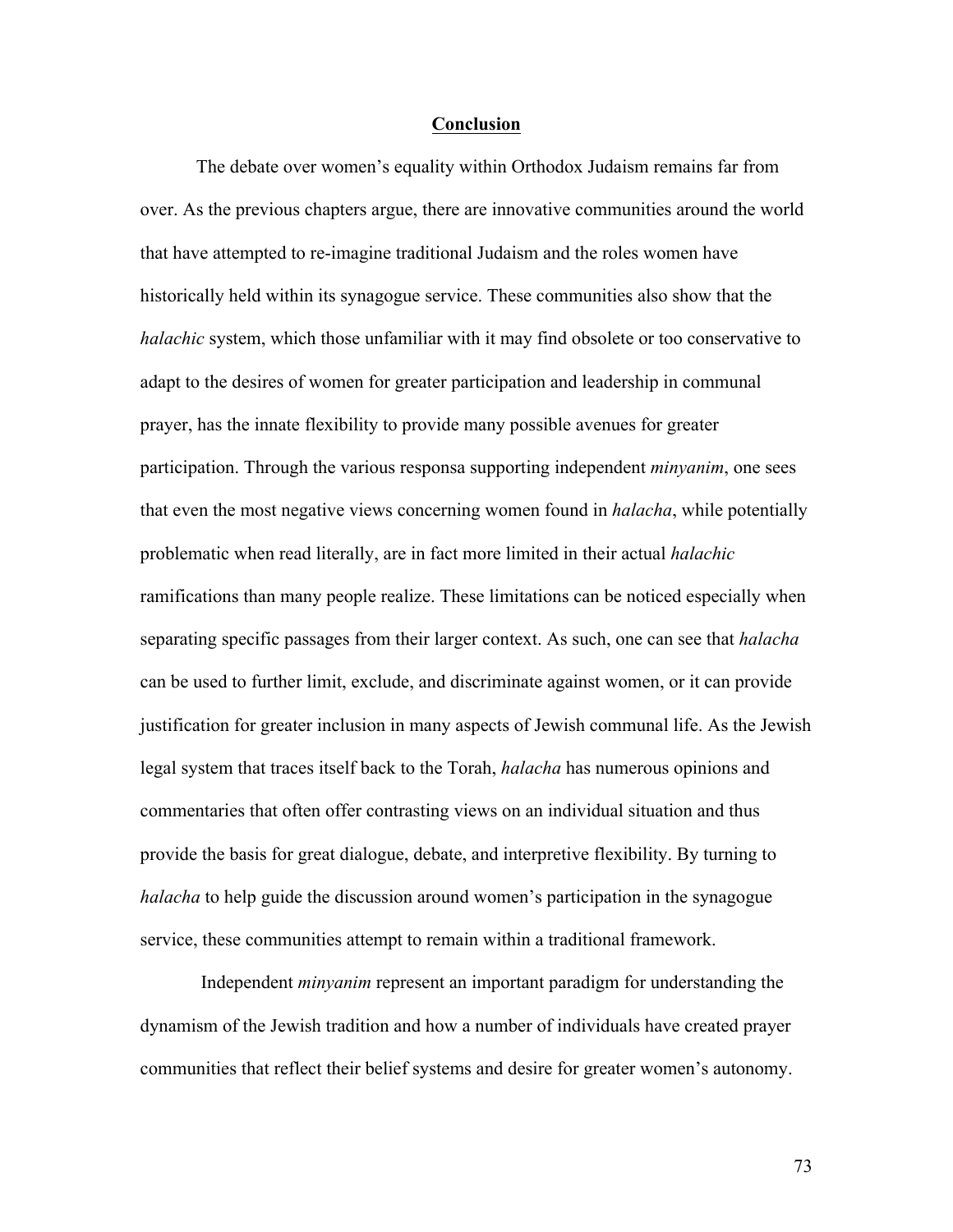#### **Conclusion**

The debate over women's equality within Orthodox Judaism remains far from over. As the previous chapters argue, there are innovative communities around the world that have attempted to re-imagine traditional Judaism and the roles women have historically held within its synagogue service. These communities also show that the *halachic* system, which those unfamiliar with it may find obsolete or too conservative to adapt to the desires of women for greater participation and leadership in communal prayer, has the innate flexibility to provide many possible avenues for greater participation. Through the various responsa supporting independent *minyanim*, one sees that even the most negative views concerning women found in *halacha*, while potentially problematic when read literally, are in fact more limited in their actual *halachic*  ramifications than many people realize. These limitations can be noticed especially when separating specific passages from their larger context. As such, one can see that *halacha* can be used to further limit, exclude, and discriminate against women, or it can provide justification for greater inclusion in many aspects of Jewish communal life. As the Jewish legal system that traces itself back to the Torah, *halacha* has numerous opinions and commentaries that often offer contrasting views on an individual situation and thus provide the basis for great dialogue, debate, and interpretive flexibility. By turning to *halacha* to help guide the discussion around women's participation in the synagogue service, these communities attempt to remain within a traditional framework.

Independent *minyanim* represent an important paradigm for understanding the dynamism of the Jewish tradition and how a number of individuals have created prayer communities that reflect their belief systems and desire for greater women's autonomy.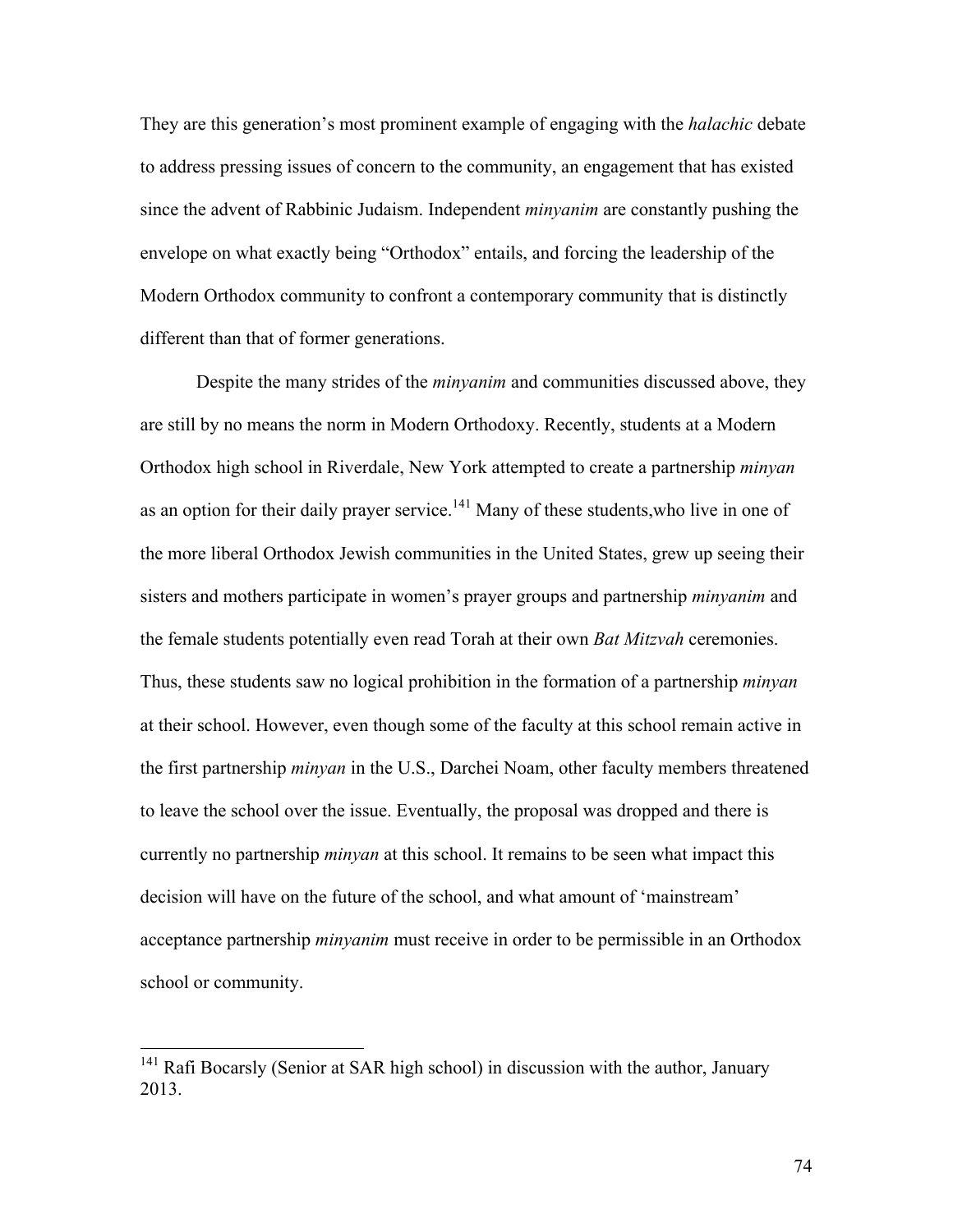They are this generation's most prominent example of engaging with the *halachic* debate to address pressing issues of concern to the community, an engagement that has existed since the advent of Rabbinic Judaism. Independent *minyanim* are constantly pushing the envelope on what exactly being "Orthodox" entails, and forcing the leadership of the Modern Orthodox community to confront a contemporary community that is distinctly different than that of former generations.

Despite the many strides of the *minyanim* and communities discussed above, they are still by no means the norm in Modern Orthodoxy. Recently, students at a Modern Orthodox high school in Riverdale, New York attempted to create a partnership *minyan* as an option for their daily prayer service.<sup>141</sup> Many of these students, who live in one of the more liberal Orthodox Jewish communities in the United States, grew up seeing their sisters and mothers participate in women's prayer groups and partnership *minyanim* and the female students potentially even read Torah at their own *Bat Mitzvah* ceremonies. Thus, these students saw no logical prohibition in the formation of a partnership *minyan* at their school. However, even though some of the faculty at this school remain active in the first partnership *minyan* in the U.S., Darchei Noam, other faculty members threatened to leave the school over the issue. Eventually, the proposal was dropped and there is currently no partnership *minyan* at this school. It remains to be seen what impact this decision will have on the future of the school, and what amount of 'mainstream' acceptance partnership *minyanim* must receive in order to be permissible in an Orthodox school or community.

<sup>&</sup>lt;sup>141</sup> Rafi Bocarsly (Senior at SAR high school) in discussion with the author, January 2013.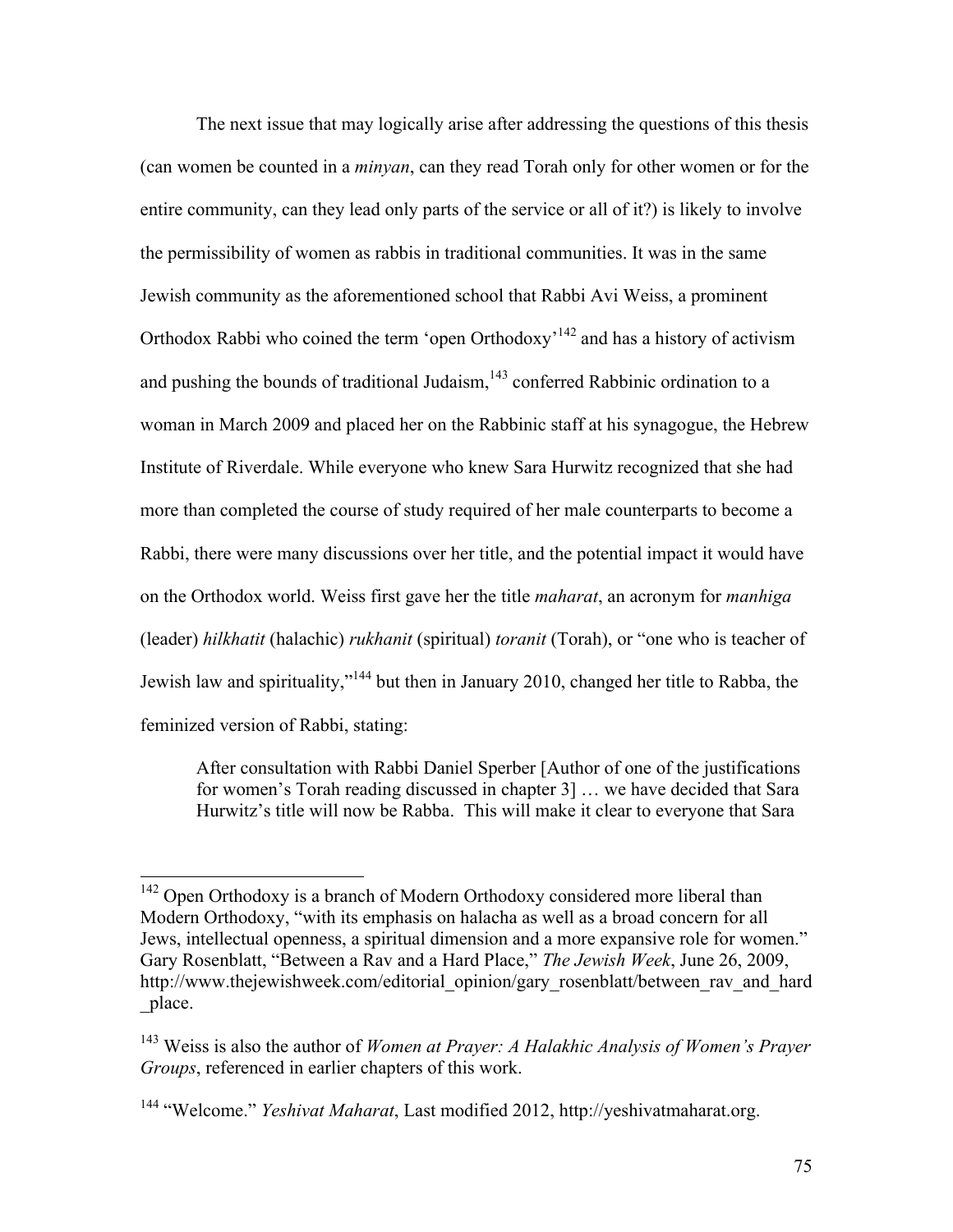The next issue that may logically arise after addressing the questions of this thesis (can women be counted in a *minyan*, can they read Torah only for other women or for the entire community, can they lead only parts of the service or all of it?) is likely to involve the permissibility of women as rabbis in traditional communities. It was in the same Jewish community as the aforementioned school that Rabbi Avi Weiss, a prominent Orthodox Rabbi who coined the term 'open Orthodoxy<sup>142</sup> and has a history of activism and pushing the bounds of traditional Judaism, $143$  conferred Rabbinic ordination to a woman in March 2009 and placed her on the Rabbinic staff at his synagogue, the Hebrew Institute of Riverdale. While everyone who knew Sara Hurwitz recognized that she had more than completed the course of study required of her male counterparts to become a Rabbi, there were many discussions over her title, and the potential impact it would have on the Orthodox world. Weiss first gave her the title *maharat*, an acronym for *manhiga*  (leader) *hilkhatit* (halachic) *rukhanit* (spiritual) *toranit* (Torah), or "one who is teacher of Jewish law and spirituality,"144 but then in January 2010, changed her title to Rabba, the feminized version of Rabbi, stating:

After consultation with Rabbi Daniel Sperber [Author of one of the justifications for women's Torah reading discussed in chapter 3] … we have decided that Sara Hurwitz's title will now be Rabba. This will make it clear to everyone that Sara

<sup>&</sup>lt;sup>142</sup> Open Orthodoxy is a branch of Modern Orthodoxy considered more liberal than Modern Orthodoxy, "with its emphasis on halacha as well as a broad concern for all Jews, intellectual openness, a spiritual dimension and a more expansive role for women." Gary Rosenblatt, "Between a Rav and a Hard Place," *The Jewish Week*, June 26, 2009, http://www.thejewishweek.com/editorial\_opinion/gary\_rosenblatt/between\_rav\_and\_hard \_place.

<sup>143</sup> Weiss is also the author of *Women at Prayer: A Halakhic Analysis of Women's Prayer Groups*, referenced in earlier chapters of this work.

<sup>144</sup> "Welcome." *Yeshivat Maharat*, Last modified 2012, http://yeshivatmaharat.org.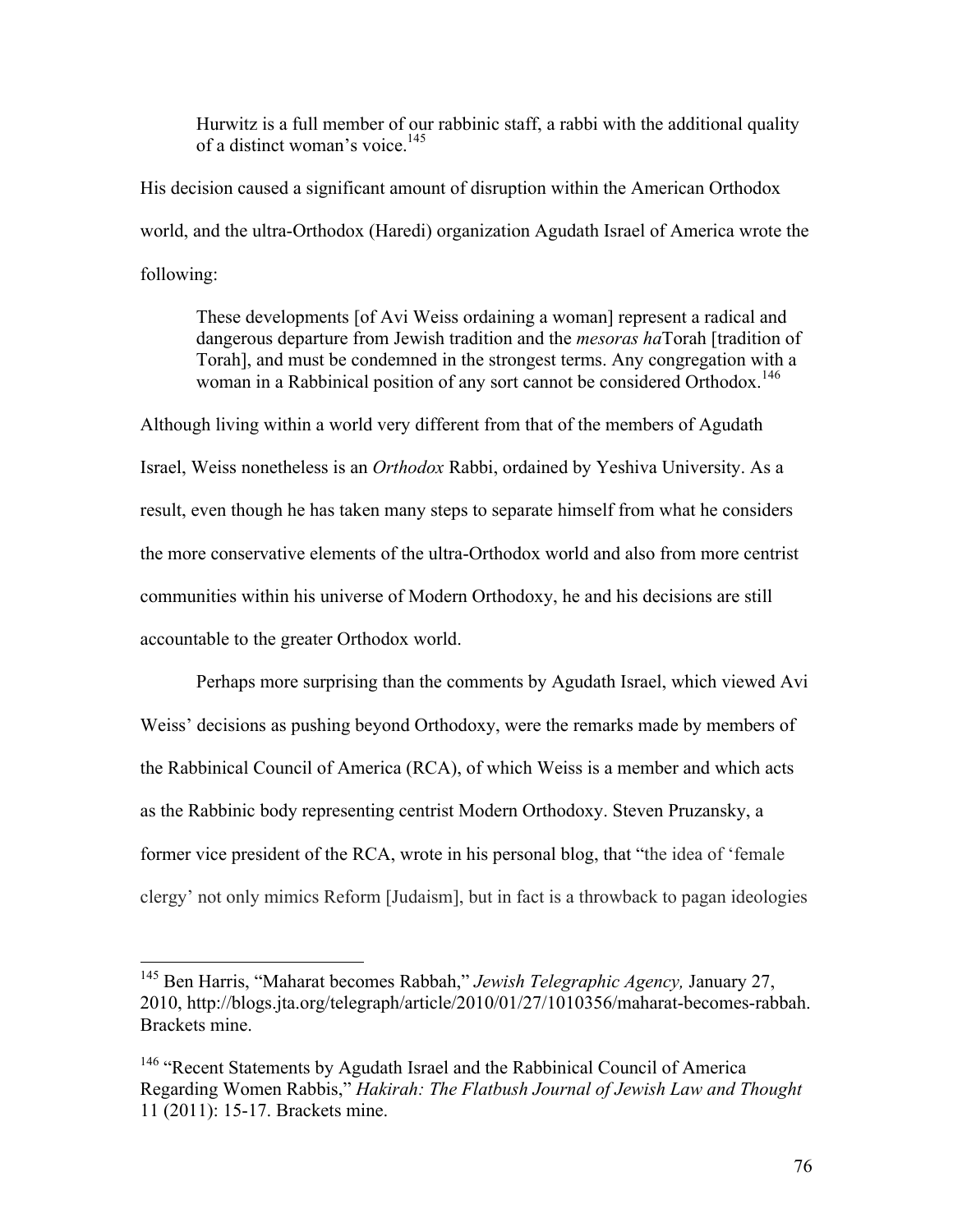Hurwitz is a full member of our rabbinic staff, a rabbi with the additional quality of a distinct woman's voice.<sup>145</sup>

His decision caused a significant amount of disruption within the American Orthodox world, and the ultra-Orthodox (Haredi) organization Agudath Israel of America wrote the following:

These developments [of Avi Weiss ordaining a woman] represent a radical and dangerous departure from Jewish tradition and the *mesoras ha*Torah [tradition of Torah], and must be condemned in the strongest terms. Any congregation with a woman in a Rabbinical position of any sort cannot be considered Orthodox. 146

Although living within a world very different from that of the members of Agudath Israel, Weiss nonetheless is an *Orthodox* Rabbi, ordained by Yeshiva University. As a result, even though he has taken many steps to separate himself from what he considers the more conservative elements of the ultra-Orthodox world and also from more centrist communities within his universe of Modern Orthodoxy, he and his decisions are still accountable to the greater Orthodox world.

Perhaps more surprising than the comments by Agudath Israel, which viewed Avi Weiss' decisions as pushing beyond Orthodoxy, were the remarks made by members of the Rabbinical Council of America (RCA), of which Weiss is a member and which acts as the Rabbinic body representing centrist Modern Orthodoxy. Steven Pruzansky, a former vice president of the RCA, wrote in his personal blog, that "the idea of 'female clergy' not only mimics Reform [Judaism], but in fact is a throwback to pagan ideologies

 <sup>145</sup> Ben Harris, "Maharat becomes Rabbah," *Jewish Telegraphic Agency,* January 27, 2010, http://blogs.jta.org/telegraph/article/2010/01/27/1010356/maharat-becomes-rabbah. Brackets mine.

<sup>&</sup>lt;sup>146</sup> "Recent Statements by Agudath Israel and the Rabbinical Council of America Regarding Women Rabbis," *Hakirah: The Flatbush Journal of Jewish Law and Thought* 11 (2011): 15-17. Brackets mine.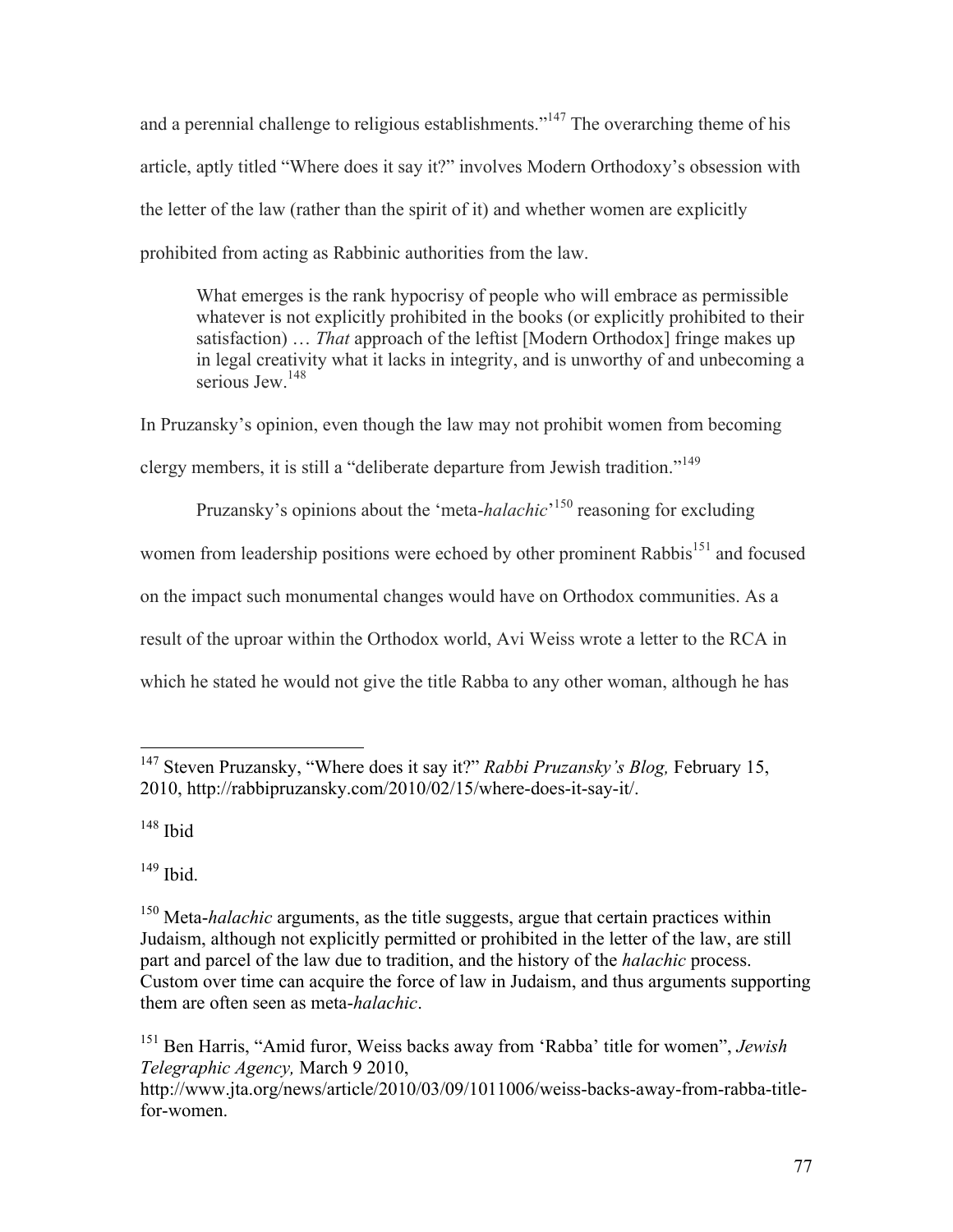and a perennial challenge to religious establishments."<sup>147</sup> The overarching theme of his article, aptly titled "Where does it say it?" involves Modern Orthodoxy's obsession with the letter of the law (rather than the spirit of it) and whether women are explicitly prohibited from acting as Rabbinic authorities from the law.

What emerges is the rank hypocrisy of people who will embrace as permissible whatever is not explicitly prohibited in the books (or explicitly prohibited to their satisfaction) … *That* approach of the leftist [Modern Orthodox] fringe makes up in legal creativity what it lacks in integrity, and is unworthy of and unbecoming a serious Jew<sup>148</sup>

In Pruzansky's opinion, even though the law may not prohibit women from becoming clergy members, it is still a "deliberate departure from Jewish tradition."<sup>149</sup>

Pruzansky's opinions about the 'meta-*halachic*'<sup>150</sup> reasoning for excluding women from leadership positions were echoed by other prominent Rabbis<sup>151</sup> and focused on the impact such monumental changes would have on Orthodox communities. As a result of the uproar within the Orthodox world, Avi Weiss wrote a letter to the RCA in which he stated he would not give the title Rabba to any other woman, although he has

 $148$  Ibid

<sup>149</sup> Ibid.

<sup>151</sup> Ben Harris, "Amid furor, Weiss backs away from 'Rabba' title for women", *Jewish Telegraphic Agency,* March 9 2010, http://www.jta.org/news/article/2010/03/09/1011006/weiss-backs-away-from-rabba-titlefor-women.

 <sup>147</sup> Steven Pruzansky, "Where does it say it?" *Rabbi Pruzansky's Blog,* February 15, 2010, http://rabbipruzansky.com/2010/02/15/where-does-it-say-it/.

<sup>150</sup> Meta-*halachic* arguments, as the title suggests, argue that certain practices within Judaism, although not explicitly permitted or prohibited in the letter of the law, are still part and parcel of the law due to tradition, and the history of the *halachic* process. Custom over time can acquire the force of law in Judaism, and thus arguments supporting them are often seen as meta-*halachic*.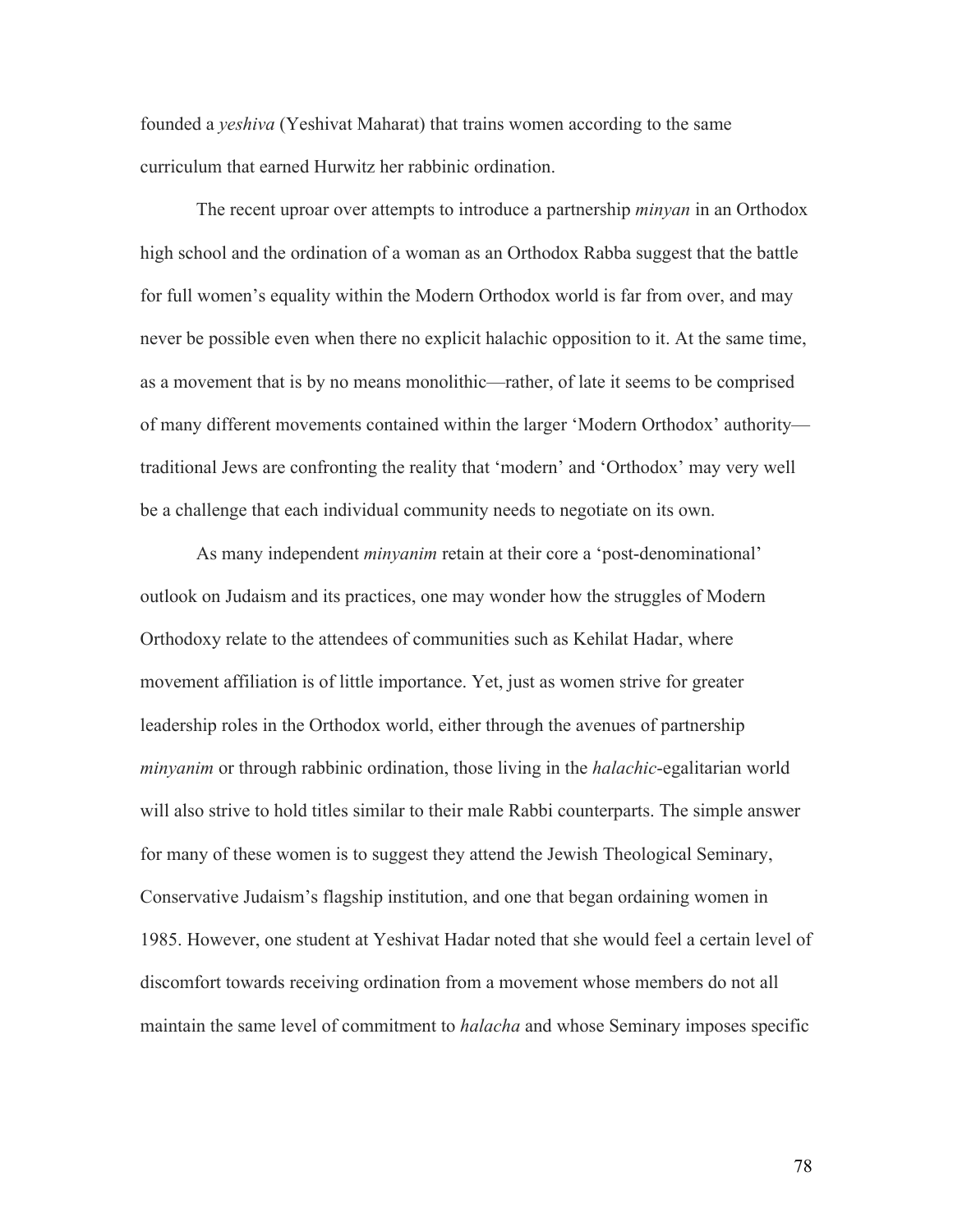founded a *yeshiva* (Yeshivat Maharat) that trains women according to the same curriculum that earned Hurwitz her rabbinic ordination.

The recent uproar over attempts to introduce a partnership *minyan* in an Orthodox high school and the ordination of a woman as an Orthodox Rabba suggest that the battle for full women's equality within the Modern Orthodox world is far from over, and may never be possible even when there no explicit halachic opposition to it. At the same time, as a movement that is by no means monolithic—rather, of late it seems to be comprised of many different movements contained within the larger 'Modern Orthodox' authority traditional Jews are confronting the reality that 'modern' and 'Orthodox' may very well be a challenge that each individual community needs to negotiate on its own.

As many independent *minyanim* retain at their core a 'post-denominational' outlook on Judaism and its practices, one may wonder how the struggles of Modern Orthodoxy relate to the attendees of communities such as Kehilat Hadar, where movement affiliation is of little importance. Yet, just as women strive for greater leadership roles in the Orthodox world, either through the avenues of partnership *minyanim* or through rabbinic ordination, those living in the *halachic*-egalitarian world will also strive to hold titles similar to their male Rabbi counterparts. The simple answer for many of these women is to suggest they attend the Jewish Theological Seminary, Conservative Judaism's flagship institution, and one that began ordaining women in 1985. However, one student at Yeshivat Hadar noted that she would feel a certain level of discomfort towards receiving ordination from a movement whose members do not all maintain the same level of commitment to *halacha* and whose Seminary imposes specific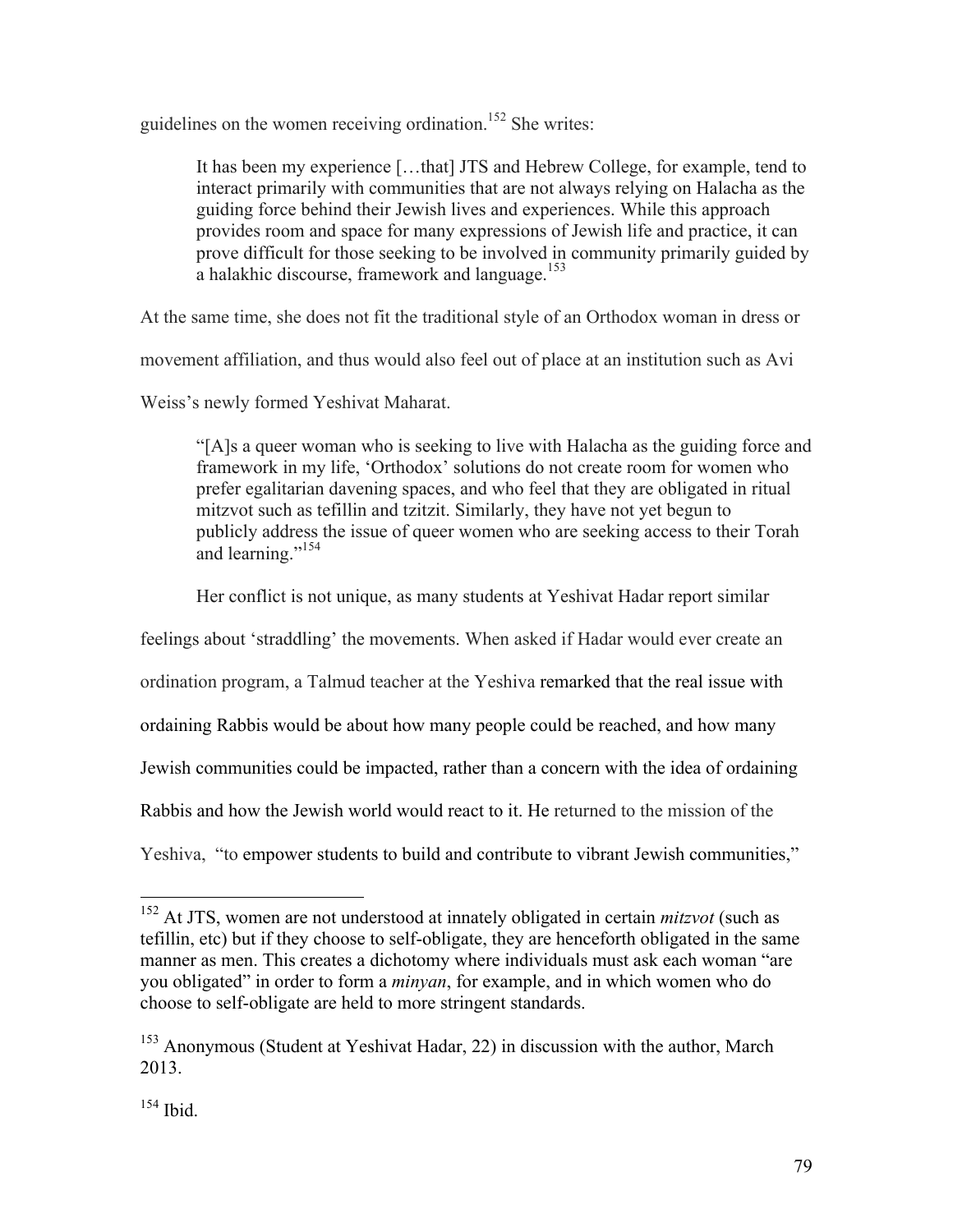guidelines on the women receiving ordination.<sup>152</sup> She writes:

It has been my experience […that] JTS and Hebrew College, for example, tend to interact primarily with communities that are not always relying on Halacha as the guiding force behind their Jewish lives and experiences. While this approach provides room and space for many expressions of Jewish life and practice, it can prove difficult for those seeking to be involved in community primarily guided by a halakhic discourse, framework and language.<sup>153</sup>

At the same time, she does not fit the traditional style of an Orthodox woman in dress or

movement affiliation, and thus would also feel out of place at an institution such as Avi

Weiss's newly formed Yeshivat Maharat.

"[A]s a queer woman who is seeking to live with Halacha as the guiding force and framework in my life, 'Orthodox' solutions do not create room for women who prefer egalitarian davening spaces, and who feel that they are obligated in ritual mitzvot such as tefillin and tzitzit. Similarly, they have not yet begun to publicly address the issue of queer women who are seeking access to their Torah and learning."<sup>154</sup>

Her conflict is not unique, as many students at Yeshivat Hadar report similar

feelings about 'straddling' the movements. When asked if Hadar would ever create an

ordination program, a Talmud teacher at the Yeshiva remarked that the real issue with

ordaining Rabbis would be about how many people could be reached, and how many

Jewish communities could be impacted, rather than a concern with the idea of ordaining

Rabbis and how the Jewish world would react to it. He returned to the mission of the

Yeshiva, "to empower students to build and contribute to vibrant Jewish communities,"

 <sup>152</sup> At JTS, women are not understood at innately obligated in certain *mitzvot* (such as tefillin, etc) but if they choose to self-obligate, they are henceforth obligated in the same manner as men. This creates a dichotomy where individuals must ask each woman "are you obligated" in order to form a *minyan*, for example, and in which women who do choose to self-obligate are held to more stringent standards.

<sup>153</sup> Anonymous (Student at Yeshivat Hadar, 22) in discussion with the author, March 2013.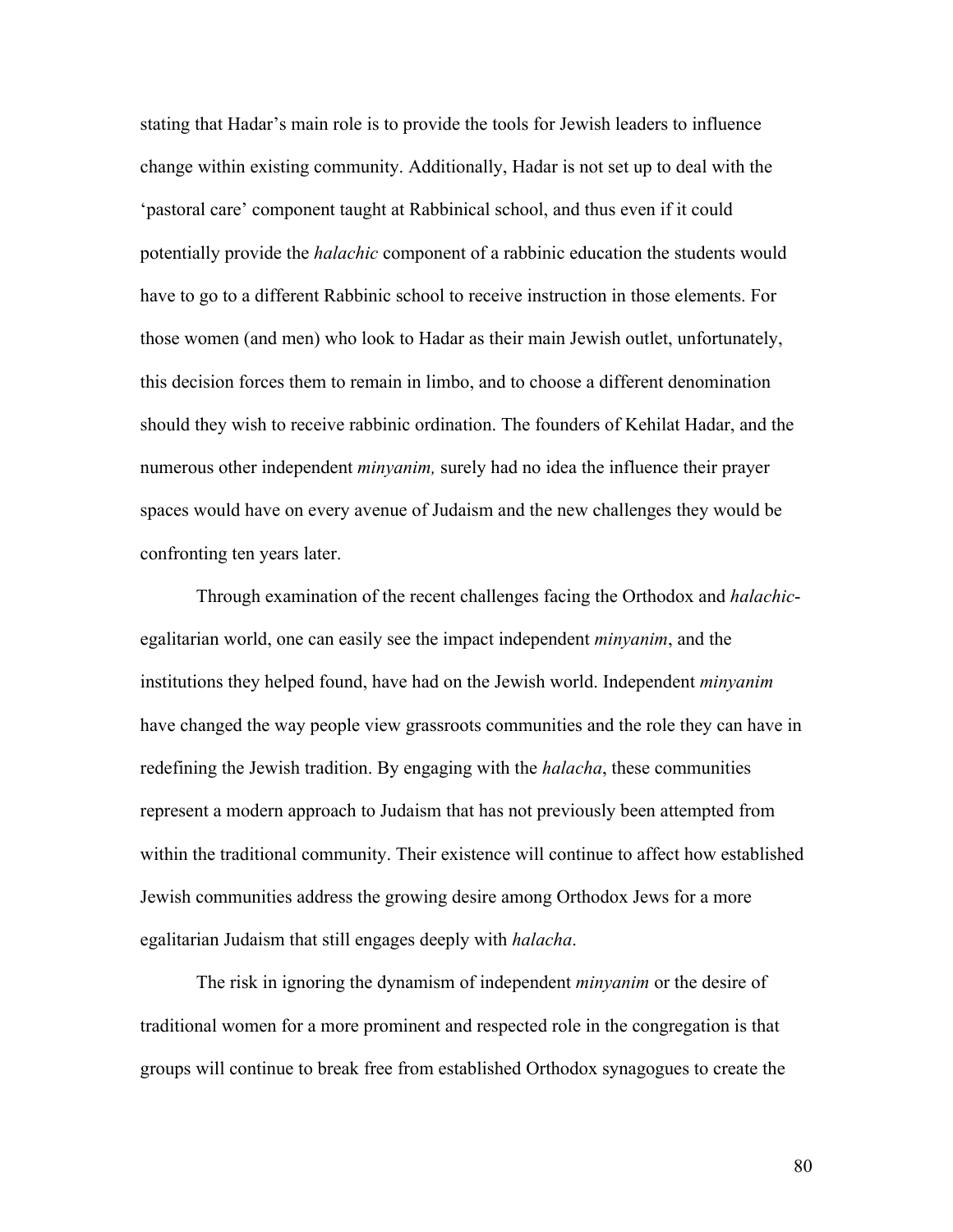stating that Hadar's main role is to provide the tools for Jewish leaders to influence change within existing community. Additionally, Hadar is not set up to deal with the 'pastoral care' component taught at Rabbinical school, and thus even if it could potentially provide the *halachic* component of a rabbinic education the students would have to go to a different Rabbinic school to receive instruction in those elements. For those women (and men) who look to Hadar as their main Jewish outlet, unfortunately, this decision forces them to remain in limbo, and to choose a different denomination should they wish to receive rabbinic ordination. The founders of Kehilat Hadar, and the numerous other independent *minyanim,* surely had no idea the influence their prayer spaces would have on every avenue of Judaism and the new challenges they would be confronting ten years later.

Through examination of the recent challenges facing the Orthodox and *halachic*egalitarian world, one can easily see the impact independent *minyanim*, and the institutions they helped found, have had on the Jewish world. Independent *minyanim* have changed the way people view grassroots communities and the role they can have in redefining the Jewish tradition. By engaging with the *halacha*, these communities represent a modern approach to Judaism that has not previously been attempted from within the traditional community. Their existence will continue to affect how established Jewish communities address the growing desire among Orthodox Jews for a more egalitarian Judaism that still engages deeply with *halacha*.

The risk in ignoring the dynamism of independent *minyanim* or the desire of traditional women for a more prominent and respected role in the congregation is that groups will continue to break free from established Orthodox synagogues to create the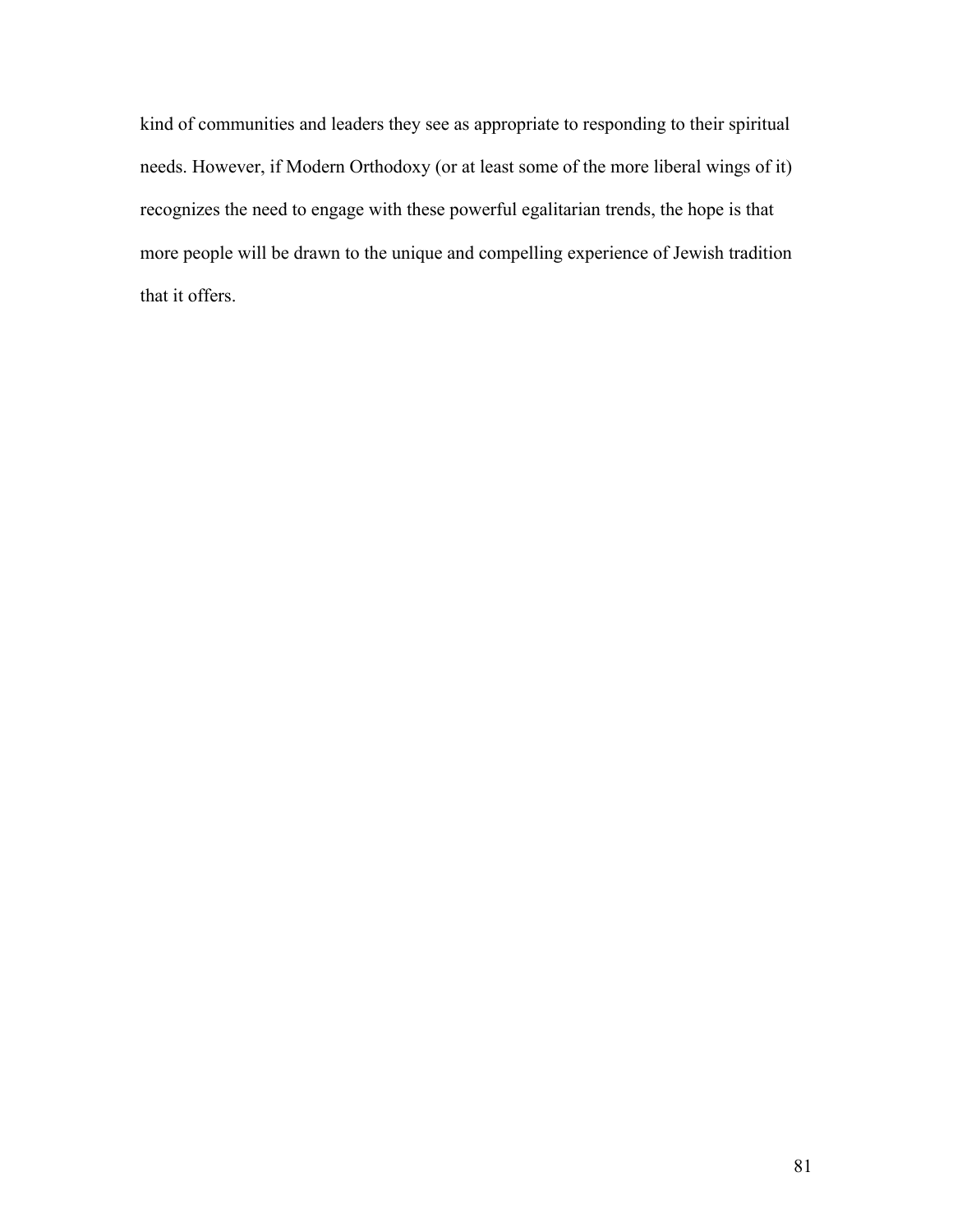kind of communities and leaders they see as appropriate to responding to their spiritual needs. However, if Modern Orthodoxy (or at least some of the more liberal wings of it) recognizes the need to engage with these powerful egalitarian trends, the hope is that more people will be drawn to the unique and compelling experience of Jewish tradition that it offers.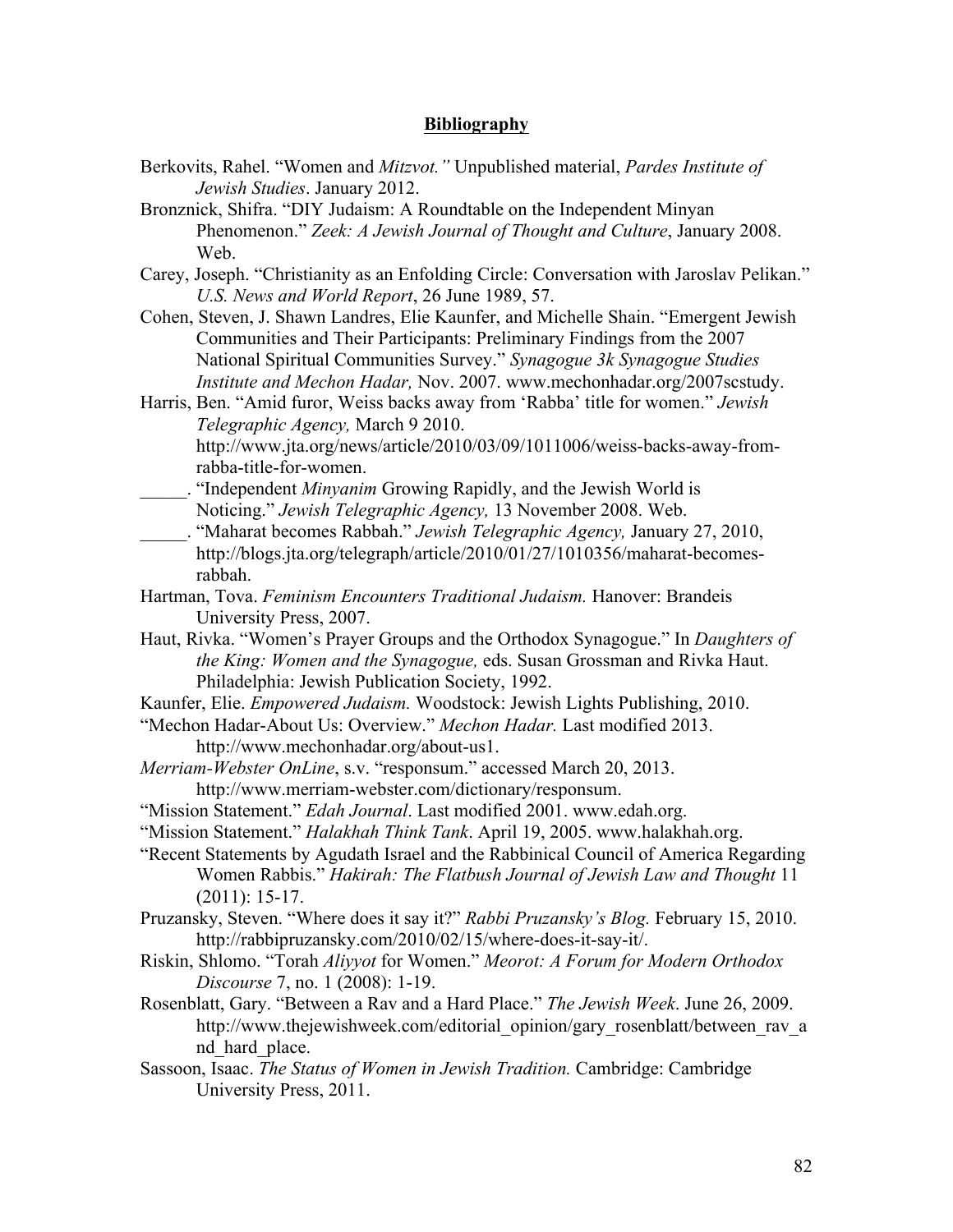# **Bibliography**

- Berkovits, Rahel. "Women and *Mitzvot."* Unpublished material, *Pardes Institute of Jewish Studies*. January 2012.
- Bronznick, Shifra. "DIY Judaism: A Roundtable on the Independent Minyan Phenomenon." *Zeek: A Jewish Journal of Thought and Culture*, January 2008. Web.
- Carey, Joseph. "Christianity as an Enfolding Circle: Conversation with Jaroslav Pelikan." *U.S. News and World Report*, 26 June 1989, 57.
- Cohen, Steven, J. Shawn Landres, Elie Kaunfer, and Michelle Shain. "Emergent Jewish Communities and Their Participants: Preliminary Findings from the 2007 National Spiritual Communities Survey." *Synagogue 3k Synagogue Studies Institute and Mechon Hadar,* Nov. 2007. www.mechonhadar.org/2007scstudy.
- Harris, Ben. "Amid furor, Weiss backs away from 'Rabba' title for women." *Jewish Telegraphic Agency,* March 9 2010. http://www.jta.org/news/article/2010/03/09/1011006/weiss-backs-away-fromrabba-title-for-women.
- \_\_\_\_\_. "Independent *Minyanim* Growing Rapidly, and the Jewish World is Noticing." *Jewish Telegraphic Agency,* 13 November 2008. Web.
- \_\_\_\_\_. "Maharat becomes Rabbah." *Jewish Telegraphic Agency,* January 27, 2010, http://blogs.jta.org/telegraph/article/2010/01/27/1010356/maharat-becomesrabbah.
- Hartman, Tova. *Feminism Encounters Traditional Judaism.* Hanover: Brandeis University Press, 2007.
- Haut, Rivka. "Women's Prayer Groups and the Orthodox Synagogue." In *Daughters of the King: Women and the Synagogue,* eds. Susan Grossman and Rivka Haut. Philadelphia: Jewish Publication Society, 1992.
- Kaunfer, Elie. *Empowered Judaism.* Woodstock: Jewish Lights Publishing, 2010.
- "Mechon Hadar-About Us: Overview." *Mechon Hadar.* Last modified 2013. http://www.mechonhadar.org/about-us1.
- *Merriam-Webster OnLine*, s.v. "responsum." accessed March 20, 2013. http://www.merriam-webster.com/dictionary/responsum.
- "Mission Statement." *Edah Journal*. Last modified 2001. www.edah.org.
- "Mission Statement." *Halakhah Think Tank*. April 19, 2005. www.halakhah.org.
- "Recent Statements by Agudath Israel and the Rabbinical Council of America Regarding Women Rabbis." *Hakirah: The Flatbush Journal of Jewish Law and Thought* 11 (2011): 15-17.
- Pruzansky, Steven. "Where does it say it?" *Rabbi Pruzansky's Blog.* February 15, 2010. http://rabbipruzansky.com/2010/02/15/where-does-it-say-it/.
- Riskin, Shlomo. "Torah *Aliyyot* for Women." *Meorot: A Forum for Modern Orthodox Discourse* 7, no. 1 (2008): 1-19.
- Rosenblatt, Gary. "Between a Rav and a Hard Place." *The Jewish Week*. June 26, 2009. http://www.thejewishweek.com/editorial\_opinion/gary\_rosenblatt/between\_rav\_a nd hard place.
- Sassoon, Isaac. *The Status of Women in Jewish Tradition.* Cambridge: Cambridge University Press, 2011.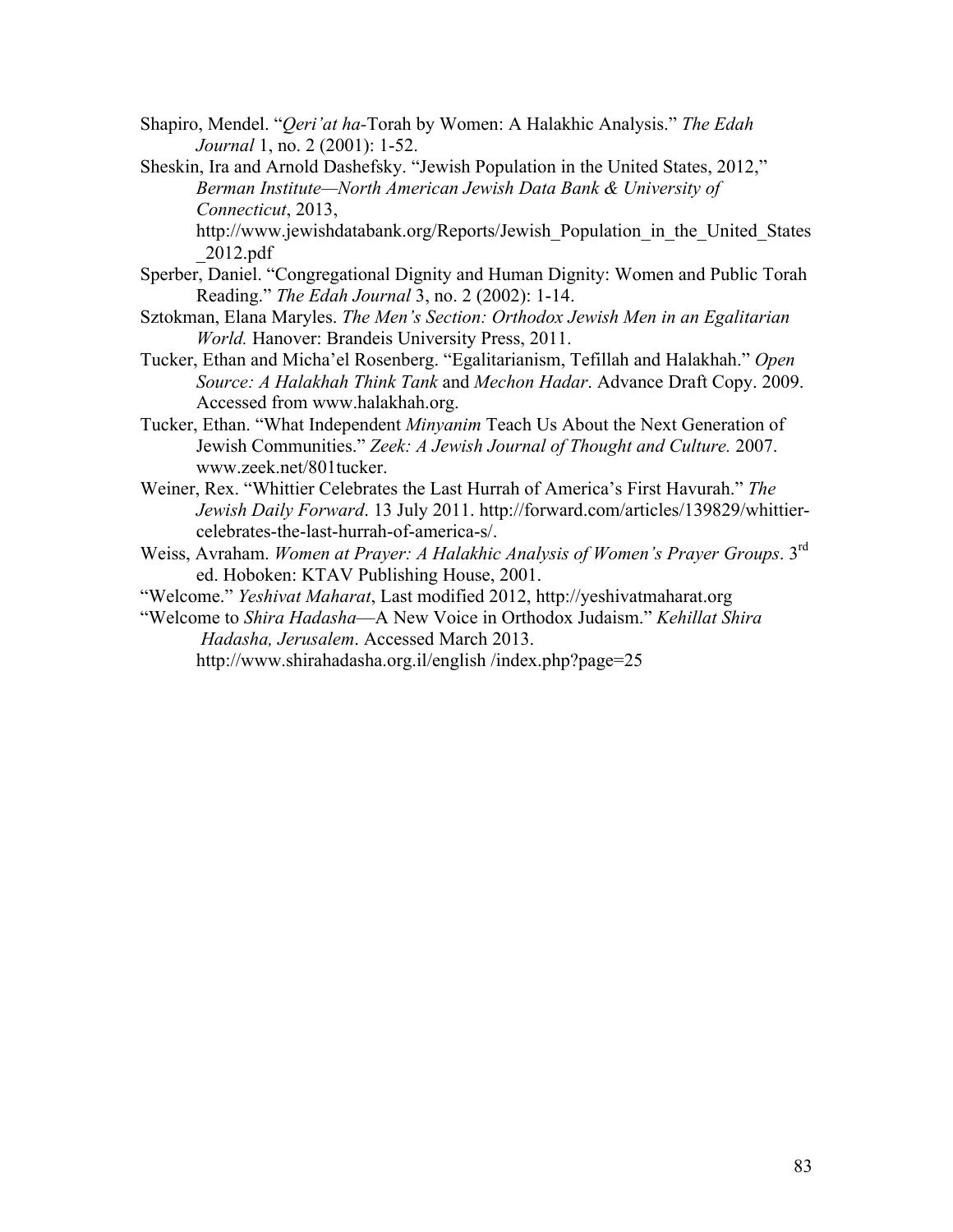- Shapiro, Mendel. "*Qeri'at ha-*Torah by Women: A Halakhic Analysis." *The Edah Journal* 1, no. 2 (2001): 1-52.
- Sheskin, Ira and Arnold Dashefsky. "Jewish Population in the United States, 2012," *Berman Institute—North American Jewish Data Bank & University of Connecticut*, 2013,

http://www.jewishdatabank.org/Reports/Jewish\_Population\_in\_the\_United\_States \_2012.pdf

- Sperber, Daniel. "Congregational Dignity and Human Dignity: Women and Public Torah Reading." *The Edah Journal* 3, no. 2 (2002): 1-14.
- Sztokman, Elana Maryles. *The Men's Section: Orthodox Jewish Men in an Egalitarian World.* Hanover: Brandeis University Press, 2011.
- Tucker, Ethan and Micha'el Rosenberg. "Egalitarianism, Tefillah and Halakhah." *Open Source: A Halakhah Think Tank* and *Mechon Hadar*. Advance Draft Copy. 2009. Accessed from www.halakhah.org.
- Tucker, Ethan. "What Independent *Minyanim* Teach Us About the Next Generation of Jewish Communities." *Zeek: A Jewish Journal of Thought and Culture.* 2007. www.zeek.net/801tucker.
- Weiner, Rex. "Whittier Celebrates the Last Hurrah of America's First Havurah." *The Jewish Daily Forward*. 13 July 2011. http://forward.com/articles/139829/whittiercelebrates-the-last-hurrah-of-america-s/.
- Weiss, Avraham. *Women at Prayer: A Halakhic Analysis of Women's Prayer Groups*. 3rd ed. Hoboken: KTAV Publishing House, 2001.
- "Welcome." *Yeshivat Maharat*, Last modified 2012, http://yeshivatmaharat.org
- "Welcome to *Shira Hadasha*—A New Voice in Orthodox Judaism." *Kehillat Shira Hadasha, Jerusalem*. Accessed March 2013.

http://www.shirahadasha.org.il/english /index.php?page=25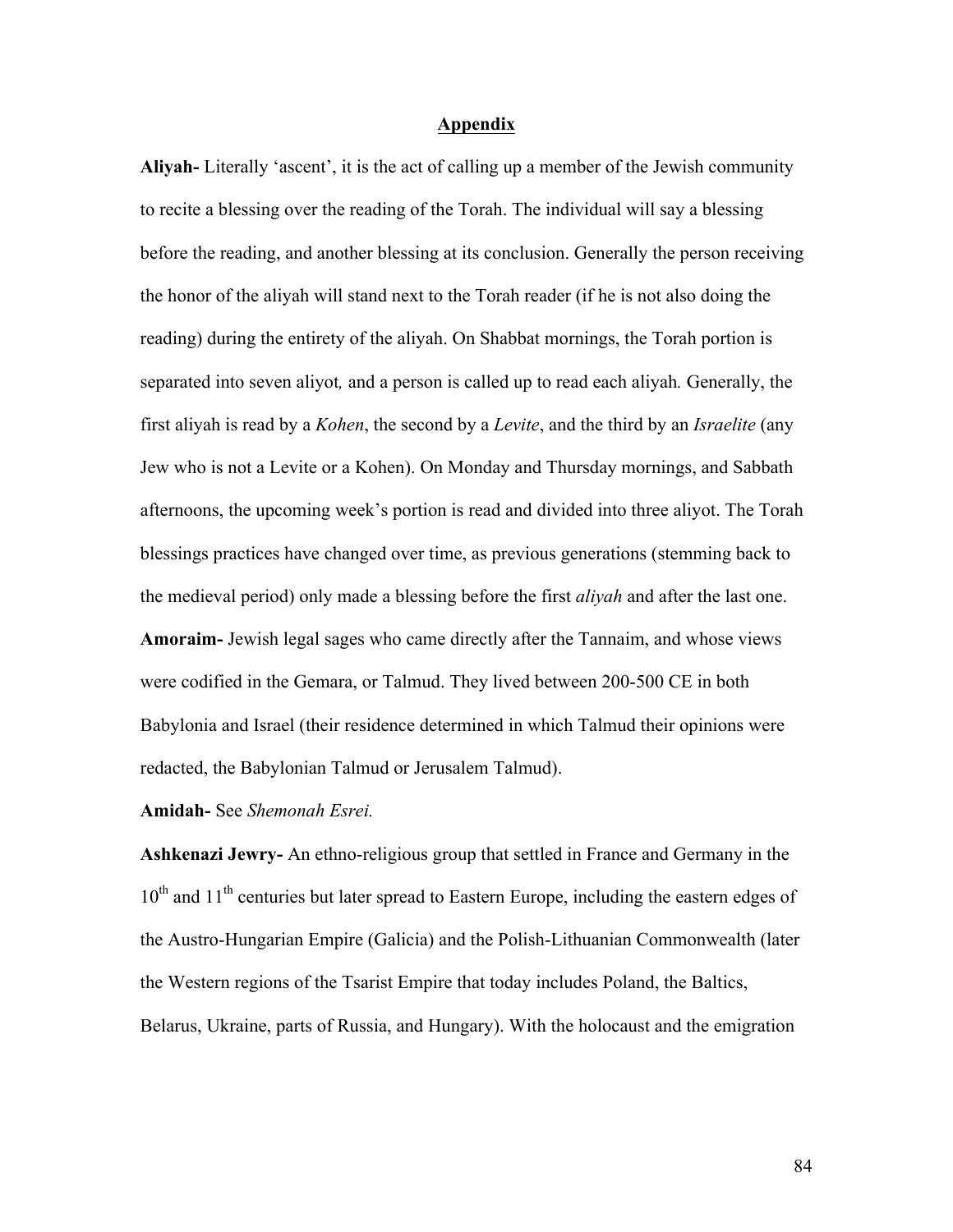# **Appendix**

**Aliyah-** Literally 'ascent', it is the act of calling up a member of the Jewish community to recite a blessing over the reading of the Torah. The individual will say a blessing before the reading, and another blessing at its conclusion. Generally the person receiving the honor of the aliyah will stand next to the Torah reader (if he is not also doing the reading) during the entirety of the aliyah. On Shabbat mornings, the Torah portion is separated into seven aliyot*,* and a person is called up to read each aliyah*.* Generally, the first aliyah is read by a *Kohen*, the second by a *Levite*, and the third by an *Israelite* (any Jew who is not a Levite or a Kohen). On Monday and Thursday mornings, and Sabbath afternoons, the upcoming week's portion is read and divided into three aliyot. The Torah blessings practices have changed over time, as previous generations (stemming back to the medieval period) only made a blessing before the first *aliyah* and after the last one. **Amoraim-** Jewish legal sages who came directly after the Tannaim, and whose views were codified in the Gemara, or Talmud. They lived between 200-500 CE in both Babylonia and Israel (their residence determined in which Talmud their opinions were redacted, the Babylonian Talmud or Jerusalem Talmud).

# **Amidah-** See *Shemonah Esrei.*

**Ashkenazi Jewry-** An ethno-religious group that settled in France and Germany in the  $10<sup>th</sup>$  and  $11<sup>th</sup>$  centuries but later spread to Eastern Europe, including the eastern edges of the Austro-Hungarian Empire (Galicia) and the Polish-Lithuanian Commonwealth (later the Western regions of the Tsarist Empire that today includes Poland, the Baltics, Belarus, Ukraine, parts of Russia, and Hungary). With the holocaust and the emigration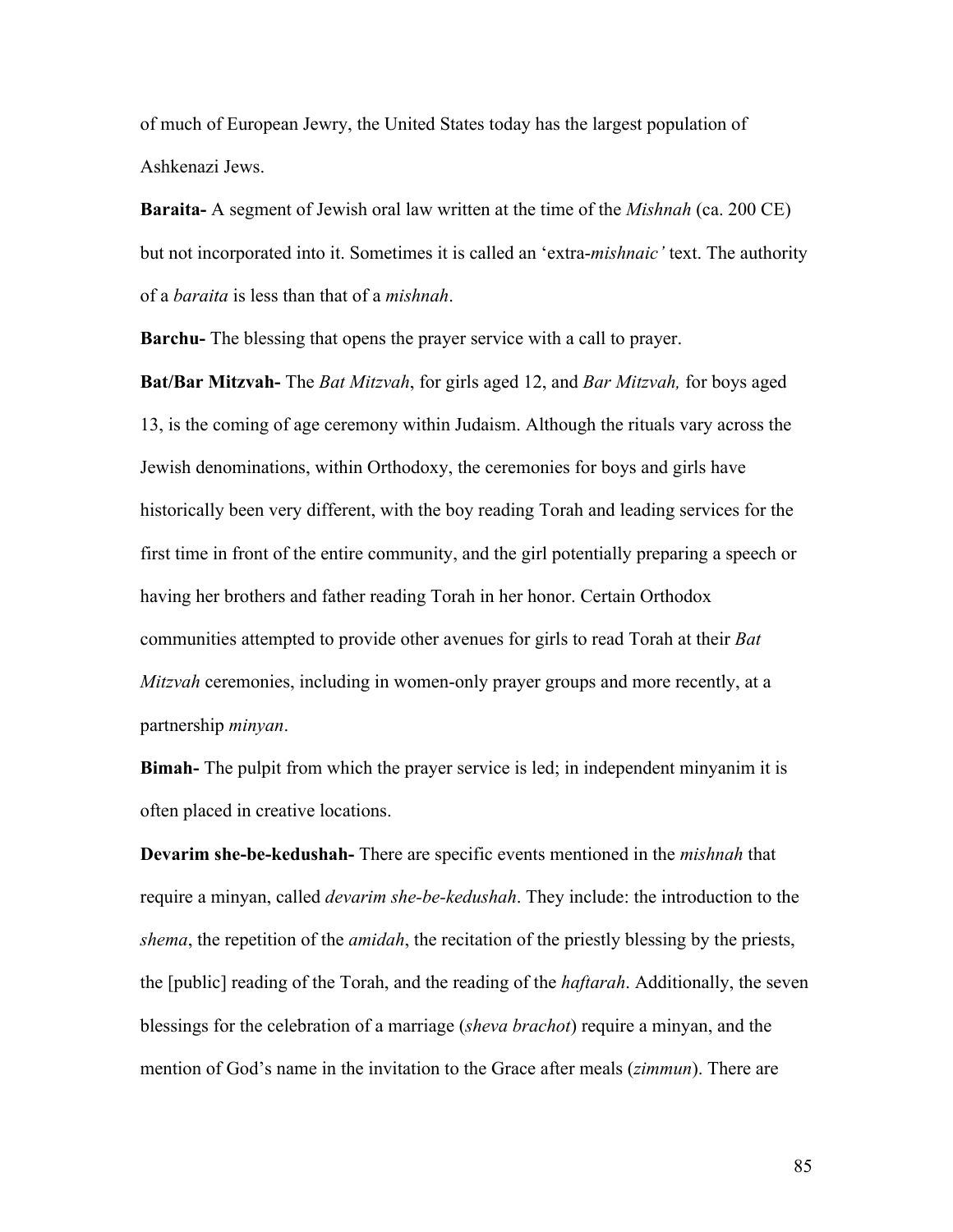of much of European Jewry, the United States today has the largest population of Ashkenazi Jews.

**Baraita-** A segment of Jewish oral law written at the time of the *Mishnah* (ca. 200 CE) but not incorporated into it. Sometimes it is called an 'extra-*mishnaic'* text. The authority of a *baraita* is less than that of a *mishnah*.

**Barchu-** The blessing that opens the prayer service with a call to prayer.

**Bat/Bar Mitzvah-** The *Bat Mitzvah*, for girls aged 12, and *Bar Mitzvah,* for boys aged 13, is the coming of age ceremony within Judaism. Although the rituals vary across the Jewish denominations, within Orthodoxy, the ceremonies for boys and girls have historically been very different, with the boy reading Torah and leading services for the first time in front of the entire community, and the girl potentially preparing a speech or having her brothers and father reading Torah in her honor. Certain Orthodox communities attempted to provide other avenues for girls to read Torah at their *Bat Mitzvah* ceremonies, including in women-only prayer groups and more recently, at a partnership *minyan*.

**Bimah-** The pulpit from which the prayer service is led; in independent minyanim it is often placed in creative locations.

**Devarim she-be-kedushah-** There are specific events mentioned in the *mishnah* that require a minyan, called *devarim she-be-kedushah*. They include: the introduction to the *shema*, the repetition of the *amidah*, the recitation of the priestly blessing by the priests, the [public] reading of the Torah, and the reading of the *haftarah*. Additionally, the seven blessings for the celebration of a marriage (*sheva brachot*) require a minyan, and the mention of God's name in the invitation to the Grace after meals (*zimmun*). There are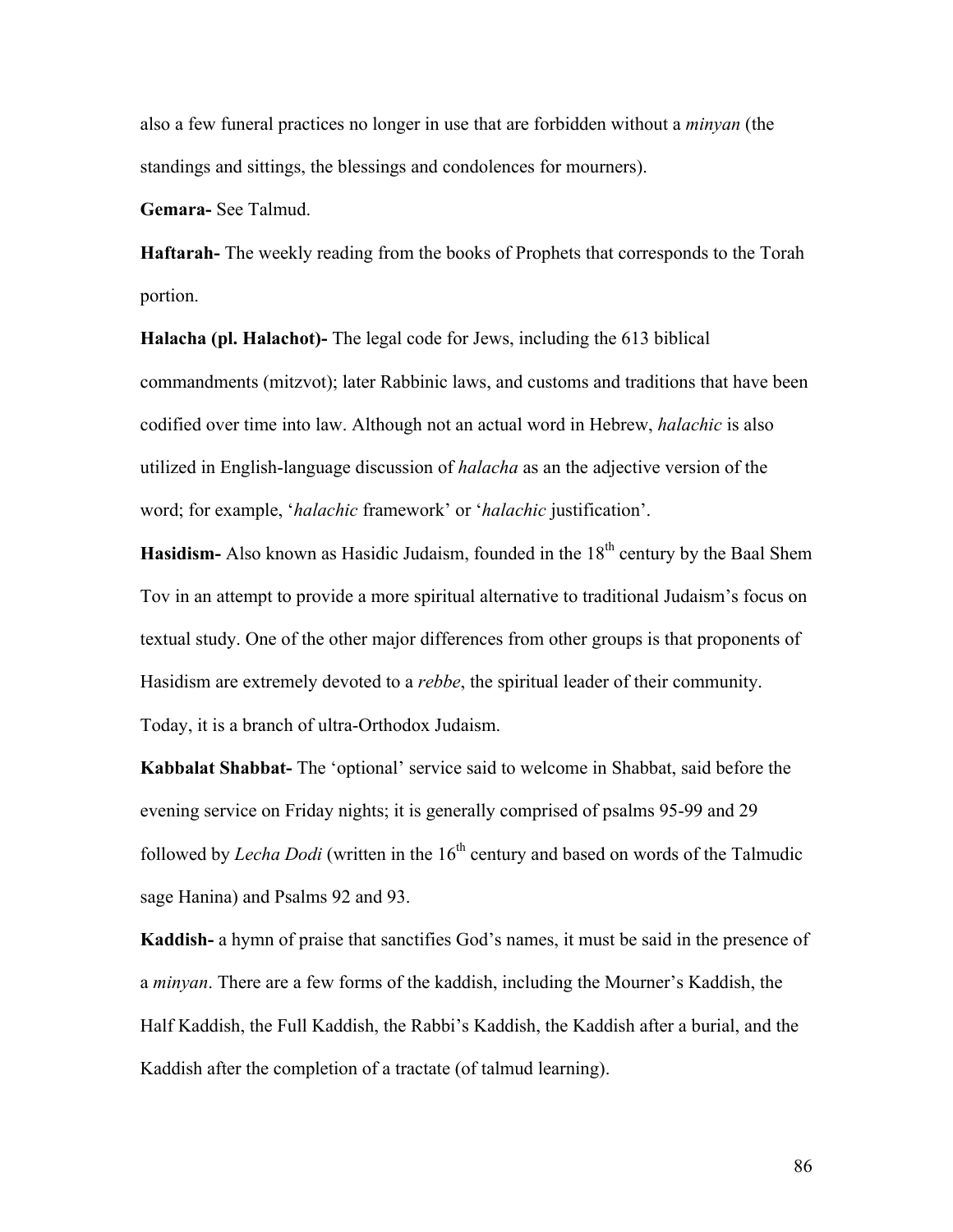also a few funeral practices no longer in use that are forbidden without a *minyan* (the standings and sittings, the blessings and condolences for mourners).

**Gemara-** See Talmud.

**Haftarah-** The weekly reading from the books of Prophets that corresponds to the Torah portion.

**Halacha (pl. Halachot)-** The legal code for Jews, including the 613 biblical commandments (mitzvot); later Rabbinic laws, and customs and traditions that have been codified over time into law. Although not an actual word in Hebrew, *halachic* is also utilized in English-language discussion of *halacha* as an the adjective version of the word; for example, '*halachic* framework' or '*halachic* justification'.

**Hasidism-** Also known as Hasidic Judaism, founded in the 18<sup>th</sup> century by the Baal Shem Tov in an attempt to provide a more spiritual alternative to traditional Judaism's focus on textual study. One of the other major differences from other groups is that proponents of Hasidism are extremely devoted to a *rebbe*, the spiritual leader of their community. Today, it is a branch of ultra-Orthodox Judaism.

**Kabbalat Shabbat-** The 'optional' service said to welcome in Shabbat, said before the evening service on Friday nights; it is generally comprised of psalms 95-99 and 29 followed by *Lecha Dodi* (written in the 16<sup>th</sup> century and based on words of the Talmudic sage Hanina) and Psalms 92 and 93.

**Kaddish-** a hymn of praise that sanctifies God's names, it must be said in the presence of a *minyan*. There are a few forms of the kaddish, including the Mourner's Kaddish, the Half Kaddish, the Full Kaddish, the Rabbi's Kaddish, the Kaddish after a burial, and the Kaddish after the completion of a tractate (of talmud learning).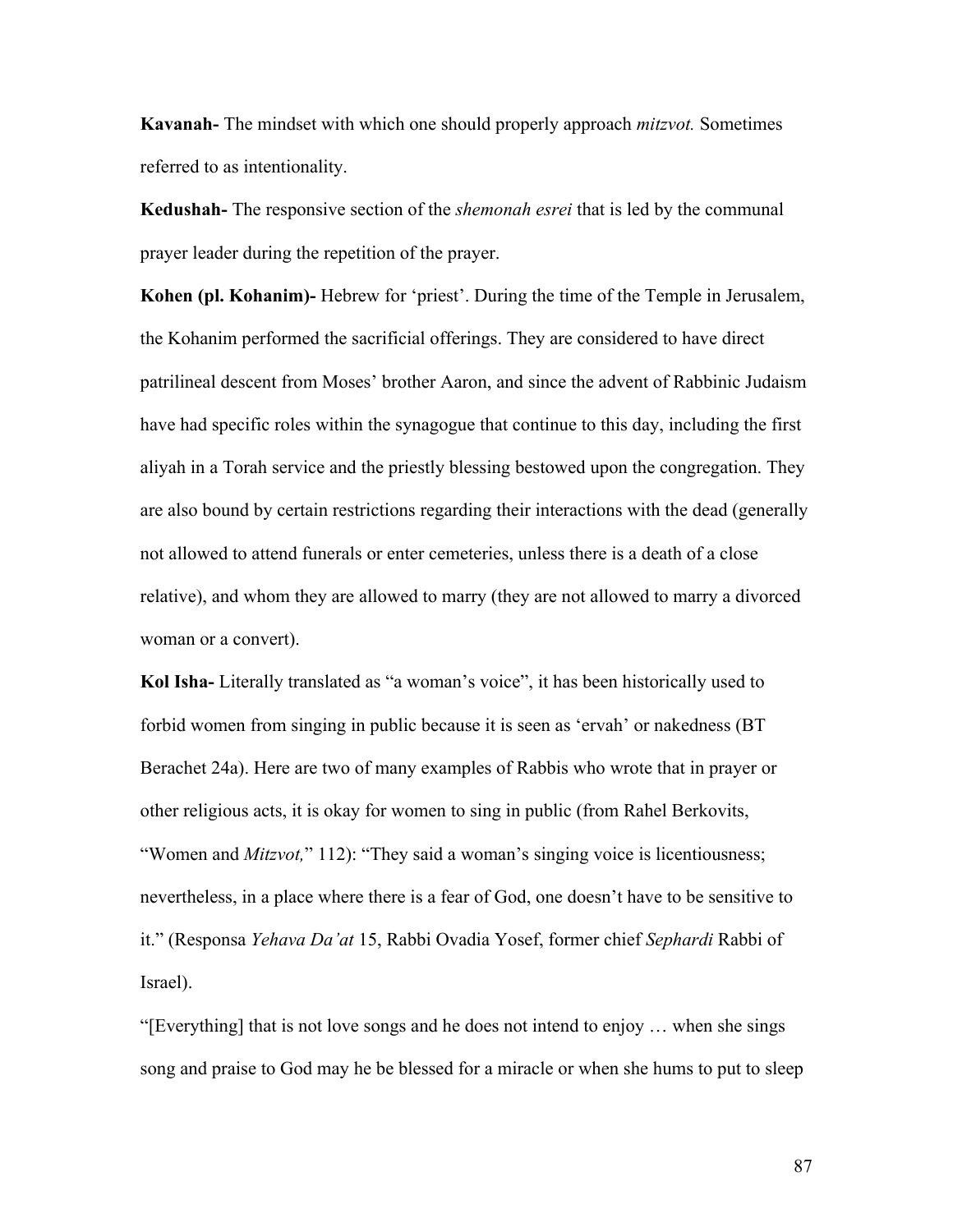**Kavanah-** The mindset with which one should properly approach *mitzvot.* Sometimes referred to as intentionality.

**Kedushah-** The responsive section of the *shemonah esrei* that is led by the communal prayer leader during the repetition of the prayer.

**Kohen (pl. Kohanim)-** Hebrew for 'priest'. During the time of the Temple in Jerusalem, the Kohanim performed the sacrificial offerings. They are considered to have direct patrilineal descent from Moses' brother Aaron, and since the advent of Rabbinic Judaism have had specific roles within the synagogue that continue to this day, including the first aliyah in a Torah service and the priestly blessing bestowed upon the congregation. They are also bound by certain restrictions regarding their interactions with the dead (generally not allowed to attend funerals or enter cemeteries, unless there is a death of a close relative), and whom they are allowed to marry (they are not allowed to marry a divorced woman or a convert).

**Kol Isha-** Literally translated as "a woman's voice", it has been historically used to forbid women from singing in public because it is seen as 'ervah' or nakedness (BT Berachet 24a). Here are two of many examples of Rabbis who wrote that in prayer or other religious acts, it is okay for women to sing in public (from Rahel Berkovits, "Women and *Mitzvot*," 112): "They said a woman's singing voice is licentiousness; nevertheless, in a place where there is a fear of God, one doesn't have to be sensitive to it." (Responsa *Yehava Da'at* 15, Rabbi Ovadia Yosef, former chief *Sephardi* Rabbi of Israel).

"[Everything] that is not love songs and he does not intend to enjoy … when she sings song and praise to God may he be blessed for a miracle or when she hums to put to sleep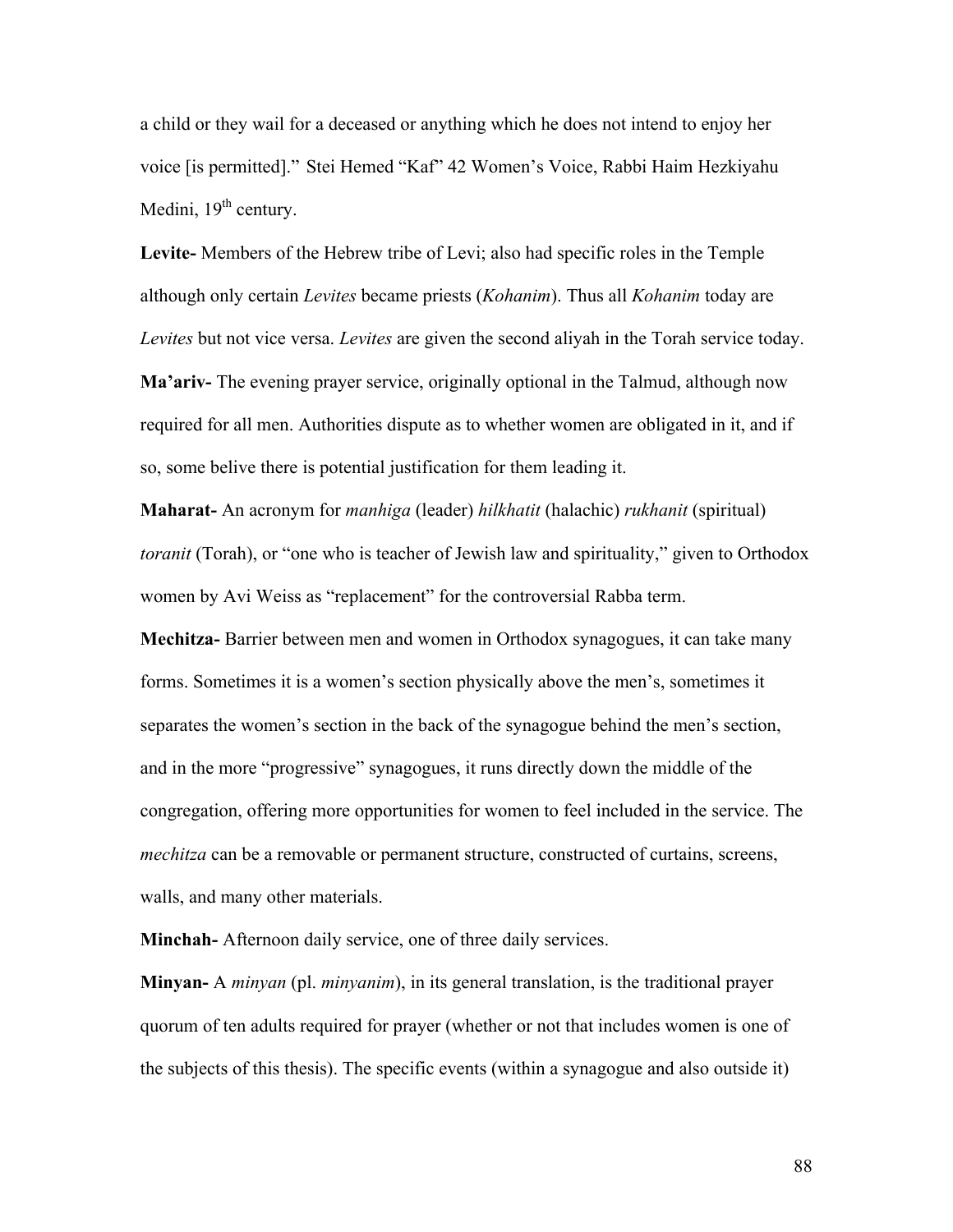a child or they wail for a deceased or anything which he does not intend to enjoy her voice [is permitted]." Stei Hemed "Kaf" 42 Women's Voice, Rabbi Haim Hezkiyahu Medini,  $19<sup>th</sup>$  century.

**Levite-** Members of the Hebrew tribe of Levi; also had specific roles in the Temple although only certain *Levites* became priests (*Kohanim*). Thus all *Kohanim* today are *Levites* but not vice versa. *Levites* are given the second aliyah in the Torah service today. **Ma'ariv-** The evening prayer service, originally optional in the Talmud, although now required for all men. Authorities dispute as to whether women are obligated in it, and if so, some belive there is potential justification for them leading it.

**Maharat-** An acronym for *manhiga* (leader) *hilkhatit* (halachic) *rukhanit* (spiritual) *toranit* (Torah), or "one who is teacher of Jewish law and spirituality," given to Orthodox women by Avi Weiss as "replacement" for the controversial Rabba term.

**Mechitza-** Barrier between men and women in Orthodox synagogues, it can take many forms. Sometimes it is a women's section physically above the men's, sometimes it separates the women's section in the back of the synagogue behind the men's section, and in the more "progressive" synagogues, it runs directly down the middle of the congregation, offering more opportunities for women to feel included in the service. The *mechitza* can be a removable or permanent structure, constructed of curtains, screens, walls, and many other materials.

**Minchah-** Afternoon daily service, one of three daily services.

**Minyan-** A *minyan* (pl. *minyanim*), in its general translation, is the traditional prayer quorum of ten adults required for prayer (whether or not that includes women is one of the subjects of this thesis). The specific events (within a synagogue and also outside it)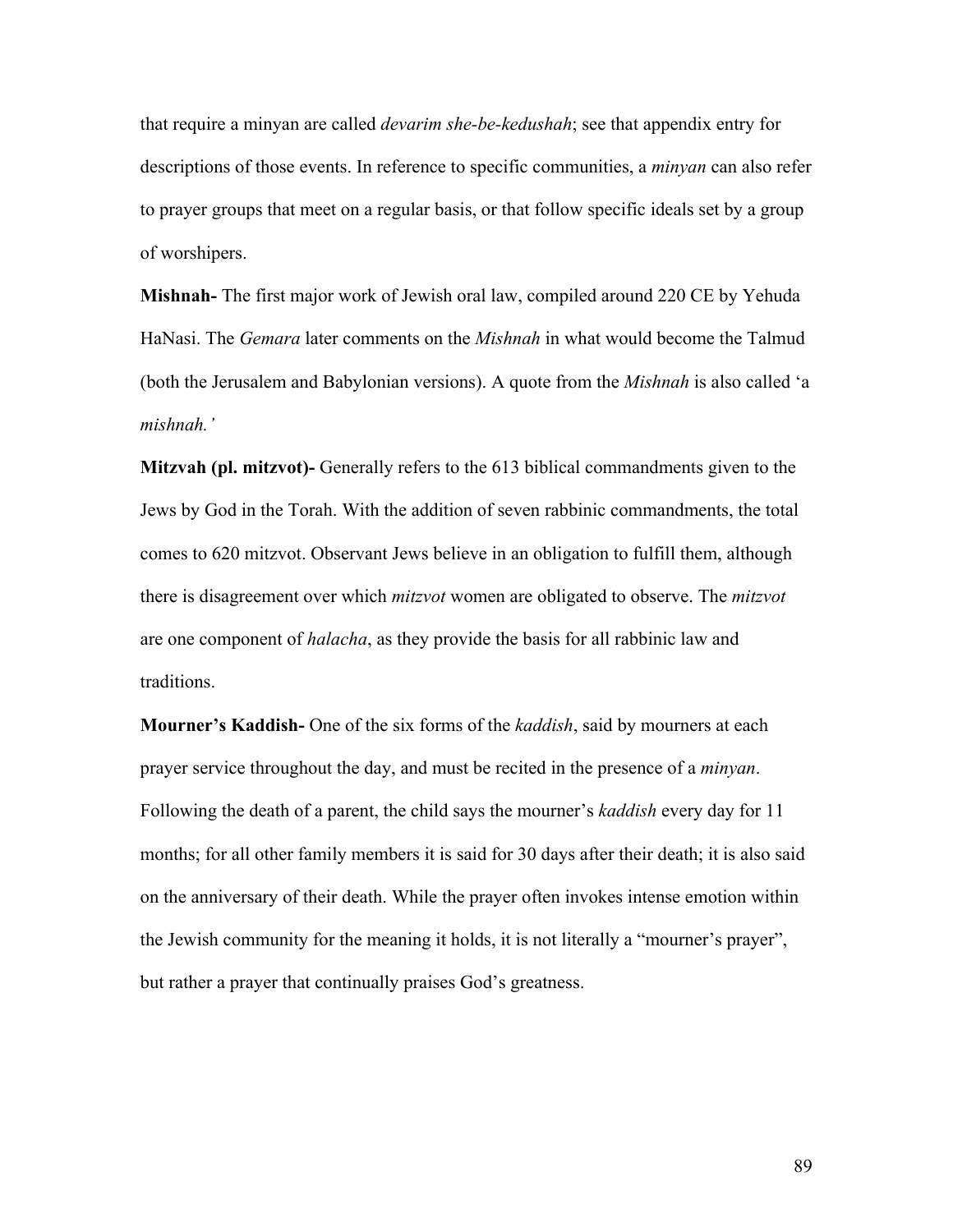that require a minyan are called *devarim she-be-kedushah*; see that appendix entry for descriptions of those events. In reference to specific communities, a *minyan* can also refer to prayer groups that meet on a regular basis, or that follow specific ideals set by a group of worshipers.

**Mishnah-** The first major work of Jewish oral law, compiled around 220 CE by Yehuda HaNasi. The *Gemara* later comments on the *Mishnah* in what would become the Talmud (both the Jerusalem and Babylonian versions). A quote from the *Mishnah* is also called 'a *mishnah.'*

**Mitzvah (pl. mitzvot)-** Generally refers to the 613 biblical commandments given to the Jews by God in the Torah. With the addition of seven rabbinic commandments, the total comes to 620 mitzvot. Observant Jews believe in an obligation to fulfill them, although there is disagreement over which *mitzvot* women are obligated to observe. The *mitzvot* are one component of *halacha*, as they provide the basis for all rabbinic law and traditions.

**Mourner's Kaddish-** One of the six forms of the *kaddish*, said by mourners at each prayer service throughout the day, and must be recited in the presence of a *minyan*. Following the death of a parent, the child says the mourner's *kaddish* every day for 11 months; for all other family members it is said for 30 days after their death; it is also said on the anniversary of their death. While the prayer often invokes intense emotion within the Jewish community for the meaning it holds, it is not literally a "mourner's prayer", but rather a prayer that continually praises God's greatness.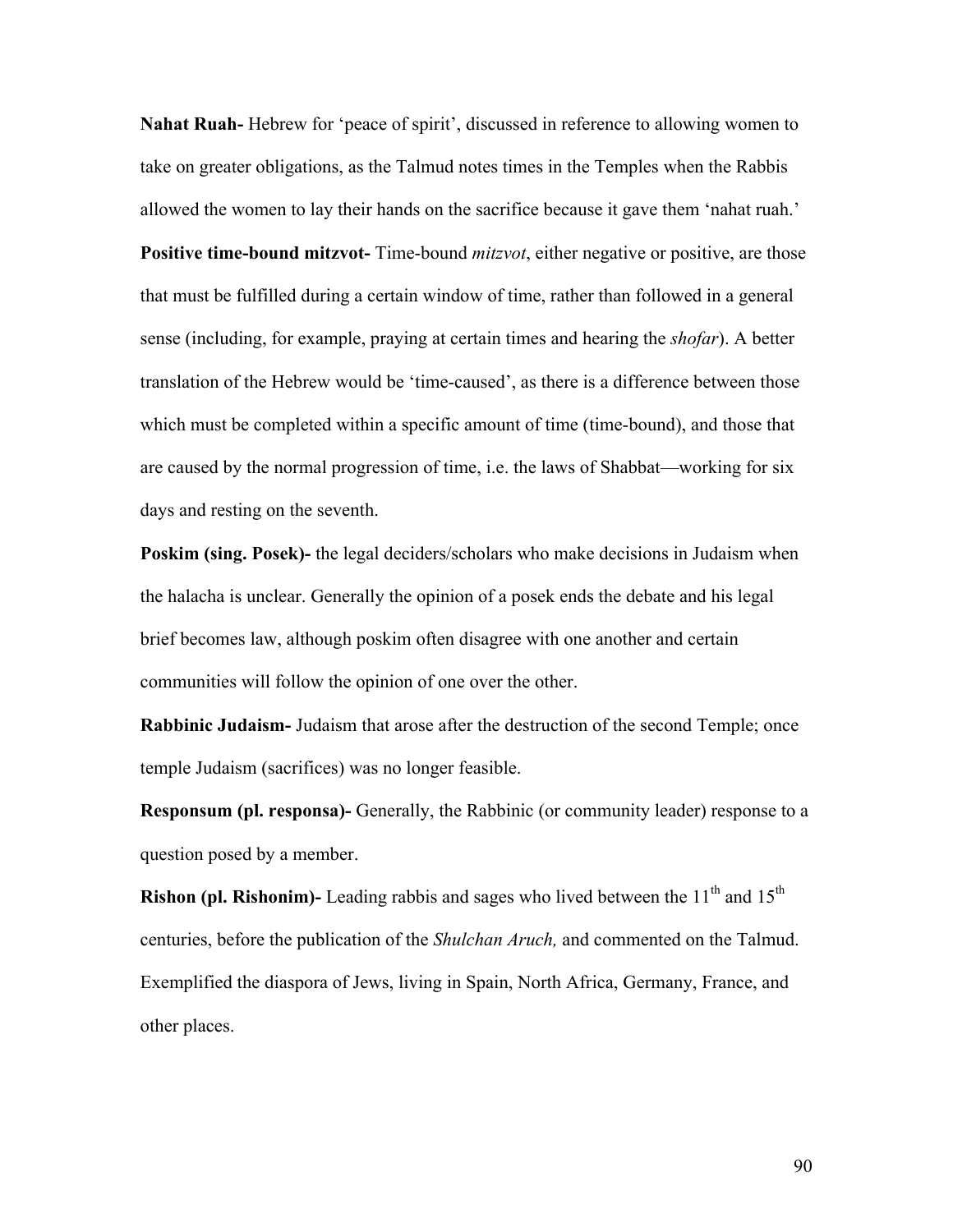**Nahat Ruah-** Hebrew for 'peace of spirit', discussed in reference to allowing women to take on greater obligations, as the Talmud notes times in the Temples when the Rabbis allowed the women to lay their hands on the sacrifice because it gave them 'nahat ruah.' **Positive time-bound mitzvot-** Time-bound *mitzvot*, either negative or positive, are those that must be fulfilled during a certain window of time, rather than followed in a general sense (including, for example, praying at certain times and hearing the *shofar*). A better translation of the Hebrew would be 'time-caused', as there is a difference between those which must be completed within a specific amount of time (time-bound), and those that are caused by the normal progression of time, i.e. the laws of Shabbat—working for six days and resting on the seventh.

**Poskim (sing. Posek)-** the legal deciders/scholars who make decisions in Judaism when the halacha is unclear. Generally the opinion of a posek ends the debate and his legal brief becomes law, although poskim often disagree with one another and certain communities will follow the opinion of one over the other.

**Rabbinic Judaism-** Judaism that arose after the destruction of the second Temple; once temple Judaism (sacrifices) was no longer feasible.

**Responsum (pl. responsa)-** Generally, the Rabbinic (or community leader) response to a question posed by a member.

**Rishon (pl. Rishonim)-** Leading rabbis and sages who lived between the  $11<sup>th</sup>$  and  $15<sup>th</sup>$ centuries, before the publication of the *Shulchan Aruch,* and commented on the Talmud. Exemplified the diaspora of Jews, living in Spain, North Africa, Germany, France, and other places.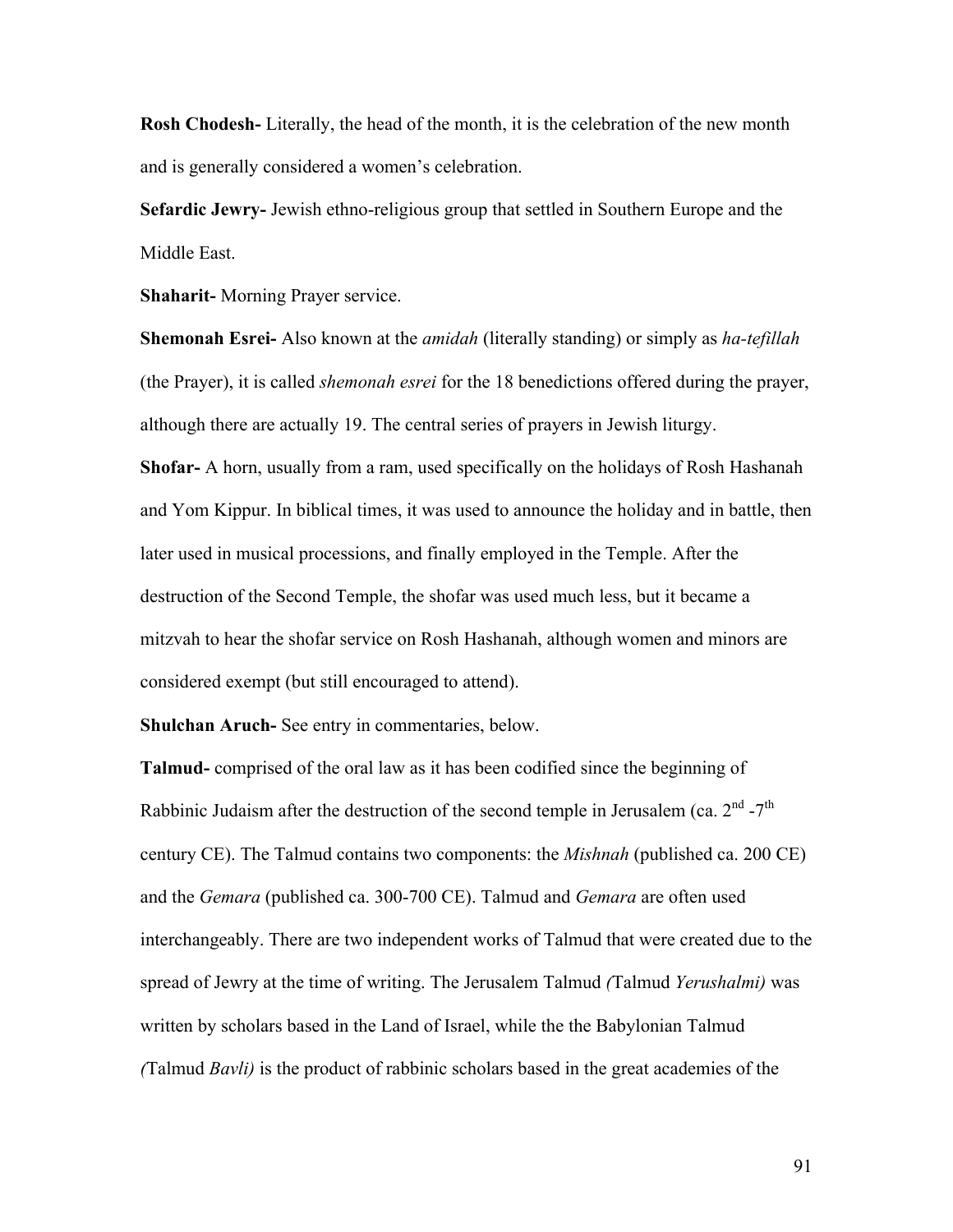**Rosh Chodesh-** Literally, the head of the month, it is the celebration of the new month and is generally considered a women's celebration.

**Sefardic Jewry-** Jewish ethno-religious group that settled in Southern Europe and the Middle East.

**Shaharit-** Morning Prayer service.

**Shemonah Esrei-** Also known at the *amidah* (literally standing) or simply as *ha-tefillah* (the Prayer), it is called *shemonah esrei* for the 18 benedictions offered during the prayer, although there are actually 19. The central series of prayers in Jewish liturgy.

**Shofar-** A horn, usually from a ram, used specifically on the holidays of Rosh Hashanah and Yom Kippur. In biblical times, it was used to announce the holiday and in battle, then later used in musical processions, and finally employed in the Temple. After the destruction of the Second Temple, the shofar was used much less, but it became a mitzvah to hear the shofar service on Rosh Hashanah, although women and minors are considered exempt (but still encouraged to attend).

**Shulchan Aruch-** See entry in commentaries, below.

**Talmud-** comprised of the oral law as it has been codified since the beginning of Rabbinic Judaism after the destruction of the second temple in Jerusalem (ca.  $2<sup>nd</sup> - 7<sup>th</sup>$ century CE). The Talmud contains two components: the *Mishnah* (published ca. 200 CE) and the *Gemara* (published ca. 300-700 CE). Talmud and *Gemara* are often used interchangeably. There are two independent works of Talmud that were created due to the spread of Jewry at the time of writing. The Jerusalem Talmud *(*Talmud *Yerushalmi)* was written by scholars based in the Land of Israel, while the the Babylonian Talmud *(*Talmud *Bavli)* is the product of rabbinic scholars based in the great academies of the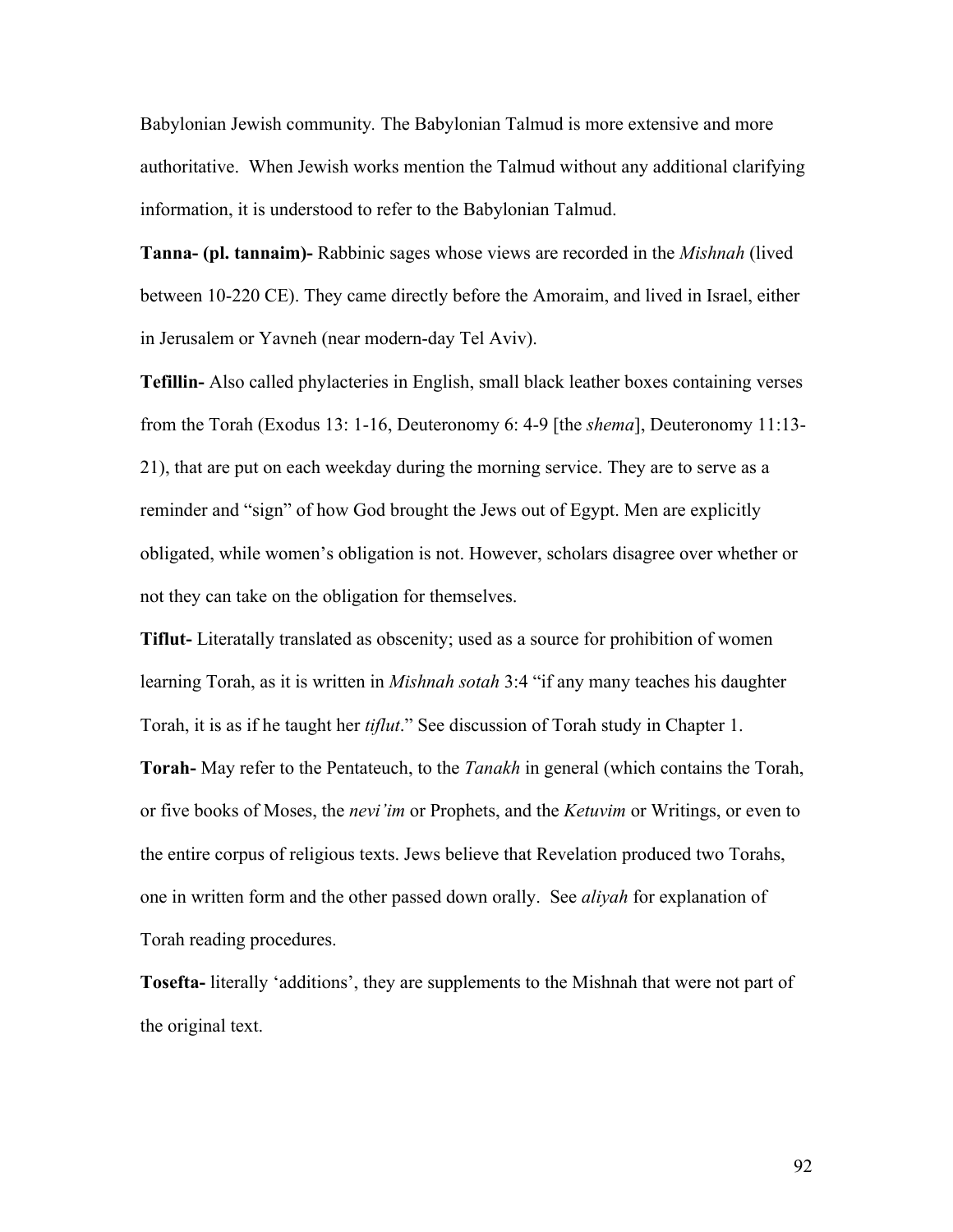Babylonian Jewish community*.* The Babylonian Talmud is more extensive and more authoritative. When Jewish works mention the Talmud without any additional clarifying information, it is understood to refer to the Babylonian Talmud.

**Tanna- (pl. tannaim)-** Rabbinic sages whose views are recorded in the *Mishnah* (lived between 10-220 CE). They came directly before the Amoraim, and lived in Israel, either in Jerusalem or Yavneh (near modern-day Tel Aviv).

**Tefillin-** Also called phylacteries in English, small black leather boxes containing verses from the Torah (Exodus 13: 1-16, Deuteronomy 6: 4-9 [the *shema*], Deuteronomy 11:13- 21), that are put on each weekday during the morning service. They are to serve as a reminder and "sign" of how God brought the Jews out of Egypt. Men are explicitly obligated, while women's obligation is not. However, scholars disagree over whether or not they can take on the obligation for themselves.

**Tiflut-** Literatally translated as obscenity; used as a source for prohibition of women learning Torah, as it is written in *Mishnah sotah* 3:4 "if any many teaches his daughter Torah, it is as if he taught her *tiflut*." See discussion of Torah study in Chapter 1. **Torah-** May refer to the Pentateuch, to the *Tanakh* in general (which contains the Torah, or five books of Moses, the *nevi'im* or Prophets, and the *Ketuvim* or Writings, or even to the entire corpus of religious texts. Jews believe that Revelation produced two Torahs, one in written form and the other passed down orally. See *aliyah* for explanation of Torah reading procedures.

**Tosefta-** literally 'additions', they are supplements to the Mishnah that were not part of the original text.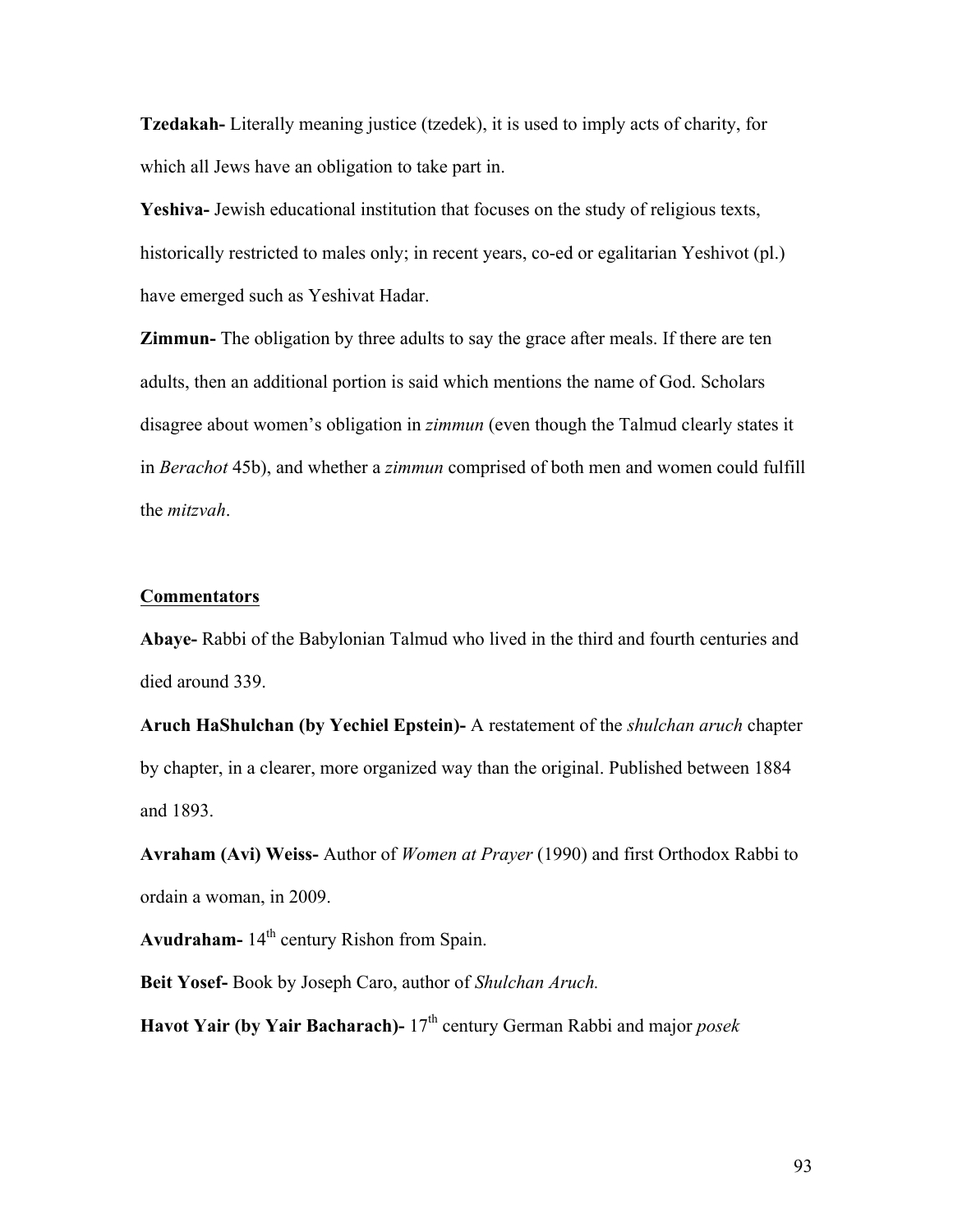**Tzedakah-** Literally meaning justice (tzedek), it is used to imply acts of charity, for which all Jews have an obligation to take part in.

**Yeshiva-** Jewish educational institution that focuses on the study of religious texts, historically restricted to males only; in recent years, co-ed or egalitarian Yeshivot (pl.) have emerged such as Yeshivat Hadar.

**Zimmun-** The obligation by three adults to say the grace after meals. If there are ten adults, then an additional portion is said which mentions the name of God. Scholars disagree about women's obligation in *zimmun* (even though the Talmud clearly states it in *Berachot* 45b), and whether a *zimmun* comprised of both men and women could fulfill the *mitzvah*.

### **Commentators**

**Abaye-** Rabbi of the Babylonian Talmud who lived in the third and fourth centuries and died around 339.

**Aruch HaShulchan (by Yechiel Epstein)-** A restatement of the *shulchan aruch* chapter by chapter, in a clearer, more organized way than the original. Published between 1884 and 1893.

**Avraham (Avi) Weiss-** Author of *Women at Prayer* (1990) and first Orthodox Rabbi to ordain a woman, in 2009.

Avudraham-  $14<sup>th</sup>$  century Rishon from Spain.

**Beit Yosef-** Book by Joseph Caro, author of *Shulchan Aruch.*

**Havot Yair (by Yair Bacharach)-** 17<sup>th</sup> century German Rabbi and major *posek*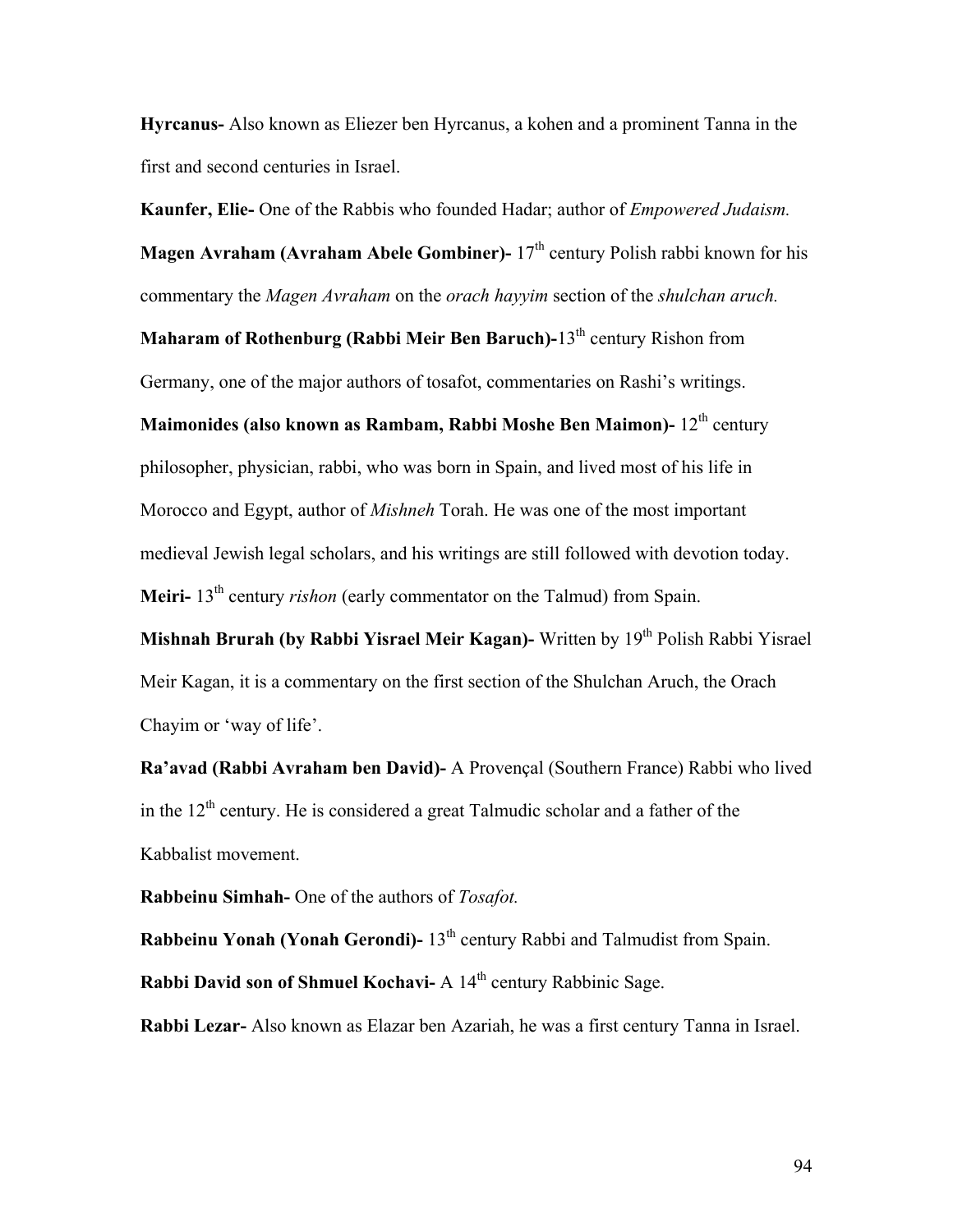**Hyrcanus-** Also known as Eliezer ben Hyrcanus, a kohen and a prominent Tanna in the first and second centuries in Israel.

**Kaunfer, Elie-** One of the Rabbis who founded Hadar; author of *Empowered Judaism.*

**Magen Avraham (Avraham Abele Gombiner)-** 17<sup>th</sup> century Polish rabbi known for his commentary the *Magen Avraham* on the *orach hayyim* section of the *shulchan aruch.*

**Maharam of Rothenburg (Rabbi Meir Ben Baruch)-13<sup>th</sup> century Rishon from** Germany, one of the major authors of tosafot, commentaries on Rashi's writings.

**Maimonides (also known as Rambam, Rabbi Moshe Ben Maimon)-**  $12<sup>th</sup>$  century philosopher, physician, rabbi, who was born in Spain, and lived most of his life in Morocco and Egypt, author of *Mishneh* Torah. He was one of the most important medieval Jewish legal scholars, and his writings are still followed with devotion today. **Meiri-** 13<sup>th</sup> century *rishon* (early commentator on the Talmud) from Spain.

**Mishnah Brurah (by Rabbi Yisrael Meir Kagan)-** Written by 19<sup>th</sup> Polish Rabbi Yisrael Meir Kagan, it is a commentary on the first section of the Shulchan Aruch, the Orach Chayim or 'way of life'.

**Ra'avad (Rabbi Avraham ben David)-** A Provençal (Southern France) Rabbi who lived in the  $12<sup>th</sup>$  century. He is considered a great Talmudic scholar and a father of the Kabbalist movement.

**Rabbeinu Simhah-** One of the authors of *Tosafot.*

**Rabbeinu Yonah (Yonah Gerondi)-** 13<sup>th</sup> century Rabbi and Talmudist from Spain. **Rabbi David son of Shmuel Kochavi-** A 14<sup>th</sup> century Rabbinic Sage.

**Rabbi Lezar-** Also known as Elazar ben Azariah, he was a first century Tanna in Israel.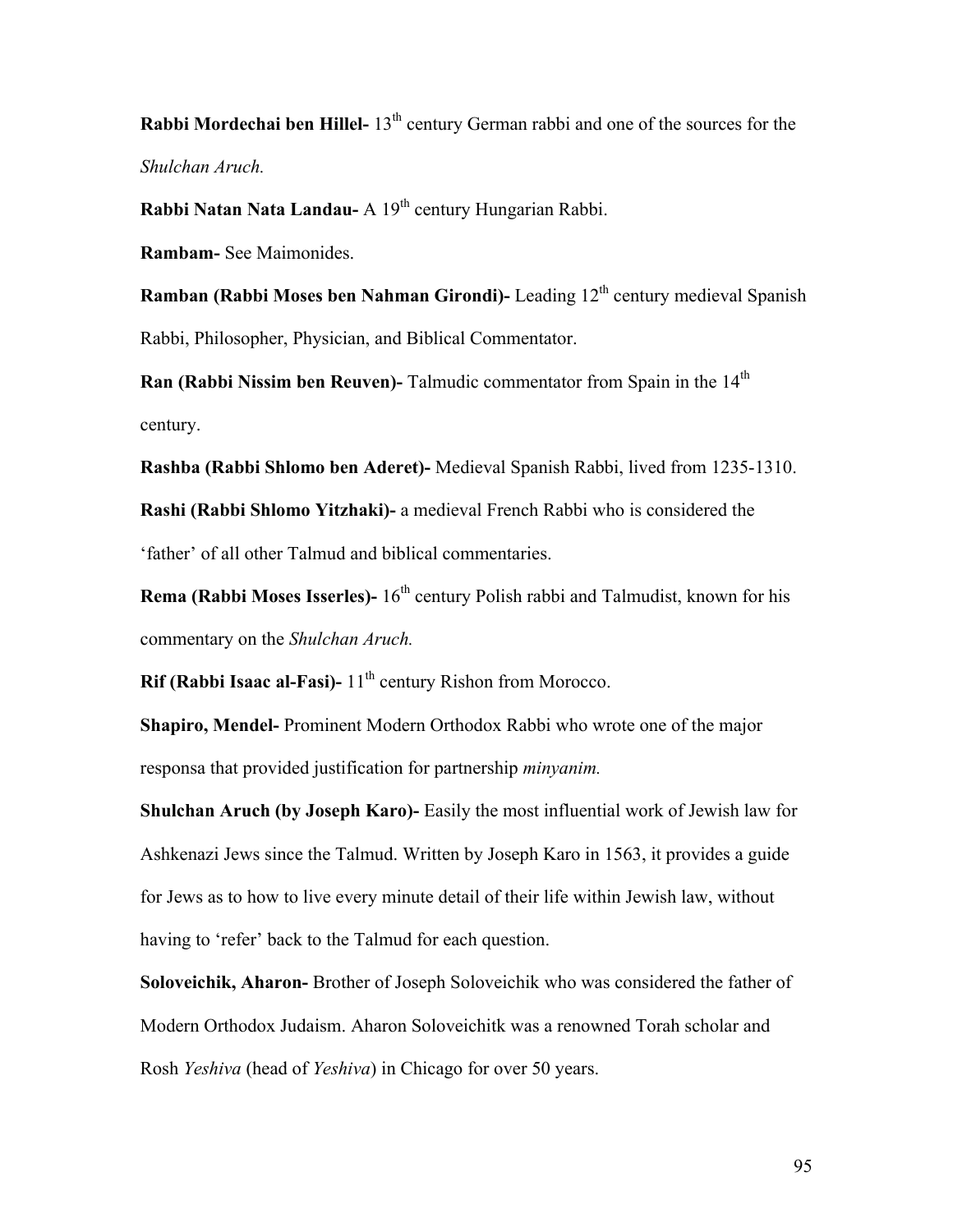**Rabbi Mordechai ben Hillel-** 13<sup>th</sup> century German rabbi and one of the sources for the *Shulchan Aruch.*

**Rabbi Natan Nata Landau-** A 19<sup>th</sup> century Hungarian Rabbi.

**Rambam-** See Maimonides.

**Ramban (Rabbi Moses ben Nahman Girondi)-** Leading 12<sup>th</sup> century medieval Spanish Rabbi, Philosopher, Physician, and Biblical Commentator.

**Ran (Rabbi Nissim ben Reuven)**- Talmudic commentator from Spain in the 14<sup>th</sup> century.

**Rashba (Rabbi Shlomo ben Aderet)-** Medieval Spanish Rabbi, lived from 1235-1310.

**Rashi (Rabbi Shlomo Yitzhaki)-** a medieval French Rabbi who is considered the 'father' of all other Talmud and biblical commentaries.

**Rema (Rabbi Moses Isserles)-** 16<sup>th</sup> century Polish rabbi and Talmudist, known for his commentary on the *Shulchan Aruch.*

**Rif (Rabbi Isaac al-Fasi)-** 11<sup>th</sup> century Rishon from Morocco.

**Shapiro, Mendel-** Prominent Modern Orthodox Rabbi who wrote one of the major responsa that provided justification for partnership *minyanim.*

**Shulchan Aruch (by Joseph Karo)-** Easily the most influential work of Jewish law for Ashkenazi Jews since the Talmud. Written by Joseph Karo in 1563, it provides a guide for Jews as to how to live every minute detail of their life within Jewish law, without having to 'refer' back to the Talmud for each question.

**Soloveichik, Aharon-** Brother of Joseph Soloveichik who was considered the father of Modern Orthodox Judaism. Aharon Soloveichitk was a renowned Torah scholar and Rosh *Yeshiva* (head of *Yeshiva*) in Chicago for over 50 years.